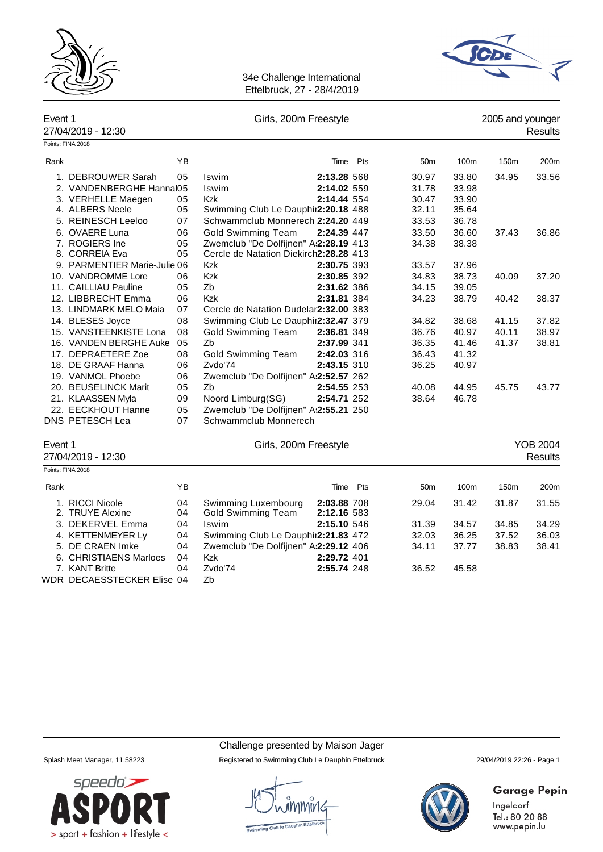



| Event 1 | 27/04/2019 - 12:30           |    | Girls, 200m Freestyle                  |             |     |                 |       | 2005 and younger | <b>Results</b>  |
|---------|------------------------------|----|----------------------------------------|-------------|-----|-----------------|-------|------------------|-----------------|
|         | Points: FINA 2018            |    |                                        |             |     |                 |       |                  |                 |
| Rank    |                              | YB |                                        | Time        | Pts | 50 <sub>m</sub> | 100m  | 150m             | 200m            |
|         | 1. DEBROUWER Sarah           | 05 | Iswim                                  | 2:13.28 568 |     | 30.97           | 33.80 | 34.95            | 33.56           |
|         | 2. VANDENBERGHE Hannal05     |    | Iswim                                  | 2:14.02 559 |     | 31.78           | 33.98 |                  |                 |
|         | 3. VERHELLE Maegen           | 05 | Kzk                                    | 2:14.44 554 |     | 30.47           | 33.90 |                  |                 |
|         | 4. ALBERS Neele              | 05 | Swimming Club Le Dauphir2:20.18 488    |             |     | 32.11           | 35.64 |                  |                 |
|         | 5. REINESCH Leeloo           | 07 | Schwammclub Monnerech 2:24.20 449      |             |     | 33.53           | 36.78 |                  |                 |
|         | 6. OVAERE Luna               | 06 | <b>Gold Swimming Team</b>              | 2:24.39 447 |     | 33.50           | 36.60 | 37.43            | 36.86           |
|         | 7. ROGIERS Ine               | 05 | Zwemclub "De Dolfijnen" A:2:28.19 413  |             |     | 34.38           | 38.38 |                  |                 |
|         | 8. CORREIA Eva               | 05 | Cercle de Natation Diekirch2:28.28 413 |             |     |                 |       |                  |                 |
|         | 9. PARMENTIER Marie-Julie 06 |    | Kzk                                    | 2:30.75 393 |     | 33.57           | 37.96 |                  |                 |
|         | 10. VANDROMME Lore           | 06 | Kzk                                    | 2:30.85 392 |     | 34.83           | 38.73 | 40.09            | 37.20           |
|         | 11. CAILLIAU Pauline         | 05 | Zb                                     | 2:31.62 386 |     | 34.15           | 39.05 |                  |                 |
|         | 12. LIBBRECHT Emma           | 06 | <b>Kzk</b>                             | 2:31.81 384 |     | 34.23           | 38.79 | 40.42            | 38.37           |
|         | 13. LINDMARK MELO Maia       | 07 | Cercle de Natation Dudelar2:32.00 383  |             |     |                 |       |                  |                 |
|         | 14. BLESES Joyce             | 08 | Swimming Club Le Dauphir2:32.47 379    |             |     | 34.82           | 38.68 | 41.15            | 37.82           |
|         | 15. VANSTEENKISTE Lona       | 08 | <b>Gold Swimming Team</b>              | 2:36.81 349 |     | 36.76           | 40.97 | 40.11            | 38.97           |
|         | 16. VANDEN BERGHE Auke       | 05 | Zb                                     | 2:37.99 341 |     | 36.35           | 41.46 | 41.37            | 38.81           |
|         | 17. DEPRAETERE Zoe           | 08 | <b>Gold Swimming Team</b>              | 2:42.03 316 |     | 36.43           | 41.32 |                  |                 |
|         | 18. DE GRAAF Hanna           | 06 | Zvdo'74                                | 2:43.15 310 |     | 36.25           | 40.97 |                  |                 |
|         | 19. VANMOL Phoebe            | 06 | Zwemclub "De Dolfijnen" A:2:52.57 262  |             |     |                 |       |                  |                 |
|         | 20. BEUSELINCK Marit         | 05 | Zb                                     | 2:54.55 253 |     | 40.08           | 44.95 | 45.75            | 43.77           |
|         | 21. KLAASSEN Myla            | 09 | Noord Limburg(SG)                      | 2:54.71 252 |     | 38.64           | 46.78 |                  |                 |
|         | 22. EECKHOUT Hanne           | 05 | Zwemclub "De Dolfijnen" A:2:55.21 250  |             |     |                 |       |                  |                 |
|         | DNS PETESCH Lea              | 07 | Schwammclub Monnerech                  |             |     |                 |       |                  |                 |
| Event 1 |                              |    | Girls, 200m Freestyle                  |             |     |                 |       |                  | <b>YOB 2004</b> |
|         | 27/04/2019 - 12:30           |    |                                        |             |     |                 |       |                  | Results         |
|         | Points: FINA 2018            |    |                                        |             |     |                 |       |                  |                 |
| Rank    |                              | YB |                                        | Time        | Pts | 50 <sub>m</sub> | 100m  | 150m             | 200m            |
|         | 1. RICCI Nicole              | 04 | Swimming Luxembourg                    | 2:03.88 708 |     | 29.04           | 31.42 | 31.87            | 31.55           |
|         | 2. TRUYE Alexine             | 04 | <b>Gold Swimming Team</b>              | 2:12.16 583 |     |                 |       |                  |                 |
|         | 3. DEKERVEL Emma             | 04 | Iswim                                  | 2:15.10 546 |     | 31.39           | 34.57 | 34.85            | 34.29           |
|         | 4. KETTENMEYER Ly            | 04 | Swimming Club Le Dauphir2:21.83 472    |             |     | 32.03           | 36.25 | 37.52            | 36.03           |
|         | 5. DE CRAEN Imke             | 04 | Zwemclub "De Dolfijnen" A:2:29.12 406  |             |     | 34.11           | 37.77 | 38.83            | 38.41           |
|         | 6. CHRISTIAENS Marloes       | 04 | Kzk                                    | 2:29.72 401 |     |                 |       |                  |                 |
|         |                              |    |                                        |             |     |                 |       |                  |                 |

Challenge presented by Maison Jager

7. KANT Britte 04 Zvdo'74 **2:55.74** 248 36.52 45.58



WDR DECAESSTECKER Elise 04 Zb

Splash Meet Manager, 11.58223 Registered to Swimming Club Le Dauphin Ettelbruck 29/04/2019 22:26 - Page 1



# **Garage Pepin**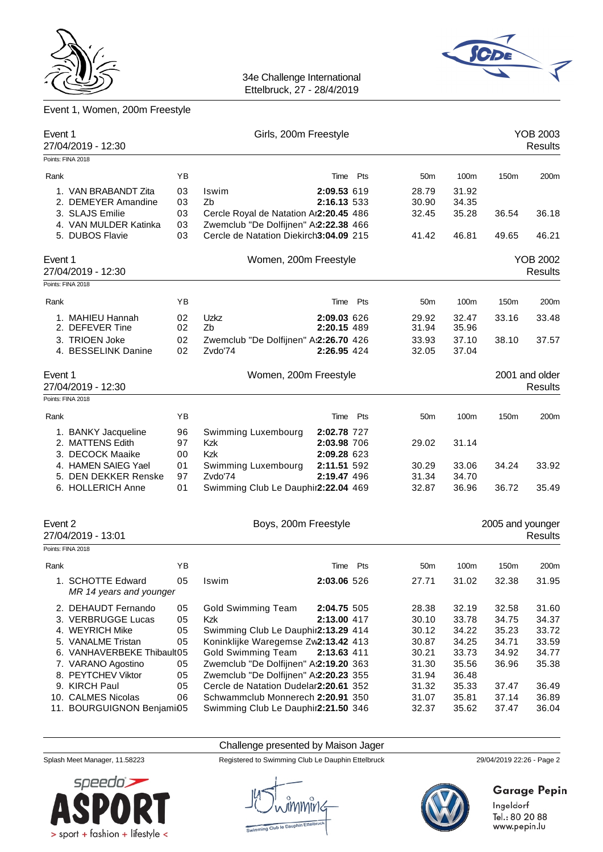



### Event 1, Women, 200m Freestyle

| Event 1 | 27/04/2019 - 12:30                           |    | Girls, 200m Freestyle                  |             |          |                 |       |                  | <b>YOB 2003</b><br><b>Results</b> |
|---------|----------------------------------------------|----|----------------------------------------|-------------|----------|-----------------|-------|------------------|-----------------------------------|
|         | Points: FINA 2018                            |    |                                        |             |          |                 |       |                  |                                   |
| Rank    |                                              | YB |                                        | Time        | Pts      | 50 <sub>m</sub> | 100m  | 150m             | 200m                              |
|         | 1. VAN BRABANDT Zita                         | 03 | Iswim                                  | 2:09.53 619 |          | 28.79           | 31.92 |                  |                                   |
|         | 2. DEMEYER Amandine                          | 03 | Zb                                     | 2:16.13 533 |          | 30.90           | 34.35 |                  |                                   |
|         | 3. SLAJS Emilie                              | 03 | Cercle Royal de Natation Ar2:20.45 486 |             |          | 32.45           | 35.28 | 36.54            | 36.18                             |
|         | 4. VAN MULDER Katinka                        | 03 | Zwemclub "De Dolfijnen" A:2:22.38 466  |             |          |                 |       |                  |                                   |
|         | 5. DUBOS Flavie                              | 03 | Cercle de Natation Diekirch3:04.09 215 |             |          | 41.42           | 46.81 | 49.65            | 46.21                             |
| Event 1 |                                              |    | Women, 200m Freestyle                  |             |          |                 |       |                  | <b>YOB 2002</b>                   |
|         | 27/04/2019 - 12:30                           |    |                                        |             |          |                 |       |                  | <b>Results</b>                    |
|         | Points: FINA 2018                            |    |                                        |             |          |                 |       |                  |                                   |
| Rank    |                                              | ΥB |                                        |             | Time Pts | 50 <sub>m</sub> | 100m  | 150m             | 200m                              |
|         | 1. MAHIEU Hannah                             | 02 | Uzkz                                   | 2:09.03 626 |          | 29.92           | 32.47 | 33.16            | 33.48                             |
|         | 2. DEFEVER Tine                              | 02 | Zb                                     | 2:20.15 489 |          | 31.94           | 35.96 |                  |                                   |
|         | 3. TRIOEN Joke                               | 02 | Zwemclub "De Dolfijnen" A:2:26.70 426  |             |          | 33.93           | 37.10 | 38.10            | 37.57                             |
|         | 4. BESSELINK Danine                          | 02 | Zvdo'74                                | 2:26.95 424 |          | 32.05           | 37.04 |                  |                                   |
| Event 1 |                                              |    | Women, 200m Freestyle                  |             |          |                 |       |                  | 2001 and older                    |
|         | 27/04/2019 - 12:30                           |    |                                        |             |          |                 |       |                  | <b>Results</b>                    |
|         | Points: FINA 2018                            |    |                                        |             |          |                 |       |                  |                                   |
| Rank    |                                              | YB |                                        | Time        | Pts      | 50 <sub>m</sub> | 100m  | 150m             | 200m                              |
|         | 1. BANKY Jacqueline                          | 96 | Swimming Luxembourg                    | 2:02.78 727 |          |                 |       |                  |                                   |
|         | 2. MATTENS Edith                             | 97 | Kzk                                    | 2:03.98 706 |          | 29.02           | 31.14 |                  |                                   |
|         | 3. DECOCK Maaike                             | 00 | Kzk                                    | 2:09.28 623 |          |                 |       |                  |                                   |
|         | 4. HAMEN SAIEG Yael                          | 01 | Swimming Luxembourg                    | 2:11.51 592 |          | 30.29           | 33.06 | 34.24            | 33.92                             |
|         | 5. DEN DEKKER Renske                         | 97 | Zvdo'74                                | 2:19.47 496 |          | 31.34           | 34.70 |                  |                                   |
|         | 6. HOLLERICH Anne                            | 01 | Swimming Club Le Dauphir2:22.04 469    |             |          | 32.87           | 36.96 | 36.72            | 35.49                             |
|         |                                              |    |                                        |             |          |                 |       |                  |                                   |
| Event 2 |                                              |    | Boys, 200m Freestyle                   |             |          |                 |       | 2005 and younger |                                   |
|         | 27/04/2019 - 13:01                           |    |                                        |             |          |                 |       |                  | <b>Results</b>                    |
|         | Points: FINA 2018                            |    |                                        |             |          |                 |       |                  |                                   |
| Rank    |                                              | ΥB |                                        | Time        | Pts      | 50 <sub>m</sub> | 100m  | 150m             | 200m                              |
|         | 1. SCHOTTE Edward<br>MR 14 years and younger | 05 | Iswim                                  | 2:03.06 526 |          | 27.71           | 31.02 | 32.38            | 31.95                             |
|         | 2. DEHAUDT Fernando                          | 05 | <b>Gold Swimming Team</b>              | 2:04.75 505 |          | 28.38           | 32.19 | 32.58            | 31.60                             |
|         | 3. VERBRUGGE Lucas                           | 05 | Kzk                                    | 2:13.00 417 |          | 30.10           | 33.78 | 34.75            | 34.37                             |
|         | 4. WEYRICH Mike                              | 05 | Swimming Club Le Dauphir2:13.29 414    |             |          | 30.12           | 34.22 | 35.23            | 33.72                             |
|         | 5. VANALME Tristan                           | 05 | Koninklijke Waregemse Zw2:13.42 413    |             |          | 30.87           | 34.25 | 34.71            | 33.59                             |
|         | 6. VANHAVERBEKE Thibault05                   |    | Gold Swimming Team                     | 2:13.63 411 |          | 30.21           | 33.73 | 34.92            | 34.77                             |
|         | 7. VARANO Agostino                           | 05 | Zwemclub "De Dolfijnen" A:2:19.20 363  |             |          | 31.30           | 35.56 | 36.96            | 35.38                             |
|         | 8. PEYTCHEV Viktor                           | 05 | Zwemclub "De Dolfijnen" A:2:20.23 355  |             |          | 31.94           | 36.48 |                  |                                   |
|         | 9. KIRCH Paul                                | 05 | Cercle de Natation Dudelar2:20.61 352  |             |          | 31.32           | 35.33 | 37.47            | 36.49                             |
|         | 10. CALMES Nicolas                           | 06 | Schwammclub Monnerech 2:20.91 350      |             |          | 31.07           | 35.81 | 37.14            | 36.89                             |
|         | 11. BOURGUIGNON Benjami05                    |    | Swimming Club Le Dauphir2:21.50 346    |             |          | 32.37           | 35.62 | 37.47            | 36.04                             |

### Challenge presented by Maison Jager Splash Meet Manager, 11.58223 Registered to Swimming Club Le Dauphin Ettelbruck 29/04/2019 22:26 - Page 2





**Garage Pepin**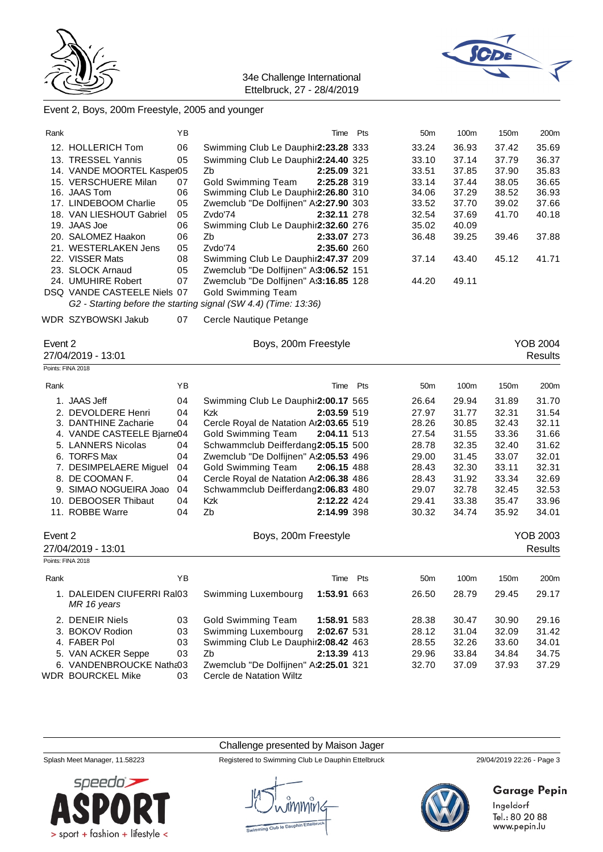



### Event 2, Boys, 200m Freestyle, 2005 and younger

| Rank    |                                           | ΥB | Time                                                            | Pts | 50 <sub>m</sub> | 100m  | 150m  | 200m            |
|---------|-------------------------------------------|----|-----------------------------------------------------------------|-----|-----------------|-------|-------|-----------------|
|         | 12. HOLLERICH Tom                         | 06 | Swimming Club Le Dauphir2:23.28 333                             |     | 33.24           | 36.93 | 37.42 | 35.69           |
|         | 13. TRESSEL Yannis                        | 05 | Swimming Club Le Dauphir2:24.40 325                             |     | 33.10           | 37.14 | 37.79 | 36.37           |
|         | 14. VANDE MOORTEL Kaspei05                |    | Zb<br>2:25.09 321                                               |     | 33.51           | 37.85 | 37.90 | 35.83           |
|         | 15. VERSCHUERE Milan                      | 07 | <b>Gold Swimming Team</b><br>2:25.28 319                        |     | 33.14           | 37.44 | 38.05 | 36.65           |
|         | 16. JAAS Tom                              | 06 | Swimming Club Le Dauphir2:26.80 310                             |     | 34.06           | 37.29 | 38.52 | 36.93           |
|         | 17. LINDEBOOM Charlie                     | 05 | Zwemclub "De Dolfijnen" A:2:27.90 303                           |     | 33.52           | 37.70 | 39.02 | 37.66           |
|         | 18. VAN LIESHOUT Gabriel                  | 05 | Zvdo'74<br>2:32.11 278                                          |     | 32.54           | 37.69 | 41.70 | 40.18           |
|         | 19. JAAS Joe                              | 06 | Swimming Club Le Dauphir2:32.60 276                             |     | 35.02           | 40.09 |       |                 |
|         | 20. SALOMEZ Haakon                        | 06 | Zb<br>2:33.07 273                                               |     | 36.48           | 39.25 | 39.46 | 37.88           |
|         | 21. WESTERLAKEN Jens                      | 05 | Zvdo'74<br>2:35.60 260                                          |     |                 |       |       |                 |
|         | 22. VISSER Mats                           | 08 | Swimming Club Le Dauphir2:47.37 209                             |     | 37.14           | 43.40 | 45.12 | 41.71           |
|         | 23. SLOCK Arnaud                          | 05 | Zwemclub "De Dolfijnen" A:3:06.52 151                           |     |                 |       |       |                 |
|         | 24. UMUHIRE Robert                        | 07 | Zwemclub "De Dolfijnen" A:3:16.85 128                           |     | 44.20           | 49.11 |       |                 |
|         | DSQ VANDE CASTEELE Niels 07               |    | <b>Gold Swimming Team</b>                                       |     |                 |       |       |                 |
|         |                                           |    | G2 - Starting before the starting signal (SW 4.4) (Time: 13:36) |     |                 |       |       |                 |
|         | WDR SZYBOWSKI Jakub                       | 07 | Cercle Nautique Petange                                         |     |                 |       |       |                 |
| Event 2 |                                           |    | Boys, 200m Freestyle                                            |     |                 |       |       | <b>YOB 2004</b> |
|         | 27/04/2019 - 13:01                        |    |                                                                 |     |                 |       |       | <b>Results</b>  |
|         | Points: FINA 2018                         |    |                                                                 |     |                 |       |       |                 |
|         |                                           |    |                                                                 |     |                 |       |       |                 |
| Rank    |                                           | YB | Time                                                            | Pts | 50 <sub>m</sub> | 100m  | 150m  | 200m            |
|         | 1. JAAS Jeff                              | 04 | Swimming Club Le Dauphir2:00.17 565                             |     | 26.64           | 29.94 | 31.89 | 31.70           |
|         | 2. DEVOLDERE Henri                        | 04 | Kzk<br>2:03.59 519                                              |     | 27.97           | 31.77 | 32.31 | 31.54           |
|         | 3. DANTHINE Zacharie                      | 04 | Cercle Royal de Natation Ar2:03.65 519                          |     | 28.26           | 30.85 | 32.43 | 32.11           |
|         | 4. VANDE CASTEELE Bjarne04                |    | Gold Swimming Team<br>2:04.11 513                               |     | 27.54           | 31.55 | 33.36 | 31.66           |
|         | 5. LANNERS Nicolas                        | 04 | Schwammclub Deifferdang2:05.15 500                              |     | 28.78           | 32.35 | 32.40 | 31.62           |
|         | 6. TORFS Max                              | 04 | Zwemclub "De Dolfijnen" A:2:05.53 496                           |     | 29.00           | 31.45 | 33.07 | 32.01           |
|         | 7. DESIMPELAERE Miguel                    | 04 | <b>Gold Swimming Team</b><br>2:06.15 488                        |     | 28.43           | 32.30 | 33.11 | 32.31           |
|         | 8. DE COOMAN F.                           | 04 | Cercle Royal de Natation Ar2:06.38 486                          |     | 28.43           | 31.92 | 33.34 | 32.69           |
|         | 9. SIMAO NOGUEIRA Joao                    | 04 | Schwammclub Deifferdang2:06.83 480                              |     | 29.07           | 32.78 | 32.45 | 32.53           |
|         | 10. DEBOOSER Thibaut                      | 04 | Kzk<br>2:12.22 424                                              |     | 29.41           | 33.38 | 35.47 | 33.96           |
|         | 11. ROBBE Warre                           | 04 | Zb<br>2:14.99 398                                               |     | 30.32           | 34.74 | 35.92 | 34.01           |
| Event 2 |                                           |    | Boys, 200m Freestyle                                            |     |                 |       |       | <b>YOB 2003</b> |
|         | 27/04/2019 - 13:01                        |    |                                                                 |     |                 |       |       | Results         |
|         | Points: FINA 2018                         |    |                                                                 |     |                 |       |       |                 |
|         |                                           |    |                                                                 |     |                 |       |       |                 |
| Rank    |                                           | ΥB | Time                                                            | Pts | 50m             | 100m  | 150m  | 200m            |
|         | 1. DALEIDEN CIUFERRI Ral03<br>MR 16 years |    | Swimming Luxembourg<br>1:53.91 663                              |     | 26.50           | 28.79 | 29.45 | 29.17           |
|         | 2. DENEIR Niels                           | 03 | <b>Gold Swimming Team</b><br>1:58.91 583                        |     | 28.38           | 30.47 | 30.90 | 29.16           |
|         | 3. BOKOV Rodion                           | 03 | Swimming Luxembourg<br>2:02.67 531                              |     | 28.12           | 31.04 | 32.09 | 31.42           |
|         | 4. FABER Pol                              | 03 | Swimming Club Le Dauphir2:08.42 463                             |     | 28.55           | 32.26 | 33.60 | 34.01           |
|         | 5. VAN ACKER Seppe                        | 03 | Zb<br>2:13.39 413                                               |     | 29.96           | 33.84 | 34.84 | 34.75           |
|         | 6. VANDENBROUCKE Natha03                  |    | Zwemclub "De Dolfijnen" A:2:25.01 321                           |     | 32.70           | 37.09 | 37.93 | 37.29           |
|         | <b>WDR BOURCKEL Mike</b>                  | 03 | Cercle de Natation Wiltz                                        |     |                 |       |       |                 |

Challenge presented by Maison Jager



Splash Meet Manager, 11.58223 Registered to Swimming Club Le Dauphin Ettelbruck 29/04/2019 22:26 - Page 3



**Garage Pepin**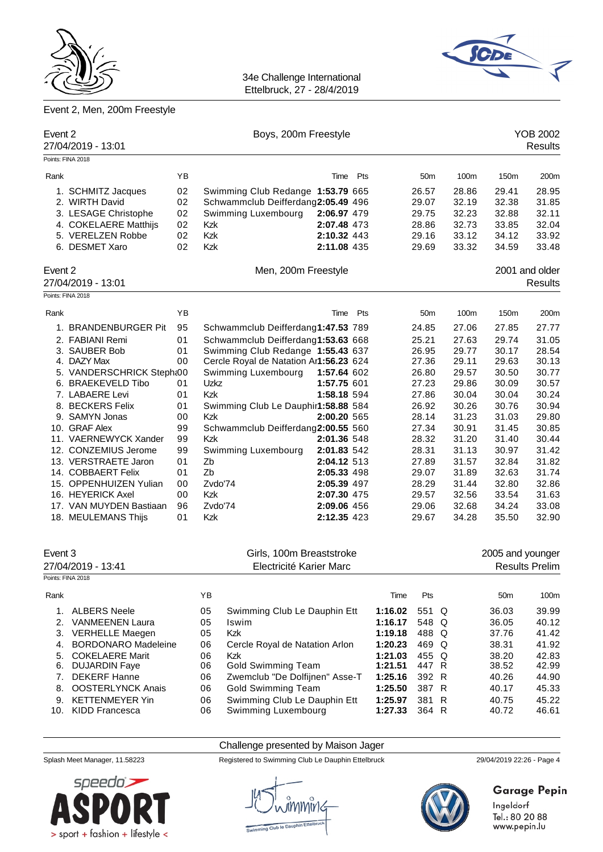

# Event 2, Men, 200m Freestyle



34e Challenge International Ettelbruck, 27 - 28/4/2019

| Event 2<br>27/04/2019 - 13:01 |     | Boys, 200m Freestyle                   |             |          |                 |                  |                  | <b>YOB 2002</b><br>Results |
|-------------------------------|-----|----------------------------------------|-------------|----------|-----------------|------------------|------------------|----------------------------|
| Points: FINA 2018             |     |                                        |             |          |                 |                  |                  |                            |
| Rank                          | YB. |                                        |             | Time Pts | 50 <sub>m</sub> | 100 <sub>m</sub> | 150 <sub>m</sub> | 200m                       |
| 1. SCHMITZ Jacques            | 02  | Swimming Club Redange 1:53.79 665      |             |          | 26.57           | 28.86            | 29.41            | 28.95                      |
| 2. WIRTH David                | 02  | Schwammclub Deifferdang2:05.49 496     |             |          | 29.07           | 32.19            | 32.38            | 31.85                      |
| 3. LESAGE Christophe          | 02  | Swimming Luxembourg                    | 2:06.97 479 |          | 29.75           | 32.23            | 32.88            | 32.11                      |
| 4. COKELAERE Matthijs         | 02  | Kzk                                    | 2:07.48 473 |          | 28.86           | 32.73            | 33.85            | 32.04                      |
| 5. VERELZEN Robbe             | 02  | Kzk                                    | 2:10.32 443 |          | 29.16           | 33.12            | 34.12            | 33.92                      |
| 6. DESMET Xaro                | 02  | Kzk                                    | 2:11.08 435 |          | 29.69           | 33.32            | 34.59            | 33.48                      |
| Event 2<br>27/04/2019 - 13:01 |     | Men, 200m Freestyle                    |             |          |                 |                  | 2001 and older   | Results                    |
| Points: FINA 2018             |     |                                        |             |          |                 |                  |                  |                            |
| Rank                          | YB  |                                        |             | Time Pts | 50m             | 100m             | 150m             | 200m                       |
| 1. BRANDENBURGER Pit          | 95  | Schwammclub Deifferdang1:47.53 789     |             |          | 24.85           | 27.06            | 27.85            | 27.77                      |
| 2. FABIANI Remi               | 01  | Schwammclub Deifferdang1:53.63 668     |             |          | 25.21           | 27.63            | 29.74            | 31.05                      |
| 3. SAUBER Bob                 | 01  | Swimming Club Redange 1:55.43 637      |             |          | 26.95           | 29.77            | 30.17            | 28.54                      |
| 4. DAZY Max                   | 00  | Cercle Royal de Natation Ar1:56.23 624 |             |          | 27.36           | 29.11            | 29.63            | 30.13                      |
| 5. VANDERSCHRICK Stepht00     |     | Swimming Luxembourg                    | 1:57.64 602 |          | 26.80           | 29.57            | 30.50            | 30.77                      |
| 6. BRAEKEVELD Tibo            | 01  | Uzkz                                   | 1:57.75 601 |          | 27.23           | 29.86            | 30.09            | 30.57                      |
| 7. LABAERE Levi               | 01  | <b>Kzk</b>                             | 1:58.18 594 |          | 27.86           | 30.04            | 30.04            | 30.24                      |
| 8. BECKERS Felix              | 01  | Swimming Club Le Dauphir1:58.88 584    |             |          | 26.92           | 30.26            | 30.76            | 30.94                      |
| 9. SAMYN Jonas                | 00  | <b>Kzk</b>                             | 2:00.20 565 |          | 28.14           | 31.23            | 31.03            | 29.80                      |
| 10. GRAF Alex                 | 99  | Schwammclub Deifferdang2:00.55 560     |             |          | 27.34           | 30.91            | 31.45            | 30.85                      |
| 11. VAERNEWYCK Xander         | 99  | Kzk                                    | 2:01.36 548 |          | 28.32           | 31.20            | 31.40            | 30.44                      |
| 12. CONZEMIUS Jerome          | 99  | Swimming Luxembourg                    | 2:01.83 542 |          | 28.31           | 31.13            | 30.97            | 31.42                      |
| 13. VERSTRAETE Jaron          | 01  | Zb                                     | 2:04.12 513 |          | 27.89           | 31.57            | 32.84            | 31.82                      |
| 14. COBBAERT Felix            | 01  | Zb                                     | 2:05.33 498 |          | 29.07           | 31.89            | 32.63            | 31.74                      |
| 15. OPPENHUIZEN Yulian        | 00  | Zvdo'74                                | 2:05.39 497 |          | 28.29           | 31.44            | 32.80            | 32.86                      |
| 16. HEYERICK Axel             | 00  | <b>Kzk</b>                             | 2:07.30 475 |          | 29.57           | 32.56            | 33.54            | 31.63                      |
| 17. VAN MUYDEN Bastiaan       | 96  | Zvdo'74                                | 2:09.06 456 |          | 29.06           | 32.68            | 34.24            | 33.08                      |
| 18. MEULEMANS Thijs           | 01  | Kzk                                    | 2:12.35 423 |          | 29.67           | 34.28            | 35.50            | 32.90                      |
|                               |     |                                        |             |          |                 |                  |                  |                            |

|      | Event 3                    |                         | Girls, 100m Breaststroke       |         |            | 2005 and younger      |       |  |
|------|----------------------------|-------------------------|--------------------------------|---------|------------|-----------------------|-------|--|
|      | 27/04/2019 - 13:41         | Electricité Karier Marc |                                |         |            | <b>Results Prelim</b> |       |  |
|      | Points: FINA 2018          |                         |                                |         |            |                       |       |  |
| Rank |                            | ΥB                      |                                | Time    | <b>Pts</b> | 50 <sub>m</sub>       | 100m  |  |
|      | <b>ALBERS Neele</b>        | 05                      | Swimming Club Le Dauphin Ett   | 1:16.02 | 551 Q      | 36.03                 | 39.99 |  |
| 2.   | <b>VANMEENEN Laura</b>     | 05                      | Iswim                          | 1:16.17 | 548 Q      | 36.05                 | 40.12 |  |
| 3.   | <b>VERHELLE Maegen</b>     | 05                      | Kzk                            | 1:19.18 | 488 Q      | 37.76                 | 41.42 |  |
| 4.   | <b>BORDONARO Madeleine</b> | 06                      | Cercle Royal de Natation Arlon | 1:20.23 | 469 Q      | 38.31                 | 41.92 |  |
| 5.   | <b>COKELAERE Marit</b>     | 06                      | <b>Kzk</b>                     | 1:21.03 | 455 Q      | 38.20                 | 42.83 |  |
| 6.   | <b>DUJARDIN Faye</b>       | 06                      | <b>Gold Swimming Team</b>      | 1:21.51 | 447 R      | 38.52                 | 42.99 |  |
| 7.   | <b>DEKERF Hanne</b>        | 06                      | Zwemclub "De Dolfijnen" Asse-T | 1:25.16 | 392 R      | 40.26                 | 44.90 |  |
| 8.   | <b>OOSTERLYNCK Anais</b>   | 06                      | Gold Swimming Team             | 1:25.50 | 387 R      | 40.17                 | 45.33 |  |
| 9.   | KETTENMEYER Yin            | 06                      | Swimming Club Le Dauphin Ett   | 1:25.97 | 381 R      | 40.75                 | 45.22 |  |

10. KIDD Francesca 06 Swimming Luxembourg **1:27.33** 364 R 40.72 46.61

#### Challenge presented by Maison Jager



Splash Meet Manager, 11.58223 Registered to Swimming Club Le Dauphin Ettelbruck 29/04/2019 22:26 - Page 4



**Garage Pepin**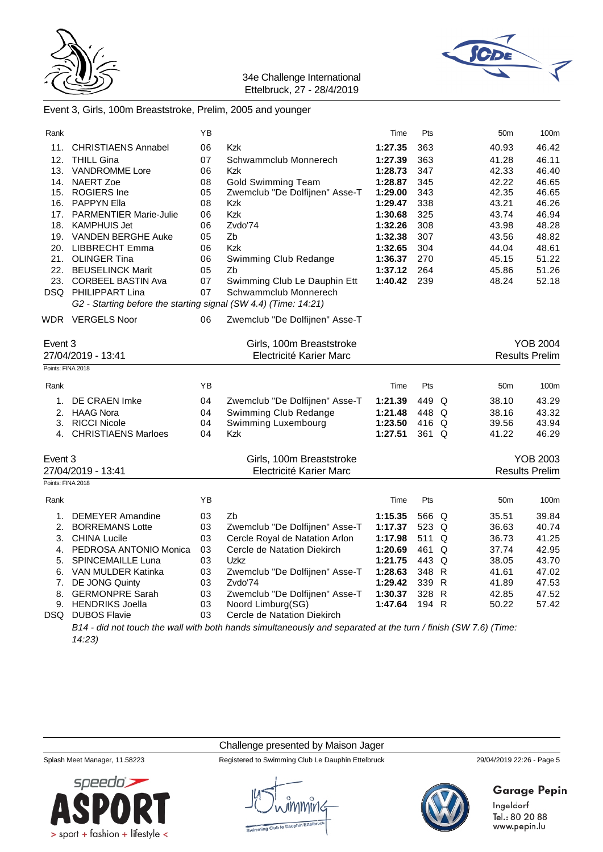

### Event 3, Girls, 100m Breaststroke, Prelim, 2005 and younger

| Rank              |                                                                 | ΥB |                                                                                                                | Time    | Pts   |   | 50 <sub>m</sub> | 100m                  |
|-------------------|-----------------------------------------------------------------|----|----------------------------------------------------------------------------------------------------------------|---------|-------|---|-----------------|-----------------------|
| 11.               | <b>CHRISTIAENS Annabel</b>                                      | 06 | Kzk                                                                                                            | 1:27.35 | 363   |   | 40.93           | 46.42                 |
| 12.               | <b>THILL Gina</b>                                               | 07 | Schwammclub Monnerech                                                                                          | 1:27.39 | 363   |   | 41.28           | 46.11                 |
|                   | 13. VANDROMME Lore                                              | 06 | Kzk                                                                                                            | 1:28.73 | 347   |   | 42.33           | 46.40                 |
|                   | 14. NAERT Zoe                                                   | 08 | <b>Gold Swimming Team</b>                                                                                      | 1:28.87 | 345   |   | 42.22           | 46.65                 |
|                   | 15. ROGIERS Ine                                                 | 05 | Zwemclub "De Dolfijnen" Asse-T                                                                                 | 1:29.00 | 343   |   | 42.35           | 46.65                 |
|                   | 16. PAPPYN Ella                                                 | 08 | Kzk                                                                                                            | 1:29.47 | 338   |   | 43.21           | 46.26                 |
|                   | 17. PARMENTIER Marie-Julie                                      | 06 | Kzk                                                                                                            | 1:30.68 | 325   |   | 43.74           | 46.94                 |
|                   | 18. KAMPHUIS Jet                                                | 06 | Zvdo'74                                                                                                        | 1:32.26 | 308   |   | 43.98           | 48.28                 |
|                   | 19. VANDEN BERGHE Auke                                          | 05 | Zb                                                                                                             | 1:32.38 | 307   |   | 43.56           | 48.82                 |
|                   | 20. LIBBRECHT Emma                                              | 06 | Kzk                                                                                                            | 1:32.65 | 304   |   | 44.04           | 48.61                 |
|                   | 21. OLINGER Tina                                                | 06 | Swimming Club Redange                                                                                          | 1:36.37 | 270   |   | 45.15           | 51.22                 |
|                   | 22. BEUSELINCK Marit                                            | 05 | Zb                                                                                                             | 1:37.12 | 264   |   | 45.86           | 51.26                 |
|                   | 23. CORBEEL BASTIN Ava                                          | 07 | Swimming Club Le Dauphin Ett                                                                                   | 1:40.42 | 239   |   | 48.24           | 52.18                 |
|                   | DSQ PHILIPPART Lina                                             | 07 | Schwammclub Monnerech                                                                                          |         |       |   |                 |                       |
|                   | G2 - Starting before the starting signal (SW 4.4) (Time: 14:21) |    |                                                                                                                |         |       |   |                 |                       |
|                   | WDR VERGELS Noor                                                | 06 | Zwemclub "De Dolfijnen" Asse-T                                                                                 |         |       |   |                 |                       |
| Event 3           |                                                                 |    | Girls, 100m Breaststroke                                                                                       |         |       |   |                 | YOB 2004              |
|                   | 27/04/2019 - 13:41                                              |    | Electricité Karier Marc                                                                                        |         |       |   |                 | <b>Results Prelim</b> |
| Points: FINA 2018 |                                                                 |    |                                                                                                                |         |       |   |                 |                       |
| Rank              |                                                                 | YB |                                                                                                                | Time    | Pts   |   | 50 <sub>m</sub> | 100m                  |
|                   |                                                                 |    |                                                                                                                |         |       |   |                 |                       |
| 1.                | DE CRAEN Imke                                                   | 04 | Zwemclub "De Dolfijnen" Asse-T                                                                                 | 1:21.39 | 449 Q |   | 38.10           | 43.29                 |
|                   | 2. HAAG Nora                                                    | 04 | Swimming Club Redange                                                                                          | 1:21.48 | 448 Q |   | 38.16           | 43.32                 |
|                   | 3. RICCI Nicole                                                 | 04 | Swimming Luxembourg                                                                                            | 1:23.50 | 416 Q |   | 39.56           | 43.94                 |
| 4.                | <b>CHRISTIAENS Marloes</b>                                      | 04 | Kzk                                                                                                            | 1:27.51 | 361   | Q | 41.22           | 46.29                 |
| Event 3           |                                                                 |    | Girls, 100m Breaststroke                                                                                       |         |       |   |                 | <b>YOB 2003</b>       |
|                   | 27/04/2019 - 13:41                                              |    | Electricité Karier Marc                                                                                        |         |       |   |                 | <b>Results Prelim</b> |
| Points: FINA 2018 |                                                                 |    |                                                                                                                |         |       |   |                 |                       |
| Rank              |                                                                 | YB |                                                                                                                | Time    | Pts   |   | 50 <sub>m</sub> | 100m                  |
| 1.                | <b>DEMEYER Amandine</b>                                         | 03 | Zb                                                                                                             | 1:15.35 | 566 Q |   | 35.51           | 39.84                 |
| 2.                | <b>BORREMANS Lotte</b>                                          | 03 | Zwemclub "De Dolfijnen" Asse-T                                                                                 | 1:17.37 | 523 Q |   | 36.63           | 40.74                 |
| 3.                | <b>CHINA Lucile</b>                                             | 03 | Cercle Royal de Natation Arlon                                                                                 | 1:17.98 | 511   | Q | 36.73           | 41.25                 |
|                   | 4. PEDROSA ANTONIO Monica                                       | 03 | Cercle de Natation Diekirch                                                                                    | 1:20.69 | 461   | Q | 37.74           | 42.95                 |
| 5.                | SPINCEMAILLE Luna                                               | 03 | Uzkz                                                                                                           | 1:21.75 | 443 Q |   | 38.05           | 43.70                 |
| 6.                | VAN MULDER Katinka                                              | 03 | Zwemclub "De Dolfijnen" Asse-T                                                                                 | 1:28.63 | 348 R |   | 41.61           | 47.02                 |
| 7.                | DE JONG Quinty                                                  | 03 | Zvdo'74                                                                                                        | 1:29.42 | 339 R |   | 41.89           | 47.53                 |
| 8.                | <b>GERMONPRE Sarah</b>                                          | 03 | Zwemclub "De Dolfijnen" Asse-T                                                                                 | 1:30.37 | 328 R |   | 42.85           | 47.52                 |
|                   | 9. HENDRIKS Joella                                              | 03 | Noord Limburg(SG)                                                                                              | 1:47.64 | 194 R |   | 50.22           | 57.42                 |
|                   | DSQ DUBOS Flavie                                                | 03 | Cercle de Natation Diekirch                                                                                    |         |       |   |                 |                       |
|                   |                                                                 |    | B14 - did not touch the wall with both hands simultaneously and separated at the turn / finish (SW 7.6) (Time: |         |       |   |                 |                       |

*14:23)*

Challenge presented by Maison Jager

Splash Meet Manager, 11.58223 Registered to Swimming Club Le Dauphin Ettelbruck 29/04/2019 22:26 - Page 5





# **Garage Pepin**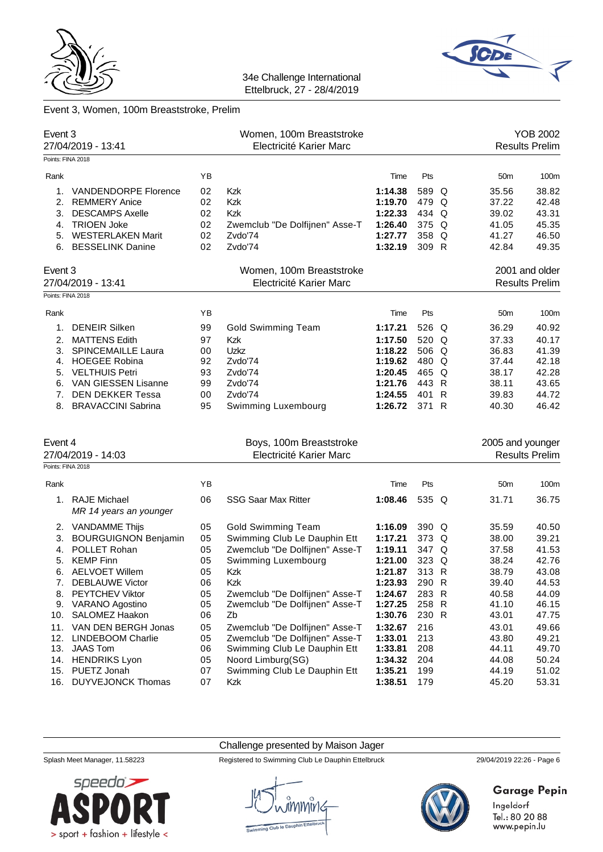



### Event 3, Women, 100m Breaststroke, Prelim

| Event 3                                                                          | 27/04/2019 - 13:41                                                                                                                                                                                                                                                                                                             |                                                                                        | Women, 100m Breaststroke<br>Electricité Karier Marc                                                                                                                                                                                                                                                                                                                        |                                                                                                                                                                   |                                                                                                                           |                                                                                                                                     | <b>YOB 2002</b><br><b>Results Prelim</b>                                                                                            |
|----------------------------------------------------------------------------------|--------------------------------------------------------------------------------------------------------------------------------------------------------------------------------------------------------------------------------------------------------------------------------------------------------------------------------|----------------------------------------------------------------------------------------|----------------------------------------------------------------------------------------------------------------------------------------------------------------------------------------------------------------------------------------------------------------------------------------------------------------------------------------------------------------------------|-------------------------------------------------------------------------------------------------------------------------------------------------------------------|---------------------------------------------------------------------------------------------------------------------------|-------------------------------------------------------------------------------------------------------------------------------------|-------------------------------------------------------------------------------------------------------------------------------------|
| Points: FINA 2018                                                                |                                                                                                                                                                                                                                                                                                                                |                                                                                        |                                                                                                                                                                                                                                                                                                                                                                            |                                                                                                                                                                   |                                                                                                                           |                                                                                                                                     |                                                                                                                                     |
| Rank                                                                             |                                                                                                                                                                                                                                                                                                                                | YB                                                                                     |                                                                                                                                                                                                                                                                                                                                                                            | Time                                                                                                                                                              | Pts                                                                                                                       | 50 <sub>m</sub>                                                                                                                     | 100m                                                                                                                                |
| 1.<br>2.<br>3.<br>4.<br>5.                                                       | <b>VANDENDORPE Florence</b><br><b>REMMERY Anice</b><br><b>DESCAMPS Axelle</b><br><b>TRIOEN Joke</b><br><b>WESTERLAKEN Marit</b><br>6. BESSELINK Danine                                                                                                                                                                         | 02<br>02<br>02<br>02<br>02<br>02                                                       | Kzk<br><b>Kzk</b><br><b>Kzk</b><br>Zwemclub "De Dolfijnen" Asse-T<br>Zvdo'74<br>Zvdo'74                                                                                                                                                                                                                                                                                    | 1:14.38<br>1:19.70<br>1:22.33<br>1:26.40<br>1:27.77<br>1:32.19                                                                                                    | 589 Q<br>479 Q<br>434 Q<br>375 Q<br>358 Q<br>309 R                                                                        | 35.56<br>37.22<br>39.02<br>41.05<br>41.27<br>42.84                                                                                  | 38.82<br>42.48<br>43.31<br>45.35<br>46.50<br>49.35                                                                                  |
| Event 3                                                                          | 27/04/2019 - 13:41                                                                                                                                                                                                                                                                                                             |                                                                                        | Women, 100m Breaststroke<br>Electricité Karier Marc                                                                                                                                                                                                                                                                                                                        |                                                                                                                                                                   |                                                                                                                           |                                                                                                                                     | 2001 and older<br><b>Results Prelim</b>                                                                                             |
| Points: FINA 2018                                                                |                                                                                                                                                                                                                                                                                                                                |                                                                                        |                                                                                                                                                                                                                                                                                                                                                                            |                                                                                                                                                                   |                                                                                                                           |                                                                                                                                     |                                                                                                                                     |
| Rank                                                                             |                                                                                                                                                                                                                                                                                                                                | YB                                                                                     |                                                                                                                                                                                                                                                                                                                                                                            | Time                                                                                                                                                              | Pts                                                                                                                       | 50 <sub>m</sub>                                                                                                                     | 100m                                                                                                                                |
| 1.<br>2.<br>3.<br>4.<br>5.<br>7.<br>8.<br>Event 4<br>Points: FINA 2018           | <b>DENEIR Silken</b><br><b>MATTENS Edith</b><br><b>SPINCEMAILLE Laura</b><br><b>HOEGEE Robina</b><br><b>VELTHUIS Petri</b><br>6. VAN GIESSEN Lisanne<br><b>DEN DEKKER Tessa</b><br><b>BRAVACCINI Sabrina</b><br>27/04/2019 - 14:03                                                                                             | 99<br>97<br>00<br>92<br>93<br>99<br>00<br>95                                           | <b>Gold Swimming Team</b><br>Kzk<br><b>Uzkz</b><br>Zvdo'74<br>Zvdo'74<br>Zvdo'74<br>Zvdo'74<br>Swimming Luxembourg<br>Boys, 100m Breaststroke<br>Electricité Karier Marc                                                                                                                                                                                                   | 1:17.21<br>1:17.50<br>1:18.22<br>1:19.62<br>1:20.45<br>1:21.76<br>1:24.55<br>1:26.72                                                                              | 526 Q<br>520 Q<br>506 Q<br>480 Q<br>465 Q<br>443 R<br>401 R<br>371 R                                                      | 36.29<br>37.33<br>36.83<br>37.44<br>38.17<br>38.11<br>39.83<br>40.30<br>2005 and younger                                            | 40.92<br>40.17<br>41.39<br>42.18<br>42.28<br>43.65<br>44.72<br>46.42<br><b>Results Prelim</b>                                       |
| Rank                                                                             |                                                                                                                                                                                                                                                                                                                                | YB                                                                                     |                                                                                                                                                                                                                                                                                                                                                                            | Time                                                                                                                                                              | Pts                                                                                                                       | 50 <sub>m</sub>                                                                                                                     | 100m                                                                                                                                |
|                                                                                  | 1. RAJE Michael<br>MR 14 years an younger                                                                                                                                                                                                                                                                                      | 06                                                                                     | <b>SSG Saar Max Ritter</b>                                                                                                                                                                                                                                                                                                                                                 | 1:08.46                                                                                                                                                           | 535 Q                                                                                                                     | 31.71                                                                                                                               | 36.75                                                                                                                               |
| 3.<br>4.<br>5.<br>6.<br>7.<br>8.<br>9.<br>10.<br>11.<br>12.<br>13.<br>15.<br>16. | 2. VANDAMME Thijs<br><b>BOURGUIGNON Benjamin</b><br>POLLET Rohan<br><b>KEMP Finn</b><br>AELVOET Willem<br><b>DEBLAUWE Victor</b><br>PEYTCHEV Viktor<br>VARANO Agostino<br>SALOMEZ Haakon<br>VAN DEN BERGH Jonas<br><b>LINDEBOOM Charlie</b><br><b>JAAS Tom</b><br>14. HENDRIKS Lyon<br>PUETZ Jonah<br><b>DUYVEJONCK Thomas</b> | 05<br>05<br>05<br>05<br>05<br>06<br>05<br>05<br>06<br>05<br>05<br>06<br>05<br>07<br>07 | <b>Gold Swimming Team</b><br>Swimming Club Le Dauphin Ett<br>Zwemclub "De Dolfijnen" Asse-T<br>Swimming Luxembourg<br>Kzk<br>Kzk<br>Zwemclub "De Dolfijnen" Asse-T<br>Zwemclub "De Dolfijnen" Asse-T<br>Zb<br>Zwemclub "De Dolfijnen" Asse-T<br>Zwemclub "De Dolfijnen" Asse-T<br>Swimming Club Le Dauphin Ett<br>Noord Limburg(SG)<br>Swimming Club Le Dauphin Ett<br>Kzk | 1:16.09<br>1:17.21<br>1:19.11<br>1:21.00<br>1:21.87<br>1:23.93<br>1:24.67<br>1:27.25<br>1:30.76<br>1:32.67<br>1:33.01<br>1:33.81<br>1:34.32<br>1:35.21<br>1:38.51 | $390$ Q<br>373 Q<br>347 Q<br>323 Q<br>313 R<br>290 R<br>283 R<br>258 R<br>230 R<br>216<br>213<br>208<br>204<br>199<br>179 | 35.59<br>38.00<br>37.58<br>38.24<br>38.79<br>39.40<br>40.58<br>41.10<br>43.01<br>43.01<br>43.80<br>44.11<br>44.08<br>44.19<br>45.20 | 40.50<br>39.21<br>41.53<br>42.76<br>43.08<br>44.53<br>44.09<br>46.15<br>47.75<br>49.66<br>49.21<br>49.70<br>50.24<br>51.02<br>53.31 |

Challenge presented by Maison Jager

Splash Meet Manager, 11.58223 Registered to Swimming Club Le Dauphin Ettelbruck 29/04/2019 22:26 - Page 6



# **Garage Pepin**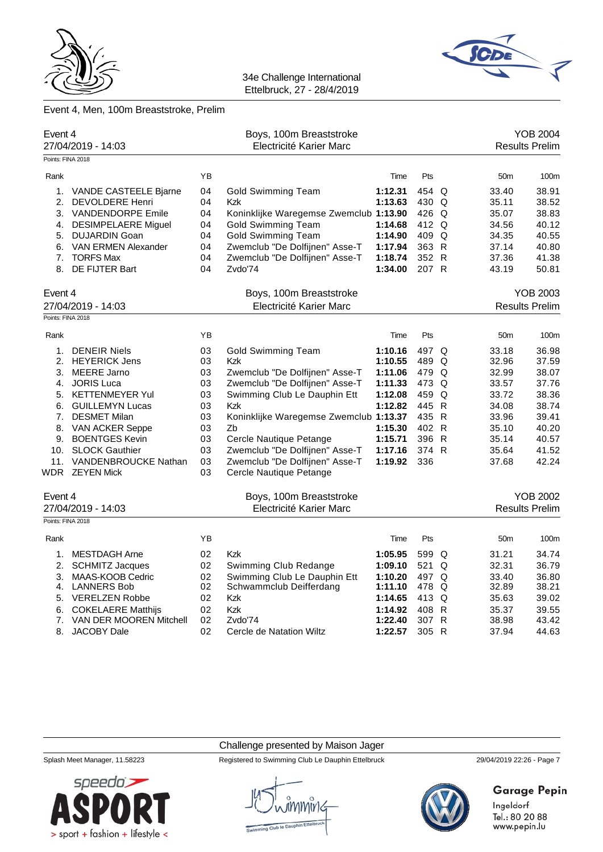

## Event 4, Men, 100m Breaststroke, Prelim



| Event 4           |                            |    | Boys, 100m Breaststroke                |         |       |                 | YOB 2004              |
|-------------------|----------------------------|----|----------------------------------------|---------|-------|-----------------|-----------------------|
|                   | 27/04/2019 - 14:03         |    | Electricité Karier Marc                |         |       |                 | <b>Results Prelim</b> |
| Points: FINA 2018 |                            |    |                                        |         |       |                 |                       |
| Rank              |                            | ΥB |                                        | Time    | Pts   | 50 <sub>m</sub> | 100m                  |
|                   | 1. VANDE CASTEELE Bjarne   | 04 | Gold Swimming Team                     | 1:12.31 | 454 Q | 33.40           | 38.91                 |
| 2.                | <b>DEVOLDERE Henri</b>     | 04 | <b>Kzk</b>                             | 1:13.63 | 430 Q | 35.11           | 38.52                 |
|                   | 3. VANDENDORPE Emile       | 04 | Koninklijke Waregemse Zwemclub 1:13.90 |         | 426 Q | 35.07           | 38.83                 |
| 4.                | <b>DESIMPELAERE Miguel</b> | 04 | <b>Gold Swimming Team</b>              | 1:14.68 | 412 Q | 34.56           | 40.12                 |
| 5.                | <b>DUJARDIN Goan</b>       | 04 | <b>Gold Swimming Team</b>              | 1:14.90 | 409 Q | 34.35           | 40.55                 |
|                   | 6. VAN ERMEN Alexander     | 04 | Zwemclub "De Dolfijnen" Asse-T         | 1:17.94 | 363 R | 37.14           | 40.80                 |
|                   | 7. TORFS Max               | 04 | Zwemclub "De Dolfijnen" Asse-T         | 1:18.74 | 352 R | 37.36           | 41.38                 |
| 8.                | DE FIJTER Bart             | 04 | Zvdo'74                                | 1:34.00 | 207 R | 43.19           | 50.81                 |
| Event 4           |                            |    | Boys, 100m Breaststroke                |         |       |                 | <b>YOB 2003</b>       |
|                   | 27/04/2019 - 14:03         |    | Electricité Karier Marc                |         |       |                 | <b>Results Prelim</b> |
|                   | Points: FINA 2018          |    |                                        |         |       |                 |                       |
| Rank              |                            | YB |                                        | Time    | Pts   | 50 <sub>m</sub> | 100m                  |
| 1.                | <b>DENEIR Niels</b>        | 03 | <b>Gold Swimming Team</b>              | 1:10.16 | 497 Q | 33.18           | 36.98                 |
|                   | 2. HEYERICK Jens           | 03 | <b>Kzk</b>                             | 1:10.55 | 489 Q | 32.96           | 37.59                 |
| 3.                | MEERE Jarno                | 03 | Zwemclub "De Dolfijnen" Asse-T         | 1:11.06 | 479 Q | 32.99           | 38.07                 |
|                   | 4. JORIS Luca              | 03 | Zwemclub "De Dolfijnen" Asse-T         | 1:11.33 | 473 Q | 33.57           | 37.76                 |
|                   | 5. KETTENMEYER Yul         | 03 | Swimming Club Le Dauphin Ett           | 1:12.08 | 459 Q | 33.72           | 38.36                 |
|                   | 6. GUILLEMYN Lucas         | 03 | <b>Kzk</b>                             | 1:12.82 | 445 R | 34.08           | 38.74                 |
| 7.                | <b>DESMET Milan</b>        | 03 | Koninklijke Waregemse Zwemclub 1:13.37 |         | 435 R | 33.96           | 39.41                 |
|                   | 8. VAN ACKER Seppe         | 03 | Zb                                     | 1:15.30 | 402 R | 35.10           | 40.20                 |
|                   | 9. BOENTGES Kevin          | 03 | Cercle Nautique Petange                | 1:15.71 | 396 R | 35.14           | 40.57                 |
|                   | 10. SLOCK Gauthier         | 03 | Zwemclub "De Dolfijnen" Asse-T         | 1:17.16 | 374 R | 35.64           | 41.52                 |
| 11.               | VANDENBROUCKE Nathan       | 03 | Zwemclub "De Dolfijnen" Asse-T         | 1:19.92 | 336   | 37.68           | 42.24                 |
|                   | WDR ZEYEN Mick             | 03 | Cercle Nautique Petange                |         |       |                 |                       |
| Event 4           |                            |    | Boys, 100m Breaststroke                |         |       |                 | <b>YOB 2002</b>       |
|                   | 27/04/2019 - 14:03         |    | Electricité Karier Marc                |         |       |                 | <b>Results Prelim</b> |
| Points: FINA 2018 |                            |    |                                        |         |       |                 |                       |
| Rank              |                            | YB |                                        | Time    | Pts   | 50 <sub>m</sub> | 100m                  |
| 1.                | <b>MESTDAGH Arne</b>       | 02 | <b>Kzk</b>                             | 1:05.95 | 599 Q | 31.21           | 34.74                 |
| 2.                | <b>SCHMITZ Jacques</b>     | 02 | Swimming Club Redange                  | 1:09.10 | 521 Q | 32.31           | 36.79                 |
| 3.                | MAAS-KOOB Cedric           | 02 | Swimming Club Le Dauphin Ett           | 1:10.20 | 497 Q | 33.40           | 36.80                 |
|                   | 4. LANNERS Bob             | 02 | Schwammclub Deifferdang                | 1:11.10 | 478 Q | 32.89           | 38.21                 |
|                   | 5. VERELZEN Robbe          | 02 | Kzk                                    | 1:14.65 | 413 Q | 35.63           | 39.02                 |
| 6.                | <b>COKELAERE Matthijs</b>  | 02 | <b>Kzk</b>                             | 1:14.92 | 408 R | 35.37           | 39.55                 |
| 7.                | VAN DER MOOREN Mitchell    | 02 | Zvdo'74                                | 1:22.40 | 307 R | 38.98           | 43.42                 |
| 8.                | <b>JACOBY Dale</b>         | 02 | Cercle de Natation Wiltz               | 1:22.57 | 305 R | 37.94           | 44.63                 |

Challenge presented by Maison Jager

Splash Meet Manager, 11.58223 Registered to Swimming Club Le Dauphin Ettelbruck 29/04/2019 22:26 - Page 7



# **Garage Pepin**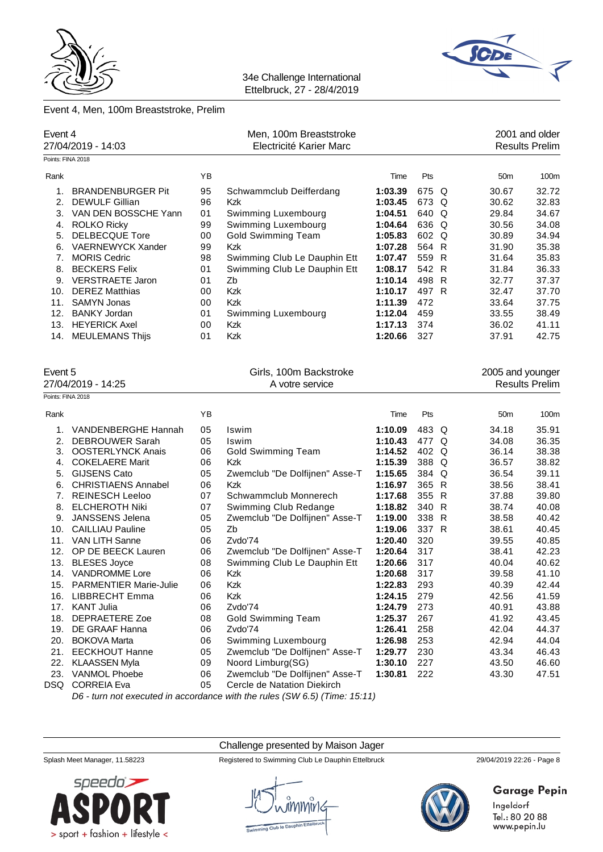

#### Event 4, Men, 100m Breaststroke, Prelim



| 27/04/2019 - 14:03<br>Electricité Karier Marc<br><b>Results Prelim</b><br>Points: FINA 2018<br>YB<br>Pts<br>50 <sub>m</sub><br>100m<br>Time<br><b>BRANDENBURGER Pit</b><br>95<br>1:03.39<br>675 Q<br>32.72<br>1.<br>Schwammclub Deifferdang<br>30.67<br>2.<br><b>DEWULF Gillian</b><br>96<br>673 Q<br>32.83<br>Kzk<br>1:03.45<br>30.62<br>VAN DEN BOSSCHE Yann<br>01<br>640 Q<br>34.67<br>3.<br>Swimming Luxembourg<br>1:04.51<br>29.84<br>4. ROLKO Ricky<br>99<br>Swimming Luxembourg<br>636 Q<br>34.08<br>1:04.64<br>30.56<br>602 Q<br><b>DELBECQUE Tore</b><br>00<br><b>Gold Swimming Team</b><br>1:05.83<br>30.89<br>34.94<br>5.<br>564 R<br><b>VAERNEWYCK Xander</b><br>99<br>Kzk<br>1:07.28<br>31.90<br>35.38<br>6.<br><b>MORIS Cedric</b><br>98<br>559 R<br>35.83<br>Swimming Club Le Dauphin Ett<br>1:07.47<br>31.64<br>7.<br>542 R<br><b>BECKERS Felix</b><br>01<br>Swimming Club Le Dauphin Ett<br>1:08.17<br>36.33<br>8.<br>31.84<br><b>VERSTRAETE Jaron</b><br>01<br>Zb<br>1:10.14<br>498 R<br>32.77<br>37.37<br>9.<br>Kzk<br>497 R<br><b>DEREZ Matthias</b><br>00<br>1:10.17<br>32.47<br>37.70<br>10.<br>Kzk<br>472<br>11.<br><b>SAMYN Jonas</b><br>00<br>1:11.39<br>33.64<br>37.75<br>12.<br><b>BANKY Jordan</b><br>01<br>Swimming Luxembourg<br>1:12.04<br>459<br>33.55<br>38.49<br><b>HEYERICK Axel</b><br>Kzk<br>374<br>41.11<br>13.<br>00<br>1:17.13<br>36.02<br>01<br>Kzk<br>327<br>42.75<br>14. MEULEMANS Thijs<br>1:20.66<br>37.91<br>Event 5<br>Girls, 100m Backstroke<br>2005 and younger<br><b>Results Prelim</b><br>27/04/2019 - 14:25<br>A votre service<br>Points: FINA 2018<br>YB<br>Rank<br>Time<br>Pts<br>50 <sub>m</sub><br>100m<br>483 Q<br>35.91<br><b>VANDENBERGHE Hannah</b><br>05<br>Iswim<br>1:10.09<br>34.18<br>1.<br>DEBROUWER Sarah<br>05<br>477 Q<br>36.35<br>2.<br>Iswim<br>1:10.43<br>34.08<br>06<br>402 Q<br>3.<br><b>OOSTERLYNCK Anais</b><br><b>Gold Swimming Team</b><br>1:14.52<br>36.14<br>38.38<br>388 Q<br>38.82<br><b>COKELAERE Marit</b><br>06<br><b>Kzk</b><br>1:15.39<br>36.57<br>4.<br><b>GIJSENS Cato</b><br>05<br>384 Q<br>39.11<br>1:15.65<br>36.54<br>5.<br>Zwemclub "De Dolfijnen" Asse-T<br><b>CHRISTIAENS Annabel</b><br>06<br><b>Kzk</b><br>365 R<br>38.41<br>1:16.97<br>38.56<br>6.<br>7. REINESCH Leeloo<br>07<br>355 R<br>37.88<br>39.80<br>Schwammclub Monnerech<br>1:17.68<br><b>ELCHEROTH Niki</b><br>07<br>Swimming Club Redange<br>1:18.82<br>340 R<br>38.74<br>40.08<br>8.<br>05<br>338 R<br><b>JANSSENS Jelena</b><br>Zwemclub "De Dolfijnen" Asse-T<br>1:19.00<br>38.58<br>40.42<br>9. |      | Event 4 |  | Men, 100m Breaststroke |  |  | 2001 and older |
|-------------------------------------------------------------------------------------------------------------------------------------------------------------------------------------------------------------------------------------------------------------------------------------------------------------------------------------------------------------------------------------------------------------------------------------------------------------------------------------------------------------------------------------------------------------------------------------------------------------------------------------------------------------------------------------------------------------------------------------------------------------------------------------------------------------------------------------------------------------------------------------------------------------------------------------------------------------------------------------------------------------------------------------------------------------------------------------------------------------------------------------------------------------------------------------------------------------------------------------------------------------------------------------------------------------------------------------------------------------------------------------------------------------------------------------------------------------------------------------------------------------------------------------------------------------------------------------------------------------------------------------------------------------------------------------------------------------------------------------------------------------------------------------------------------------------------------------------------------------------------------------------------------------------------------------------------------------------------------------------------------------------------------------------------------------------------------------------------------------------------------------------------------------------------------------------------------------------------------------------------------------------------------------------------------------------------------------------------------------------------------------------------------------------------------------------------------------------------------------------------------------------------------------------------------------------|------|---------|--|------------------------|--|--|----------------|
|                                                                                                                                                                                                                                                                                                                                                                                                                                                                                                                                                                                                                                                                                                                                                                                                                                                                                                                                                                                                                                                                                                                                                                                                                                                                                                                                                                                                                                                                                                                                                                                                                                                                                                                                                                                                                                                                                                                                                                                                                                                                                                                                                                                                                                                                                                                                                                                                                                                                                                                                                                   |      |         |  |                        |  |  |                |
|                                                                                                                                                                                                                                                                                                                                                                                                                                                                                                                                                                                                                                                                                                                                                                                                                                                                                                                                                                                                                                                                                                                                                                                                                                                                                                                                                                                                                                                                                                                                                                                                                                                                                                                                                                                                                                                                                                                                                                                                                                                                                                                                                                                                                                                                                                                                                                                                                                                                                                                                                                   |      |         |  |                        |  |  |                |
|                                                                                                                                                                                                                                                                                                                                                                                                                                                                                                                                                                                                                                                                                                                                                                                                                                                                                                                                                                                                                                                                                                                                                                                                                                                                                                                                                                                                                                                                                                                                                                                                                                                                                                                                                                                                                                                                                                                                                                                                                                                                                                                                                                                                                                                                                                                                                                                                                                                                                                                                                                   | Rank |         |  |                        |  |  |                |
|                                                                                                                                                                                                                                                                                                                                                                                                                                                                                                                                                                                                                                                                                                                                                                                                                                                                                                                                                                                                                                                                                                                                                                                                                                                                                                                                                                                                                                                                                                                                                                                                                                                                                                                                                                                                                                                                                                                                                                                                                                                                                                                                                                                                                                                                                                                                                                                                                                                                                                                                                                   |      |         |  |                        |  |  |                |
|                                                                                                                                                                                                                                                                                                                                                                                                                                                                                                                                                                                                                                                                                                                                                                                                                                                                                                                                                                                                                                                                                                                                                                                                                                                                                                                                                                                                                                                                                                                                                                                                                                                                                                                                                                                                                                                                                                                                                                                                                                                                                                                                                                                                                                                                                                                                                                                                                                                                                                                                                                   |      |         |  |                        |  |  |                |
|                                                                                                                                                                                                                                                                                                                                                                                                                                                                                                                                                                                                                                                                                                                                                                                                                                                                                                                                                                                                                                                                                                                                                                                                                                                                                                                                                                                                                                                                                                                                                                                                                                                                                                                                                                                                                                                                                                                                                                                                                                                                                                                                                                                                                                                                                                                                                                                                                                                                                                                                                                   |      |         |  |                        |  |  |                |
|                                                                                                                                                                                                                                                                                                                                                                                                                                                                                                                                                                                                                                                                                                                                                                                                                                                                                                                                                                                                                                                                                                                                                                                                                                                                                                                                                                                                                                                                                                                                                                                                                                                                                                                                                                                                                                                                                                                                                                                                                                                                                                                                                                                                                                                                                                                                                                                                                                                                                                                                                                   |      |         |  |                        |  |  |                |
|                                                                                                                                                                                                                                                                                                                                                                                                                                                                                                                                                                                                                                                                                                                                                                                                                                                                                                                                                                                                                                                                                                                                                                                                                                                                                                                                                                                                                                                                                                                                                                                                                                                                                                                                                                                                                                                                                                                                                                                                                                                                                                                                                                                                                                                                                                                                                                                                                                                                                                                                                                   |      |         |  |                        |  |  |                |
|                                                                                                                                                                                                                                                                                                                                                                                                                                                                                                                                                                                                                                                                                                                                                                                                                                                                                                                                                                                                                                                                                                                                                                                                                                                                                                                                                                                                                                                                                                                                                                                                                                                                                                                                                                                                                                                                                                                                                                                                                                                                                                                                                                                                                                                                                                                                                                                                                                                                                                                                                                   |      |         |  |                        |  |  |                |
|                                                                                                                                                                                                                                                                                                                                                                                                                                                                                                                                                                                                                                                                                                                                                                                                                                                                                                                                                                                                                                                                                                                                                                                                                                                                                                                                                                                                                                                                                                                                                                                                                                                                                                                                                                                                                                                                                                                                                                                                                                                                                                                                                                                                                                                                                                                                                                                                                                                                                                                                                                   |      |         |  |                        |  |  |                |
|                                                                                                                                                                                                                                                                                                                                                                                                                                                                                                                                                                                                                                                                                                                                                                                                                                                                                                                                                                                                                                                                                                                                                                                                                                                                                                                                                                                                                                                                                                                                                                                                                                                                                                                                                                                                                                                                                                                                                                                                                                                                                                                                                                                                                                                                                                                                                                                                                                                                                                                                                                   |      |         |  |                        |  |  |                |
|                                                                                                                                                                                                                                                                                                                                                                                                                                                                                                                                                                                                                                                                                                                                                                                                                                                                                                                                                                                                                                                                                                                                                                                                                                                                                                                                                                                                                                                                                                                                                                                                                                                                                                                                                                                                                                                                                                                                                                                                                                                                                                                                                                                                                                                                                                                                                                                                                                                                                                                                                                   |      |         |  |                        |  |  |                |
|                                                                                                                                                                                                                                                                                                                                                                                                                                                                                                                                                                                                                                                                                                                                                                                                                                                                                                                                                                                                                                                                                                                                                                                                                                                                                                                                                                                                                                                                                                                                                                                                                                                                                                                                                                                                                                                                                                                                                                                                                                                                                                                                                                                                                                                                                                                                                                                                                                                                                                                                                                   |      |         |  |                        |  |  |                |
|                                                                                                                                                                                                                                                                                                                                                                                                                                                                                                                                                                                                                                                                                                                                                                                                                                                                                                                                                                                                                                                                                                                                                                                                                                                                                                                                                                                                                                                                                                                                                                                                                                                                                                                                                                                                                                                                                                                                                                                                                                                                                                                                                                                                                                                                                                                                                                                                                                                                                                                                                                   |      |         |  |                        |  |  |                |
|                                                                                                                                                                                                                                                                                                                                                                                                                                                                                                                                                                                                                                                                                                                                                                                                                                                                                                                                                                                                                                                                                                                                                                                                                                                                                                                                                                                                                                                                                                                                                                                                                                                                                                                                                                                                                                                                                                                                                                                                                                                                                                                                                                                                                                                                                                                                                                                                                                                                                                                                                                   |      |         |  |                        |  |  |                |
|                                                                                                                                                                                                                                                                                                                                                                                                                                                                                                                                                                                                                                                                                                                                                                                                                                                                                                                                                                                                                                                                                                                                                                                                                                                                                                                                                                                                                                                                                                                                                                                                                                                                                                                                                                                                                                                                                                                                                                                                                                                                                                                                                                                                                                                                                                                                                                                                                                                                                                                                                                   |      |         |  |                        |  |  |                |
|                                                                                                                                                                                                                                                                                                                                                                                                                                                                                                                                                                                                                                                                                                                                                                                                                                                                                                                                                                                                                                                                                                                                                                                                                                                                                                                                                                                                                                                                                                                                                                                                                                                                                                                                                                                                                                                                                                                                                                                                                                                                                                                                                                                                                                                                                                                                                                                                                                                                                                                                                                   |      |         |  |                        |  |  |                |
|                                                                                                                                                                                                                                                                                                                                                                                                                                                                                                                                                                                                                                                                                                                                                                                                                                                                                                                                                                                                                                                                                                                                                                                                                                                                                                                                                                                                                                                                                                                                                                                                                                                                                                                                                                                                                                                                                                                                                                                                                                                                                                                                                                                                                                                                                                                                                                                                                                                                                                                                                                   |      |         |  |                        |  |  |                |
|                                                                                                                                                                                                                                                                                                                                                                                                                                                                                                                                                                                                                                                                                                                                                                                                                                                                                                                                                                                                                                                                                                                                                                                                                                                                                                                                                                                                                                                                                                                                                                                                                                                                                                                                                                                                                                                                                                                                                                                                                                                                                                                                                                                                                                                                                                                                                                                                                                                                                                                                                                   |      |         |  |                        |  |  |                |
|                                                                                                                                                                                                                                                                                                                                                                                                                                                                                                                                                                                                                                                                                                                                                                                                                                                                                                                                                                                                                                                                                                                                                                                                                                                                                                                                                                                                                                                                                                                                                                                                                                                                                                                                                                                                                                                                                                                                                                                                                                                                                                                                                                                                                                                                                                                                                                                                                                                                                                                                                                   |      |         |  |                        |  |  |                |
|                                                                                                                                                                                                                                                                                                                                                                                                                                                                                                                                                                                                                                                                                                                                                                                                                                                                                                                                                                                                                                                                                                                                                                                                                                                                                                                                                                                                                                                                                                                                                                                                                                                                                                                                                                                                                                                                                                                                                                                                                                                                                                                                                                                                                                                                                                                                                                                                                                                                                                                                                                   |      |         |  |                        |  |  |                |
|                                                                                                                                                                                                                                                                                                                                                                                                                                                                                                                                                                                                                                                                                                                                                                                                                                                                                                                                                                                                                                                                                                                                                                                                                                                                                                                                                                                                                                                                                                                                                                                                                                                                                                                                                                                                                                                                                                                                                                                                                                                                                                                                                                                                                                                                                                                                                                                                                                                                                                                                                                   |      |         |  |                        |  |  |                |
|                                                                                                                                                                                                                                                                                                                                                                                                                                                                                                                                                                                                                                                                                                                                                                                                                                                                                                                                                                                                                                                                                                                                                                                                                                                                                                                                                                                                                                                                                                                                                                                                                                                                                                                                                                                                                                                                                                                                                                                                                                                                                                                                                                                                                                                                                                                                                                                                                                                                                                                                                                   |      |         |  |                        |  |  |                |
|                                                                                                                                                                                                                                                                                                                                                                                                                                                                                                                                                                                                                                                                                                                                                                                                                                                                                                                                                                                                                                                                                                                                                                                                                                                                                                                                                                                                                                                                                                                                                                                                                                                                                                                                                                                                                                                                                                                                                                                                                                                                                                                                                                                                                                                                                                                                                                                                                                                                                                                                                                   |      |         |  |                        |  |  |                |
|                                                                                                                                                                                                                                                                                                                                                                                                                                                                                                                                                                                                                                                                                                                                                                                                                                                                                                                                                                                                                                                                                                                                                                                                                                                                                                                                                                                                                                                                                                                                                                                                                                                                                                                                                                                                                                                                                                                                                                                                                                                                                                                                                                                                                                                                                                                                                                                                                                                                                                                                                                   |      |         |  |                        |  |  |                |
|                                                                                                                                                                                                                                                                                                                                                                                                                                                                                                                                                                                                                                                                                                                                                                                                                                                                                                                                                                                                                                                                                                                                                                                                                                                                                                                                                                                                                                                                                                                                                                                                                                                                                                                                                                                                                                                                                                                                                                                                                                                                                                                                                                                                                                                                                                                                                                                                                                                                                                                                                                   |      |         |  |                        |  |  |                |
|                                                                                                                                                                                                                                                                                                                                                                                                                                                                                                                                                                                                                                                                                                                                                                                                                                                                                                                                                                                                                                                                                                                                                                                                                                                                                                                                                                                                                                                                                                                                                                                                                                                                                                                                                                                                                                                                                                                                                                                                                                                                                                                                                                                                                                                                                                                                                                                                                                                                                                                                                                   |      |         |  |                        |  |  |                |
|                                                                                                                                                                                                                                                                                                                                                                                                                                                                                                                                                                                                                                                                                                                                                                                                                                                                                                                                                                                                                                                                                                                                                                                                                                                                                                                                                                                                                                                                                                                                                                                                                                                                                                                                                                                                                                                                                                                                                                                                                                                                                                                                                                                                                                                                                                                                                                                                                                                                                                                                                                   |      |         |  |                        |  |  |                |
|                                                                                                                                                                                                                                                                                                                                                                                                                                                                                                                                                                                                                                                                                                                                                                                                                                                                                                                                                                                                                                                                                                                                                                                                                                                                                                                                                                                                                                                                                                                                                                                                                                                                                                                                                                                                                                                                                                                                                                                                                                                                                                                                                                                                                                                                                                                                                                                                                                                                                                                                                                   |      |         |  |                        |  |  |                |
|                                                                                                                                                                                                                                                                                                                                                                                                                                                                                                                                                                                                                                                                                                                                                                                                                                                                                                                                                                                                                                                                                                                                                                                                                                                                                                                                                                                                                                                                                                                                                                                                                                                                                                                                                                                                                                                                                                                                                                                                                                                                                                                                                                                                                                                                                                                                                                                                                                                                                                                                                                   |      |         |  |                        |  |  |                |
| <b>CAILLIAU Pauline</b><br>05<br>Zb<br>337 R<br>40.45<br>1:19.06<br>38.61<br>10.                                                                                                                                                                                                                                                                                                                                                                                                                                                                                                                                                                                                                                                                                                                                                                                                                                                                                                                                                                                                                                                                                                                                                                                                                                                                                                                                                                                                                                                                                                                                                                                                                                                                                                                                                                                                                                                                                                                                                                                                                                                                                                                                                                                                                                                                                                                                                                                                                                                                                  |      |         |  |                        |  |  |                |
| VAN LITH Sanne<br>06<br>Zvdo'74<br>1:20.40<br>320<br>39.55<br>40.85<br>11.                                                                                                                                                                                                                                                                                                                                                                                                                                                                                                                                                                                                                                                                                                                                                                                                                                                                                                                                                                                                                                                                                                                                                                                                                                                                                                                                                                                                                                                                                                                                                                                                                                                                                                                                                                                                                                                                                                                                                                                                                                                                                                                                                                                                                                                                                                                                                                                                                                                                                        |      |         |  |                        |  |  |                |

12. OP DE BEECK Lauren 06 Zwemclub "De Dolfijnen" Asse-T **1:20.64** 317 38.41 42.23 13. BLESES Joyce 08 Swimming Club Le Dauphin Ett **1:20.66** 317 40.04 40.62 14. VANDROMME Lore 06 Kzk **1:20.68** 317 39.58 41.10 15. PARMENTIER Marie-Julie 06 Kzk **1:22.83** 293 40.39 42.44 16. LIBBRECHT Emma 06 Kzk **1:24.15** 279 42.56 41.59 17. KANT Julia 06 Zvdo'74 **1:24.79** 273 40.91 43.88 18. DEPRAETERE Zoe 08 Gold Swimming Team **1:25.37** 267 41.92 43.45 19. DE GRAAF Hanna 06 Zvdo'74 **1:26.41** 258 42.04 44.37 20. BOKOVA Marta 06 Swimming Luxembourg **1:26.98** 253 42.94 44.04

21. EECKHOUT Hanne 05 Zwemclub "De Dolfijnen" Asse-T **1:29.77** 230 43.34 46.43 22. KLAASSEN Myla 09 Noord Limburg(SG) **1:30.10** 227 43.50 46.60 23. VANMOL Phoebe 06 Zwemclub "De Dolfijnen" Asse-T **1:30.81** 222 43.30 47.51 DSQ CORREIA Eva 05 Cercle de Natation Diekirch

*D6 - turn not executed in accordance with the rules (SW 6.5) (Time: 15:11)*

Challenge presented by Maison Jager

Splash Meet Manager, 11.58223 Registered to Swimming Club Le Dauphin Ettelbruck 29/04/2019 22:26 - Page 8



# **Garage Pepin**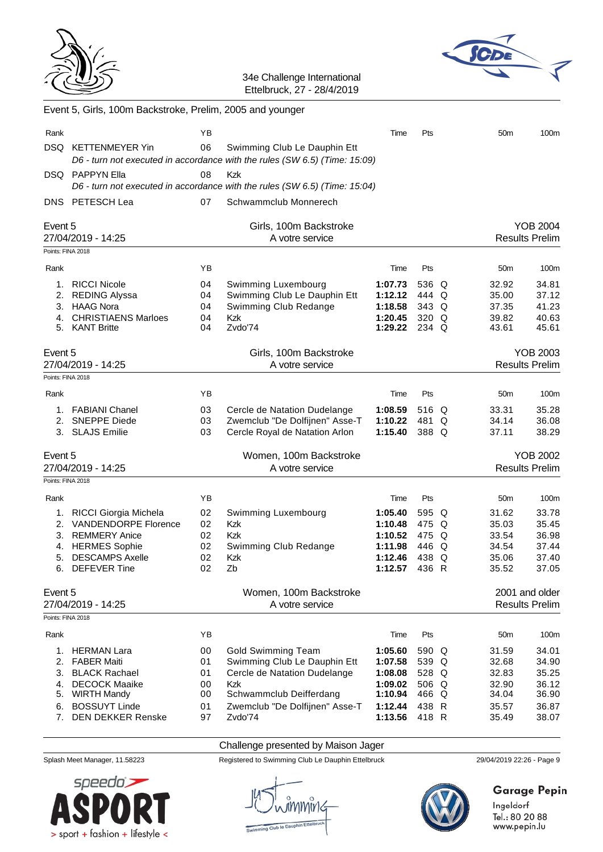



|                                        | Event 5, Girls, 100m Backstroke, Prelim, 2005 and younger                                                                                                   |                                        |                                                                                                                                                                                 |                                                                           |                                                             |        |                                                             |                                                             |
|----------------------------------------|-------------------------------------------------------------------------------------------------------------------------------------------------------------|----------------------------------------|---------------------------------------------------------------------------------------------------------------------------------------------------------------------------------|---------------------------------------------------------------------------|-------------------------------------------------------------|--------|-------------------------------------------------------------|-------------------------------------------------------------|
| Rank                                   |                                                                                                                                                             | ΥB                                     |                                                                                                                                                                                 | Time                                                                      | Pts                                                         |        | 50 <sub>m</sub>                                             | 100m                                                        |
|                                        | DSQ KETTENMEYER Yin                                                                                                                                         | 06                                     | Swimming Club Le Dauphin Ett<br>D6 - turn not executed in accordance with the rules (SW 6.5) (Time: 15:09)                                                                      |                                                                           |                                                             |        |                                                             |                                                             |
|                                        | DSQ PAPPYN Ella                                                                                                                                             | 08                                     | Kzk<br>D6 - turn not executed in accordance with the rules (SW 6.5) (Time: 15:04)                                                                                               |                                                                           |                                                             |        |                                                             |                                                             |
|                                        | DNS PETESCH Lea                                                                                                                                             | 07                                     | Schwammclub Monnerech                                                                                                                                                           |                                                                           |                                                             |        |                                                             |                                                             |
| Event 5                                | 27/04/2019 - 14:25                                                                                                                                          |                                        | Girls, 100m Backstroke<br>A votre service                                                                                                                                       |                                                                           |                                                             |        |                                                             | <b>YOB 2004</b><br><b>Results Prelim</b>                    |
| Points: FINA 2018                      |                                                                                                                                                             |                                        |                                                                                                                                                                                 |                                                                           |                                                             |        |                                                             |                                                             |
| Rank                                   |                                                                                                                                                             | ΥB                                     |                                                                                                                                                                                 | Time                                                                      | Pts                                                         |        | 50 <sub>m</sub>                                             | 100m                                                        |
| 1.<br>2.<br>3.<br>4.<br>5.             | <b>RICCI Nicole</b><br><b>REDING Alyssa</b><br><b>HAAG Nora</b><br><b>CHRISTIAENS Marloes</b><br><b>KANT Britte</b>                                         | 04<br>04<br>04<br>04<br>04             | Swimming Luxembourg<br>Swimming Club Le Dauphin Ett<br>Swimming Club Redange<br>Kzk<br>Zvdo'74                                                                                  | 1:07.73<br>1:12.12<br>1:18.58<br>1:20.45<br>1:29.22                       | 536 Q<br>444 Q<br>343 Q<br>$320$ Q<br>234 Q                 |        | 32.92<br>35.00<br>37.35<br>39.82<br>43.61                   | 34.81<br>37.12<br>41.23<br>40.63<br>45.61                   |
| Event 5                                | 27/04/2019 - 14:25                                                                                                                                          |                                        | Girls, 100m Backstroke<br>A votre service                                                                                                                                       |                                                                           |                                                             |        |                                                             | <b>YOB 2003</b><br><b>Results Prelim</b>                    |
| Points: FINA 2018                      |                                                                                                                                                             |                                        |                                                                                                                                                                                 |                                                                           |                                                             |        |                                                             |                                                             |
| Rank                                   |                                                                                                                                                             | YB                                     |                                                                                                                                                                                 | Time                                                                      | Pts                                                         |        | 50 <sub>m</sub>                                             | 100m                                                        |
| 1.<br>2.                               | <b>FABIANI Chanel</b><br><b>SNEPPE Diede</b><br>3. SLAJS Emilie                                                                                             | 03<br>03<br>03                         | Cercle de Natation Dudelange<br>Zwemclub "De Dolfijnen" Asse-T<br>Cercle Royal de Natation Arlon                                                                                | 1:08.59<br>1:10.22<br>1:15.40                                             | 516 Q<br>481 Q<br>388 Q                                     |        | 33.31<br>34.14<br>37.11                                     | 35.28<br>36.08<br>38.29                                     |
| Event 5                                | 27/04/2019 - 14:25                                                                                                                                          |                                        | Women, 100m Backstroke<br>A votre service                                                                                                                                       |                                                                           |                                                             |        |                                                             | <b>YOB 2002</b><br><b>Results Prelim</b>                    |
| Points: FINA 2018                      |                                                                                                                                                             |                                        |                                                                                                                                                                                 |                                                                           |                                                             |        |                                                             |                                                             |
| Rank                                   |                                                                                                                                                             | YB                                     |                                                                                                                                                                                 | Time                                                                      | Pts                                                         |        | 50m                                                         | 100m                                                        |
| 1.<br>2.<br>3.<br>5.                   | RICCI Giorgia Michela<br><b>VANDENDORPE Florence</b><br><b>REMMERY Anice</b><br>4. HERMES Sophie<br><b>DESCAMPS Axelle</b><br>6. DEFEVER Tine               | 02<br>02<br>02<br>02<br>02<br>02       | Swimming Luxembourg<br>Kzk<br>Kzk<br>Swimming Club Redange<br>Kzk<br>Zb                                                                                                         | 1:05.40<br>1:10.48<br>1:10.52<br>1:11.98<br>1:12.46<br>1:12.57            | 595<br>475 Q<br>475<br>446 Q<br>438 Q<br>436 R              | Q<br>Q | 31.62<br>35.03<br>33.54<br>34.54<br>35.06<br>35.52          | 33.78<br>35.45<br>36.98<br>37.44<br>37.40<br>37.05          |
| Event 5                                | 27/04/2019 - 14:25                                                                                                                                          |                                        | Women, 100m Backstroke<br>A votre service                                                                                                                                       |                                                                           |                                                             |        |                                                             | 2001 and older<br><b>Results Prelim</b>                     |
| Points: FINA 2018                      |                                                                                                                                                             |                                        |                                                                                                                                                                                 |                                                                           |                                                             |        |                                                             |                                                             |
| Rank                                   |                                                                                                                                                             | YB                                     |                                                                                                                                                                                 | Time                                                                      | Pts                                                         |        | 50 <sub>m</sub>                                             | 100m                                                        |
| 1.<br>2.<br>3.<br>4.<br>5.<br>6.<br>7. | <b>HERMAN Lara</b><br><b>FABER Maiti</b><br><b>BLACK Rachael</b><br><b>DECOCK Maaike</b><br>WIRTH Mandy<br><b>BOSSUYT Linde</b><br><b>DEN DEKKER Renske</b> | 00<br>01<br>01<br>00<br>00<br>01<br>97 | <b>Gold Swimming Team</b><br>Swimming Club Le Dauphin Ett<br>Cercle de Natation Dudelange<br><b>Kzk</b><br>Schwammclub Deifferdang<br>Zwemclub "De Dolfijnen" Asse-T<br>Zvdo'74 | 1:05.60<br>1:07.58<br>1:08.08<br>1:09.02<br>1:10.94<br>1:12.44<br>1:13.56 | 590 Q<br>539 Q<br>528 Q<br>506 Q<br>466 Q<br>438 R<br>418 R |        | 31.59<br>32.68<br>32.83<br>32.90<br>34.04<br>35.57<br>35.49 | 34.01<br>34.90<br>35.25<br>36.12<br>36.90<br>36.87<br>38.07 |



Challenge presented by Maison Jager Splash Meet Manager, 11.58223 Registered to Swimming Club Le Dauphin Ettelbruck 29/04/2019 22:26 - Page 9



# **Garage Pepin**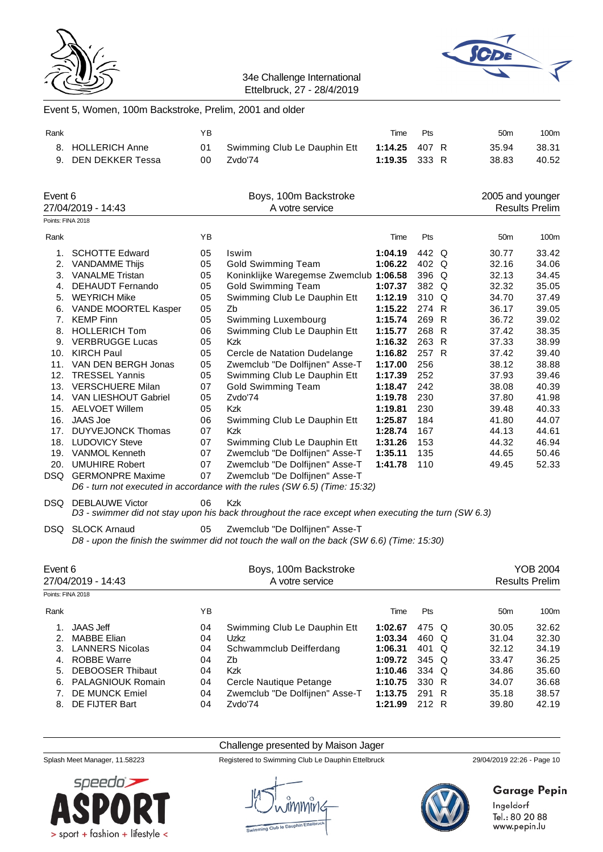



#### Event 5, Women, 100m Backstroke, Prelim, 2001 and older

| Rank |                     | ΥB  |                                 | Time          | <b>Pts</b> | 50 <sub>m</sub> | 100m  |
|------|---------------------|-----|---------------------------------|---------------|------------|-----------------|-------|
|      | 8. HOLLERICH Anne   |     | 01 Swimming Club Le Dauphin Ett | 1:14.25 407 R |            | 35.94           | 38.31 |
|      | 9. DEN DEKKER Tessa | 00. | Zvdo'74                         | 1:19.35 333 R |            | 38.83           | 40.52 |

|                   | Event 6<br>27/04/2019 - 14:43 |    | Boys, 100m Backstroke<br>A votre service |         |       | 2005 and younger | Results Prelim   |
|-------------------|-------------------------------|----|------------------------------------------|---------|-------|------------------|------------------|
| Points: FINA 2018 |                               |    |                                          |         |       |                  |                  |
| Rank              |                               | YB |                                          | Time    | Pts   | 50 <sub>m</sub>  | 100 <sub>m</sub> |
| 1.                | <b>SCHOTTE Edward</b>         | 05 | Iswim                                    | 1:04.19 | 442 Q | 30.77            | 33.42            |
| 2.                | <b>VANDAMME Thijs</b>         | 05 | <b>Gold Swimming Team</b>                | 1:06.22 | 402 Q | 32.16            | 34.06            |
| 3.                | <b>VANALME Tristan</b>        | 05 | Koninklijke Waregemse Zwemclub 1:06.58   |         | 396 Q | 32.13            | 34.45            |
| 4.                | DEHAUDT Fernando              | 05 | <b>Gold Swimming Team</b>                | 1:07.37 | 382 Q | 32.32            | 35.05            |
| 5.                | <b>WEYRICH Mike</b>           | 05 | Swimming Club Le Dauphin Ett             | 1:12.19 | 310 Q | 34.70            | 37.49            |
| 6.                | VANDE MOORTEL Kasper          | 05 | Zb                                       | 1:15.22 | 274 R | 36.17            | 39.05            |
| 7.                | <b>KEMP Finn</b>              | 05 | Swimming Luxembourg                      | 1:15.74 | 269 R | 36.72            | 39.02            |
| 8.                | <b>HOLLERICH Tom</b>          | 06 | Swimming Club Le Dauphin Ett             | 1:15.77 | 268 R | 37.42            | 38.35            |
| 9.                | <b>VERBRUGGE Lucas</b>        | 05 | <b>Kzk</b>                               | 1:16.32 | 263 R | 37.33            | 38.99            |
| 10.               | <b>KIRCH Paul</b>             | 05 | Cercle de Natation Dudelange             | 1:16.82 | 257 R | 37.42            | 39.40            |
| 11.               | VAN DEN BERGH Jonas           | 05 | Zwemclub "De Dolfijnen" Asse-T           | 1:17.00 | 256   | 38.12            | 38.88            |
| 12.               | <b>TRESSEL Yannis</b>         | 05 | Swimming Club Le Dauphin Ett             | 1:17.39 | 252   | 37.93            | 39.46            |
| 13.               | <b>VERSCHUERE Milan</b>       | 07 | Gold Swimming Team                       | 1:18.47 | 242   | 38.08            | 40.39            |
| 14.               | VAN LIESHOUT Gabriel          | 05 | Zvdo'74                                  | 1:19.78 | 230   | 37.80            | 41.98            |
| 15.               | <b>AELVOET Willem</b>         | 05 | <b>Kzk</b>                               | 1:19.81 | 230   | 39.48            | 40.33            |
| 16.               | <b>JAAS Joe</b>               | 06 | Swimming Club Le Dauphin Ett             | 1:25.87 | 184   | 41.80            | 44.07            |
| 17.               | <b>DUYVEJONCK Thomas</b>      | 07 | <b>Kzk</b>                               | 1:28.74 | 167   | 44.13            | 44.61            |
| 18.               | <b>LUDOVICY Steve</b>         | 07 | Swimming Club Le Dauphin Ett             | 1:31.26 | 153   | 44.32            | 46.94            |
| 19.               | <b>VANMOL Kenneth</b>         | 07 | Zwemclub "De Dolfijnen" Asse-T           | 1:35.11 | 135   | 44.65            | 50.46            |
| 20.               | <b>UMUHIRE Robert</b>         | 07 | Zwemclub "De Dolfijnen" Asse-T           | 1:41.78 | 110   | 49.45            | 52.33            |
| DSQ               | <b>GERMONPRE Maxime</b>       | 07 | Zwemclub "De Dolfijnen" Asse-T           |         |       |                  |                  |

*D6 - turn not executed in accordance with the rules (SW 6.5) (Time: 15:32)*

DSQ DEBLAUWE Victor 06 Kzk

*D3 - swimmer did not stay upon his back throughout the race except when executing the turn (SW 6.3)*

DSQ SLOCK Arnaud 05 Zwemclub "De Dolfijnen" Asse-T

*D8 - upon the finish the swimmer did not touch the wall on the back (SW 6.6) (Time: 15:30)*

| Event 6<br>27/04/2019 - 14:43 |                          |    | Boys, 100m Backstroke<br>A votre service |         |            |     |                 | YOB 2004<br><b>Results Prelim</b> |  |  |
|-------------------------------|--------------------------|----|------------------------------------------|---------|------------|-----|-----------------|-----------------------------------|--|--|
| Points: FINA 2018             |                          |    |                                          |         |            |     |                 |                                   |  |  |
| Rank                          |                          | YΒ |                                          | Time    | <b>Pts</b> |     | 50 <sub>m</sub> | 100 <sub>m</sub>                  |  |  |
|                               | <b>JAAS Jeff</b>         | 04 | Swimming Club Le Dauphin Ett             | 1:02.67 | 475 Q      |     | 30.05           | 32.62                             |  |  |
| 2.                            | <b>MABBE Elian</b>       | 04 | Uzkz                                     | 1:03.34 | 460 Q      |     | 31.04           | 32.30                             |  |  |
| 3.                            | <b>LANNERS Nicolas</b>   | 04 | Schwammclub Deifferdang                  | 1:06.31 | 401        | - O | 32.12           | 34.19                             |  |  |
| 4.                            | <b>ROBBE Warre</b>       | 04 | Zb                                       | 1:09.72 | 345 Q      |     | 33.47           | 36.25                             |  |  |
| 5.                            | <b>DEBOOSER Thibaut</b>  | 04 | Kzk                                      | 1:10.46 | 334 Q      |     | 34.86           | 35.60                             |  |  |
| 6.                            | <b>PALAGNIOUK Romain</b> | 04 | Cercle Nautique Petange                  | 1:10.75 | 330 R      |     | 34.07           | 36.68                             |  |  |
|                               | DE MUNCK Emiel           | 04 | Zwemclub "De Dolfijnen" Asse-T           | 1:13.75 | 291        | - R | 35.18           | 38.57                             |  |  |
| 8.                            | DE FIJTER Bart           | 04 | Zvdo'74                                  | 1:21.99 | 212 R      |     | 39.80           | 42.19                             |  |  |



Challenge presented by Maison Jager

Splash Meet Manager, 11.58223 Registered to Swimming Club Le Dauphin Ettelbruck 29/04/2019 22:26 - Page 10



# Garage Pepin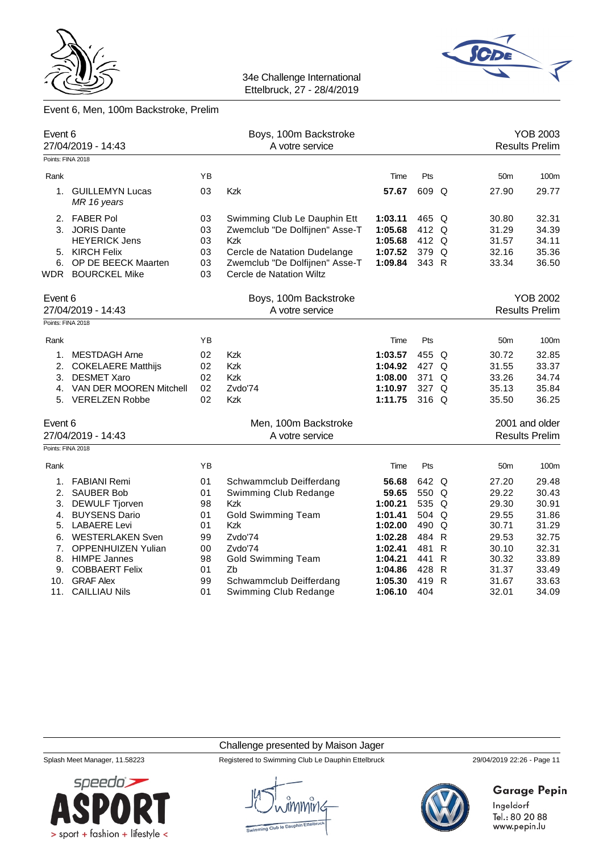



# Event 6, Men, 100m Backstroke, Prelim

|                                    | Event 6<br>27/04/2019 - 14:43                                                                                                                                         |                                         | Boys, 100m Backstroke<br>A votre service                                                                                                                                   |                                                                | <b>YOB 2003</b><br><b>Results Prelim</b>  |                                                   |                                                    |                                                    |
|------------------------------------|-----------------------------------------------------------------------------------------------------------------------------------------------------------------------|-----------------------------------------|----------------------------------------------------------------------------------------------------------------------------------------------------------------------------|----------------------------------------------------------------|-------------------------------------------|---------------------------------------------------|----------------------------------------------------|----------------------------------------------------|
|                                    | Points: FINA 2018                                                                                                                                                     |                                         |                                                                                                                                                                            |                                                                |                                           |                                                   |                                                    |                                                    |
| Rank                               |                                                                                                                                                                       | YB                                      |                                                                                                                                                                            | Time                                                           | Pts                                       |                                                   | 50 <sub>m</sub>                                    | 100m                                               |
| 1.                                 | <b>GUILLEMYN Lucas</b><br>MR 16 years                                                                                                                                 | 03                                      | Kzk                                                                                                                                                                        | 57.67                                                          | 609 Q                                     |                                                   | 27.90                                              | 29.77                                              |
|                                    | 2. FABER Pol<br>03<br>3. JORIS Dante<br>03<br><b>HEYERICK Jens</b><br>03<br>5. KIRCH Felix<br>03<br>OP DE BEECK Maarten<br>03<br>6.<br><b>WDR BOURCKEL Mike</b><br>03 |                                         | Swimming Club Le Dauphin Ett<br>Zwemclub "De Dolfijnen" Asse-T<br><b>Kzk</b><br>Cercle de Natation Dudelange<br>Zwemclub "De Dolfijnen" Asse-T<br>Cercle de Natation Wiltz | 1:03.11<br>1:05.68<br>1:05.68<br>1:07.52<br>1:09.84            | 465 Q<br>412 Q<br>412 Q<br>379 Q<br>343 R |                                                   | 30.80<br>31.29<br>31.57<br>32.16<br>33.34          | 32.31<br>34.39<br>34.11<br>35.36<br>36.50          |
| Event 6<br>27/04/2019 - 14:43      |                                                                                                                                                                       |                                         | Boys, 100m Backstroke<br>A votre service                                                                                                                                   |                                                                |                                           |                                                   |                                                    | <b>YOB 2002</b><br><b>Results Prelim</b>           |
|                                    | Points: FINA 2018                                                                                                                                                     |                                         |                                                                                                                                                                            |                                                                |                                           |                                                   |                                                    |                                                    |
| Rank                               |                                                                                                                                                                       | YB                                      |                                                                                                                                                                            | Time                                                           | Pts                                       |                                                   | 50 <sub>m</sub>                                    | 100m                                               |
| 1.<br>2.<br>3.                     | <b>MESTDAGH Arne</b><br><b>COKELAERE Matthijs</b><br><b>DESMET Xaro</b><br>4. VAN DER MOOREN Mitchell<br>5. VERELZEN Robbe                                            | 02<br>02<br>02<br>02<br>02              | Kzk<br>Kzk<br>Kzk<br>Zvdo'74<br>Kzk                                                                                                                                        | 1:03.57<br>1:04.92<br>1:08.00<br>1:10.97<br>1:11.75            | 455<br>427 Q<br>371<br>327 Q<br>316 Q     | Q<br>Q                                            | 30.72<br>31.55<br>33.26<br>35.13<br>35.50          | 32.85<br>33.37<br>34.74<br>35.84<br>36.25          |
| Event 6                            | 27/04/2019 - 14:43                                                                                                                                                    | Men, 100m Backstroke<br>A votre service |                                                                                                                                                                            |                                                                |                                           |                                                   |                                                    | 2001 and older<br><b>Results Prelim</b>            |
| Points: FINA 2018                  |                                                                                                                                                                       |                                         |                                                                                                                                                                            |                                                                |                                           |                                                   |                                                    |                                                    |
| Rank                               |                                                                                                                                                                       | YB                                      |                                                                                                                                                                            | Time                                                           | Pts                                       |                                                   | 50 <sub>m</sub>                                    | 100m                                               |
| 1.<br>2.<br>3.<br>4.<br>5.         | <b>FABIANI Remi</b><br><b>SAUBER Bob</b><br><b>DEWULF Tjorven</b><br><b>BUYSENS Dario</b><br><b>LABAERE Levi</b>                                                      | 01<br>01<br>98<br>01<br>01              | Schwammclub Deifferdang<br>Swimming Club Redange<br><b>Kzk</b><br><b>Gold Swimming Team</b><br>Kzk                                                                         | 56.68<br>59.65<br>1:00.21<br>1:01.41<br>1:02.00                | 642 Q<br>550 Q<br>535 Q<br>504 Q<br>490 Q |                                                   | 27.20<br>29.22<br>29.30<br>29.55<br>30.71          | 29.48<br>30.43<br>30.91<br>31.86<br>31.29          |
| 6.<br>7.<br>8.<br>9.<br>10.<br>11. | <b>WESTERLAKEN Sven</b><br><b>OPPENHUIZEN Yulian</b><br><b>HIMPE Jannes</b><br><b>COBBAERT Felix</b><br><b>GRAF Alex</b><br><b>CAILLIAU Nils</b>                      | 99<br>00<br>98<br>01<br>99<br>01        | Zvdo'74<br>Zvdo'74<br><b>Gold Swimming Team</b><br>Zb<br>Schwammclub Deifferdang<br>Swimming Club Redange                                                                  | 1:02.28<br>1:02.41<br>1:04.21<br>1:04.86<br>1:05.30<br>1:06.10 | 484<br>481<br>441<br>428<br>419 R<br>404  | $\mathsf{R}$<br>$\mathsf{R}$<br>$\mathsf{R}$<br>R | 29.53<br>30.10<br>30.32<br>31.37<br>31.67<br>32.01 | 32.75<br>32.31<br>33.89<br>33.49<br>33.63<br>34.09 |

#### Challenge presented by Maison Jager

Splash Meet Manager, 11.58223 Registered to Swimming Club Le Dauphin Ettelbruck 29/04/2019 22:26 - Page 11



**Garage Pepin** 

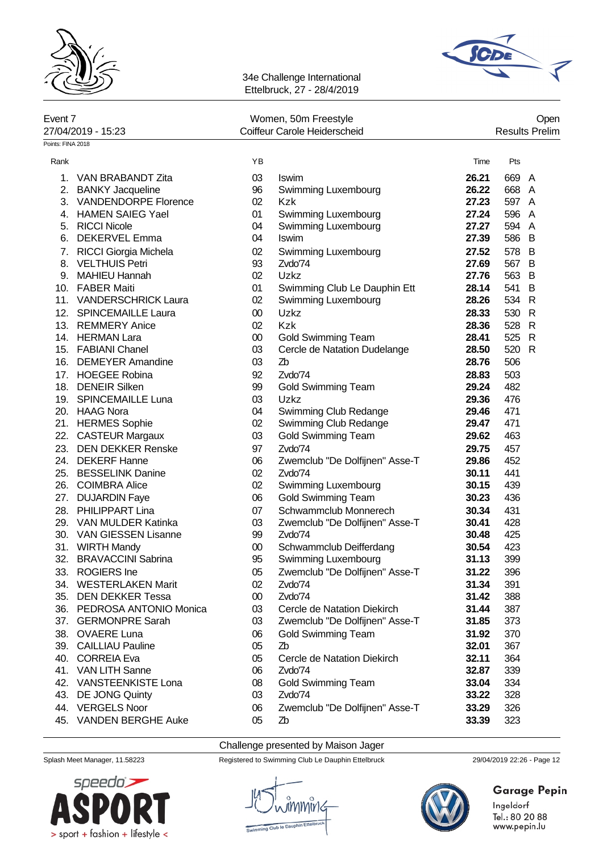



| Event 7            | Women, 50m Freestyle         | Open                  |
|--------------------|------------------------------|-----------------------|
| 27/04/2019 - 15:23 | Coiffeur Carole Heiderscheid | <b>Results Prelim</b> |
| Points: FINA 2018  |                              |                       |

| Rank |                            | YB     |                                | Time  | Pts   |              |
|------|----------------------------|--------|--------------------------------|-------|-------|--------------|
|      | 1. VAN BRABANDT Zita       | 03     | <b>Iswim</b>                   | 26.21 | 669 A |              |
| 2.   | <b>BANKY Jacqueline</b>    | 96     | Swimming Luxembourg            | 26.22 | 668 A |              |
|      | 3. VANDENDORPE Florence    | 02     | Kzk                            | 27.23 | 597 A |              |
|      | 4. HAMEN SAIEG Yael        | 01     | Swimming Luxembourg            | 27.24 | 596 A |              |
|      | 5. RICCI Nicole            | 04     | Swimming Luxembourg            | 27.27 | 594 A |              |
|      | 6. DEKERVEL Emma           | 04     | <b>Iswim</b>                   | 27.39 | 586 B |              |
|      | 7. RICCI Giorgia Michela   | 02     | Swimming Luxembourg            | 27.52 | 578 B |              |
|      | 8. VELTHUIS Petri          | 93     | Zvdo'74                        | 27.69 | 567 B |              |
|      | 9. MAHIEU Hannah           | 02     | Uzkz                           | 27.76 | 563 B |              |
|      | 10. FABER Maiti            | 01     | Swimming Club Le Dauphin Ett   | 28.14 | 541   | B            |
|      | 11. VANDERSCHRICK Laura    | 02     | Swimming Luxembourg            | 28.26 | 534 R |              |
|      | 12. SPINCEMAILLE Laura     | $00\,$ | <b>Uzkz</b>                    | 28.33 | 530   | $\mathsf{R}$ |
|      | 13. REMMERY Anice          | 02     | Kzk                            | 28.36 | 528   | $\mathsf{R}$ |
|      | 14. HERMAN Lara            | $00\,$ | <b>Gold Swimming Team</b>      | 28.41 | 525   | $\mathsf{R}$ |
|      | 15. FABIANI Chanel         | 03     | Cercle de Natation Dudelange   | 28.50 | 520   | $\mathsf{R}$ |
|      | 16. DEMEYER Amandine       | 03     | Zb                             | 28.76 | 506   |              |
|      | 17. HOEGEE Robina          | 92     | Zvdo'74                        | 28.83 | 503   |              |
|      | 18. DENEIR Silken          | 99     | <b>Gold Swimming Team</b>      | 29.24 | 482   |              |
|      | 19. SPINCEMAILLE Luna      | 03     | Uzkz                           | 29.36 | 476   |              |
|      | 20. HAAG Nora              | 04     | Swimming Club Redange          | 29.46 | 471   |              |
|      | 21. HERMES Sophie          | 02     | Swimming Club Redange          | 29.47 | 471   |              |
| 22.  | <b>CASTEUR Margaux</b>     | 03     | <b>Gold Swimming Team</b>      | 29.62 | 463   |              |
| 23.  | <b>DEN DEKKER Renske</b>   | 97     | Zvdo'74                        | 29.75 | 457   |              |
|      | 24. DEKERF Hanne           | 06     | Zwemclub "De Dolfijnen" Asse-T | 29.86 | 452   |              |
|      | 25. BESSELINK Danine       | 02     | Zvdo'74                        | 30.11 | 441   |              |
|      | 26. COIMBRA Alice          | 02     | Swimming Luxembourg            | 30.15 | 439   |              |
|      | 27. DUJARDIN Faye          | 06     | <b>Gold Swimming Team</b>      | 30.23 | 436   |              |
|      | 28. PHILIPPART Lina        | 07     | Schwammclub Monnerech          | 30.34 | 431   |              |
|      | 29. VAN MULDER Katinka     | 03     | Zwemclub "De Dolfijnen" Asse-T | 30.41 | 428   |              |
|      | 30. VAN GIESSEN Lisanne    | 99     | Zvdo'74                        | 30.48 | 425   |              |
|      | 31. WIRTH Mandy            | $00\,$ | Schwammclub Deifferdang        | 30.54 | 423   |              |
|      | 32. BRAVACCINI Sabrina     | 95     | Swimming Luxembourg            | 31.13 | 399   |              |
|      | 33. ROGIERS Ine            | 05     | Zwemclub "De Dolfijnen" Asse-T | 31.22 | 396   |              |
|      | 34. WESTERLAKEN Marit      | 02     | Zvdo'74                        | 31.34 | 391   |              |
|      | 35. DEN DEKKER Tessa       | $00\,$ | Zvdo'74                        | 31.42 | 388   |              |
|      | 36. PEDROSA ANTONIO Monica | 03     | Cercle de Natation Diekirch    | 31.44 | 387   |              |
|      | 37. GERMONPRE Sarah        | 03     | Zwemclub "De Dolfijnen" Asse-T | 31.85 | 373   |              |
|      | 38. OVAERE Luna            | 06     | <b>Gold Swimming Team</b>      | 31.92 | 370   |              |
|      | 39. CAILLIAU Pauline       | 05     | Zb                             | 32.01 | 367   |              |
|      | 40. CORREIA Eva            | 05     | Cercle de Natation Diekirch    | 32.11 | 364   |              |
|      | 41. VAN LITH Sanne         | 06     | Zvdo'74                        | 32.87 | 339   |              |
|      | 42. VANSTEENKISTE Lona     | 08     | <b>Gold Swimming Team</b>      | 33.04 | 334   |              |
|      | 43. DE JONG Quinty         | 03     | Zvdo'74                        | 33.22 | 328   |              |
|      | 44. VERGELS Noor           | 06     | Zwemclub "De Dolfijnen" Asse-T | 33.29 | 326   |              |
| 45.  | VANDEN BERGHE Auke         | 05     | Zb                             | 33.39 | 323   |              |

Challenge presented by Maison Jager



Splash Meet Manager, 11.58223 Registered to Swimming Club Le Dauphin Ettelbruck 29/04/2019 22:26 - Page 12

MIY)<



# Garage Pepin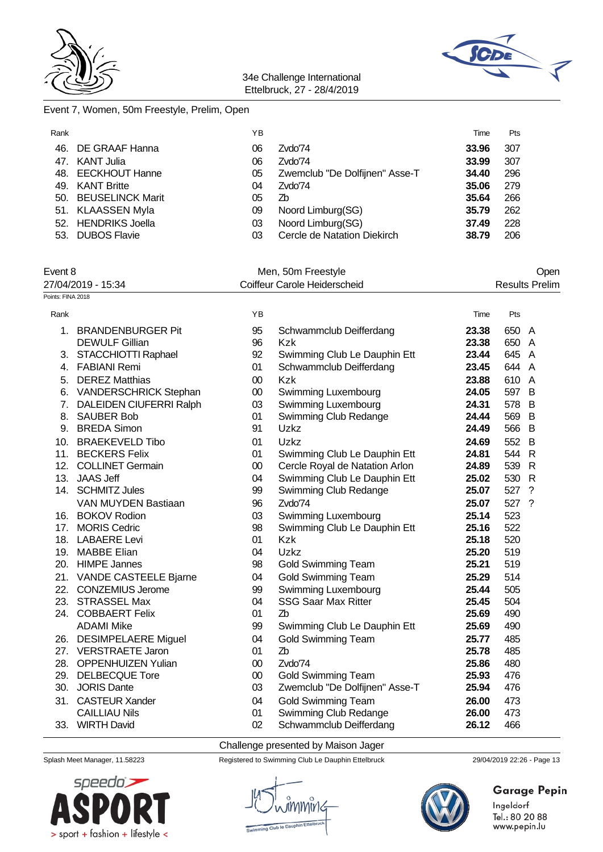



#### Event 7, Women, 50m Freestyle, Prelim, Open

| Rank |                      | ΥB |                                | Time  | Pts |
|------|----------------------|----|--------------------------------|-------|-----|
|      | 46. DE GRAAF Hanna   | 06 | Zvdo'74                        | 33.96 | 307 |
|      | 47. KANT Julia       | 06 | Zvdo'74                        | 33.99 | 307 |
|      | 48. EECKHOUT Hanne   | 05 | Zwemclub "De Dolfijnen" Asse-T | 34.40 | 296 |
|      | 49. KANT Britte      | 04 | Zvdo'74                        | 35.06 | 279 |
|      | 50. BEUSELINCK Marit | 05 | Zb                             | 35.64 | 266 |
|      | 51. KLAASSEN Myla    | 09 | Noord Limburg(SG)              | 35.79 | 262 |
|      | 52. HENDRIKS Joella  | 03 | Noord Limburg(SG)              | 37.49 | 228 |
|      | 53. DUBOS Flavie     | 03 | Cercle de Natation Diekirch    | 38.79 | 206 |

#### Event 8 Communication of the Men, 50m Freestyle Communication of the Open 27/04/2019 - 15:34 Coiffeur Carole Heiderscheid Results Prelim Points: FINA 2018

| Rank |                            | YB     |                                | Time  | Pts   |                    |
|------|----------------------------|--------|--------------------------------|-------|-------|--------------------|
| 1.   | <b>BRANDENBURGER Pit</b>   | 95     | Schwammclub Deifferdang        | 23.38 | 650 A |                    |
|      | <b>DEWULF Gillian</b>      | 96     | Kzk                            | 23.38 | 650   | A                  |
|      | 3. STACCHIOTTI Raphael     | 92     | Swimming Club Le Dauphin Ett   | 23.44 | 645   | A                  |
| 4.   | <b>FABIANI Remi</b>        | 01     | Schwammclub Deifferdang        | 23.45 | 644   | A                  |
| 5.   | <b>DEREZ Matthias</b>      | $00\,$ | Kzk                            | 23.88 | 610   | A                  |
| 6.   | VANDERSCHRICK Stephan      | $00\,$ | <b>Swimming Luxembourg</b>     | 24.05 | 597   | B                  |
|      | 7. DALEIDEN CIUFERRI Ralph | 03     | Swimming Luxembourg            | 24.31 | 578   | B                  |
| 8.   | <b>SAUBER Bob</b>          | 01     | Swimming Club Redange          | 24.44 | 569   | B                  |
| 9.   | <b>BREDA Simon</b>         | 91     | Uzkz                           | 24.49 | 566   | B                  |
| 10.  | <b>BRAEKEVELD Tibo</b>     | 01     | Uzkz                           | 24.69 | 552   | B                  |
| 11.  | <b>BECKERS Felix</b>       | 01     | Swimming Club Le Dauphin Ett   | 24.81 | 544   | $\mathsf{R}$       |
| 12.  | <b>COLLINET Germain</b>    | 00     | Cercle Royal de Natation Arlon | 24.89 | 539   | $\mathsf{R}$       |
| 13.  | <b>JAAS Jeff</b>           | 04     | Swimming Club Le Dauphin Ett   | 25.02 | 530   | R                  |
|      | 14. SCHMITZ Jules          | 99     | Swimming Club Redange          | 25.07 | 527   | $\overline{\cdot}$ |
|      | VAN MUYDEN Bastiaan        | 96     | Zvdo'74                        | 25.07 | 527   | $\gamma$           |
|      | 16. BOKOV Rodion           | 03     | Swimming Luxembourg            | 25.14 | 523   |                    |
| 17.  | <b>MORIS Cedric</b>        | 98     | Swimming Club Le Dauphin Ett   | 25.16 | 522   |                    |
|      | 18. LABAERE Levi           | 01     | Kzk                            | 25.18 | 520   |                    |
|      | 19. MABBE Elian            | 04     | Uzkz                           | 25.20 | 519   |                    |
|      | 20. HIMPE Jannes           | 98     | <b>Gold Swimming Team</b>      | 25.21 | 519   |                    |
|      | 21. VANDE CASTEELE Bjarne  | 04     | <b>Gold Swimming Team</b>      | 25.29 | 514   |                    |
|      | 22. CONZEMIUS Jerome       | 99     | Swimming Luxembourg            | 25.44 | 505   |                    |
| 23.  | <b>STRASSEL Max</b>        | 04     | <b>SSG Saar Max Ritter</b>     | 25.45 | 504   |                    |
| 24.  | <b>COBBAERT Felix</b>      | 01     | Zb                             | 25.69 | 490   |                    |
|      | <b>ADAMI Mike</b>          | 99     | Swimming Club Le Dauphin Ett   | 25.69 | 490   |                    |
|      | 26. DESIMPELAERE Miguel    | 04     | <b>Gold Swimming Team</b>      | 25.77 | 485   |                    |
|      | 27. VERSTRAETE Jaron       | 01     | Zb                             | 25.78 | 485   |                    |
|      | 28. OPPENHUIZEN Yulian     | $00\,$ | Zvdo'74                        | 25.86 | 480   |                    |
|      | 29. DELBECQUE Tore         | $00\,$ | <b>Gold Swimming Team</b>      | 25.93 | 476   |                    |
|      | 30. JORIS Dante            | 03     | Zwemclub "De Dolfijnen" Asse-T | 25.94 | 476   |                    |
| 31.  | <b>CASTEUR Xander</b>      | 04     | <b>Gold Swimming Team</b>      | 26.00 | 473   |                    |
|      | <b>CAILLIAU Nils</b>       | 01     | Swimming Club Redange          | 26.00 | 473   |                    |
|      | 33. WIRTH David            | 02     | Schwammclub Deifferdang        | 26.12 | 466   |                    |

Challenge presented by Maison Jager

Splash Meet Manager, 11.58223 Registered to Swimming Club Le Dauphin Ettelbruck 29/04/2019 22:26 - Page 13





# **Garage Pepin**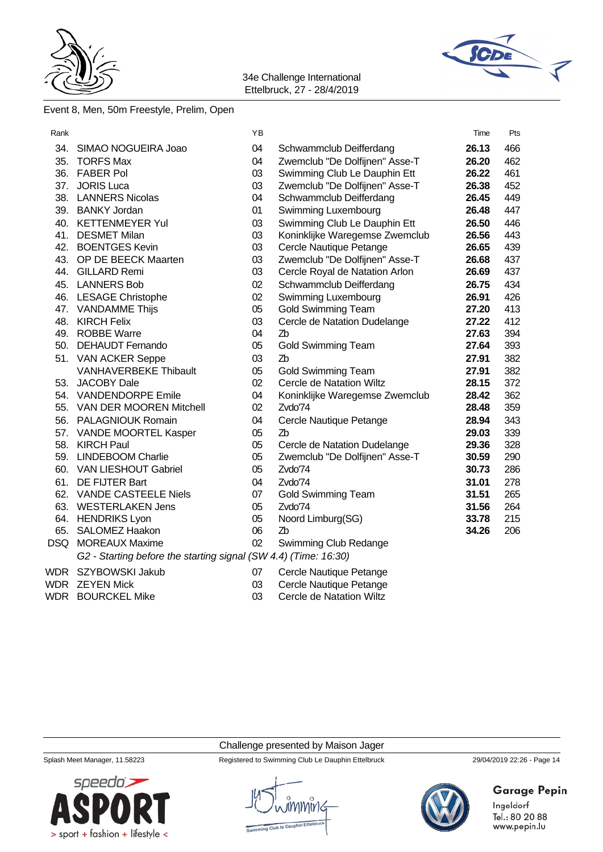



#### Event 8, Men, 50m Freestyle, Prelim, Open

| Rank |                                                                 | YB |                                | Time  | Pts |
|------|-----------------------------------------------------------------|----|--------------------------------|-------|-----|
| 34.  | SIMAO NOGUEIRA Joao                                             | 04 | Schwammclub Deifferdang        | 26.13 | 466 |
| 35.  | <b>TORFS Max</b>                                                | 04 | Zwemclub "De Dolfijnen" Asse-T | 26.20 | 462 |
| 36.  | <b>FABER Pol</b>                                                | 03 | Swimming Club Le Dauphin Ett   | 26.22 | 461 |
| 37.  | <b>JORIS Luca</b>                                               | 03 | Zwemclub "De Dolfijnen" Asse-T | 26.38 | 452 |
|      | 38. LANNERS Nicolas                                             | 04 | Schwammclub Deifferdang        | 26.45 | 449 |
|      | 39. BANKY Jordan                                                | 01 | Swimming Luxembourg            | 26.48 | 447 |
|      | 40. KETTENMEYER Yul                                             | 03 | Swimming Club Le Dauphin Ett   | 26.50 | 446 |
|      | 41. DESMET Milan                                                | 03 | Koninklijke Waregemse Zwemclub | 26.56 | 443 |
|      | 42. BOENTGES Kevin                                              | 03 | Cercle Nautique Petange        | 26.65 | 439 |
|      | 43. OP DE BEECK Maarten                                         | 03 | Zwemclub "De Dolfijnen" Asse-T | 26.68 | 437 |
|      | 44. GILLARD Remi                                                | 03 | Cercle Royal de Natation Arlon | 26.69 | 437 |
|      | 45. LANNERS Bob                                                 | 02 | Schwammclub Deifferdang        | 26.75 | 434 |
|      | 46. LESAGE Christophe                                           | 02 | Swimming Luxembourg            | 26.91 | 426 |
|      | 47. VANDAMME Thijs                                              | 05 | <b>Gold Swimming Team</b>      | 27.20 | 413 |
|      | 48. KIRCH Felix                                                 | 03 | Cercle de Natation Dudelange   | 27.22 | 412 |
|      | 49. ROBBE Warre                                                 | 04 | Zb                             | 27.63 | 394 |
|      | 50. DEHAUDT Fernando                                            | 05 | <b>Gold Swimming Team</b>      | 27.64 | 393 |
|      | 51. VAN ACKER Seppe                                             | 03 | Z <sub>b</sub>                 | 27.91 | 382 |
|      | <b>VANHAVERBEKE Thibault</b>                                    | 05 | <b>Gold Swimming Team</b>      | 27.91 | 382 |
| 53.  | JACOBY Dale                                                     | 02 | Cercle de Natation Wiltz       | 28.15 | 372 |
|      | 54. VANDENDORPE Emile                                           | 04 | Koninklijke Waregemse Zwemclub | 28.42 | 362 |
|      | 55. VAN DER MOOREN Mitchell                                     | 02 | Zvdo'74                        | 28.48 | 359 |
| 56.  | <b>PALAGNIOUK Romain</b>                                        | 04 | Cercle Nautique Petange        | 28.94 | 343 |
| 57.  | VANDE MOORTEL Kasper                                            | 05 | Zb                             | 29.03 | 339 |
| 58.  | <b>KIRCH Paul</b>                                               | 05 | Cercle de Natation Dudelange   | 29.36 | 328 |
| 59.  | <b>LINDEBOOM Charlie</b>                                        | 05 | Zwemclub "De Dolfijnen" Asse-T | 30.59 | 290 |
|      | 60. VAN LIESHOUT Gabriel                                        | 05 | Zvdo'74                        | 30.73 | 286 |
| 61.  | DE FIJTER Bart                                                  | 04 | Zvdo'74                        | 31.01 | 278 |
|      | 62. VANDE CASTEELE Niels                                        | 07 | <b>Gold Swimming Team</b>      | 31.51 | 265 |
|      | 63. WESTERLAKEN Jens                                            | 05 | Zvdo'74                        | 31.56 | 264 |
|      | 64. HENDRIKS Lyon                                               | 05 | Noord Limburg(SG)              | 33.78 | 215 |
|      | 65. SALOMEZ Haakon                                              | 06 | Z <sub>b</sub>                 | 34.26 | 206 |
|      | DSQ MOREAUX Maxime                                              | 02 | Swimming Club Redange          |       |     |
|      | G2 - Starting before the starting signal (SW 4.4) (Time: 16:30) |    |                                |       |     |
|      | WDR SZYBOWSKI Jakub                                             | 07 | Cercle Nautique Petange        |       |     |

WDR ZEYEN Mick 2008 03 Cercle Nautique Petange

- 
- WDR BOURCKEL Mike 03 Cercle de Natation Wiltz

### Challenge presented by Maison Jager



Splash Meet Manager, 11.58223 Registered to Swimming Club Le Dauphin Ettelbruck 29/04/2019 22:26 - Page 14



# **Garage Pepin**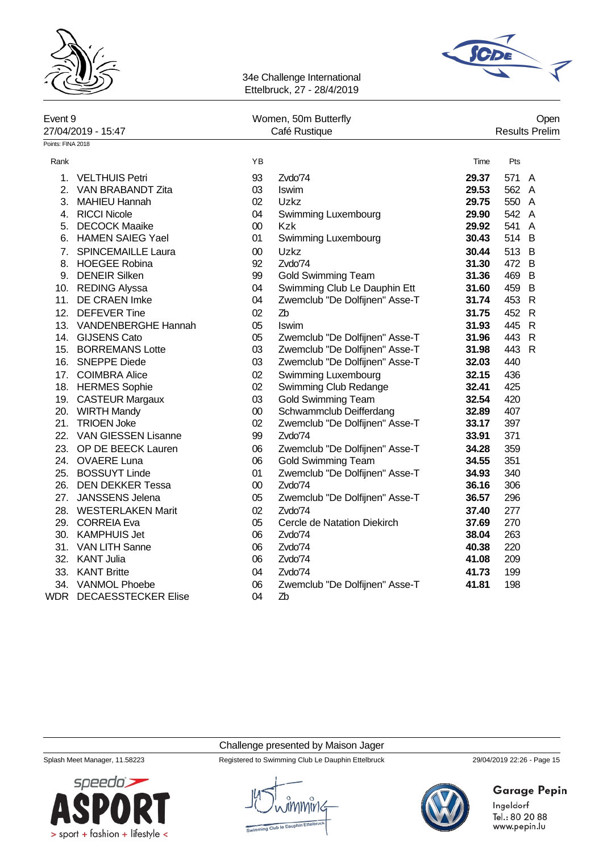



| Event 9           |                            |        | Women, 50m Butterfly           |       |       | Open                  |
|-------------------|----------------------------|--------|--------------------------------|-------|-------|-----------------------|
|                   | 27/04/2019 - 15:47         |        | Café Rustique                  |       |       | <b>Results Prelim</b> |
| Points: FINA 2018 |                            |        |                                |       |       |                       |
| Rank              |                            | YB     |                                | Time  | Pts   |                       |
| 1.                | <b>VELTHUIS Petri</b>      | 93     | Zvdo'74                        | 29.37 | 571 A |                       |
| 2.                | <b>VAN BRABANDT Zita</b>   | 03     | Iswim                          | 29.53 | 562 A |                       |
| 3.                | <b>MAHIEU Hannah</b>       | 02     | Uzkz                           | 29.75 | 550 A |                       |
| 4.                | <b>RICCI Nicole</b>        | 04     | Swimming Luxembourg            | 29.90 | 542 A |                       |
| 5.                | <b>DECOCK Maaike</b>       | $00\,$ | <b>Kzk</b>                     | 29.92 | 541 A |                       |
| 6.                | <b>HAMEN SAIEG Yael</b>    | 01     | Swimming Luxembourg            | 30.43 | 514 B |                       |
| 7.                | <b>SPINCEMAILLE Laura</b>  | $00\,$ | Uzkz                           | 30.44 | 513 B |                       |
| 8.                | <b>HOEGEE Robina</b>       | 92     | Zvdo'74                        | 31.30 | 472 B |                       |
| 9.                | <b>DENEIR Silken</b>       | 99     | <b>Gold Swimming Team</b>      | 31.36 | 469 B |                       |
|                   | 10. REDING Alyssa          | 04     | Swimming Club Le Dauphin Ett   | 31.60 | 459 B |                       |
| 11.               | DE CRAEN Imke              | 04     | Zwemclub "De Dolfijnen" Asse-T | 31.74 | 453   | $\mathsf{R}$          |
| 12.               | <b>DEFEVER Tine</b>        | 02     | Z <sub>b</sub>                 | 31.75 | 452 R |                       |
| 13.               | VANDENBERGHE Hannah        | 05     | Iswim                          | 31.93 | 445 R |                       |
| 14.               | <b>GIJSENS Cato</b>        | 05     | Zwemclub "De Dolfijnen" Asse-T | 31.96 | 443 R |                       |
| 15.               | <b>BORREMANS Lotte</b>     | 03     | Zwemclub "De Dolfijnen" Asse-T | 31.98 | 443 R |                       |
| 16.               | <b>SNEPPE Diede</b>        | 03     | Zwemclub "De Dolfijnen" Asse-T | 32.03 | 440   |                       |
|                   | 17. COIMBRA Alice          | 02     | Swimming Luxembourg            | 32.15 | 436   |                       |
|                   | 18. HERMES Sophie          | 02     | Swimming Club Redange          | 32.41 | 425   |                       |
|                   | 19. CASTEUR Margaux        | 03     | <b>Gold Swimming Team</b>      | 32.54 | 420   |                       |
|                   | 20. WIRTH Mandy            | $00\,$ | Schwammclub Deifferdang        | 32.89 | 407   |                       |
|                   | 21. TRIOEN Joke            | 02     | Zwemclub "De Dolfijnen" Asse-T | 33.17 | 397   |                       |
| 22.               | <b>VAN GIESSEN Lisanne</b> | 99     | Zvdo'74                        | 33.91 | 371   |                       |
| 23.               | OP DE BEECK Lauren         | 06     | Zwemclub "De Dolfijnen" Asse-T | 34.28 | 359   |                       |
| 24.               | <b>OVAERE Luna</b>         | 06     | <b>Gold Swimming Team</b>      | 34.55 | 351   |                       |
| 25.               | <b>BOSSUYT Linde</b>       | 01     | Zwemclub "De Dolfijnen" Asse-T | 34.93 | 340   |                       |
| 26.               | <b>DEN DEKKER Tessa</b>    | $00\,$ | Zvdo'74                        | 36.16 | 306   |                       |
| 27.               | <b>JANSSENS Jelena</b>     | 05     | Zwemclub "De Dolfijnen" Asse-T | 36.57 | 296   |                       |
|                   | 28. WESTERLAKEN Marit      | 02     | Zvdo'74                        | 37.40 | 277   |                       |
| 29.               | <b>CORREIA Eva</b>         | 05     | Cercle de Natation Diekirch    | 37.69 | 270   |                       |
| 30.               | <b>KAMPHUIS Jet</b>        | 06     | Zvdo'74                        | 38.04 | 263   |                       |
| 31.               | <b>VAN LITH Sanne</b>      | 06     | Zvdo'74                        | 40.38 | 220   |                       |

- 
- 
- 32. KANT Julia 06 Zvdo'74 **41.08** 209 33. KANT Britte 04 Zvdo'74 **41.73** 199
- 34. VANMOL Phoebe 06 Zwemclub "De Dolfijnen" Asse-T **41.81** 198
- WDR DECAESSTECKER Elise 04 Zb

#### Challenge presented by Maison Jager

Splash Meet Manager, 11.58223 Registered to Swimming Club Le Dauphin Ettelbruck 29/04/2019 22:26 - Page 15



# **Garage Pepin**

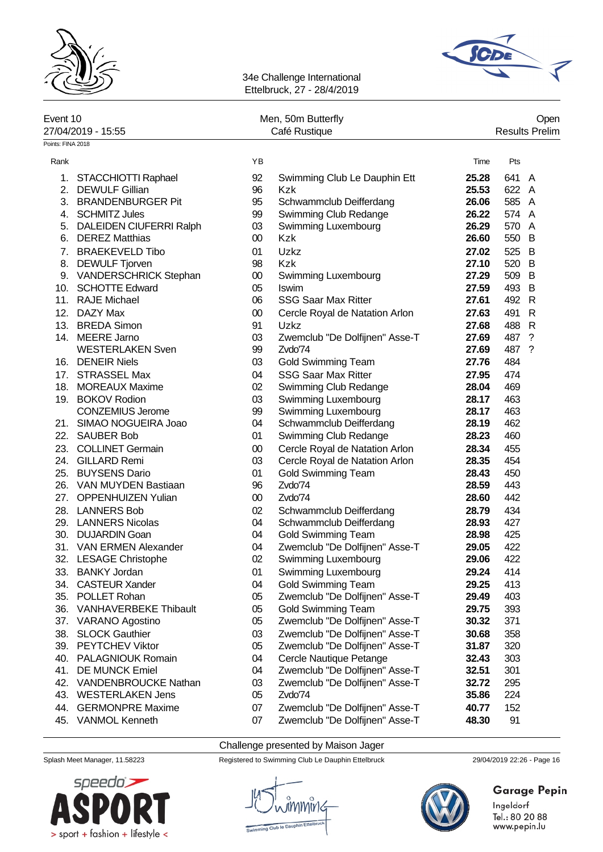



| Event 10<br>27/04/2019 - 15:55 | Men, 50m Butterfly<br>Café Rustique                               | Open<br><b>Results Prelim</b>                          |
|--------------------------------|-------------------------------------------------------------------|--------------------------------------------------------|
| Points: FINA 2018              |                                                                   |                                                        |
| Rank                           | ΥB                                                                | Pts<br>Time                                            |
| 1. STACCHIOTTI Raphael         | Swimming Club Le Dauphin Ett<br>92<br>$\sim$ $\sim$ $\sim$ $\sim$ | 641 A<br>25.28<br>-- --<br>$\sim$ $\sim$ $\sim$ $\sim$ |

| ι.  | STAUUTIUT ITRAPIAEI        | ৬∠     | SWIMMING CRUD LE DAUPHIN EU    | 20.ZO | 04 I  | $\bigwedge$ |
|-----|----------------------------|--------|--------------------------------|-------|-------|-------------|
|     | 2. DEWULF Gillian          | 96     | <b>Kzk</b>                     | 25.53 | 622 A |             |
|     | 3. BRANDENBURGER Pit       | 95     | Schwammclub Deifferdang        | 26.06 | 585 A |             |
|     | 4. SCHMITZ Jules           | 99     | Swimming Club Redange          | 26.22 | 574 A |             |
|     | 5. DALEIDEN CIUFERRI Ralph | 03     | Swimming Luxembourg            | 26.29 | 570 A |             |
|     | 6. DEREZ Matthias          | $00\,$ | <b>Kzk</b>                     | 26.60 | 550 B |             |
| 7.  | <b>BRAEKEVELD Tibo</b>     | 01     | Uzkz                           | 27.02 | 525 B |             |
| 8.  | <b>DEWULF Tjorven</b>      | 98     | <b>Kzk</b>                     | 27.10 | 520 B |             |
|     | 9. VANDERSCHRICK Stephan   | $00\,$ | Swimming Luxembourg            | 27.29 | 509 B |             |
|     | 10. SCHOTTE Edward         | 05     | Iswim                          | 27.59 | 493 B |             |
|     | 11. RAJE Michael           | 06     | <b>SSG Saar Max Ritter</b>     | 27.61 | 492 R |             |
| 12. | DAZY Max                   | $00\,$ | Cercle Royal de Natation Arlon | 27.63 | 491 R |             |
|     | 13. BREDA Simon            | 91     | Uzkz                           | 27.68 | 488 R |             |
|     | 14. MEERE Jarno            | 03     | Zwemclub "De Dolfijnen" Asse-T | 27.69 | 487 ? |             |
|     | <b>WESTERLAKEN Sven</b>    | 99     | Zvdo'74                        | 27.69 | 487 ? |             |
|     | 16. DENEIR Niels           | 03     | Gold Swimming Team             | 27.76 | 484   |             |
|     | 17. STRASSEL Max           | 04     | <b>SSG Saar Max Ritter</b>     | 27.95 | 474   |             |
|     | 18. MOREAUX Maxime         | 02     | Swimming Club Redange          | 28.04 | 469   |             |
|     | 19. BOKOV Rodion           | 03     | Swimming Luxembourg            | 28.17 | 463   |             |
|     | <b>CONZEMIUS Jerome</b>    | 99     | Swimming Luxembourg            | 28.17 | 463   |             |
|     | 21. SIMAO NOGUEIRA Joao    | 04     | Schwammclub Deifferdang        | 28.19 | 462   |             |
| 22. | <b>SAUBER Bob</b>          | 01     | Swimming Club Redange          | 28.23 | 460   |             |
|     | 23. COLLINET Germain       | $00\,$ | Cercle Royal de Natation Arlon | 28.34 | 455   |             |
|     | 24. GILLARD Remi           | 03     | Cercle Royal de Natation Arlon | 28.35 | 454   |             |
|     | 25. BUYSENS Dario          | 01     | Gold Swimming Team             | 28.43 | 450   |             |
|     | 26. VAN MUYDEN Bastiaan    | 96     | Zvdo'74                        | 28.59 | 443   |             |
|     | 27. OPPENHUIZEN Yulian     | $00\,$ | Zvdo'74                        | 28.60 | 442   |             |
|     | 28. LANNERS Bob            | 02     | Schwammclub Deifferdang        | 28.79 | 434   |             |
|     | 29. LANNERS Nicolas        | 04     | Schwammclub Deifferdang        | 28.93 | 427   |             |
|     | 30. DUJARDIN Goan          | 04     | Gold Swimming Team             | 28.98 | 425   |             |
|     | 31. VAN ERMEN Alexander    | 04     | Zwemclub "De Dolfijnen" Asse-T | 29.05 | 422   |             |
|     | 32. LESAGE Christophe      | 02     | Swimming Luxembourg            | 29.06 | 422   |             |
|     | 33. BANKY Jordan           | 01     | Swimming Luxembourg            | 29.24 | 414   |             |
|     | 34. CASTEUR Xander         | 04     | <b>Gold Swimming Team</b>      | 29.25 | 413   |             |
|     | 35. POLLET Rohan           | 05     | Zwemclub "De Dolfijnen" Asse-T | 29.49 | 403   |             |
|     | 36. VANHAVERBEKE Thibault  | 05     | Gold Swimming Team             | 29.75 | 393   |             |
|     | 37. VARANO Agostino        | 05     | Zwemclub "De Dolfijnen" Asse-T | 30.32 | 371   |             |
|     | 38. SLOCK Gauthier         | 03     | Zwemclub "De Dolfijnen" Asse-T | 30.68 | 358   |             |
| 39. | <b>PEYTCHEV Viktor</b>     | 05     | Zwemclub "De Dolfijnen" Asse-T | 31.87 | 320   |             |
| 40. | <b>PALAGNIOUK Romain</b>   | 04     | Cercle Nautique Petange        | 32.43 | 303   |             |
| 41. | <b>DE MUNCK Emiel</b>      | 04     | Zwemclub "De Dolfijnen" Asse-T | 32.51 | 301   |             |
| 42. | VANDENBROUCKE Nathan       | 03     | Zwemclub "De Dolfijnen" Asse-T | 32.72 | 295   |             |
| 43. | <b>WESTERLAKEN Jens</b>    | 05     | Zvdo'74                        | 35.86 | 224   |             |
| 44. | <b>GERMONPRE Maxime</b>    | 07     | Zwemclub "De Dolfijnen" Asse-T | 40.77 | 152   |             |
| 45. | <b>VANMOL Kenneth</b>      | 07     | Zwemclub "De Dolfijnen" Asse-T | 48.30 | 91    |             |
|     |                            |        |                                |       |       |             |

Challenge presented by Maison Jager

Splash Meet Manager, 11.58223 Registered to Swimming Club Le Dauphin Ettelbruck 29/04/2019 22:26 - Page 16





# Garage Pepin

Ingeldorf<br>Tel.: 80 20 88<br>www.pepin.lu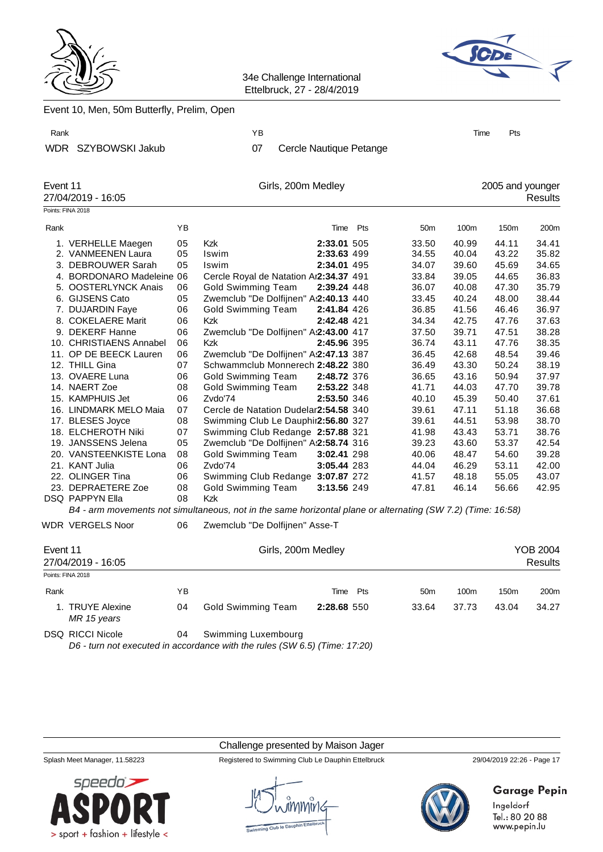



|            | Event 10, Men, 50m Butterfly, Prelim, Open                                                                                                                                                                                                                                                                                                              |                                                                            |                                                                                                                                                                                                                                                                                                                                              |                                                                                                                                     |     |                                                                                                                            |                                                                                                                            |                                                                                                                            |                                                                                                                            |
|------------|---------------------------------------------------------------------------------------------------------------------------------------------------------------------------------------------------------------------------------------------------------------------------------------------------------------------------------------------------------|----------------------------------------------------------------------------|----------------------------------------------------------------------------------------------------------------------------------------------------------------------------------------------------------------------------------------------------------------------------------------------------------------------------------------------|-------------------------------------------------------------------------------------------------------------------------------------|-----|----------------------------------------------------------------------------------------------------------------------------|----------------------------------------------------------------------------------------------------------------------------|----------------------------------------------------------------------------------------------------------------------------|----------------------------------------------------------------------------------------------------------------------------|
| Rank       |                                                                                                                                                                                                                                                                                                                                                         |                                                                            | YB                                                                                                                                                                                                                                                                                                                                           |                                                                                                                                     |     |                                                                                                                            | Time                                                                                                                       | Pts                                                                                                                        |                                                                                                                            |
| <b>WDR</b> | SZYBOWSKI Jakub                                                                                                                                                                                                                                                                                                                                         |                                                                            | 07                                                                                                                                                                                                                                                                                                                                           | Cercle Nautique Petange                                                                                                             |     |                                                                                                                            |                                                                                                                            |                                                                                                                            |                                                                                                                            |
| Event 11   | 27/04/2019 - 16:05                                                                                                                                                                                                                                                                                                                                      |                                                                            |                                                                                                                                                                                                                                                                                                                                              | Girls, 200m Medley                                                                                                                  |     |                                                                                                                            |                                                                                                                            | 2005 and younger                                                                                                           | <b>Results</b>                                                                                                             |
|            | Points: FINA 2018                                                                                                                                                                                                                                                                                                                                       |                                                                            |                                                                                                                                                                                                                                                                                                                                              |                                                                                                                                     |     |                                                                                                                            |                                                                                                                            |                                                                                                                            |                                                                                                                            |
| Rank       |                                                                                                                                                                                                                                                                                                                                                         | YB                                                                         |                                                                                                                                                                                                                                                                                                                                              | Time                                                                                                                                | Pts | 50m                                                                                                                        | 100m                                                                                                                       | 150m                                                                                                                       | 200m                                                                                                                       |
|            | 1. VERHELLE Maegen<br>2. VANMEENEN Laura<br>3. DEBROUWER Sarah<br>4. BORDONARO Madeleine 06<br>5. OOSTERLYNCK Anais<br>6. GIJSENS Cato<br>7. DUJARDIN Faye<br>8. COKELAERE Marit<br>9. DEKERF Hanne<br>10. CHRISTIAENS Annabel<br>11. OP DE BEECK Lauren<br>12. THILL Gina<br>13. OVAERE Luna<br>14. NAERT Zoe                                          | 05<br>05<br>05<br>06<br>05<br>06<br>06<br>06<br>06<br>06<br>07<br>06<br>08 | Kzk<br>Iswim<br>Iswim<br>Cercle Royal de Natation Ar2:34.37 491<br>Gold Swimming Team<br>Zwemclub "De Dolfijnen" A:2:40.13 440<br>Gold Swimming Team<br>Kzk<br>Zwemclub "De Dolfijnen" A:2:43.00 417<br>Kzk<br>Zwemclub "De Dolfijnen" A:2:47.13 387<br>Schwammclub Monnerech 2:48.22 380<br>Gold Swimming Team<br><b>Gold Swimming Team</b> | 2:33.01 505<br>2:33.63 499<br>2:34.01 495<br>2:39.24 448<br>2:41.84 426<br>2:42.48 421<br>2:45.96 395<br>2:48.72 376<br>2:53.22 348 |     | 33.50<br>34.55<br>34.07<br>33.84<br>36.07<br>33.45<br>36.85<br>34.34<br>37.50<br>36.74<br>36.45<br>36.49<br>36.65<br>41.71 | 40.99<br>40.04<br>39.60<br>39.05<br>40.08<br>40.24<br>41.56<br>42.75<br>39.71<br>43.11<br>42.68<br>43.30<br>43.16<br>44.03 | 44.11<br>43.22<br>45.69<br>44.65<br>47.30<br>48.00<br>46.46<br>47.76<br>47.51<br>47.76<br>48.54<br>50.24<br>50.94<br>47.70 | 34.41<br>35.82<br>34.65<br>36.83<br>35.79<br>38.44<br>36.97<br>37.63<br>38.28<br>38.35<br>39.46<br>38.19<br>37.97<br>39.78 |
|            | 15. KAMPHUIS Jet<br>16. LINDMARK MELO Maia<br>17. BLESES Joyce<br>18. ELCHEROTH Niki<br>19. JANSSENS Jelena<br>20. VANSTEENKISTE Lona<br>21. KANT Julia<br>22. OLINGER Tina<br>23. DEPRAETERE Zoe<br>DSQ PAPPYN Ella<br>B4 - arm movements not simultaneous, not in the same horizontal plane or alternating (SW 7.2) (Time: 16:58)<br>WDR VERGELS Noor | 06<br>07<br>08<br>07<br>05<br>08<br>06<br>06<br>08<br>08<br>06             | Zvdo'74<br>Cercle de Natation Dudelar2:54.58 340<br>Swimming Club Le Dauphir2:56.80 327<br>Swimming Club Redange 2:57.88 321<br>Zwemclub "De Dolfijnen" A:2:58.74 316<br>Gold Swimming Team<br>Zvdo'74<br>Swimming Club Redange 3:07.87 272<br>Gold Swimming Team<br>Kzk<br>Zwemclub "De Dolfijnen" Asse-T                                   | 2:53.50 346<br>3:02.41 298<br>3:05.44 283<br>3:13.56 249                                                                            |     | 40.10<br>39.61<br>39.61<br>41.98<br>39.23<br>40.06<br>44.04<br>41.57<br>47.81                                              | 45.39<br>47.11<br>44.51<br>43.43<br>43.60<br>48.47<br>46.29<br>48.18<br>46.14                                              | 50.40<br>51.18<br>53.98<br>53.71<br>53.37<br>54.60<br>53.11<br>55.05<br>56.66                                              | 37.61<br>36.68<br>38.70<br>38.76<br>42.54<br>39.28<br>42.00<br>43.07<br>42.95                                              |
| Event 11   | 27/04/2019 - 16:05                                                                                                                                                                                                                                                                                                                                      |                                                                            |                                                                                                                                                                                                                                                                                                                                              | Girls, 200m Medley                                                                                                                  |     |                                                                                                                            |                                                                                                                            |                                                                                                                            | <b>YOB 2004</b><br>Results                                                                                                 |
|            | Points: FINA 2018                                                                                                                                                                                                                                                                                                                                       |                                                                            |                                                                                                                                                                                                                                                                                                                                              |                                                                                                                                     |     |                                                                                                                            |                                                                                                                            |                                                                                                                            |                                                                                                                            |
| Rank       |                                                                                                                                                                                                                                                                                                                                                         | YB                                                                         |                                                                                                                                                                                                                                                                                                                                              | Time                                                                                                                                | Pts | 50m                                                                                                                        | 100m                                                                                                                       | 150m                                                                                                                       | 200m                                                                                                                       |
|            | 1. TRUYE Alexine<br>MR 15 years                                                                                                                                                                                                                                                                                                                         | 04                                                                         | <b>Gold Swimming Team</b>                                                                                                                                                                                                                                                                                                                    | 2:28.68 550                                                                                                                         |     | 33.64                                                                                                                      | 37.73                                                                                                                      | 43.04                                                                                                                      | 34.27                                                                                                                      |
|            | <b>DSQ RICCI Nicole</b>                                                                                                                                                                                                                                                                                                                                 | 04                                                                         | Swimming Luxembourg                                                                                                                                                                                                                                                                                                                          |                                                                                                                                     |     |                                                                                                                            |                                                                                                                            |                                                                                                                            |                                                                                                                            |

*D6 - turn not executed in accordance with the rules (SW 6.5) (Time: 17:20)*

> sport + fashion + lifestyle <



# Garage Pepin

Tel.: 80 20 88 www.pepin.lu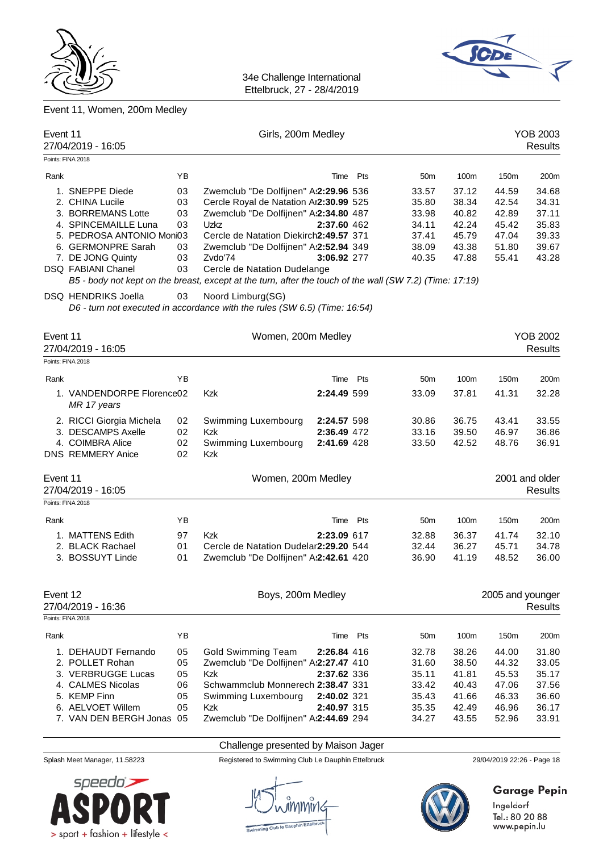



Event 11, Women, 200m Medley

| Event 11 | 27/04/2019 - 16:05<br>Points: FINA 2018  |          | Girls, 200m Medley                                                                                                                       |             |     |                 |                |                  | YOB 2003<br><b>Results</b>        |
|----------|------------------------------------------|----------|------------------------------------------------------------------------------------------------------------------------------------------|-------------|-----|-----------------|----------------|------------------|-----------------------------------|
| Rank     |                                          | YB       |                                                                                                                                          | Time        | Pts | 50 <sub>m</sub> | 100m           | 150m             | 200m                              |
|          | 1. SNEPPE Diede                          | 03       | Zwemclub "De Dolfijnen" A:2:29.96 536                                                                                                    |             |     | 33.57           | 37.12          | 44.59            | 34.68                             |
|          | 2. CHINA Lucile                          | 03       | Cercle Royal de Natation Ar2:30.99 525                                                                                                   |             |     | 35.80           | 38.34          | 42.54            | 34.31                             |
|          | 3. BORREMANS Lotte                       | 03       | Zwemclub "De Dolfijnen" A:2:34.80 487                                                                                                    |             |     | 33.98           | 40.82          | 42.89            | 37.11                             |
|          | 4. SPINCEMAILLE Luna                     | 03       | Uzkz                                                                                                                                     | 2:37.60 462 |     | 34.11           | 42.24          | 45.42            | 35.83                             |
|          | 5. PEDROSA ANTONIO Moni03                |          | Cercle de Natation Diekirch2:49.57 371                                                                                                   |             |     | 37.41           | 45.79          | 47.04            | 39.33                             |
|          | 6. GERMONPRE Sarah                       | 03       | Zwemclub "De Dolfijnen" A:2:52.94 349                                                                                                    |             |     | 38.09           | 43.38          | 51.80            | 39.67                             |
|          | 7. DE JONG Quinty                        | 03       | Zvdo'74                                                                                                                                  | 3:06.92 277 |     | 40.35           | 47.88          | 55.41            | 43.28                             |
|          | <b>DSQ FABIANI Chanel</b>                | 03       | Cercle de Natation Dudelange<br>B5 - body not kept on the breast, except at the turn, after the touch of the wall (SW 7.2) (Time: 17:19) |             |     |                 |                |                  |                                   |
|          | <b>DSQ HENDRIKS Joella</b>               | 03       | Noord Limburg(SG)<br>D6 - turn not executed in accordance with the rules (SW 6.5) (Time: 16:54)                                          |             |     |                 |                |                  |                                   |
| Event 11 | 27/04/2019 - 16:05                       |          | Women, 200m Medley                                                                                                                       |             |     |                 |                |                  | <b>YOB 2002</b><br><b>Results</b> |
|          | Points: FINA 2018                        |          |                                                                                                                                          |             |     |                 |                |                  |                                   |
| Rank     |                                          | ΥB       |                                                                                                                                          | Time        | Pts | 50 <sub>m</sub> | 100m           | 150m             | 200m                              |
|          | 1. VANDENDORPE Florence02<br>MR 17 years |          | Kzk                                                                                                                                      | 2:24.49 599 |     | 33.09           | 37.81          | 41.31            | 32.28                             |
|          | 2. RICCI Giorgia Michela                 | 02       | Swimming Luxembourg                                                                                                                      | 2:24.57 598 |     | 30.86           | 36.75          | 43.41            | 33.55                             |
|          | 3. DESCAMPS Axelle                       | 02       | Kzk                                                                                                                                      | 2:36.49 472 |     | 33.16           | 39.50          | 46.97            | 36.86                             |
|          | 4. COIMBRA Alice                         | 02       | Swimming Luxembourg                                                                                                                      | 2:41.69 428 |     | 33.50           | 42.52          | 48.76            | 36.91                             |
|          | <b>DNS REMMERY Anice</b>                 | 02       | Kzk                                                                                                                                      |             |     |                 |                |                  |                                   |
| Event 11 | 27/04/2019 - 16:05                       |          | Women, 200m Medley                                                                                                                       |             |     |                 |                |                  | 2001 and older<br>Results         |
|          | Points: FINA 2018                        |          |                                                                                                                                          |             |     |                 |                |                  |                                   |
| Rank     |                                          | ΥB       |                                                                                                                                          | Time        | Pts | 50 <sub>m</sub> | 100m           | 150 <sub>m</sub> | 200m                              |
|          | 1. MATTENS Edith                         | 97       | Kzk                                                                                                                                      | 2:23.09 617 |     | 32.88           | 36.37          | 41.74            | 32.10                             |
|          | 2. BLACK Rachael                         | 01       | Cercle de Natation Dudelar2:29.20 544                                                                                                    |             |     | 32.44           | 36.27          | 45.71            | 34.78                             |
|          | 3. BOSSUYT Linde                         | 01       | Zwemclub "De Dolfijnen" A:2:42.61 420                                                                                                    |             |     | 36.90           | 41.19          | 48.52            | 36.00                             |
| Event 12 |                                          |          | Boys, 200m Medley                                                                                                                        |             |     |                 |                | 2005 and younger |                                   |
|          | 27/04/2019 - 16:36<br>Points: FINA 2018  |          |                                                                                                                                          |             |     |                 |                |                  | <b>Results</b>                    |
|          |                                          |          |                                                                                                                                          |             |     |                 |                |                  |                                   |
| Rank     |                                          | YB       |                                                                                                                                          | Time        | Pts | 50 <sub>m</sub> | 100m           | 150m             | 200m                              |
|          | 1. DEHAUDT Fernando                      | 05       | <b>Gold Swimming Team</b>                                                                                                                | 2:26.84 416 |     | 32.78           | 38.26          | 44.00            | 31.80                             |
|          | 2. POLLET Rohan<br>3. VERBRUGGE Lucas    | 05       | Zwemclub "De Dolfijnen" A:2:27.47 410<br>Kzk                                                                                             | 2:37.62 336 |     | 31.60           | 38.50          | 44.32            | 33.05<br>35.17                    |
|          | 4. CALMES Nicolas                        | 05<br>06 | Schwammclub Monnerech 2:38.47 331                                                                                                        |             |     | 35.11<br>33.42  | 41.81<br>40.43 | 45.53<br>47.06   | 37.56                             |
|          | 5. KEMP Finn                             | 05       | Swimming Luxembourg                                                                                                                      | 2:40.02 321 |     | 35.43           | 41.66          | 46.33            | 36.60                             |
|          | 6. AELVOET Willem                        | 05       | Kzk                                                                                                                                      | 2:40.97 315 |     | 35.35           | 42.49          | 46.96            | 36.17                             |
|          | 7. VAN DEN BERGH Jonas 05                |          | Zwemclub "De Dolfijnen" A:2:44.69 294                                                                                                    |             |     | 34.27           | 43.55          | 52.96            | 33.91                             |
|          |                                          |          |                                                                                                                                          |             |     |                 |                |                  |                                   |

#### Challenge presented by Maison Jager

Splash Meet Manager, 11.58223 Registered to Swimming Club Le Dauphin Ettelbruck 29/04/2019 22:26 - Page 18





# **Garage Pepin**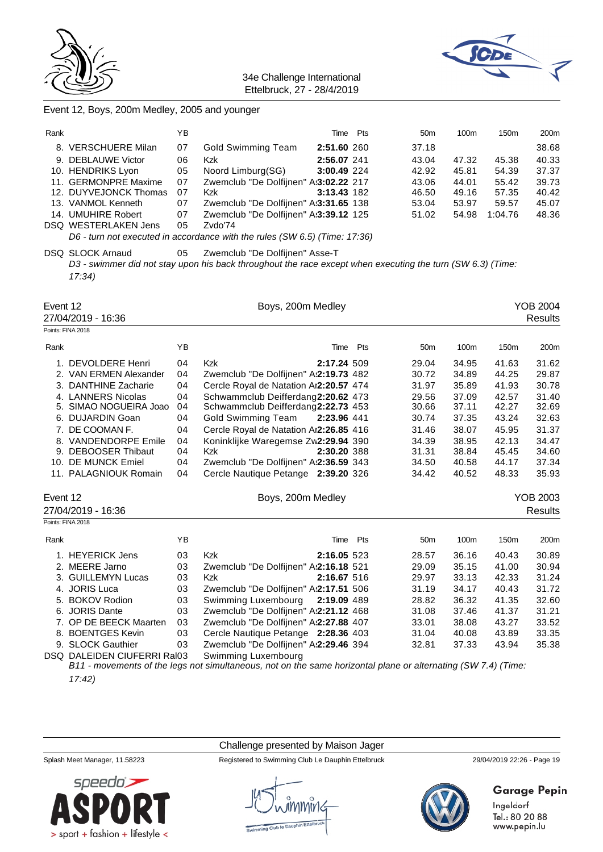

#### Event 12, Boys, 200m Medley, 2005 and younger

| Rank |                       | YΒ |                                                                                                         |             | Time Pts | 50 <sub>m</sub> | 100m  | 150 <sub>m</sub> | 200m  |
|------|-----------------------|----|---------------------------------------------------------------------------------------------------------|-------------|----------|-----------------|-------|------------------|-------|
|      | 8. VERSCHUERE Milan   | 07 | Gold Swimming Team                                                                                      | 2:51.60 260 |          | 37.18           |       |                  | 38.68 |
|      | 9. DEBLAUWE Victor    | 06 | Kzk                                                                                                     | 2:56.07 241 |          | 43.04           | 47.32 | 45.38            | 40.33 |
|      | 10. HENDRIKS Lyon     | 05 | Noord Limburg(SG)                                                                                       | 3:00.49 224 |          | 42.92           | 45.81 | 54.39            | 37.37 |
|      | 11. GERMONPRE Maxime  | 07 | Zwemclub "De Dolfijnen" A:3:02.22 217                                                                   |             |          | 43.06           | 44.01 | 55.42            | 39.73 |
|      | 12. DUYVEJONCK Thomas | 07 | Kzk                                                                                                     | 3:13.43 182 |          | 46.50           | 49.16 | 57.35            | 40.42 |
|      | 13. VANMOL Kenneth    | 07 | Zwemclub "De Dolfijnen" A:3:31.65 138                                                                   |             |          | 53.04           | 53.97 | 59.57            | 45.07 |
|      | 14. UMUHIRE Robert    | 07 | Zwemclub "De Dolfijnen" A:3:39.12 125                                                                   |             |          | 51.02           | 54.98 | 1:04.76          | 48.36 |
|      | DSQ WESTERLAKEN Jens  | 05 | Zvdo'74                                                                                                 |             |          |                 |       |                  |       |
|      |                       |    | $DA = 1$ and $A = 1$ and $B = 1$ and $B = 1$ and $B = 1$ and $B = 1$ and $B = 1$ $\sqrt{T}$ and $A = 0$ |             |          |                 |       |                  |       |

*D6 - turn not executed in accordance with the rules (SW 6.5) (Time: 17:36)*

DSQ SLOCK Arnaud 05 Zwemclub "De Dolfijnen" Asse-T *D3 - swimmer did not stay upon his back throughout the race except when executing the turn (SW 6.3) (Time: 17:34)*

| Event 12<br>27/04/2019 - 16:36 |    | Boys, 200m Medley                      |     |                 |                  |                  | YOB 2004<br><b>Results</b> |
|--------------------------------|----|----------------------------------------|-----|-----------------|------------------|------------------|----------------------------|
| Points: FINA 2018              |    |                                        |     |                 |                  |                  |                            |
| Rank                           | YB | Time                                   | Pts | 50 <sub>m</sub> | 100 <sub>m</sub> | 150 <sub>m</sub> | 200m                       |
| DEVOLDERE Henri<br>1.          | 04 | <b>Kzk</b><br>2:17.24 509              |     | 29.04           | 34.95            | 41.63            | 31.62                      |
| 2. VAN ERMEN Alexander         | 04 | Zwemclub "De Dolfijnen" A:2:19.73 482  |     | 30.72           | 34.89            | 44.25            | 29.87                      |
| 3. DANTHINE Zacharie           | 04 | Cercle Royal de Natation Ar2:20.57 474 |     | 31.97           | 35.89            | 41.93            | 30.78                      |
| 4. LANNERS Nicolas             | 04 | Schwammclub Deifferdang2:20.62 473     |     | 29.56           | 37.09            | 42.57            | 31.40                      |
| 5. SIMAO NOGUEIRA Joao         | 04 | Schwammclub Deifferdang2:22.73 453     |     | 30.66           | 37.11            | 42.27            | 32.69                      |
| <b>DUJARDIN Goan</b><br>6.     | 04 | Gold Swimming Team<br>2:23.96 441      |     | 30.74           | 37.35            | 43.24            | 32.63                      |
| 7. DE COOMAN F.                | 04 | Cercle Royal de Natation Ar2:26.85 416 |     | 31.46           | 38.07            | 45.95            | 31.37                      |
| 8. VANDENDORPE Emile           | 04 | Koninklijke Waregemse Zw2:29.94 390    |     | 34.39           | 38.95            | 42.13            | 34.47                      |
| <b>DEBOOSER Thibaut</b><br>9.  | 04 | <b>Kzk</b><br>2:30.20 388              |     | 31.31           | 38.84            | 45.45            | 34.60                      |
| 10. DE MUNCK Emiel             | 04 | Zwemclub "De Dolfijnen" A:2:36.59 343  |     | 34.50           | 40.58            | 44.17            | 37.34                      |
| 11. PALAGNIOUK Romain          | 04 | Cercle Nautique Petange 2:39.20 326    |     | 34.42           | 40.52            | 48.33            | 35.93                      |
| Event 12                       |    | Boys, 200m Medley                      |     |                 |                  |                  | YOB 2003                   |
| 27/04/2019 - 16:36             |    |                                        |     |                 |                  |                  | <b>Results</b>             |
| Points: FINA 2018              |    |                                        |     |                 |                  |                  |                            |
| Rank                           | YB | Time                                   | Pts | 50 <sub>m</sub> | 100m             | 150m             | 200m                       |
| 1. HEYERICK Jens               | 03 | <b>Kzk</b><br>2:16.05 523              |     | 28.57           | 36.16            | 40.43            | 30.89                      |
| 2. MEERE Jarno                 | 03 | Zwemclub "De Dolfijnen" A:2:16.18 521  |     | 29.09           | 35.15            | 41.00            | 30.94                      |
| 3. GUILLEMYN Lucas             | 03 | <b>Kzk</b><br>2:16.67 516              |     | 29.97           | 33.13            | 42.33            | 31.24                      |
| 4. JORIS Luca                  | 03 | Zwemclub "De Dolfijnen" A:2:17.51 506  |     | 31.19           | 34.17            | 40.43            | 31.72                      |
| <b>BOKOV Rodion</b><br>5.      | 03 | Swimming Luxembourg<br>2:19.09 489     |     | 28.82           | 36.32            | 41.35            | 32.60                      |
| 6. JORIS Dante                 | 03 | Zwemclub "De Dolfijnen" A:2:21.12 468  |     | 31.08           | 37.46            | 41.37            | 31.21                      |
| 7. OP DE BEECK Maarten         | 03 | Zwemclub "De Dolfijnen" A:2:27.88 407  |     | 33.01           | 38.08            | 43.27            | 33.52                      |

DSQ DALEIDEN CIUFERRI Ral03 Swimming Luxembourg *B11 - movements of the legs not simultaneous, not on the same horizontal plane or alternating (SW 7.4) (Time:*

8. BOENTGES Kevin 03 Cercle Nautique Petange 2:28.36 403 31.04 40.08 43.89 33.35 9. SLOCK Gauthier **03** Zwemclub "De Dolfijnen" A:2:29.46 394 32.81 37.33 43.94 35.38

*17:42)*

#### Challenge presented by Maison Jager

Splash Meet Manager, 11.58223 Registered to Swimming Club Le Dauphin Ettelbruck 29/04/2019 22:26 - Page 19





# Garage Pepin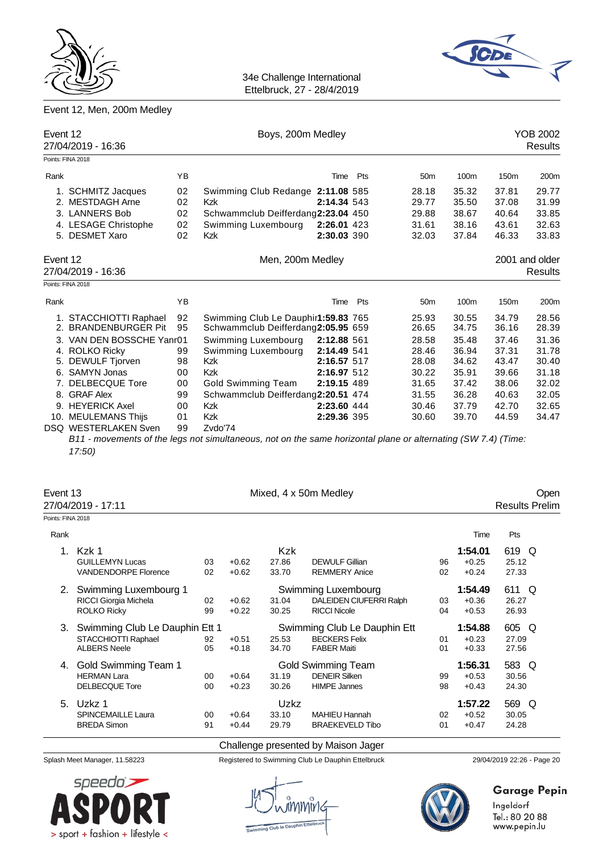

Event 12, Men, 200m Medley

34e Challenge International Ettelbruck, 27 - 28/4/2019



| Event 12 | 27/04/2019 - 16:36          |    | Boys, 200m Medley                                                                                             |             |     |                 |       |       | YOB 2002<br><b>Results</b> |
|----------|-----------------------------|----|---------------------------------------------------------------------------------------------------------------|-------------|-----|-----------------|-------|-------|----------------------------|
|          | Points: FINA 2018           |    |                                                                                                               |             |     |                 |       |       |                            |
| Rank     |                             | YB |                                                                                                               | Time        | Pts | 50 <sub>m</sub> | 100m  | 150m  | 200m                       |
|          | 1. SCHMITZ Jacques          | 02 | Swimming Club Redange 2:11.08 585                                                                             |             |     | 28.18           | 35.32 | 37.81 | 29.77                      |
|          | 2. MESTDAGH Arne            | 02 | <b>Kzk</b>                                                                                                    | 2:14.34 543 |     | 29.77           | 35.50 | 37.08 | 31.99                      |
|          | 3. LANNERS Bob              | 02 | Schwammclub Deifferdang2:23.04 450                                                                            |             |     | 29.88           | 38.67 | 40.64 | 33.85                      |
|          | 4. LESAGE Christophe        | 02 | Swimming Luxembourg                                                                                           | 2:26.01 423 |     | 31.61           | 38.16 | 43.61 | 32.63                      |
|          | 5. DESMET Xaro              | 02 | <b>Kzk</b>                                                                                                    | 2:30.03 390 |     | 32.03           | 37.84 | 46.33 | 33.83                      |
| Event 12 |                             |    | Men, 200m Medley                                                                                              |             |     |                 |       |       | 2001 and older             |
|          | 27/04/2019 - 16:36          |    |                                                                                                               |             |     |                 |       |       | Results                    |
|          | Points: FINA 2018           |    |                                                                                                               |             |     |                 |       |       |                            |
| Rank     |                             | YB |                                                                                                               | Time        | Pts | 50 <sub>m</sub> | 100m  | 150m  | 200m                       |
|          | 1. STACCHIOTTI Raphael      | 92 | Swimming Club Le Dauphir1:59.83 765                                                                           |             |     | 25.93           | 30.55 | 34.79 | 28.56                      |
|          | 2. BRANDENBURGER Pit        | 95 | Schwammclub Deifferdang2:05.95 659                                                                            |             |     | 26.65           | 34.75 | 36.16 | 28.39                      |
|          | 3. VAN DEN BOSSCHE Yanr01   |    | Swimming Luxembourg                                                                                           | 2:12.88 561 |     | 28.58           | 35.48 | 37.46 | 31.36                      |
|          | 4. ROLKO Ricky              | 99 | Swimming Luxembourg                                                                                           | 2:14.49 541 |     | 28.46           | 36.94 | 37.31 | 31.78                      |
|          | 5. DEWULF Tjorven           | 98 | Kzk                                                                                                           | 2:16.57 517 |     | 28.08           | 34.62 | 43.47 | 30.40                      |
|          | 6. SAMYN Jonas              | 00 | <b>Kzk</b>                                                                                                    | 2:16.97 512 |     | 30.22           | 35.91 | 39.66 | 31.18                      |
|          | 7. DELBECQUE Tore           | 00 | Gold Swimming Team                                                                                            | 2:19.15 489 |     | 31.65           | 37.42 | 38.06 | 32.02                      |
|          | 8. GRAF Alex                | 99 | Schwammclub Deifferdang2:20.51 474                                                                            |             |     | 31.55           | 36.28 | 40.63 | 32.05                      |
|          | 9. HEYERICK Axel            | 00 | <b>Kzk</b>                                                                                                    | 2:23.60 444 |     | 30.46           | 37.79 | 42.70 | 32.65                      |
|          | 10. MEULEMANS Thijs         | 01 | <b>Kzk</b>                                                                                                    | 2:29.36 395 |     | 30.60           | 39.70 | 44.59 | 34.47                      |
|          | <b>DSQ WESTERLAKEN Sven</b> | 99 | Zvdo'74                                                                                                       |             |     |                 |       |       |                            |
|          |                             |    | B11 - movements of the leas not simultaneous, not on the same horizontal plane or alternating (SW 7.4) (Time: |             |     |                 |       |       |                            |

*B11 - movements of the legs not simultaneous, not on the same horizontal plane or alternating (SW 7.4) (Time: 17:50)*

| Event 13          | 27/04/2019 - 17:11                                                           |               |                    |                        | Mixed, 4 x 50m Medley                                                      |          |                               | <b>Results Prelim</b>   | Oper |
|-------------------|------------------------------------------------------------------------------|---------------|--------------------|------------------------|----------------------------------------------------------------------------|----------|-------------------------------|-------------------------|------|
| Points: FINA 2018 |                                                                              |               |                    |                        |                                                                            |          |                               |                         |      |
| Rank              |                                                                              |               |                    |                        |                                                                            |          | Time                          | Pts                     |      |
| $1_{-}$           | Kzk 1<br><b>GUILLEMYN Lucas</b><br><b>VANDENDORPE Florence</b>               | 03<br>02      | $+0.62$<br>$+0.62$ | Kzk<br>27.86<br>33.70  | <b>DEWULF Gillian</b><br><b>REMMERY Anice</b>                              | 96<br>02 | 1:54.01<br>$+0.25$<br>$+0.24$ | 619 Q<br>25.12<br>27.33 |      |
| 2.                | Swimming Luxembourg 1<br>RICCI Giorgia Michela<br><b>ROLKO Ricky</b>         | 02<br>99      | $+0.62$<br>$+0.22$ | 31.04<br>30.25         | Swimming Luxembourg<br>DALEIDEN CIUFERRI Ralph<br><b>RICCI Nicole</b>      | 03<br>04 | 1:54.49<br>$+0.36$<br>$+0.53$ | 611 Q<br>26.27<br>26.93 |      |
| 3.                | Swimming Club Le Dauphin Ett 1<br>STACCHIOTTI Raphael<br><b>ALBERS Neele</b> | 92<br>05      | $+0.51$<br>$+0.18$ | 25.53<br>34.70         | Swimming Club Le Dauphin Ett<br><b>BECKERS Felix</b><br><b>FABER Maiti</b> | 01<br>01 | 1:54.88<br>$+0.23$<br>$+0.33$ | 605 Q<br>27.09<br>27.56 |      |
| 4.                | Gold Swimming Team 1<br><b>HERMAN Lara</b><br><b>DELBECQUE Tore</b>          | $00 \,$<br>00 | $+0.64$<br>$+0.23$ | 31.19<br>30.26         | <b>Gold Swimming Team</b><br><b>DENEIR Silken</b><br><b>HIMPE Jannes</b>   | 99<br>98 | 1:56.31<br>$+0.53$<br>$+0.43$ | 583 Q<br>30.56<br>24.30 |      |
|                   | 5. Uzkz 1<br><b>SPINCEMAILLE Laura</b><br><b>BREDA Simon</b>                 | 00<br>91      | $+0.64$<br>$+0.44$ | Uzkz<br>33.10<br>29.79 | <b>MAHIEU Hannah</b><br><b>BRAEKEVELD Tibo</b>                             | 02<br>01 | 1:57.22<br>$+0.52$<br>$+0.47$ | 569 Q<br>30.05<br>24.28 |      |

#### Challenge presented by Maison Jager



Splash Meet Manager, 11.58223 Registered to Swimming Club Le Dauphin Ettelbruck 29/04/2019 22:26 - Page 20





**Garage Pepin** Ingeldorf Tel.: 80 20 88

www.pepin.lu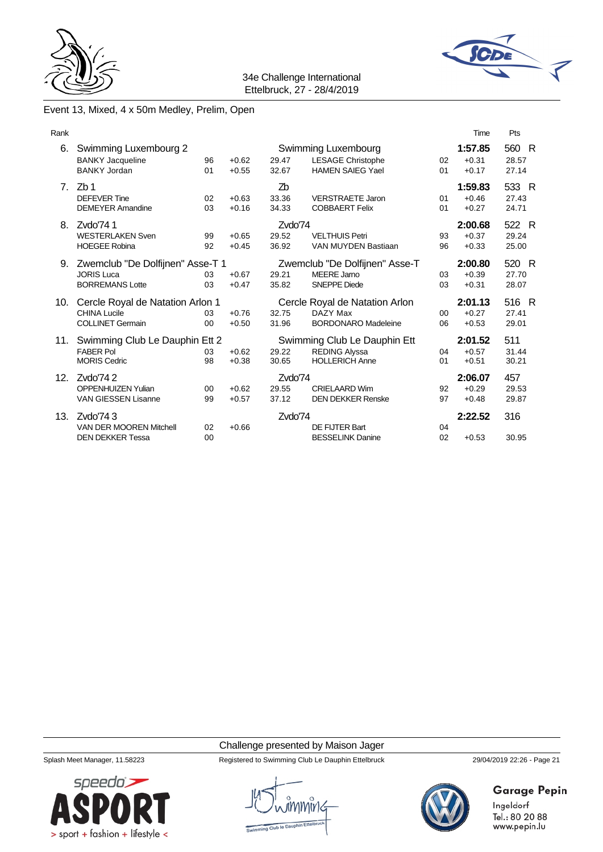



## Event 13, Mixed, 4 x 50m Medley, Prelim, Open

| Rank           |                                  |    |         |         |                                |        | Time    | Pts   |
|----------------|----------------------------------|----|---------|---------|--------------------------------|--------|---------|-------|
| 6.             | Swimming Luxembourg 2            |    |         |         | Swimming Luxembourg            |        | 1:57.85 | 560 R |
|                | <b>BANKY Jacqueline</b>          | 96 | $+0.62$ | 29.47   | <b>LESAGE Christophe</b>       | 02     | $+0.31$ | 28.57 |
|                | <b>BANKY Jordan</b>              | 01 | $+0.55$ | 32.67   | <b>HAMEN SAIEG Yael</b>        | 01     | $+0.17$ | 27.14 |
| 7 <sub>1</sub> | Zb <sub>1</sub>                  |    |         | Zb      |                                |        | 1:59.83 | 533 R |
|                | <b>DEFEVER Tine</b>              | 02 | $+0.63$ | 33.36   | <b>VERSTRAETE Jaron</b>        | 01     | $+0.46$ | 27.43 |
|                | <b>DEMEYER Amandine</b>          | 03 | $+0.16$ | 34.33   | <b>COBBAERT Felix</b>          | 01     | $+0.27$ | 24.71 |
| 8.             | Zvdo'74 1                        |    |         | Zvdo'74 |                                |        | 2:00.68 | 522 R |
|                | <b>WESTERLAKEN Sven</b>          | 99 | $+0.65$ | 29.52   | <b>VELTHUIS Petri</b>          | 93     | $+0.37$ | 29.24 |
|                | <b>HOEGEE Robina</b>             | 92 | $+0.45$ | 36.92   | VAN MUYDEN Bastiaan            | 96     | $+0.33$ | 25.00 |
| 9.             | Zwemclub "De Dolfijnen" Asse-T 1 |    |         |         | Zwemclub "De Dolfijnen" Asse-T |        | 2:00.80 | 520 R |
|                | <b>JORIS Luca</b>                | 03 | $+0.67$ | 29.21   | MEERE Jamo                     | 03     | $+0.39$ | 27.70 |
|                | <b>BORREMANS Lotte</b>           | 03 | $+0.47$ | 35.82   | <b>SNEPPE Diede</b>            | 03     | $+0.31$ | 28.07 |
| 10.            | Cercle Royal de Natation Arlon 1 |    |         |         | Cercle Royal de Natation Arlon |        | 2:01.13 | 516 R |
|                | <b>CHINA Lucile</b>              | 03 | $+0.76$ | 32.75   | DAZY Max                       | $00\,$ | $+0.27$ | 27.41 |
|                | <b>COLLINET Germain</b>          | 00 | $+0.50$ | 31.96   | <b>BORDONARO Madeleine</b>     | 06     | $+0.53$ | 29.01 |
| 11.            | Swimming Club Le Dauphin Ett 2   |    |         |         | Swimming Club Le Dauphin Ett   |        | 2:01.52 | 511   |
|                | <b>FABER Pol</b>                 | 03 | $+0.62$ | 29.22   | <b>REDING Alyssa</b>           | 04     | $+0.57$ | 31.44 |
|                | <b>MORIS Cedric</b>              | 98 | $+0.38$ | 30.65   | <b>HOLLERICH Anne</b>          | 01     | $+0.51$ | 30.21 |
| 12.            | Zvdo'742                         |    |         | Zvdo'74 |                                |        | 2:06.07 | 457   |
|                | <b>OPPENHUIZEN Yulian</b>        | 00 | $+0.62$ | 29.55   | <b>CRIELAARD Wim</b>           | 92     | $+0.29$ | 29.53 |
|                | <b>VAN GIESSEN Lisanne</b>       | 99 | $+0.57$ | 37.12   | <b>DEN DEKKER Renske</b>       | 97     | $+0.48$ | 29.87 |
| 13.            | Zvdo'743                         |    |         | Zvdo'74 |                                |        | 2:22.52 | 316   |
|                | <b>VAN DER MOOREN Mitchell</b>   | 02 | $+0.66$ |         | DE FIJTER Bart                 | 04     |         |       |
|                | <b>DEN DEKKER Tessa</b>          | 00 |         |         | <b>BESSELINK Danine</b>        | 02     | $+0.53$ | 30.95 |

Challenge presented by Maison Jager



Splash Meet Manager, 11.58223 Registered to Swimming Club Le Dauphin Ettelbruck 29/04/2019 22:26 - Page 21



# **Garage Pepin**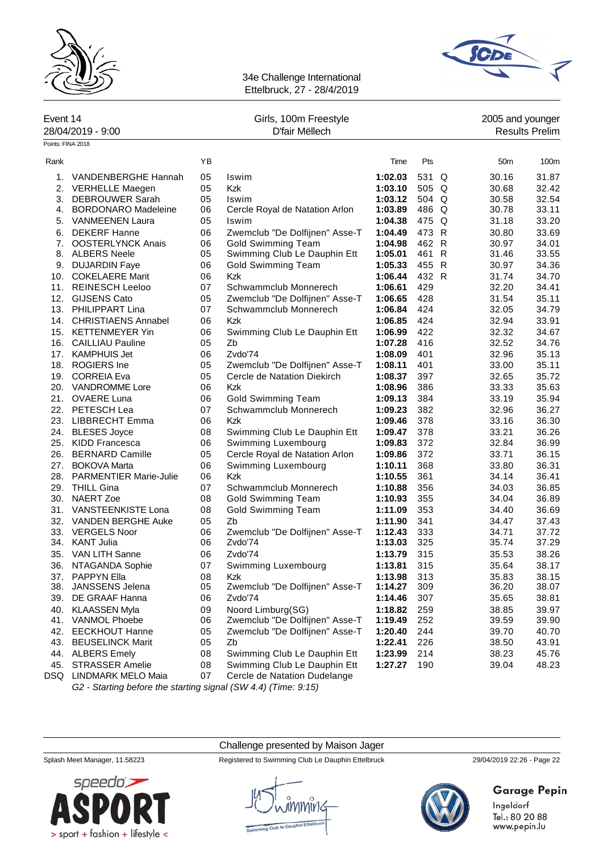



| Event 14<br>28/04/2019 - 9:00<br>Points: FINA 2018 |    |              | Girls, 100m Freestyle<br>D'fair Mëllech |         |            | 2005 and younger | <b>Results Prelim</b> |
|----------------------------------------------------|----|--------------|-----------------------------------------|---------|------------|------------------|-----------------------|
|                                                    |    |              |                                         |         |            |                  |                       |
| Rank                                               | YB |              |                                         | Time    | <b>Pts</b> | 50 <sub>m</sub>  | 100m                  |
| VANDENBERGHE Hannah                                | 05 | <b>Iswim</b> |                                         | 1:02.03 | 531 Q      | 30.16            | 31.87                 |
| VERHELLE Maegen                                    | 05 | Kzk          |                                         | 1:03.10 | 505 Q      | 30.68            | 32.42                 |

| 2.  | <b>VERHELLE Maegen</b>                     | 05       | Kzk                                                          | 1:03.10            | 505 Q      | 30.68          | 32.42          |
|-----|--------------------------------------------|----------|--------------------------------------------------------------|--------------------|------------|----------------|----------------|
| 3.  | <b>DEBROUWER Sarah</b>                     | 05       | Iswim                                                        | 1:03.12            | 504 Q      | 30.58          | 32.54          |
| 4.  | <b>BORDONARO Madeleine</b>                 | 06       | Cercle Royal de Natation Arlon                               | 1:03.89            | 486 Q      | 30.78          | 33.11          |
| 5.  | <b>VANMEENEN Laura</b>                     | 05       | Iswim                                                        | 1:04.38            | 475 Q      | 31.18          | 33.20          |
| 6.  | <b>DEKERF Hanne</b>                        | 06       | Zwemclub "De Dolfijnen" Asse-T                               | 1:04.49            | 473 R      | 30.80          | 33.69          |
| 7.  | <b>OOSTERLYNCK Anais</b>                   | 06       | <b>Gold Swimming Team</b>                                    | 1:04.98            | 462 R      | 30.97          | 34.01          |
| 8.  | <b>ALBERS Neele</b>                        | 05       | Swimming Club Le Dauphin Ett                                 | 1:05.01            | 461 R      | 31.46          | 33.55          |
| 9.  | <b>DUJARDIN Faye</b>                       | 06       | <b>Gold Swimming Team</b>                                    | 1:05.33            | 455 R      | 30.97          | 34.36          |
| 10. | <b>COKELAERE Marit</b>                     | 06       | Kzk                                                          | 1:06.44            | 432 R      | 31.74          | 34.70          |
| 11. | <b>REINESCH Leeloo</b>                     | 07       | Schwammclub Monnerech                                        | 1:06.61            | 429        | 32.20          | 34.41          |
| 12. | <b>GIJSENS Cato</b>                        | 05       | Zwemclub "De Dolfijnen" Asse-T                               | 1:06.65            | 428        | 31.54          | 35.11          |
|     | 13. PHILIPPART Lina                        | 07       | Schwammclub Monnerech                                        | 1:06.84            | 424        | 32.05          | 34.79          |
|     | 14. CHRISTIAENS Annabel                    | 06       | Kzk                                                          | 1:06.85            | 424        | 32.94          | 33.91          |
|     | 15. KETTENMEYER Yin                        | 06       | Swimming Club Le Dauphin Ett                                 | 1:06.99            | 422        | 32.32          | 34.67          |
|     | 16. CAILLIAU Pauline                       | 05       | Zb                                                           | 1:07.28            | 416        | 32.52          | 34.76          |
|     | 17. KAMPHUIS Jet                           | 06       | Zvdo'74                                                      | 1:08.09            | 401        | 32.96          | 35.13          |
| 18. | <b>ROGIERS</b> Ine                         | 05       | Zwemclub "De Dolfijnen" Asse-T                               | 1:08.11            | 401        | 33.00          | 35.11          |
|     | 19. CORREIA Eva                            | 05       | Cercle de Natation Diekirch                                  | 1:08.37            | 397        | 32.65          | 35.72          |
|     | 20. VANDROMME Lore                         | 06       | Kzk                                                          | 1:08.96            | 386        | 33.33          | 35.63          |
| 21. | <b>OVAERE Luna</b>                         | 06       | Gold Swimming Team                                           | 1:09.13            | 384        | 33.19          | 35.94          |
|     | 22.    PETESCH Lea                         | 07       | Schwammclub Monnerech                                        | 1:09.23            | 382        | 32.96          | 36.27          |
|     | 23. LIBBRECHT Emma                         | 06       | Kzk                                                          | 1:09.46            | 378        | 33.16          | 36.30          |
|     | 24. BLESES Joyce                           | 08       | Swimming Club Le Dauphin Ett                                 | 1:09.47            | 378        | 33.21          | 36.26          |
|     | 25. KIDD Francesca                         | 06       | Swimming Luxembourg                                          | 1:09.83            | 372        | 32.84          | 36.99          |
|     | 26. BERNARD Camille                        | 05       | Cercle Royal de Natation Arlon                               | 1:09.86            | 372        | 33.71          | 36.15          |
| 27. | <b>BOKOVA Marta</b>                        | 06       | Swimming Luxembourg                                          | 1:10.11            | 368        | 33.80          | 36.31          |
| 28. | <b>PARMENTIER Marie-Julie</b>              | 06       | Kzk                                                          | 1:10.55            | 361        | 34.14          | 36.41          |
|     | 29. THILL Gina                             | 07       | Schwammclub Monnerech                                        | 1:10.88            | 356        | 34.03          | 36.85          |
| 30. | NAERT Zoe                                  | 08       | <b>Gold Swimming Team</b>                                    | 1:10.93            | 355        | 34.04          | 36.89          |
| 31. | <b>VANSTEENKISTE Lona</b>                  | 08       | <b>Gold Swimming Team</b>                                    | 1:11.09            | 353        | 34.40          | 36.69          |
|     | 32. VANDEN BERGHE Auke                     | 05       | Zb                                                           | 1:11.90            | 341        | 34.47          | 37.43          |
|     | 33. VERGELS Noor                           | 06       | Zwemclub "De Dolfijnen" Asse-T                               | 1:12.43            | 333        | 34.71          | 37.72          |
|     | 34. KANT Julia                             | 06       | Zvdo'74                                                      | 1:13.03            | 325        | 35.74          | 37.29          |
| 35. | VAN LITH Sanne                             | 06       | Zvdo'74                                                      | 1:13.79            | 315        | 35.53          | 38.26          |
| 36. | NTAGANDA Sophie                            | 07       | Swimming Luxembourg                                          | 1:13.81            | 315        | 35.64          | 38.17          |
| 37. | <b>PAPPYN Ella</b>                         | 08       | Kzk                                                          | 1:13.98            | 313        | 35.83          | 38.15          |
| 38. | JANSSENS Jelena                            | 05       | Zwemclub "De Dolfijnen" Asse-T                               | 1:14.27            | 309        | 36.20          | 38.07          |
| 39. | DE GRAAF Hanna                             | 06       | Zvdo'74                                                      | 1:14.46            | 307        | 35.65          | 38.81          |
| 40. | <b>KLAASSEN Myla</b>                       | 09       | Noord Limburg(SG)                                            | 1:18.82            | 259        | 38.85          | 39.97          |
|     | 41. VANMOL Phoebe                          | 06       | Zwemclub "De Dolfijnen" Asse-T                               | 1:19.49            | 252        | 39.59          | 39.90          |
|     | 42. EECKHOUT Hanne<br>43. BEUSELINCK Marit | 05<br>05 | Zwemclub "De Dolfijnen" Asse-T<br>Zb                         | 1:20.40<br>1:22.41 | 244<br>226 | 39.70<br>38.50 | 40.70<br>43.91 |
|     |                                            |          |                                                              |                    | 214        |                | 45.76          |
| 44. | <b>ALBERS Emely</b>                        | 08       | Swimming Club Le Dauphin Ett                                 | 1:23.99            |            | 38.23          |                |
| 45. | <b>STRASSER Amelie</b>                     | 08<br>07 | Swimming Club Le Dauphin Ett<br>Cercle de Natation Dudelange | 1:27.27            | 190        | 39.04          | 48.23          |
|     | DSQ LINDMARK MELO Maia                     |          |                                                              |                    |            |                |                |

*G2 - Starting before the starting signal (SW 4.4) (Time: 9:15)*

Challenge presented by Maison Jager

Splash Meet Manager, 11.58223 Registered to Swimming Club Le Dauphin Ettelbruck 29/04/2019 22:26 - Page 22



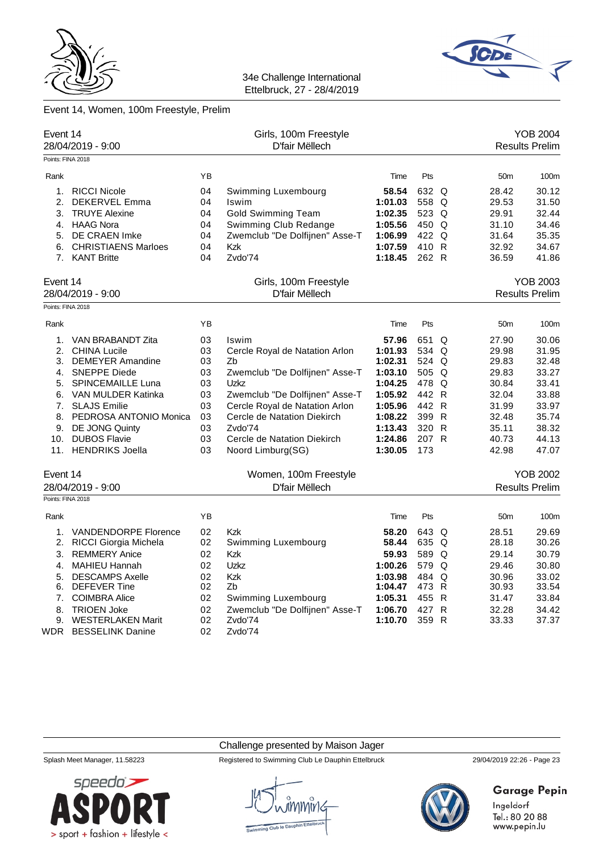

# Event 14, Women, 100m Freestyle, Prelim

|          | Event 14<br>28/04/2019 - 9:00<br>Points: FINA 2018 |    | Girls, 100m Freestyle<br>D'fair Mëllech |         |       |   |                 | <b>YOB 2004</b><br><b>Results Prelim</b> |
|----------|----------------------------------------------------|----|-----------------------------------------|---------|-------|---|-----------------|------------------------------------------|
|          |                                                    |    |                                         |         |       |   |                 |                                          |
| Rank     |                                                    | YB |                                         | Time    | Pts   |   | 50 <sub>m</sub> | 100m                                     |
| $1_{-}$  | <b>RICCI Nicole</b>                                | 04 | Swimming Luxembourg                     | 58.54   | 632 Q |   | 28.42           | 30.12                                    |
| 2.       | DEKERVEL Emma                                      | 04 | Iswim                                   | 1:01.03 | 558   | Q | 29.53           | 31.50                                    |
| 3.       | <b>TRUYE Alexine</b>                               | 04 | <b>Gold Swimming Team</b>               | 1:02.35 | 523 Q |   | 29.91           | 32.44                                    |
|          | 4. HAAG Nora                                       | 04 | Swimming Club Redange                   | 1:05.56 | 450 Q |   | 31.10           | 34.46                                    |
| 5.       | DE CRAEN Imke                                      | 04 | Zwemclub "De Dolfijnen" Asse-T          | 1:06.99 | 422 Q |   | 31.64           | 35.35                                    |
|          | 6. CHRISTIAENS Marloes                             | 04 | Kzk                                     | 1:07.59 | 410 R |   | 32.92           | 34.67                                    |
|          | 7. KANT Britte                                     | 04 | Zvdo'74                                 | 1:18.45 | 262 R |   | 36.59           | 41.86                                    |
| Event 14 |                                                    |    | Girls, 100m Freestyle                   |         |       |   |                 | <b>YOB 2003</b>                          |
|          | 28/04/2019 - 9:00                                  |    | D'fair Mëllech                          |         |       |   |                 | <b>Results Prelim</b>                    |
|          | Points: FINA 2018                                  |    |                                         |         |       |   |                 |                                          |
| Rank     |                                                    | YB |                                         | Time    | Pts   |   | 50 <sub>m</sub> | 100m                                     |
| 1.       | VAN BRABANDT Zita                                  | 03 | Iswim                                   | 57.96   | 651   | Q | 27.90           | 30.06                                    |
| 2.       | <b>CHINA Lucile</b>                                | 03 | Cercle Royal de Natation Arlon          | 1:01.93 | 534 Q |   | 29.98           | 31.95                                    |
|          | 3. DEMEYER Amandine                                | 03 | Zb                                      | 1:02.31 | 524 Q |   | 29.83           | 32.48                                    |
| 4.       | <b>SNEPPE Diede</b>                                | 03 | Zwemclub "De Dolfijnen" Asse-T          | 1:03.10 | 505 Q |   | 29.83           | 33.27                                    |
| 5.       | <b>SPINCEMAILLE Luna</b>                           | 03 | Uzkz                                    | 1:04.25 | 478 Q |   | 30.84           | 33.41                                    |
| 6.       | VAN MULDER Katinka                                 | 03 | Zwemclub "De Dolfijnen" Asse-T          | 1:05.92 | 442 R |   | 32.04           | 33.88                                    |
| 7.       | <b>SLAJS Emilie</b>                                | 03 | Cercle Royal de Natation Arlon          | 1:05.96 | 442 R |   | 31.99           | 33.97                                    |
|          | 8. PEDROSA ANTONIO Monica                          | 03 | Cercle de Natation Diekirch             | 1:08.22 | 399 R |   | 32.48           | 35.74                                    |
| 9.       | DE JONG Quinty                                     | 03 | Zvdo'74                                 | 1:13.43 | 320 R |   | 35.11           | 38.32                                    |
|          | 10. DUBOS Flavie                                   | 03 | Cercle de Natation Diekirch             | 1:24.86 | 207 R |   | 40.73           | 44.13                                    |
|          | 11. HENDRIKS Joella                                | 03 | Noord Limburg(SG)                       | 1:30.05 | 173   |   | 42.98           | 47.07                                    |
| Event 14 |                                                    |    | Women, 100m Freestyle                   |         |       |   |                 | <b>YOB 2002</b>                          |
|          | 28/04/2019 - 9:00                                  |    | D'fair Mëllech                          |         |       |   |                 | <b>Results Prelim</b>                    |
|          | Points: FINA 2018                                  |    |                                         |         |       |   |                 |                                          |
| Rank     |                                                    | YB |                                         | Time    | Pts   |   | 50 <sub>m</sub> | 100m                                     |
| 1.       | <b>VANDENDORPE Florence</b>                        | 02 | <b>Kzk</b>                              | 58.20   | 643 Q |   | 28.51           | 29.69                                    |
| 2.       | RICCI Giorgia Michela                              | 02 | Swimming Luxembourg                     | 58.44   | 635   | Q | 28.18           | 30.26                                    |
| 3.       | <b>REMMERY Anice</b>                               | 02 | <b>Kzk</b>                              | 59.93   | 589 Q |   | 29.14           | 30.79                                    |
| 4.       | MAHIEU Hannah                                      | 02 | Uzkz                                    | 1:00.26 | 579 Q |   | 29.46           | 30.80                                    |
| 5.       | <b>DESCAMPS Axelle</b>                             | 02 | Kzk                                     | 1:03.98 | 484 Q |   | 30.96           | 33.02                                    |
| 6.       | <b>DEFEVER Tine</b>                                | 02 | Zb                                      | 1:04.47 | 473 R |   | 30.93           | 33.54                                    |
| 7.       | <b>COIMBRA Alice</b>                               | 02 | Swimming Luxembourg                     | 1:05.31 | 455 R |   | 31.47           | 33.84                                    |
| 8.       | <b>TRIOEN Joke</b>                                 | 02 | Zwemclub "De Dolfijnen" Asse-T          | 1:06.70 | 427   | R | 32.28           | 34.42                                    |
| 9.       | <b>WESTERLAKEN Marit</b>                           | 02 | Zvdo'74                                 | 1:10.70 | 359 R |   | 33.33           | 37.37                                    |
|          | WDR BESSELINK Danine                               | 02 | Zvdo'74                                 |         |       |   |                 |                                          |

Challenge presented by Maison Jager



Splash Meet Manager, 11.58223 Registered to Swimming Club Le Dauphin Ettelbruck 29/04/2019 22:26 - Page 23



# **Garage Pepin**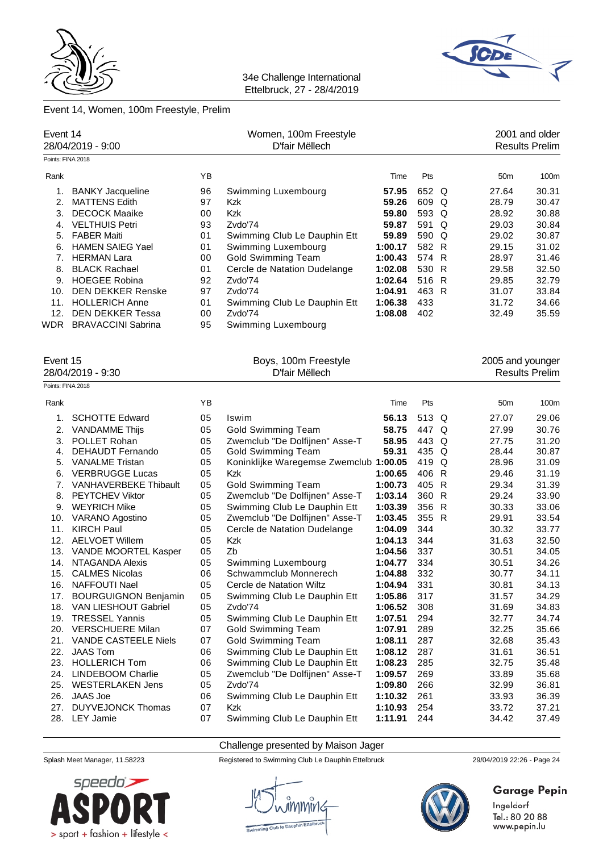

# Event 14, Women, 100m Freestyle, Prelim

| Event 14<br>28/04/2019 - 9:00 |                           |    | Women, 100m Freestyle<br>D'fair Mëllech |         |       |  | 2001 and older<br><b>Results Prelim</b> |       |  |
|-------------------------------|---------------------------|----|-----------------------------------------|---------|-------|--|-----------------------------------------|-------|--|
| Points: FINA 2018             |                           |    |                                         |         |       |  |                                         |       |  |
| Rank                          |                           | YB |                                         | Time    | Pts   |  | 50 <sub>m</sub>                         | 100m  |  |
| 1.                            | <b>BANKY Jacqueline</b>   | 96 | Swimming Luxembourg                     | 57.95   | 652 Q |  | 27.64                                   | 30.31 |  |
| 2.                            | <b>MATTENS Edith</b>      | 97 | <b>Kzk</b>                              | 59.26   | 609 Q |  | 28.79                                   | 30.47 |  |
| 3.                            | <b>DECOCK Maaike</b>      | 00 | <b>Kzk</b>                              | 59.80   | 593 Q |  | 28.92                                   | 30.88 |  |
| 4.                            | <b>VELTHUIS Petri</b>     | 93 | Zvdo'74                                 | 59.87   | 591 Q |  | 29.03                                   | 30.84 |  |
| 5.                            | <b>FABER Maiti</b>        | 01 | Swimming Club Le Dauphin Ett            | 59.89   | 590 Q |  | 29.02                                   | 30.87 |  |
| 6.                            | <b>HAMEN SAIEG Yael</b>   | 01 | Swimming Luxembourg                     | 1:00.17 | 582 R |  | 29.15                                   | 31.02 |  |
| 7.                            | <b>HERMAN Lara</b>        | 00 | <b>Gold Swimming Team</b>               | 1:00.43 | 574 R |  | 28.97                                   | 31.46 |  |
| 8.                            | <b>BLACK Rachael</b>      | 01 | Cercle de Natation Dudelange            | 1:02.08 | 530 R |  | 29.58                                   | 32.50 |  |
| 9.                            | <b>HOEGEE Robina</b>      | 92 | Zvdo'74                                 | 1:02.64 | 516 R |  | 29.85                                   | 32.79 |  |
| 10.                           | <b>DEN DEKKER Renske</b>  | 97 | Zvdo'74                                 | 1:04.91 | 463 R |  | 31.07                                   | 33.84 |  |
| 11.                           | <b>HOLLERICH Anne</b>     | 01 | Swimming Club Le Dauphin Ett            | 1:06.38 | 433   |  | 31.72                                   | 34.66 |  |
| 12.                           | <b>DEN DEKKER Tessa</b>   | 00 | Zvdo'74                                 | 1:08.08 | 402   |  | 32.49                                   | 35.59 |  |
| WDR                           | <b>BRAVACCINI Sabrina</b> | 95 | Swimming Luxembourg                     |         |       |  |                                         |       |  |
| Fvant 15                      |                           |    | Roys, 100m Freestyle                    |         |       |  | 2005 and vounger                        |       |  |

|                   | EVUIL 19                     |    | DUYS, TUUTTI FIEESLYIE                 |         | zuub anu yuungen |              |                 |                       |
|-------------------|------------------------------|----|----------------------------------------|---------|------------------|--------------|-----------------|-----------------------|
|                   | 28/04/2019 - 9:30            |    | D'fair Mëllech                         |         |                  |              |                 | <b>Results Prelim</b> |
| Points: FINA 2018 |                              |    |                                        |         |                  |              |                 |                       |
| Rank              |                              | YB |                                        | Time    | Pts              |              | 50 <sub>m</sub> | 100m                  |
| 1.                | <b>SCHOTTE Edward</b>        | 05 | Iswim                                  | 56.13   | 513 Q            |              | 27.07           | 29.06                 |
| 2.                | <b>VANDAMME Thijs</b>        | 05 | <b>Gold Swimming Team</b>              | 58.75   | 447 Q            |              | 27.99           | 30.76                 |
| 3.                | POLLET Rohan                 | 05 | Zwemclub "De Dolfijnen" Asse-T         | 58.95   | 443 Q            |              | 27.75           | 31.20                 |
| 4.                | <b>DEHAUDT Fernando</b>      | 05 | <b>Gold Swimming Team</b>              | 59.31   | 435 Q            |              | 28.44           | 30.87                 |
| 5.                | <b>VANALME Tristan</b>       | 05 | Koninklijke Waregemse Zwemclub 1:00.05 |         | 419 Q            |              | 28.96           | 31.09                 |
| 6.                | <b>VERBRUGGE Lucas</b>       | 05 | <b>Kzk</b>                             | 1:00.65 | 406 R            |              | 29.46           | 31.19                 |
| 7.                | <b>VANHAVERBEKE Thibault</b> | 05 | <b>Gold Swimming Team</b>              | 1:00.73 | 405 R            |              | 29.34           | 31.39                 |
| 8.                | <b>PEYTCHEV Viktor</b>       | 05 | Zwemclub "De Dolfijnen" Asse-T         | 1:03.14 | 360 R            |              | 29.24           | 33.90                 |
| 9.                | <b>WEYRICH Mike</b>          | 05 | Swimming Club Le Dauphin Ett           | 1:03.39 | 356              | $\mathsf{R}$ | 30.33           | 33.06                 |
| 10.               | VARANO Agostino              | 05 | Zwemclub "De Dolfijnen" Asse-T         | 1:03.45 | 355 R            |              | 29.91           | 33.54                 |
| 11.               | <b>KIRCH Paul</b>            | 05 | Cercle de Natation Dudelange           | 1:04.09 | 344              |              | 30.32           | 33.77                 |
| 12.               | <b>AELVOET Willem</b>        | 05 | Kzk                                    | 1:04.13 | 344              |              | 31.63           | 32.50                 |
| 13.               | <b>VANDE MOORTEL Kasper</b>  | 05 | Zb                                     | 1:04.56 | 337              |              | 30.51           | 34.05                 |
| 14.               | NTAGANDA Alexis              | 05 | Swimming Luxembourg                    | 1:04.77 | 334              |              | 30.51           | 34.26                 |
| 15.               | <b>CALMES Nicolas</b>        | 06 | Schwammclub Monnerech                  | 1:04.88 | 332              |              | 30.77           | 34.11                 |
| 16.               | NAFFOUTI Nael                | 05 | Cercle de Natation Wiltz               | 1:04.94 | 331              |              | 30.81           | 34.13                 |
| 17.               | <b>BOURGUIGNON Benjamin</b>  | 05 | Swimming Club Le Dauphin Ett           | 1:05.86 | 317              |              | 31.57           | 34.29                 |
| 18.               | VAN LIESHOUT Gabriel         | 05 | Zvdo'74                                | 1:06.52 | 308              |              | 31.69           | 34.83                 |
| 19.               | <b>TRESSEL Yannis</b>        | 05 | Swimming Club Le Dauphin Ett           | 1:07.51 | 294              |              | 32.77           | 34.74                 |
| 20.               | <b>VERSCHUERE Milan</b>      | 07 | <b>Gold Swimming Team</b>              | 1:07.91 | 289              |              | 32.25           | 35.66                 |
| 21.               | <b>VANDE CASTEELE Niels</b>  | 07 | <b>Gold Swimming Team</b>              | 1:08.11 | 287              |              | 32.68           | 35.43                 |
| 22.               | <b>JAAS Tom</b>              | 06 | Swimming Club Le Dauphin Ett           | 1:08.12 | 287              |              | 31.61           | 36.51                 |
| 23.               | <b>HOLLERICH Tom</b>         | 06 | Swimming Club Le Dauphin Ett           | 1:08.23 | 285              |              | 32.75           | 35.48                 |
| 24.               | <b>LINDEBOOM Charlie</b>     | 05 | Zwemclub "De Dolfijnen" Asse-T         | 1:09.57 | 269              |              | 33.89           | 35.68                 |
| 25.               | <b>WESTERLAKEN Jens</b>      | 05 | Zvdo'74                                | 1:09.80 | 266              |              | 32.99           | 36.81                 |
| 26.               | <b>JAAS Joe</b>              | 06 | Swimming Club Le Dauphin Ett           | 1:10.32 | 261              |              | 33.93           | 36.39                 |
| 27.               | <b>DUYVEJONCK Thomas</b>     | 07 | <b>Kzk</b>                             | 1:10.93 | 254              |              | 33.72           | 37.21                 |
|                   | 28. LEY Jamie                | 07 | Swimming Club Le Dauphin Ett           | 1:11.91 | 244              |              | 34.42           | 37.49                 |
|                   |                              |    |                                        |         |                  |              |                 |                       |

Challenge presented by Maison Jager



Splash Meet Manager, 11.58223 Registered to Swimming Club Le Dauphin Ettelbruck 29/04/2019 22:26 - Page 24



# **Garage Pepin**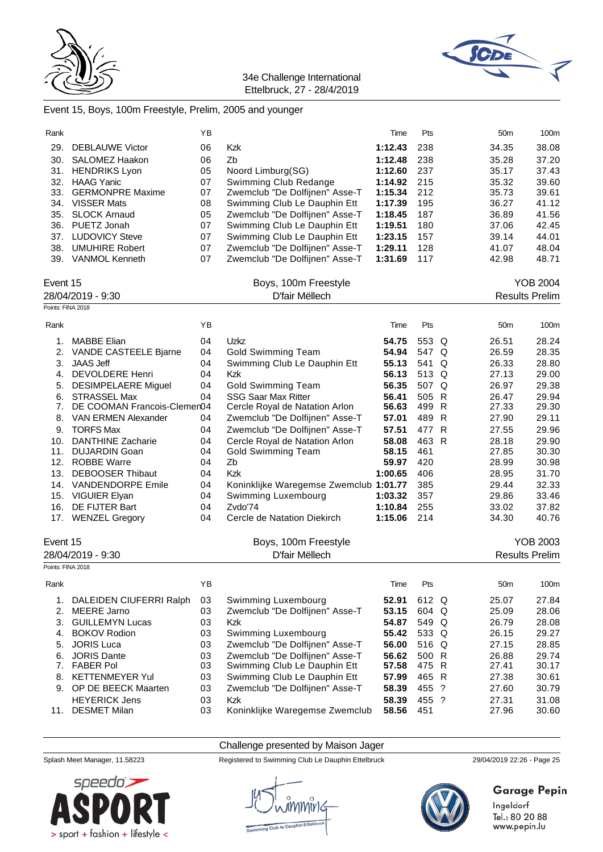



### Event 15, Boys, 100m Freestyle, Prelim, 2005 and younger

| Rank              |                             | ΥB |                                        | Time    | Pts   |              | 50 <sub>m</sub> | 100m                  |
|-------------------|-----------------------------|----|----------------------------------------|---------|-------|--------------|-----------------|-----------------------|
| 29.               | <b>DEBLAUWE Victor</b>      | 06 | Kzk                                    | 1:12.43 | 238   |              | 34.35           | 38.08                 |
| 30.               | <b>SALOMEZ Haakon</b>       | 06 | Zb                                     | 1:12.48 | 238   |              | 35.28           | 37.20                 |
| 31.               | <b>HENDRIKS Lyon</b>        | 05 | Noord Limburg(SG)                      | 1:12.60 | 237   |              | 35.17           | 37.43                 |
| 32.               | <b>HAAG Yanic</b>           | 07 | Swimming Club Redange                  | 1:14.92 | 215   |              | 35.32           | 39.60                 |
| 33.               | <b>GERMONPRE Maxime</b>     | 07 | Zwemclub "De Dolfijnen" Asse-T         | 1:15.34 | 212   |              | 35.73           | 39.61                 |
| 34.               | <b>VISSER Mats</b>          | 08 | Swimming Club Le Dauphin Ett           | 1:17.39 | 195   |              | 36.27           | 41.12                 |
| 35.               | <b>SLOCK Arnaud</b>         | 05 | Zwemclub "De Dolfijnen" Asse-T         | 1:18.45 | 187   |              | 36.89           | 41.56                 |
| 36.               | PUETZ Jonah                 | 07 | Swimming Club Le Dauphin Ett           | 1:19.51 | 180   |              | 37.06           | 42.45                 |
| 37.               | <b>LUDOVICY Steve</b>       | 07 | Swimming Club Le Dauphin Ett           | 1:23.15 | 157   |              | 39.14           | 44.01                 |
| 38.               | <b>UMUHIRE Robert</b>       | 07 | Zwemclub "De Dolfijnen" Asse-T         | 1:29.11 | 128   |              | 41.07           | 48.04                 |
|                   | 39. VANMOL Kenneth          | 07 | Zwemclub "De Dolfijnen" Asse-T         | 1:31.69 | 117   |              | 42.98           | 48.71                 |
| Event 15          |                             |    | Boys, 100m Freestyle                   |         |       |              |                 | <b>YOB 2004</b>       |
|                   | 28/04/2019 - 9:30           |    | D'fair Mëllech                         |         |       |              |                 | <b>Results Prelim</b> |
| Points: FINA 2018 |                             |    |                                        |         |       |              |                 |                       |
|                   |                             |    |                                        |         |       |              |                 |                       |
| Rank              |                             | ΥB |                                        | Time    | Pts   |              | 50 <sub>m</sub> | 100m                  |
| 1.                | <b>MABBE Elian</b>          | 04 | Uzkz                                   | 54.75   | 553 Q |              | 26.51           | 28.24                 |
| 2.                | VANDE CASTEELE Bjarne       | 04 | <b>Gold Swimming Team</b>              | 54.94   | 547 Q |              | 26.59           | 28.35                 |
| 3.                | <b>JAAS Jeff</b>            | 04 | Swimming Club Le Dauphin Ett           | 55.13   | 541 Q |              | 26.33           | 28.80                 |
| 4.                | <b>DEVOLDERE Henri</b>      | 04 | Kzk                                    | 56.13   | 513 Q |              | 27.13           | 29.00                 |
| 5.                | <b>DESIMPELAERE Miguel</b>  | 04 | <b>Gold Swimming Team</b>              | 56.35   | 507 Q |              | 26.97           | 29.38                 |
| 6.                | <b>STRASSEL Max</b>         | 04 | <b>SSG Saar Max Ritter</b>             | 56.41   | 505   | R            | 26.47           | 29.94                 |
| 7.                | DE COOMAN Francois-Clemen04 |    | Cercle Royal de Natation Arlon         | 56.63   | 499   | $\mathsf{R}$ | 27.33           | 29.30                 |
| 8.                | VAN ERMEN Alexander         | 04 | Zwemclub "De Dolfijnen" Asse-T         | 57.01   | 489 R |              | 27.90           | 29.11                 |
| 9.                | <b>TORFS Max</b>            | 04 | Zwemclub "De Dolfijnen" Asse-T         | 57.51   | 477 R |              | 27.55           | 29.96                 |
| 10.               | <b>DANTHINE Zacharie</b>    | 04 | Cercle Royal de Natation Arlon         | 58.08   | 463 R |              | 28.18           | 29.90                 |
| 11.               | <b>DUJARDIN Goan</b>        | 04 | <b>Gold Swimming Team</b>              | 58.15   | 461   |              | 27.85           | 30.30                 |
|                   | 12. ROBBE Warre             | 04 | Zb                                     | 59.97   | 420   |              | 28.99           | 30.98                 |
| 13.               | <b>DEBOOSER Thibaut</b>     | 04 | Kzk                                    | 1:00.65 | 406   |              | 28.95           | 31.70                 |
| 14.               | <b>VANDENDORPE Emile</b>    | 04 | Koninklijke Waregemse Zwemclub 1:01.77 |         | 385   |              | 29.44           | 32.33                 |
| 15.               | <b>VIGUIER Elyan</b>        | 04 | Swimming Luxembourg                    | 1:03.32 | 357   |              | 29.86           | 33.46                 |
| 16.               | DE FIJTER Bart              | 04 | Zvdo'74                                | 1:10.84 | 255   |              | 33.02           | 37.82                 |
|                   | 17. WENZEL Gregory          | 04 | Cercle de Natation Diekirch            | 1:15.06 | 214   |              | 34.30           | 40.76                 |
| Event 15          |                             |    | Boys, 100m Freestyle                   |         |       |              |                 | <b>YOB 2003</b>       |
|                   | 28/04/2019 - 9:30           |    | D'fair Mëllech                         |         |       |              |                 | <b>Results Prelim</b> |
| Points: FINA 2018 |                             |    |                                        |         |       |              |                 |                       |
| Rank              |                             | ΥB |                                        | Time    | Pts   |              | 50 <sub>m</sub> | 100m                  |
| 1.                | DALEIDEN CIUFERRI Ralph     | 03 | Swimming Luxembourg                    | 52.91   | 612 Q |              | 25.07           | 27.84                 |
| 2.                | <b>MEERE Jarno</b>          | 03 | Zwemclub "De Dolfijnen" Asse-T         | 53.15   | 604 Q |              | 25.09           | 28.06                 |
| 3.                | <b>GUILLEMYN Lucas</b>      | 03 | Kzk                                    | 54.87   | 549 Q |              | 26.79           | 28.08                 |
| 4.                | <b>BOKOV Rodion</b>         | 03 | Swimming Luxembourg                    | 55.42   | 533 Q |              | 26.15           | 29.27                 |
| 5.                | <b>JORIS Luca</b>           | 03 | Zwemclub "De Dolfijnen" Asse-T         | 56.00   | 516 Q |              | 27.15           | 28.85                 |
| 6.                | <b>JORIS Dante</b>          | 03 | Zwemclub "De Dolfijnen" Asse-T         | 56.62   | 500 R |              | 26.88           | 29.74                 |
| 7.                | <b>FABER Pol</b>            | 03 | Swimming Club Le Dauphin Ett           | 57.58   | 475 R |              | 27.41           | 30.17                 |
| 8.                | <b>KETTENMEYER Yul</b>      | 03 | Swimming Club Le Dauphin Ett           | 57.99   | 465 R |              | 27.38           | 30.61                 |
|                   | 9. OP DE BEECK Maarten      | 03 | Zwemclub "De Dolfijnen" Asse-T         | 58.39   | 455   | $\cdot$ ?    | 27.60           | 30.79                 |
|                   | <b>HEYERICK Jens</b>        | 03 | <b>Kzk</b>                             | 58.39   | 455 ? |              | 27.31           | 31.08                 |
|                   | 11. DESMET Milan            | 03 | Koninklijke Waregemse Zwemclub         | 58.56   | 451   |              | 27.96           | 30.60                 |
|                   |                             |    |                                        |         |       |              |                 |                       |



Challenge presented by Maison Jager

Splash Meet Manager, 11.58223 Registered to Swimming Club Le Dauphin Ettelbruck 29/04/2019 22:26 - Page 25



**Garage Pepin**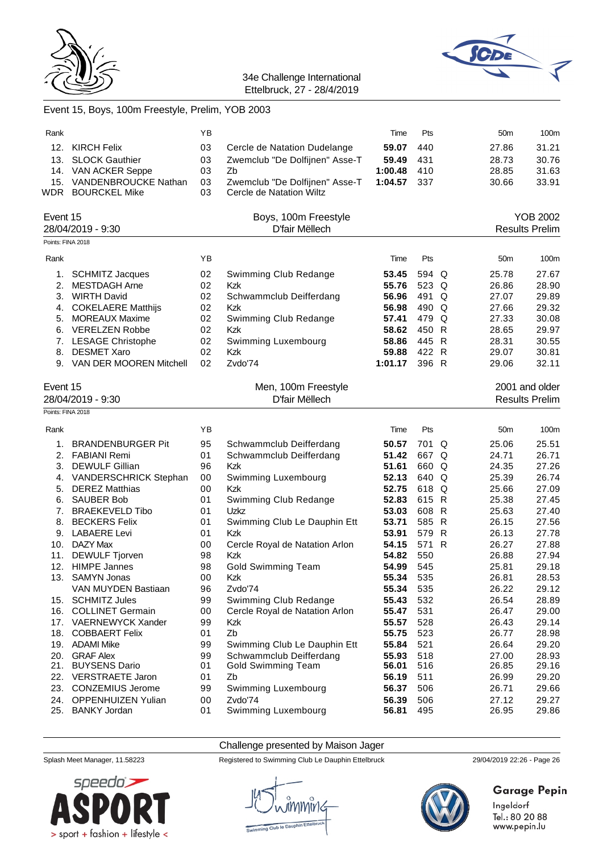



### Event 15, Boys, 100m Freestyle, Prelim, YOB 2003

| Rank              |                                                  | ΥB       |                                | Time    | Pts   |              | 50 <sub>m</sub> | 100m                  |
|-------------------|--------------------------------------------------|----------|--------------------------------|---------|-------|--------------|-----------------|-----------------------|
|                   | 12. KIRCH Felix                                  | 03       | Cercle de Natation Dudelange   | 59.07   | 440   |              | 27.86           | 31.21                 |
| 13.               | <b>SLOCK Gauthier</b>                            | 03       | Zwemclub "De Dolfijnen" Asse-T | 59.49   | 431   |              | 28.73           | 30.76                 |
| 14.               | VAN ACKER Seppe                                  | 03       | Zb                             | 1:00.48 | 410   |              | 28.85           | 31.63                 |
| 15.               | VANDENBROUCKE Nathan                             | 03       | Zwemclub "De Dolfijnen" Asse-T | 1:04.57 | 337   |              | 30.66           | 33.91                 |
| WDR               | <b>BOURCKEL Mike</b>                             | 03       | Cercle de Natation Wiltz       |         |       |              |                 |                       |
| Event 15          |                                                  |          | Boys, 100m Freestyle           |         |       |              |                 | <b>YOB 2002</b>       |
|                   | 28/04/2019 - 9:30                                |          | D'fair Mëllech                 |         |       |              |                 | <b>Results Prelim</b> |
| Points: FINA 2018 |                                                  |          |                                |         |       |              |                 |                       |
| Rank              |                                                  | ΥB       |                                | Time    | Pts   |              | 50m             | 100m                  |
| 1.                | <b>SCHMITZ Jacques</b>                           | 02       | Swimming Club Redange          | 53.45   | 594 Q |              | 25.78           | 27.67                 |
| 2.                | MESTDAGH Arne                                    | 02       | <b>Kzk</b>                     | 55.76   | 523 Q |              | 26.86           | 28.90                 |
| 3.                | <b>WIRTH David</b>                               | 02       | Schwammclub Deifferdang        | 56.96   | 491   | Q            | 27.07           | 29.89                 |
| 4.                | <b>COKELAERE Matthijs</b>                        | 02       | Kzk                            | 56.98   | 490 Q |              | 27.66           | 29.32                 |
| 5.                | <b>MOREAUX Maxime</b>                            | 02       | Swimming Club Redange          | 57.41   | 479 Q |              | 27.33           | 30.08                 |
|                   | 6. VERELZEN Robbe                                | 02       | Kzk                            | 58.62   | 450 R |              | 28.65           | 29.97                 |
| 7.                | <b>LESAGE Christophe</b>                         | 02       | Swimming Luxembourg            | 58.86   | 445 R |              | 28.31           | 30.55                 |
| 8.                | <b>DESMET Xaro</b>                               | 02       | <b>Kzk</b>                     | 59.88   | 422 R |              | 29.07           | 30.81                 |
|                   | 9. VAN DER MOOREN Mitchell                       | 02       | Zvdo'74                        | 1:01.17 | 396 R |              | 29.06           | 32.11                 |
| Event 15          |                                                  |          | Men, 100m Freestyle            |         |       |              |                 | 2001 and older        |
|                   | 28/04/2019 - 9:30                                |          | D'fair Mëllech                 |         |       |              |                 | <b>Results Prelim</b> |
| Points: FINA 2018 |                                                  |          |                                |         |       |              |                 |                       |
|                   |                                                  |          |                                |         |       |              |                 |                       |
| Rank              |                                                  | ΥB       |                                | Time    | Pts   |              | 50 <sub>m</sub> | 100m                  |
| 1.                | <b>BRANDENBURGER Pit</b>                         | 95       | Schwammclub Deifferdang        | 50.57   | 701 Q |              | 25.06           | 25.51                 |
|                   | 2. FABIANI Remi                                  | 01       | Schwammclub Deifferdang        | 51.42   | 667 Q |              | 24.71           | 26.71                 |
| 3.                | <b>DEWULF Gillian</b>                            | 96       | Kzk                            | 51.61   | 660 Q |              | 24.35           | 27.26                 |
| 4.                | <b>VANDERSCHRICK Stephan</b>                     | 00       | Swimming Luxembourg            | 52.13   | 640 Q |              | 25.39           | 26.74                 |
| 5.                | <b>DEREZ Matthias</b>                            | 00       | Kzk                            | 52.75   | 618 Q |              | 25.66           | 27.09                 |
| 6.                | <b>SAUBER Bob</b>                                | 01       | Swimming Club Redange          | 52.83   | 615 R |              | 25.38           | 27.45                 |
| 7.                | <b>BRAEKEVELD Tibo</b>                           | 01       | Uzkz                           | 53.03   | 608 R |              | 25.63           | 27.40                 |
| 8.                | <b>BECKERS Felix</b>                             | 01       | Swimming Club Le Dauphin Ett   | 53.71   | 585   | $\mathsf{R}$ | 26.15           | 27.56                 |
| 9.                | <b>LABAERE Levi</b>                              | 01       | Kzk                            | 53.91   | 579 R |              | 26.13           | 27.78                 |
| 10.               | DAZY Max                                         | 00       | Cercle Royal de Natation Arlon | 54.15   | 571 R |              | 26.27           | 27.88                 |
| 11.               | <b>DEWULF Tjorven</b>                            | 98       | Kzk                            | 54.82   | 550   |              | 26.88           | 27.94                 |
| 12.               | <b>HIMPE Jannes</b>                              | 98       | <b>Gold Swimming Team</b>      | 54.99   | 545   |              | 25.81           | 29.18                 |
| 13.               | SAMYN Jonas                                      | 00       | Kzk                            | 55.34   | 535   |              | 26.81           | 28.53                 |
|                   | VAN MUYDEN Bastiaan                              | 96       | Zvdo'74                        | 55.34   | 535   |              | 26.22           | 29.12                 |
|                   | 15. SCHMITZ Jules                                | 99       | Swimming Club Redange          | 55.43   | 532   |              | 26.54           | 28.89                 |
| 16.               | <b>COLLINET Germain</b>                          | 00       | Cercle Royal de Natation Arlon | 55.47   | 531   |              | 26.47           | 29.00                 |
| 17.               | VAERNEWYCK Xander                                | 99       | Kzk                            | 55.57   | 528   |              | 26.43           | 29.14                 |
| 18.               | <b>COBBAERT Felix</b>                            | 01       | Zb                             | 55.75   | 523   |              | 26.77           | 28.98                 |
|                   | 19. ADAMI Mike                                   | 99       | Swimming Club Le Dauphin Ett   | 55.84   | 521   |              | 26.64           | 29.20                 |
| 20.               | <b>GRAF Alex</b>                                 | 99       | Schwammclub Deifferdang        | 55.93   | 518   |              | 27.00           | 28.93                 |
| 21.               | <b>BUYSENS Dario</b>                             | 01       | <b>Gold Swimming Team</b>      | 56.01   | 516   |              | 26.85           | 29.16                 |
| 22.               | <b>VERSTRAETE Jaron</b>                          | 01       | Zb                             | 56.19   | 511   |              | 26.99           | 29.20                 |
| 23.               | <b>CONZEMIUS Jerome</b>                          | 99       | Swimming Luxembourg            | 56.37   | 506   |              | 26.71           | 29.66                 |
| 24.               | <b>OPPENHUIZEN Yulian</b><br><b>BANKY Jordan</b> | 00<br>01 | Zvdo'74                        | 56.39   | 506   |              | 27.12           | 29.27<br>29.86        |
| 25.               |                                                  |          | Swimming Luxembourg            | 56.81   | 495   |              | 26.95           |                       |

Challenge presented by Maison Jager



Splash Meet Manager, 11.58223 Registered to Swimming Club Le Dauphin Ettelbruck 29/04/2019 22:26 - Page 26



# **Garage Pepin**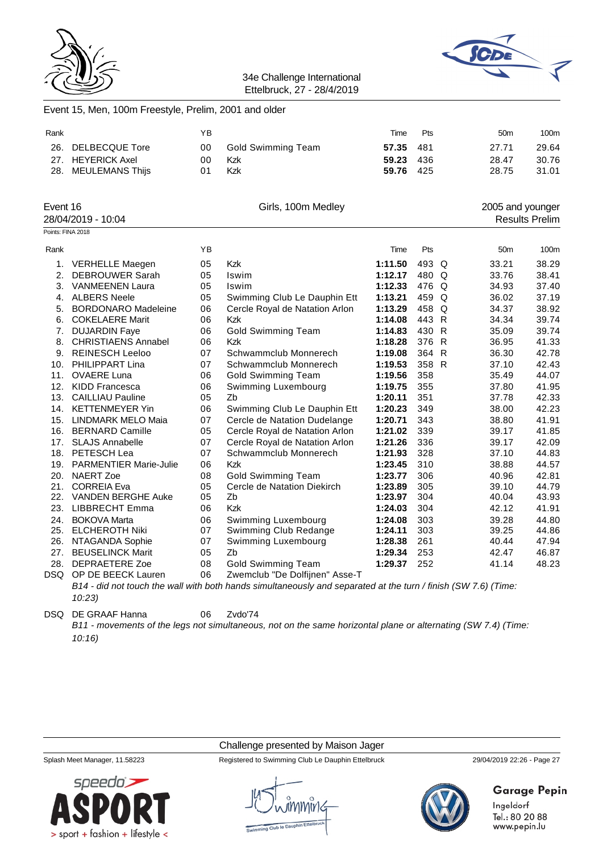



#### Event 15, Men, 100m Freestyle, Prelim, 2001 and older

| Rank |                                          | YΒ       |                       | Time                   | <b>Pts</b> | 50 <sub>m</sub> | 100m           |
|------|------------------------------------------|----------|-----------------------|------------------------|------------|-----------------|----------------|
|      | 26. DELBECQUE Tore                       |          | 00 Gold Swimming Team | 57.35 481              |            | 27.71           | 29.64          |
|      | 27. HEYERICK Axel<br>28. MEULEMANS Thijs | 00<br>01 | Kzk<br>Kzk            | 59.23 436<br>59.76 425 |            | 28.47<br>28.75  | 30.76<br>31.01 |

#### Event 16 Girls, 100m Medley **Event 16** 2005 and younger

28/04/2019 - 10:04 Results Prelim Points: FINA 2018

| Rank |                               | YB  |                                | Time    | Pts   | 50 <sub>m</sub> | 100m  |
|------|-------------------------------|-----|--------------------------------|---------|-------|-----------------|-------|
| 1.   | <b>VERHELLE Maegen</b>        | 05  | Kzk                            | 1:11.50 | 493 Q | 33.21           | 38.29 |
| 2.   | DEBROUWER Sarah               | 05  | Iswim                          | 1:12.17 | 480 Q | 33.76           | 38.41 |
| 3.   | <b>VANMEENEN Laura</b>        | 05  | Iswim                          | 1:12.33 | 476 Q | 34.93           | 37.40 |
| 4.   | <b>ALBERS Neele</b>           | 05  | Swimming Club Le Dauphin Ett   | 1:13.21 | 459 Q | 36.02           | 37.19 |
| 5.   | <b>BORDONARO Madeleine</b>    | 06  | Cercle Royal de Natation Arlon | 1:13.29 | 458 Q | 34.37           | 38.92 |
| 6.   | <b>COKELAERE Marit</b>        | 06  | Kzk                            | 1:14.08 | 443 R | 34.34           | 39.74 |
| 7.   | <b>DUJARDIN Faye</b>          | 06  | Gold Swimming Team             | 1:14.83 | 430 R | 35.09           | 39.74 |
| 8.   | <b>CHRISTIAENS Annabel</b>    | 06  | <b>Kzk</b>                     | 1:18.28 | 376 R | 36.95           | 41.33 |
| 9.   | <b>REINESCH Leeloo</b>        | 07  | Schwammclub Monnerech          | 1:19.08 | 364 R | 36.30           | 42.78 |
| 10.  | PHILIPPART Lina               | 07  | Schwammclub Monnerech          | 1:19.53 | 358 R | 37.10           | 42.43 |
| 11.  | <b>OVAERE Luna</b>            | 06  | <b>Gold Swimming Team</b>      | 1:19.56 | 358   | 35.49           | 44.07 |
| 12.  | <b>KIDD Francesca</b>         | 06  | Swimming Luxembourg            | 1:19.75 | 355   | 37.80           | 41.95 |
| 13.  | <b>CAILLIAU Pauline</b>       | 05  | Zb                             | 1:20.11 | 351   | 37.78           | 42.33 |
| 14.  | <b>KETTENMEYER Yin</b>        | 06  | Swimming Club Le Dauphin Ett   | 1:20.23 | 349   | 38.00           | 42.23 |
| 15.  | <b>LINDMARK MELO Maia</b>     | 07  | Cercle de Natation Dudelange   | 1:20.71 | 343   | 38.80           | 41.91 |
| 16.  | <b>BERNARD Camille</b>        | 05  | Cercle Royal de Natation Arlon | 1:21.02 | 339   | 39.17           | 41.85 |
| 17.  | <b>SLAJS Annabelle</b>        | 07  | Cercle Royal de Natation Arlon | 1:21.26 | 336   | 39.17           | 42.09 |
| 18.  | PETESCH Lea                   | 07  | Schwammclub Monnerech          | 1:21.93 | 328   | 37.10           | 44.83 |
| 19.  | <b>PARMENTIER Marie-Julie</b> | 06  | <b>Kzk</b>                     | 1:23.45 | 310   | 38.88           | 44.57 |
| 20.  | NAERT Zoe                     | 08  | <b>Gold Swimming Team</b>      | 1:23.77 | 306   | 40.96           | 42.81 |
| 21.  | <b>CORREIA Eva</b>            | 05  | Cercle de Natation Diekirch    | 1:23.89 | 305   | 39.10           | 44.79 |
| 22.  | <b>VANDEN BERGHE Auke</b>     | 05  | Zb                             | 1:23.97 | 304   | 40.04           | 43.93 |
| 23.  | LIBBRECHT Emma                | 06  | <b>Kzk</b>                     | 1:24.03 | 304   | 42.12           | 41.91 |
| 24.  | <b>BOKOVA Marta</b>           | 06  | Swimming Luxembourg            | 1:24.08 | 303   | 39.28           | 44.80 |
| 25.  | <b>ELCHEROTH Niki</b>         | 07  | Swimming Club Redange          | 1:24.11 | 303   | 39.25           | 44.86 |
| 26.  | NTAGANDA Sophie               | 07  | Swimming Luxembourg            | 1:28.38 | 261   | 40.44           | 47.94 |
| 27.  | <b>BEUSELINCK Marit</b>       | 05  | Zb                             | 1:29.34 | 253   | 42.47           | 46.87 |
| 28.  | <b>DEPRAETERE Zoe</b>         | 08  | <b>Gold Swimming Team</b>      | 1:29.37 | 252   | 41.14           | 48.23 |
|      | חמווים IP DE REEC אחומה AP    | ng. | Zwamclub "De Dolfijnan" Acca-T |         |       |                 |       |

DSQ OP DE BEECK Lauren 06 Zwemclub "De Dolfijnen" Asse-T *B14 - did not touch the wall with both hands simultaneously and separated at the turn / finish (SW 7.6) (Time: 10:23)*

DSQ DE GRAAF Hanna 06 Zvdo'74

*B11 - movements of the legs not simultaneous, not on the same horizontal plane or alternating (SW 7.4) (Time: 10:16)*

#### Challenge presented by Maison Jager



Splash Meet Manager, 11.58223 Registered to Swimming Club Le Dauphin Ettelbruck 29/04/2019 22:26 - Page 27



# **Garage Pepin**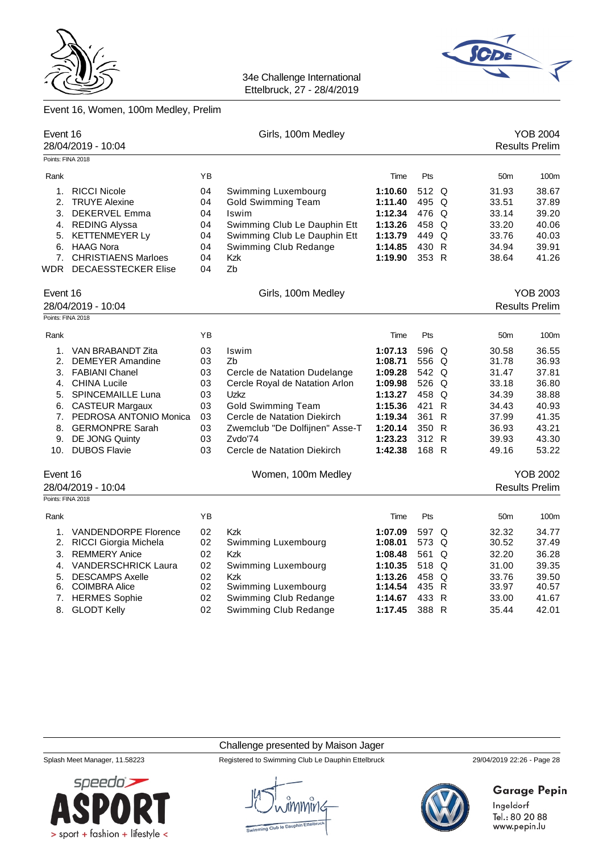



# Event 16, Women, 100m Medley, Prelim

| Event 16<br>28/04/2019 - 10:04<br>Points: FINA 2018 |                             |    | Girls, 100m Medley             |         |       |              |                 | YOB 2004<br><b>Results Prelim</b> |
|-----------------------------------------------------|-----------------------------|----|--------------------------------|---------|-------|--------------|-----------------|-----------------------------------|
|                                                     |                             |    |                                |         |       |              |                 |                                   |
| Rank                                                |                             | YB |                                | Time    | Pts   |              | 50 <sub>m</sub> | 100m                              |
| 1.                                                  | <b>RICCI Nicole</b>         | 04 | Swimming Luxembourg            | 1:10.60 | 512 Q |              | 31.93           | 38.67                             |
| 2.                                                  | <b>TRUYE Alexine</b>        | 04 | <b>Gold Swimming Team</b>      | 1:11.40 | 495   | Q            | 33.51           | 37.89                             |
| 3.                                                  | DEKERVEL Emma               | 04 | <b>Iswim</b>                   | 1:12.34 | 476 Q |              | 33.14           | 39.20                             |
|                                                     | 4. REDING Alyssa            | 04 | Swimming Club Le Dauphin Ett   | 1:13.26 | 458 Q |              | 33.20           | 40.06                             |
|                                                     | 5. KETTENMEYER Ly           | 04 | Swimming Club Le Dauphin Ett   | 1:13.79 | 449 Q |              | 33.76           | 40.03                             |
|                                                     | 6. HAAG Nora                | 04 | Swimming Club Redange          | 1:14.85 | 430 R |              | 34.94           | 39.91                             |
|                                                     | 7. CHRISTIAENS Marloes      | 04 | <b>Kzk</b>                     | 1:19.90 | 353 R |              | 38.64           | 41.26                             |
|                                                     | WDR DECAESSTECKER Elise     | 04 | Zb                             |         |       |              |                 |                                   |
| Event 16                                            |                             |    | Girls, 100m Medley             |         |       |              |                 | <b>YOB 2003</b>                   |
|                                                     | 28/04/2019 - 10:04          |    |                                |         |       |              |                 | <b>Results Prelim</b>             |
| Points: FINA 2018                                   |                             |    |                                |         |       |              |                 |                                   |
| Rank                                                |                             | YB |                                | Time    | Pts   |              | 50 <sub>m</sub> | 100m                              |
| 1.                                                  | VAN BRABANDT Zita           | 03 | Iswim                          | 1:07.13 | 596 Q |              | 30.58           | 36.55                             |
|                                                     | 2. DEMEYER Amandine         | 03 | Zb                             | 1:08.71 | 556 Q |              | 31.78           | 36.93                             |
|                                                     | 3. FABIANI Chanel           | 03 | Cercle de Natation Dudelange   | 1:09.28 | 542 Q |              | 31.47           | 37.81                             |
|                                                     | 4. CHINA Lucile             | 03 | Cercle Royal de Natation Arlon | 1:09.98 | 526 Q |              | 33.18           | 36.80                             |
| 5.                                                  | SPINCEMAILLE Luna           | 03 | Uzkz                           | 1:13.27 | 458 Q |              | 34.39           | 38.88                             |
| 6.                                                  | <b>CASTEUR Margaux</b>      | 03 | <b>Gold Swimming Team</b>      | 1:15.36 | 421   | R            | 34.43           | 40.93                             |
|                                                     | 7. PEDROSA ANTONIO Monica   | 03 | Cercle de Natation Diekirch    | 1:19.34 | 361   | $\mathsf{R}$ | 37.99           | 41.35                             |
| 8.                                                  | <b>GERMONPRE Sarah</b>      | 03 | Zwemclub "De Dolfijnen" Asse-T | 1:20.14 | 350 R |              | 36.93           | 43.21                             |
|                                                     | 9. DE JONG Quinty           | 03 | Zvdo'74                        | 1:23.23 | 312 R |              | 39.93           | 43.30                             |
|                                                     | 10. DUBOS Flavie            | 03 | Cercle de Natation Diekirch    | 1:42.38 | 168 R |              | 49.16           | 53.22                             |
| Event 16                                            |                             |    | Women, 100m Medley             |         |       |              |                 | <b>YOB 2002</b>                   |
|                                                     | 28/04/2019 - 10:04          |    |                                |         |       |              |                 | <b>Results Prelim</b>             |
| Points: FINA 2018                                   |                             |    |                                |         |       |              |                 |                                   |
| Rank                                                |                             | ΥB |                                | Time    | Pts   |              | 50 <sub>m</sub> | 100m                              |
| 1.                                                  | <b>VANDENDORPE Florence</b> | 02 | Kzk                            | 1:07.09 | 597 Q |              | 32.32           | 34.77                             |
| 2.                                                  | RICCI Giorgia Michela       | 02 | Swimming Luxembourg            | 1:08.01 | 573 Q |              | 30.52           | 37.49                             |
| 3.                                                  | <b>REMMERY Anice</b>        | 02 | <b>Kzk</b>                     | 1:08.48 | 561   | Q            | 32.20           | 36.28                             |
| 4.                                                  | <b>VANDERSCHRICK Laura</b>  | 02 | Swimming Luxembourg            | 1:10.35 | 518 Q |              | 31.00           | 39.35                             |
| 5.                                                  | <b>DESCAMPS Axelle</b>      | 02 | Kzk                            | 1:13.26 | 458   | Q            | 33.76           | 39.50                             |
|                                                     | 6. COIMBRA Alice            | 02 | Swimming Luxembourg            | 1:14.54 | 435 R |              | 33.97           | 40.57                             |
| 7.                                                  | <b>HERMES Sophie</b>        | 02 | Swimming Club Redange          | 1:14.67 | 433 R |              | 33.00           | 41.67                             |
| 8.                                                  | <b>GLODT Kelly</b>          | 02 | Swimming Club Redange          | 1:17.45 | 388 R |              | 35.44           | 42.01                             |

#### Challenge presented by Maison Jager

Splash Meet Manager, 11.58223 Registered to Swimming Club Le Dauphin Ettelbruck 29/04/2019 22:26 - Page 28

# **Garage Pepin**

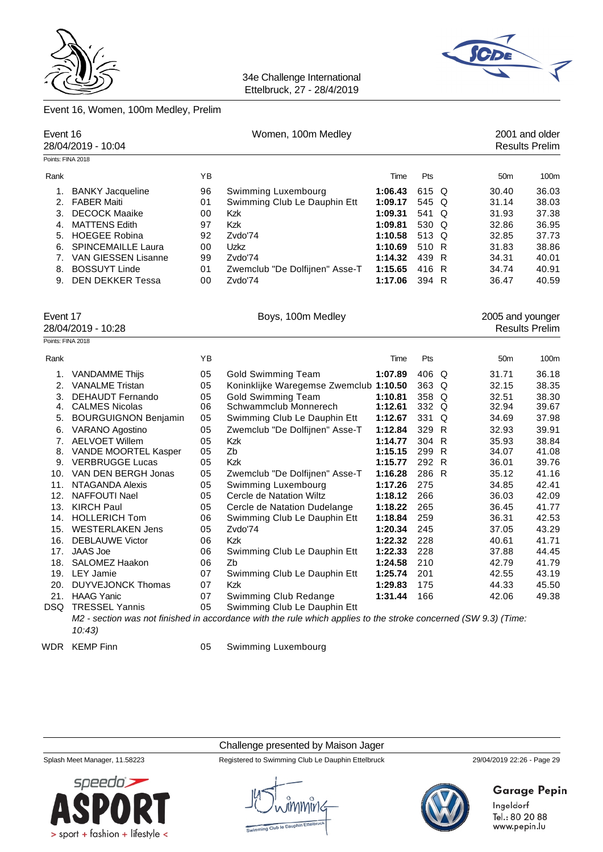

## Event 16, Women, 100m Medley, Prelim

| Event 16<br>28/04/2019 - 10:04 |                            | Women, 100m Medley |                                |         |       | 2001 and older<br><b>Results Prelim</b> |                 |       |
|--------------------------------|----------------------------|--------------------|--------------------------------|---------|-------|-----------------------------------------|-----------------|-------|
| Points: FINA 2018              |                            |                    |                                |         |       |                                         |                 |       |
| Rank                           |                            | ΥB                 |                                | Time    | Pts   |                                         | 50 <sub>m</sub> | 100m  |
| 1.                             | <b>BANKY Jacqueline</b>    | 96                 | Swimming Luxembourg            | 1:06.43 | 615 Q |                                         | 30.40           | 36.03 |
| 2.                             | <b>FABER Maiti</b>         | 01                 | Swimming Club Le Dauphin Ett   | 1:09.17 | 545 Q |                                         | 31.14           | 38.03 |
| 3.                             | <b>DECOCK Maaike</b>       | 00                 | Kzk                            | 1:09.31 | 541 Q |                                         | 31.93           | 37.38 |
| 4.                             | <b>MATTENS Edith</b>       | 97                 | Kzk                            | 1:09.81 | 530 Q |                                         | 32.86           | 36.95 |
| 5.                             | <b>HOEGEE Robina</b>       | 92                 | Zvdo'74                        | 1:10.58 | 513 Q |                                         | 32.85           | 37.73 |
| 6.                             | <b>SPINCEMAILLE Laura</b>  | 00                 | Uzkz                           | 1:10.69 | 510 R |                                         | 31.83           | 38.86 |
|                                | <b>VAN GIESSEN Lisanne</b> | 99                 | Zvdo'74                        | 1:14.32 | 439 R |                                         | 34.31           | 40.01 |
| 8.                             | <b>BOSSUYT Linde</b>       | 01                 | Zwemclub "De Dolfijnen" Asse-T | 1:15.65 | 416 R |                                         | 34.74           | 40.91 |
| 9.                             | <b>DEN DEKKER Tessa</b>    | 00                 | Zvdo'74                        | 1:17.06 | 394 R |                                         | 36.47           | 40.59 |

| Event 17 | Boys, 100m Medley | 2005 and younger |
|----------|-------------------|------------------|
|          |                   | Dooulto Drollm   |

28/04/2019 - 10:28 Results Prelim

| Points: FINA 2018 |                             |    |                                                                                                                 |         |       |          |                 |       |
|-------------------|-----------------------------|----|-----------------------------------------------------------------------------------------------------------------|---------|-------|----------|-----------------|-------|
| Rank              |                             | YB |                                                                                                                 | Time    | Pts   |          | 50 <sub>m</sub> | 100m  |
| 1.                | VANDAMME Thijs              | 05 | <b>Gold Swimming Team</b>                                                                                       | 1:07.89 | 406 Q |          | 31.71           | 36.18 |
| 2.                | <b>VANALME Tristan</b>      | 05 | Koninklijke Waregemse Zwemclub 1:10.50                                                                          |         | 363   | $\Omega$ | 32.15           | 38.35 |
| 3.                | DEHAUDT Fernando            | 05 | <b>Gold Swimming Team</b>                                                                                       | 1:10.81 | 358   | $\Omega$ | 32.51           | 38.30 |
| 4.                | <b>CALMES Nicolas</b>       | 06 | Schwammclub Monnerech                                                                                           | 1:12.61 | 332   | $\Omega$ | 32.94           | 39.67 |
| 5.                | <b>BOURGUIGNON Benjamin</b> | 05 | Swimming Club Le Dauphin Ett                                                                                    | 1:12.67 | 331   | Q        | 34.69           | 37.98 |
| 6.                | VARANO Agostino             | 05 | Zwemclub "De Dolfijnen" Asse-T                                                                                  | 1:12.84 | 329   | -R       | 32.93           | 39.91 |
| 7.                | <b>AELVOET Willem</b>       | 05 | <b>Kzk</b>                                                                                                      | 1:14.77 | 304 R |          | 35.93           | 38.84 |
| 8.                | VANDE MOORTEL Kasper        | 05 | Zb                                                                                                              | 1:15.15 | 299   | R        | 34.07           | 41.08 |
| 9.                | <b>VERBRUGGE Lucas</b>      | 05 | Kzk                                                                                                             | 1:15.77 | 292 R |          | 36.01           | 39.76 |
| 10.               | VAN DEN BERGH Jonas         | 05 | Zwemclub "De Dolfijnen" Asse-T                                                                                  | 1:16.28 | 286   | - R      | 35.12           | 41.16 |
| 11.               | NTAGANDA Alexis             | 05 | Swimming Luxembourg                                                                                             | 1:17.26 | 275   |          | 34.85           | 42.41 |
| 12.               | <b>NAFFOUTI Nael</b>        | 05 | Cercle de Natation Wiltz                                                                                        | 1:18.12 | 266   |          | 36.03           | 42.09 |
| 13.               | <b>KIRCH Paul</b>           | 05 | Cercle de Natation Dudelange                                                                                    | 1:18.22 | 265   |          | 36.45           | 41.77 |
| 14.               | <b>HOLLERICH Tom</b>        | 06 | Swimming Club Le Dauphin Ett                                                                                    | 1:18.84 | 259   |          | 36.31           | 42.53 |
| 15.               | <b>WESTERLAKEN Jens</b>     | 05 | Zvdo'74                                                                                                         | 1:20.34 | 245   |          | 37.05           | 43.29 |
| 16.               | <b>DEBLAUWE Victor</b>      | 06 | Kzk                                                                                                             | 1:22.32 | 228   |          | 40.61           | 41.71 |
| 17.               | <b>JAAS Joe</b>             | 06 | Swimming Club Le Dauphin Ett                                                                                    | 1:22.33 | 228   |          | 37.88           | 44.45 |
| 18.               | SALOMEZ Haakon              | 06 | Zb                                                                                                              | 1:24.58 | 210   |          | 42.79           | 41.79 |
| 19.               | <b>LEY Jamie</b>            | 07 | Swimming Club Le Dauphin Ett                                                                                    | 1:25.74 | 201   |          | 42.55           | 43.19 |
| 20.               | <b>DUYVEJONCK Thomas</b>    | 07 | Kzk                                                                                                             | 1:29.83 | 175   |          | 44.33           | 45.50 |
| 21.               | <b>HAAG Yanic</b>           | 07 | Swimming Club Redange                                                                                           | 1:31.44 | 166   |          | 42.06           | 49.38 |
| DSQ.              | <b>TRESSEL Yannis</b>       | 05 | Swimming Club Le Dauphin Ett                                                                                    |         |       |          |                 |       |
|                   | 10:43                       |    | M2 - section was not finished in accordance with the rule which applies to the stroke concerned (SW 9.3) (Time: |         |       |          |                 |       |

WDR KEMP Finn 05 Swimming Luxembourg

Challenge presented by Maison Jager

Splash Meet Manager, 11.58223 Registered to Swimming Club Le Dauphin Ettelbruck 29/04/2019 22:26 - Page 29





# **Garage Pepin**

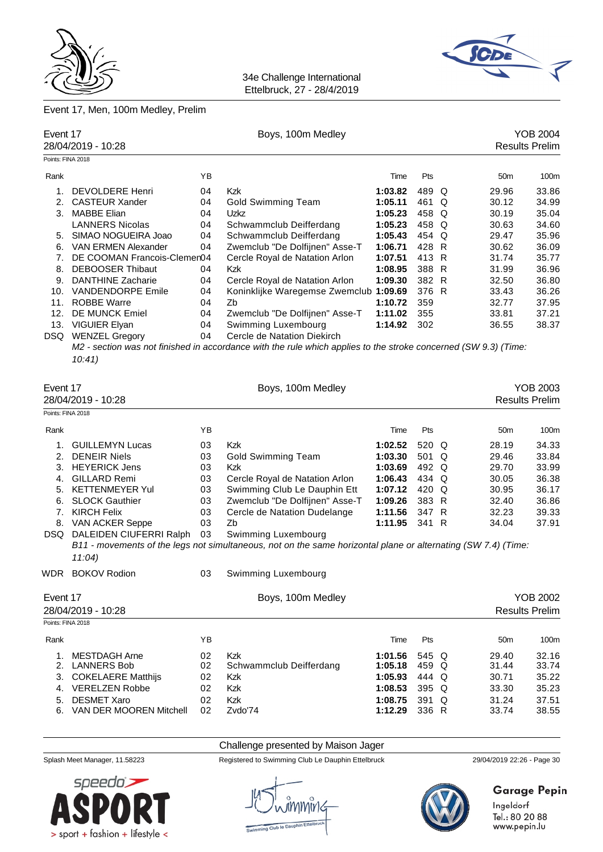

# Event 17, Men, 100m Medley, Prelim



| Event 17       |                             | Boys, 100m Medley |                                        |         |       |  |                 |                       |
|----------------|-----------------------------|-------------------|----------------------------------------|---------|-------|--|-----------------|-----------------------|
|                | 28/04/2019 - 10:28          |                   |                                        |         |       |  |                 | <b>Results Prelim</b> |
|                | Points: FINA 2018           |                   |                                        |         |       |  |                 |                       |
| Rank           |                             | ΥB                |                                        | Time    | Pts   |  | 50 <sub>m</sub> | 100m                  |
| 1.             | DEVOLDERE Henri             | 04                | <b>Kzk</b>                             | 1:03.82 | 489 Q |  | 29.96           | 33.86                 |
|                | 2. CASTEUR Xander           | 04                | <b>Gold Swimming Team</b>              | 1:05.11 | 461 Q |  | 30.12           | 34.99                 |
| 3.             | <b>MABBE Elian</b>          | 04                | Uzkz                                   | 1:05.23 | 458 Q |  | 30.19           | 35.04                 |
|                | <b>LANNERS Nicolas</b>      | 04                | Schwammclub Deifferdang                | 1:05.23 | 458 Q |  | 30.63           | 34.60                 |
| 5.             | SIMAO NOGUEIRA Joao         | 04                | Schwammclub Deifferdang                | 1:05.43 | 454 Q |  | 29.47           | 35.96                 |
| 6.             | VAN ERMEN Alexander         | 04                | Zwemclub "De Dolfijnen" Asse-T         | 1:06.71 | 428 R |  | 30.62           | 36.09                 |
| 7 <sub>1</sub> | DE COOMAN Francois-Clemen04 |                   | Cercle Royal de Natation Arlon         | 1:07.51 | 413 R |  | 31.74           | 35.77                 |
| 8.             | <b>DEBOOSER Thibaut</b>     | 04                | Kzk                                    | 1:08.95 | 388 R |  | 31.99           | 36.96                 |
| 9.             | <b>DANTHINE Zacharie</b>    | 04                | Cercle Royal de Natation Arlon         | 1:09.30 | 382 R |  | 32.50           | 36.80                 |
| 10.            | <b>VANDENDORPE Emile</b>    | 04                | Koninklijke Waregemse Zwemclub 1:09.69 |         | 376 R |  | 33.43           | 36.26                 |
| 11.            | <b>ROBBE Warre</b>          | 04                | Zb                                     | 1:10.72 | 359   |  | 32.77           | 37.95                 |
| 12             | DE MUNCK Emiel              | 04                | Tسم "The Dolfiinen" Asse-T             | 1:1102  | 355   |  | 33.81           | 37.21                 |

12. DE MUNCK Emiel 04 Zwemclub "De Dolfijnen" Asse-T **1:11.02** 355 33.81 37.21 13. VIGUIER Elyan 04 Swimming Luxembourg **1:14.92** 302 36.55 38.37 DSQ WENZEL Gregory 04 Cercle de Natation Diekirch *M2 - section was not finished in accordance with the rule which applies to the stroke concerned (SW 9.3) (Time: 10:41)*

|                   | Event 17<br>28/04/2019 - 10:28 |    | Boys, 100m Medley                                                                                             |         |            |                 | YOB 2003<br><b>Results Prelim</b> |
|-------------------|--------------------------------|----|---------------------------------------------------------------------------------------------------------------|---------|------------|-----------------|-----------------------------------|
| Points: FINA 2018 |                                |    |                                                                                                               |         |            |                 |                                   |
| Rank              |                                | ΥB |                                                                                                               | Time    | <b>Pts</b> | 50 <sub>m</sub> | 100m                              |
|                   | <b>GUILLEMYN Lucas</b>         | 03 | Kzk                                                                                                           | 1:02.52 | 520 Q      | 28.19           | 34.33                             |
| 2.                | <b>DENEIR Niels</b>            | 03 | <b>Gold Swimming Team</b>                                                                                     | 1:03.30 | 501 Q      | 29.46           | 33.84                             |
| 3.                | <b>HEYERICK Jens</b>           | 03 | Kzk                                                                                                           | 1:03.69 | 492 Q      | 29.70           | 33.99                             |
| 4.                | <b>GILLARD Remi</b>            | 03 | Cercle Royal de Natation Arlon                                                                                | 1:06.43 | 434 Q      | 30.05           | 36.38                             |
| 5.                | KETTENMEYER Yul                | 03 | Swimming Club Le Dauphin Ett                                                                                  | 1:07.12 | 420 Q      | 30.95           | 36.17                             |
| 6.                | <b>SLOCK Gauthier</b>          | 03 | Zwemclub "De Dolfijnen" Asse-T                                                                                | 1:09.26 | 383 R      | 32.40           | 36.86                             |
| 7.                | <b>KIRCH Felix</b>             | 03 | Cercle de Natation Dudelange                                                                                  | 1:11.56 | 347 R      | 32.23           | 39.33                             |
| 8.                | <b>VAN ACKER Seppe</b>         | 03 | Zb                                                                                                            | 1:11.95 | 341 R      | 34.04           | 37.91                             |
|                   | DSQ DALEIDEN CIUFERRI Ralph    | 03 | Swimming Luxembourg                                                                                           |         |            |                 |                                   |
|                   |                                |    | B11 - movements of the legs not simultaneous, not on the same horizontal plane or alternating (SW 7.4) (Time: |         |            |                 |                                   |

*11:04)*

|                  | WDR BOKOV Rodion | Swimming Luxembourg               |
|------------------|------------------|-----------------------------------|
| $F_{1.6}$ $+ 47$ |                  | $D_{010}$ $100m$ $M_{\odot}$ dlou |

| Event 17  |                                        |          | Boys, 100m Medley       |                    |                |                       | <b>YOB 2002</b> |  |
|-----------|----------------------------------------|----------|-------------------------|--------------------|----------------|-----------------------|-----------------|--|
|           | 28/04/2019 - 10:28                     |          |                         |                    |                | <b>Results Prelim</b> |                 |  |
|           | Points: FINA 2018                      |          |                         |                    |                |                       |                 |  |
| Rank      |                                        | ΥB       |                         | Time               | <b>Pts</b>     | 50 <sub>m</sub>       | 100m            |  |
|           | <b>MESTDAGH Arne</b>                   | 02       | Kzk                     | 1:01.56            | 545 Q          | 29.40                 | 32.16           |  |
|           | LANNERS Bob                            | 02       | Schwammclub Deifferdang | 1:05.18            | 459 Q          | 31.44                 | 33.74           |  |
| 3.        | <b>COKELAERE Matthijs</b>              | 02       | Kzk                     | 1:05.93            | 444 Q          | 30.71                 | 35.22           |  |
| 4.        | <b>VERELZEN Robbe</b>                  | 02       | Kzk                     | 1:08.53            | 395 Q          | 33.30                 | 35.23           |  |
| .5.<br>6. | DESMET Xaro<br>VAN DER MOOREN Mitchell | 02<br>02 | Kzk<br>Zvdo'74          | 1:08.75<br>1:12.29 | 391 Q<br>336 R | 31.24<br>33.74        | 37.51<br>38.55  |  |
|           |                                        |          |                         |                    |                |                       |                 |  |



Challenge presented by Maison Jager Splash Meet Manager, 11.58223 Registered to Swimming Club Le Dauphin Ettelbruck 29/04/2019 22:26 - Page 30



# Garage Pepin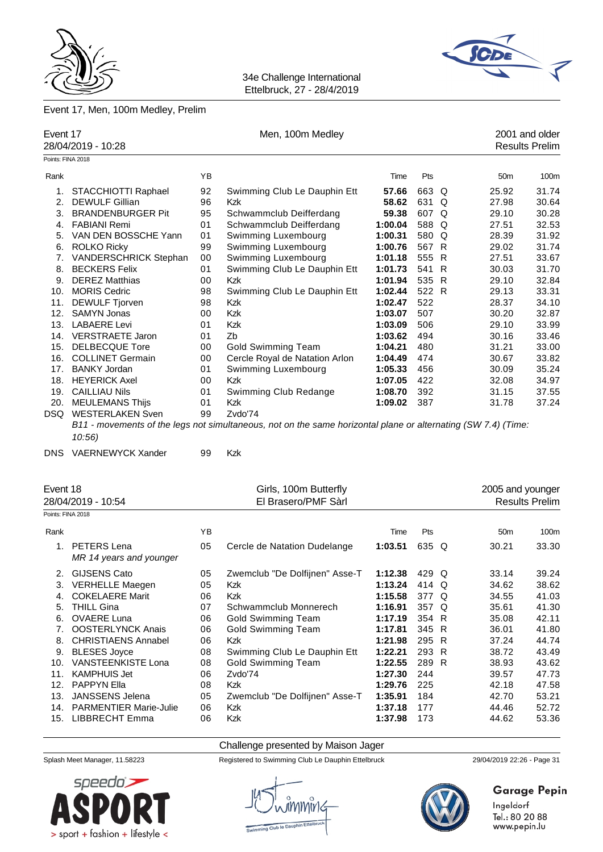

# Event 17, Men, 100m Medley, Prelim

34e Challenge International Ettelbruck, 27 - 28/4/2019

| Event 17<br>28/04/2019 - 10:28 |                          |    | Men, 100m Medley                                                                                              |         |       |   |                 | 2001 and older<br><b>Results Prelim</b> |
|--------------------------------|--------------------------|----|---------------------------------------------------------------------------------------------------------------|---------|-------|---|-----------------|-----------------------------------------|
| Points: FINA 2018              |                          |    |                                                                                                               |         |       |   |                 |                                         |
| Rank                           |                          | YB |                                                                                                               | Time    | Pts   |   | 50 <sub>m</sub> | 100m                                    |
| 1.                             | STACCHIOTTI Raphael      | 92 | Swimming Club Le Dauphin Ett                                                                                  | 57.66   | 663 Q |   | 25.92           | 31.74                                   |
| 2.                             | <b>DEWULF Gillian</b>    | 96 | <b>Kzk</b>                                                                                                    | 58.62   | 631 Q |   | 27.98           | 30.64                                   |
| 3.                             | <b>BRANDENBURGER Pit</b> | 95 | Schwammclub Deifferdang                                                                                       | 59.38   | 607 Q |   | 29.10           | 30.28                                   |
| 4.                             | <b>FABIANI Remi</b>      | 01 | Schwammclub Deifferdang                                                                                       | 1:00.04 | 588 Q |   | 27.51           | 32.53                                   |
| 5.                             | VAN DEN BOSSCHE Yann     | 01 | Swimming Luxembourg                                                                                           | 1:00.31 | 580 Q |   | 28.39           | 31.92                                   |
| 6.                             | <b>ROLKO Ricky</b>       | 99 | Swimming Luxembourg                                                                                           | 1:00.76 | 567 R |   | 29.02           | 31.74                                   |
| 7.                             | VANDERSCHRICK Stephan    | 00 | Swimming Luxembourg                                                                                           | 1:01.18 | 555 R |   | 27.51           | 33.67                                   |
| 8.                             | <b>BECKERS Felix</b>     | 01 | Swimming Club Le Dauphin Ett                                                                                  | 1:01.73 | 541   | R | 30.03           | 31.70                                   |
| 9.                             | <b>DEREZ Matthias</b>    | 00 | <b>Kzk</b>                                                                                                    | 1:01.94 | 535 R |   | 29.10           | 32.84                                   |
| 10.                            | <b>MORIS Cedric</b>      | 98 | Swimming Club Le Dauphin Ett                                                                                  | 1:02.44 | 522 R |   | 29.13           | 33.31                                   |
| 11.                            | <b>DEWULF Tjorven</b>    | 98 | <b>Kzk</b>                                                                                                    | 1:02.47 | 522   |   | 28.37           | 34.10                                   |
| 12.                            | <b>SAMYN Jonas</b>       | 00 | Kzk                                                                                                           | 1:03.07 | 507   |   | 30.20           | 32.87                                   |
| 13.                            | <b>LABAERE Levi</b>      | 01 | <b>Kzk</b>                                                                                                    | 1:03.09 | 506   |   | 29.10           | 33.99                                   |
| 14.                            | <b>VERSTRAETE Jaron</b>  | 01 | Zb                                                                                                            | 1:03.62 | 494   |   | 30.16           | 33.46                                   |
| 15.                            | <b>DELBECQUE Tore</b>    | 00 | <b>Gold Swimming Team</b>                                                                                     | 1:04.21 | 480   |   | 31.21           | 33.00                                   |
| 16.                            | <b>COLLINET Germain</b>  | 00 | Cercle Royal de Natation Arlon                                                                                | 1:04.49 | 474   |   | 30.67           | 33.82                                   |
| 17.                            | <b>BANKY Jordan</b>      | 01 | Swimming Luxembourg                                                                                           | 1:05.33 | 456   |   | 30.09           | 35.24                                   |
| 18.                            | <b>HEYERICK Axel</b>     | 00 | <b>Kzk</b>                                                                                                    | 1:07.05 | 422   |   | 32.08           | 34.97                                   |
| 19.                            | <b>CAILLIAU Nils</b>     | 01 | Swimming Club Redange                                                                                         | 1:08.70 | 392   |   | 31.15           | 37.55                                   |
| 20.                            | <b>MEULEMANS Thijs</b>   | 01 | <b>Kzk</b>                                                                                                    | 1:09.02 | 387   |   | 31.78           | 37.24                                   |
| DSQ.                           | <b>WESTERLAKEN Sven</b>  | 99 | Zvdo'74                                                                                                       |         |       |   |                 |                                         |
|                                | 10:56                    |    | B11 - movements of the legs not simultaneous, not on the same horizontal plane or alternating (SW 7.4) (Time: |         |       |   |                 |                                         |
| <b>DNS</b>                     | <b>VAERNEWYCK Xander</b> | 99 | <b>Kzk</b>                                                                                                    |         |       |   |                 |                                         |

| Event 18          |                                        |    | Girls, 100m Butterfly          |         |       | 2005 and younger      |       |  |
|-------------------|----------------------------------------|----|--------------------------------|---------|-------|-----------------------|-------|--|
|                   | 28/04/2019 - 10:54                     |    | El Brasero/PMF Sàrl            |         |       | <b>Results Prelim</b> |       |  |
| Points: FINA 2018 |                                        |    |                                |         |       |                       |       |  |
| Rank              |                                        | YB |                                | Time    | Pts   | 50 <sub>m</sub>       | 100m  |  |
| 1.                | PETERS Lena<br>MR 14 years and younger | 05 | Cercle de Natation Dudelange   | 1:03.51 | 635 Q | 30.21                 | 33.30 |  |
| 2.                | <b>GIJSENS Cato</b>                    | 05 | Zwemclub "De Dolfijnen" Asse-T | 1:12.38 | 429 Q | 33.14                 | 39.24 |  |
| 3.                | <b>VERHELLE Maegen</b>                 | 05 | <b>Kzk</b>                     | 1:13.24 | 414 Q | 34.62                 | 38.62 |  |
| 4.                | <b>COKELAERE Marit</b>                 | 06 | <b>Kzk</b>                     | 1:15.58 | 377 Q | 34.55                 | 41.03 |  |
| 5.                | <b>THILL Gina</b>                      | 07 | Schwammclub Monnerech          | 1:16.91 | 357 Q | 35.61                 | 41.30 |  |
| 6.                | <b>OVAERE Luna</b>                     | 06 | Gold Swimming Team             | 1:17.19 | 354 R | 35.08                 | 42.11 |  |
| 7.                | <b>OOSTERLYNCK Anais</b>               | 06 | Gold Swimming Team             | 1:17.81 | 345 R | 36.01                 | 41.80 |  |
| 8.                | <b>CHRISTIAENS Annabel</b>             | 06 | Kzk                            | 1:21.98 | 295 R | 37.24                 | 44.74 |  |
| 9.                | <b>BLESES Joyce</b>                    | 08 | Swimming Club Le Dauphin Ett   | 1:22.21 | 293 R | 38.72                 | 43.49 |  |
| 10.               | VANSTEENKISTE Lona                     | 08 | Gold Swimming Team             | 1:22.55 | 289 R | 38.93                 | 43.62 |  |
| 11.               | <b>KAMPHUIS Jet</b>                    | 06 | Zvdo'74                        | 1:27.30 | 244   | 39.57                 | 47.73 |  |
| 12.               | <b>PAPPYN Ella</b>                     | 08 | <b>Kzk</b>                     | 1:29.76 | 225   | 42.18                 | 47.58 |  |
| 13.               | <b>JANSSENS Jelena</b>                 | 05 | Zwemclub "De Dolfijnen" Asse-T | 1:35.91 | 184   | 42.70                 | 53.21 |  |
| 14.               | <b>PARMENTIER Marie-Julie</b>          | 06 | <b>Kzk</b>                     | 1:37.18 | 177   | 44.46                 | 52.72 |  |
| 15.               | LIBBRECHT Emma                         | 06 | Kzk                            | 1:37.98 | 173   | 44.62                 | 53.36 |  |

Challenge presented by Maison Jager



Splash Meet Manager, 11.58223 Registered to Swimming Club Le Dauphin Ettelbruck 29/04/2019 22:26 - Page 31



# **Garage Pepin**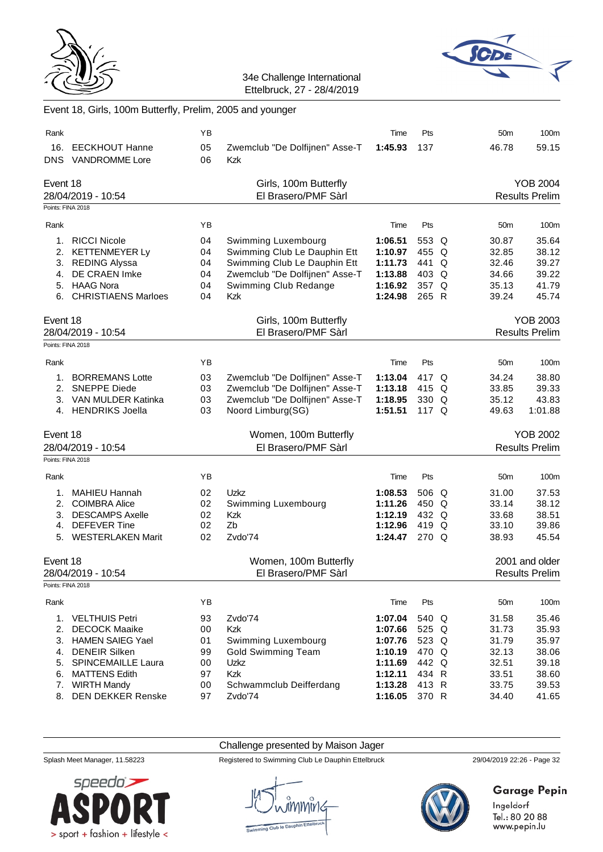



### Event 18, Girls, 100m Butterfly, Prelim, 2005 and younger

| Rank                          |                                             | YB       |                                                     | Time               | Pts            | 50 <sub>m</sub> | 100m                                     |
|-------------------------------|---------------------------------------------|----------|-----------------------------------------------------|--------------------|----------------|-----------------|------------------------------------------|
| 16.                           | <b>EECKHOUT Hanne</b><br>DNS VANDROMME Lore | 05<br>06 | Zwemclub "De Dolfijnen" Asse-T<br>Kzk               | 1:45.93            | 137            | 46.78           | 59.15                                    |
| Event 18<br>Points: FINA 2018 | 28/04/2019 - 10:54                          |          | Girls, 100m Butterfly<br>El Brasero/PMF Sàrl        |                    |                |                 | <b>YOB 2004</b><br><b>Results Prelim</b> |
|                               |                                             |          |                                                     |                    |                |                 |                                          |
| Rank                          |                                             | YB       |                                                     | Time               | Pts            | 50 <sub>m</sub> | 100m                                     |
| 1.                            | <b>RICCI Nicole</b><br>2. KETTENMEYER Ly    | 04<br>04 | Swimming Luxembourg<br>Swimming Club Le Dauphin Ett | 1:06.51<br>1:10.97 | 553 Q<br>455 Q | 30.87<br>32.85  | 35.64<br>38.12                           |
|                               | 3. REDING Alyssa                            | 04       | Swimming Club Le Dauphin Ett                        | 1:11.73            | 441 Q          | 32.46           | 39.27                                    |
| 4.                            | DE CRAEN Imke                               | 04       | Zwemclub "De Dolfijnen" Asse-T                      | 1:13.88            | 403 Q          | 34.66           | 39.22                                    |
|                               | 5. HAAG Nora                                | 04       | Swimming Club Redange                               | 1:16.92            | 357 Q          | 35.13           | 41.79                                    |
|                               | 6. CHRISTIAENS Marloes                      | 04       | <b>Kzk</b>                                          | 1:24.98            | 265 R          | 39.24           | 45.74                                    |
| Event 18                      | 28/04/2019 - 10:54                          |          | Girls, 100m Butterfly<br>El Brasero/PMF Sàrl        |                    |                |                 | <b>YOB 2003</b><br><b>Results Prelim</b> |
| Points: FINA 2018             |                                             |          |                                                     |                    |                |                 |                                          |
| Rank                          |                                             | YB       |                                                     | Time               | Pts            | 50 <sub>m</sub> | 100m                                     |
| 1.                            | <b>BORREMANS Lotte</b>                      | 03       | Zwemclub "De Dolfijnen" Asse-T                      | 1:13.04            | 417 Q          | 34.24           | 38.80                                    |
| 2.                            | <b>SNEPPE Diede</b>                         | 03       | Zwemclub "De Dolfijnen" Asse-T                      | 1:13.18            | 415 Q          | 33.85           | 39.33                                    |
|                               | 3. VAN MULDER Katinka                       | 03       | Zwemclub "De Dolfijnen" Asse-T                      | 1:18.95            | 330 Q          | 35.12           | 43.83                                    |
|                               | 4. HENDRIKS Joella                          | 03       | Noord Limburg(SG)                                   | 1:51.51            | 117 $Q$        | 49.63           | 1:01.88                                  |
|                               |                                             |          |                                                     |                    |                |                 |                                          |
| Event 18                      |                                             |          | Women, 100m Butterfly                               |                    |                |                 | <b>YOB 2002</b>                          |
|                               | 28/04/2019 - 10:54                          |          | El Brasero/PMF Sàrl                                 |                    |                |                 | <b>Results Prelim</b>                    |
| Points: FINA 2018             |                                             |          |                                                     |                    |                |                 |                                          |
| Rank                          |                                             | YB       |                                                     | Time               | Pts            | 50 <sub>m</sub> | 100m                                     |
| 1.                            | MAHIEU Hannah                               | 02       | Uzkz                                                | 1:08.53            | 506 Q          | 31.00           | 37.53                                    |
|                               | 2. COIMBRA Alice                            | 02       | Swimming Luxembourg                                 | 1:11.26            | 450 Q          | 33.14           | 38.12                                    |
| 3.                            | <b>DESCAMPS Axelle</b>                      | 02       | Kzk                                                 | 1:12.19            | 432 Q          | 33.68           | 38.51                                    |
| 4.                            | <b>DEFEVER Tine</b>                         | 02       | Zb                                                  | 1:12.96            | 419 Q          | 33.10           | 39.86                                    |
|                               | 5. WESTERLAKEN Marit                        | 02       | Zvdo'74                                             | 1:24.47            | 270 Q          | 38.93           | 45.54                                    |
| Event 18                      |                                             |          | Women, 100m Butterfly                               |                    |                |                 | 2001 and older                           |
|                               | 28/04/2019 - 10:54                          |          | El Brasero/PMF Sàrl                                 |                    |                |                 | <b>Results Prelim</b>                    |
| Points: FINA 2018             |                                             |          |                                                     |                    |                |                 |                                          |
| Rank                          |                                             | YB       |                                                     | Time               | Pts            | 50 <sub>m</sub> | 100m                                     |
| 1.                            | <b>VELTHUIS Petri</b>                       | 93       | Zvdo'74                                             | 1:07.04            | 540 Q          | 31.58           | 35.46                                    |
| 2.                            | <b>DECOCK Maaike</b>                        | 00       | <b>Kzk</b>                                          | 1:07.66            | 525 Q          | 31.73           | 35.93                                    |
| 3.                            | <b>HAMEN SAIEG Yael</b>                     | 01       | Swimming Luxembourg                                 | 1:07.76            | 523 Q          | 31.79           | 35.97                                    |
| 4.                            | <b>DENEIR Silken</b>                        | 99       | <b>Gold Swimming Team</b>                           | 1:10.19            | 470 Q          | 32.13           | 38.06                                    |
| 5.                            | <b>SPINCEMAILLE Laura</b>                   | 00       | Uzkz                                                | 1:11.69            | 442 Q          | 32.51           | 39.18                                    |
| 6.                            | <b>MATTENS Edith</b>                        | 97       | Kzk                                                 | 1:12.11            | 434 R          | 33.51           | 38.60                                    |
| 8.                            | 7. WIRTH Mandy<br><b>DEN DEKKER Renske</b>  | 00<br>97 | Schwammclub Deifferdang<br>Zvdo'74                  | 1:13.28<br>1:16.05 | 413 R<br>370 R | 33.75<br>34.40  | 39.53<br>41.65                           |

Challenge presented by Maison Jager



Splash Meet Manager, 11.58223 Registered to Swimming Club Le Dauphin Ettelbruck 29/04/2019 22:26 - Page 32



# **Garage Pepin**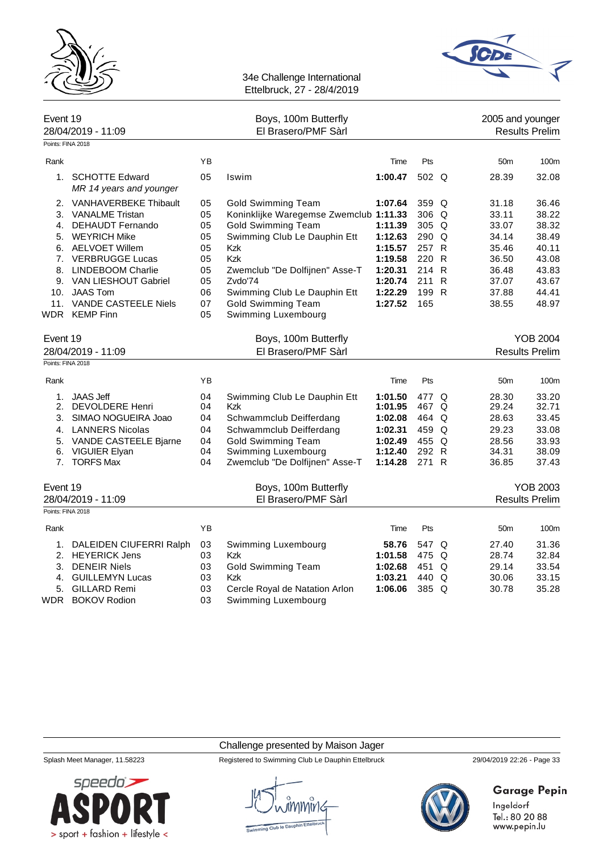



| Event 19<br>28/04/2019 - 11:09 |                                                                                                                                                                                                                                                      | Boys, 100m Butterfly<br>El Brasero/PMF Sàrl                    |                                                                                                                                                                                                                                                                                        |                                                                                                 |                                                                                        | 2005 and younger<br><b>Results Prelim</b>                                              |                                                                                        |  |
|--------------------------------|------------------------------------------------------------------------------------------------------------------------------------------------------------------------------------------------------------------------------------------------------|----------------------------------------------------------------|----------------------------------------------------------------------------------------------------------------------------------------------------------------------------------------------------------------------------------------------------------------------------------------|-------------------------------------------------------------------------------------------------|----------------------------------------------------------------------------------------|----------------------------------------------------------------------------------------|----------------------------------------------------------------------------------------|--|
| Points: FINA 2018              |                                                                                                                                                                                                                                                      |                                                                |                                                                                                                                                                                                                                                                                        |                                                                                                 |                                                                                        |                                                                                        |                                                                                        |  |
| Rank                           |                                                                                                                                                                                                                                                      | YB                                                             |                                                                                                                                                                                                                                                                                        | Time                                                                                            | Pts                                                                                    | 50 <sub>m</sub>                                                                        | 100m                                                                                   |  |
| $1_{\cdot}$                    | <b>SCHOTTE Edward</b><br>MR 14 years and younger                                                                                                                                                                                                     | 05                                                             | Iswim                                                                                                                                                                                                                                                                                  | 1:00.47                                                                                         | 502 Q                                                                                  | 28.39                                                                                  | 32.08                                                                                  |  |
| 2.<br>3.                       | VANHAVERBEKE Thibault<br><b>VANALME Tristan</b><br>4. DEHAUDT Fernando<br>5. WEYRICH Mike<br>6. AELVOET Willem<br>7. VERBRUGGE Lucas<br>8. LINDEBOOM Charlie<br>9. VAN LIESHOUT Gabriel<br>10. JAAS Tom<br>11. VANDE CASTEELE Niels<br>WDR KEMP Finn | 05<br>05<br>05<br>05<br>05<br>05<br>05<br>05<br>06<br>07<br>05 | <b>Gold Swimming Team</b><br>Koninklijke Waregemse Zwemclub 1:11.33<br><b>Gold Swimming Team</b><br>Swimming Club Le Dauphin Ett<br><b>Kzk</b><br>Kzk<br>Zwemclub "De Dolfijnen" Asse-T<br>Zvdo'74<br>Swimming Club Le Dauphin Ett<br><b>Gold Swimming Team</b><br>Swimming Luxembourg | 1:07.64<br>1:11.39<br>1:12.63<br>1:15.57<br>1:19.58<br>1:20.31<br>1:20.74<br>1:22.29<br>1:27.52 | 359 Q<br>306 Q<br>$305$ Q<br>290 Q<br>257 R<br>220 R<br>214 R<br>211 R<br>199 R<br>165 | 31.18<br>33.11<br>33.07<br>34.14<br>35.46<br>36.50<br>36.48<br>37.07<br>37.88<br>38.55 | 36.46<br>38.22<br>38.32<br>38.49<br>40.11<br>43.08<br>43.83<br>43.67<br>44.41<br>48.97 |  |
| Event 19<br>Points: FINA 2018  | 28/04/2019 - 11:09                                                                                                                                                                                                                                   |                                                                | Boys, 100m Butterfly<br>El Brasero/PMF Sàrl                                                                                                                                                                                                                                            |                                                                                                 |                                                                                        |                                                                                        | <b>YOB 2004</b><br><b>Results Prelim</b>                                               |  |
|                                |                                                                                                                                                                                                                                                      |                                                                |                                                                                                                                                                                                                                                                                        |                                                                                                 |                                                                                        |                                                                                        |                                                                                        |  |
| Rank                           |                                                                                                                                                                                                                                                      | YB                                                             |                                                                                                                                                                                                                                                                                        | Time                                                                                            | Pts                                                                                    | 50 <sub>m</sub>                                                                        | 100m                                                                                   |  |
| $1_{-}$<br>2.<br>5.<br>6.      | <b>JAAS Jeff</b><br><b>DEVOLDERE Henri</b><br>3. SIMAO NOGUEIRA Joao<br>4. LANNERS Nicolas<br>VANDE CASTEELE Bjarne<br>VIGUIER Elyan                                                                                                                 | 04<br>04<br>04<br>04<br>04<br>04                               | Swimming Club Le Dauphin Ett<br><b>Kzk</b><br>Schwammclub Deifferdang<br>Schwammclub Deifferdang<br><b>Gold Swimming Team</b><br>Swimming Luxembourg                                                                                                                                   | 1:01.50<br>1:01.95<br>1:02.08<br>1:02.31<br>1:02.49<br>1:12.40                                  | 477 Q<br>467 Q<br>464 Q<br>459 Q<br>455 Q<br>292 R                                     | 28.30<br>29.24<br>28.63<br>29.23<br>28.56<br>34.31                                     | 33.20<br>32.71<br>33.45<br>33.08<br>33.93<br>38.09                                     |  |
|                                | 7. TORFS Max                                                                                                                                                                                                                                         | 04                                                             | Zwemclub "De Dolfijnen" Asse-T                                                                                                                                                                                                                                                         | 1:14.28                                                                                         | 271 R                                                                                  | 36.85                                                                                  | 37.43                                                                                  |  |
| Event 19<br>Points: FINA 2018  | 28/04/2019 - 11:09                                                                                                                                                                                                                                   |                                                                | Boys, 100m Butterfly<br>El Brasero/PMF Sàrl                                                                                                                                                                                                                                            |                                                                                                 |                                                                                        |                                                                                        | <b>YOB 2003</b><br><b>Results Prelim</b>                                               |  |
|                                |                                                                                                                                                                                                                                                      |                                                                |                                                                                                                                                                                                                                                                                        |                                                                                                 |                                                                                        |                                                                                        |                                                                                        |  |
| Rank                           |                                                                                                                                                                                                                                                      | YB                                                             |                                                                                                                                                                                                                                                                                        | Time                                                                                            | Pts                                                                                    | 50 <sub>m</sub>                                                                        | 100m                                                                                   |  |
| 4.<br>5.                       | 1. DALEIDEN CIUFERRI Ralph<br>2. HEYERICK Jens<br>3. DENEIR Niels<br><b>GUILLEMYN Lucas</b><br><b>GILLARD Remi</b><br>WDR BOKOV Rodion                                                                                                               | 03<br>03<br>03<br>03<br>03<br>03                               | Swimming Luxembourg<br><b>Kzk</b><br><b>Gold Swimming Team</b><br>Kzk<br>Cercle Royal de Natation Arlon<br>Swimming Luxembourg                                                                                                                                                         | 58.76<br>1:01.58<br>1:02.68<br>1:03.21<br>1:06.06                                               | 547 Q<br>475 Q<br>451 Q<br>440 Q<br>385 Q                                              | 27.40<br>28.74<br>29.14<br>30.06<br>30.78                                              | 31.36<br>32.84<br>33.54<br>33.15<br>35.28                                              |  |

Challenge presented by Maison Jager



Splash Meet Manager, 11.58223 Registered to Swimming Club Le Dauphin Ettelbruck 29/04/2019 22:26 - Page 33



# **Garage Pepin**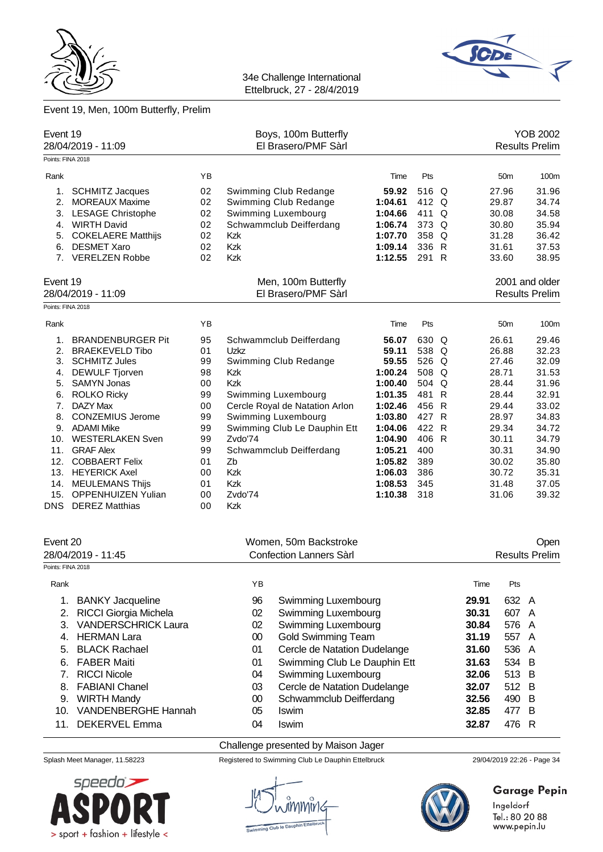

# Event 19, Men, 100m Butterfly, Prelim



34e Challenge International Ettelbruck, 27 - 28/4/2019

|                   | Event 19<br>28/04/2019 - 11:09              |          | Boys, 100m Butterfly<br>El Brasero/PMF Sàrl |                                |                    |                | <b>YOB 2002</b><br><b>Results Prelim</b> |       |                 |                       |
|-------------------|---------------------------------------------|----------|---------------------------------------------|--------------------------------|--------------------|----------------|------------------------------------------|-------|-----------------|-----------------------|
| Points: FINA 2018 |                                             |          |                                             |                                |                    |                |                                          |       |                 |                       |
| Rank              |                                             | YB       |                                             |                                | Time               | Pts            |                                          |       | 50 <sub>m</sub> | 100m                  |
| 1.                | <b>SCHMITZ Jacques</b>                      | 02       | Swimming Club Redange                       |                                | 59.92              | 516 Q          |                                          |       | 27.96           | 31.96                 |
| 2.                | <b>MOREAUX Maxime</b>                       | 02       | Swimming Club Redange                       |                                | 1:04.61            | 412 Q          |                                          |       | 29.87           | 34.74                 |
| 3.                | <b>LESAGE Christophe</b>                    | 02       | Swimming Luxembourg                         |                                | 1:04.66            | 411 Q          |                                          |       | 30.08           | 34.58                 |
| 4.                | <b>WIRTH David</b>                          | 02       |                                             | Schwammclub Deifferdang        | 1:06.74            | 373 Q          |                                          |       | 30.80           | 35.94                 |
| 5.                | <b>COKELAERE Matthijs</b>                   | 02       | Kzk                                         |                                | 1:07.70            | 358 Q          |                                          |       | 31.28           | 36.42                 |
| 6.                | <b>DESMET Xaro</b>                          | 02       | Kzk                                         |                                | 1:09.14<br>1:12.55 | 336 R          |                                          |       | 31.61           | 37.53                 |
|                   | 7. VERELZEN Robbe                           | 02       | Kzk                                         |                                |                    |                | 291 R                                    |       | 33.60           | 38.95                 |
| Event 19          |                                             |          |                                             | Men, 100m Butterfly            |                    |                |                                          |       |                 | 2001 and older        |
|                   | 28/04/2019 - 11:09                          |          |                                             | El Brasero/PMF Sàrl            |                    |                |                                          |       |                 | <b>Results Prelim</b> |
| Points: FINA 2018 |                                             |          |                                             |                                |                    |                |                                          |       |                 |                       |
| Rank              |                                             | YB       |                                             |                                | Time               | Pts            |                                          |       | 50 <sub>m</sub> | 100m                  |
| 1.                | <b>BRANDENBURGER Pit</b>                    | 95       |                                             | Schwammclub Deifferdang        | 56.07              | 630 Q          |                                          |       | 26.61           | 29.46                 |
| 2.                | <b>BRAEKEVELD Tibo</b>                      | 01       | Uzkz                                        |                                | 59.11              | 538 Q          |                                          |       | 26.88           | 32.23                 |
| 3.                | <b>SCHMITZ Jules</b>                        | 99       | Swimming Club Redange                       |                                | 59.55              | 526 Q<br>508 Q |                                          |       | 27.46           | 32.09                 |
| 4.<br>5.          | <b>DEWULF Tjorven</b><br><b>SAMYN Jonas</b> | 98<br>00 | Kzk<br><b>Kzk</b>                           |                                | 1:00.24<br>1:00.40 | 504 Q          |                                          |       | 28.71<br>28.44  | 31.53<br>31.96        |
|                   | <b>ROLKO Ricky</b>                          | 99       |                                             |                                | 1:01.35            | 481 R          |                                          |       | 28.44           | 32.91                 |
| 6.<br>7.          | DAZY Max                                    | 00       | Swimming Luxembourg                         | Cercle Royal de Natation Arlon | 1:02.46            | 456            | $\mathsf{R}$                             |       | 29.44           | 33.02                 |
| 8.                | <b>CONZEMIUS Jerome</b>                     | 99       | Swimming Luxembourg                         |                                | 1:03.80            | 427 R          |                                          |       | 28.97           | 34.83                 |
| 9.                | ADAMI Mike                                  | 99       |                                             | Swimming Club Le Dauphin Ett   | 1:04.06            | 422 R          |                                          |       | 29.34           | 34.72                 |
| 10.               | <b>WESTERLAKEN Sven</b>                     | 99       | Zvdo'74                                     |                                | 1:04.90            | 406 R          |                                          |       | 30.11           | 34.79                 |
| 11.               | <b>GRAF Alex</b>                            | 99       |                                             | Schwammclub Deifferdang        | 1:05.21            | 400            |                                          |       | 30.31           | 34.90                 |
| 12.               | <b>COBBAERT Felix</b>                       | 01       | Zb                                          |                                | 1:05.82            | 389            |                                          |       | 30.02           | 35.80                 |
|                   | 13. HEYERICK Axel                           | 00       | Kzk                                         |                                | 1:06.03            | 386            |                                          |       | 30.72           | 35.31                 |
|                   | 14. MEULEMANS Thijs                         | 01       | <b>Kzk</b>                                  |                                | 1:08.53            | 345            |                                          |       | 31.48           | 37.05                 |
| 15.               | <b>OPPENHUIZEN Yulian</b>                   | 00       | Zvdo'74                                     |                                | 1:10.38            | 318            |                                          |       | 31.06           | 39.32                 |
| DNS               | <b>DEREZ Matthias</b>                       | 00       | Kzk                                         |                                |                    |                |                                          |       |                 |                       |
|                   |                                             |          |                                             |                                |                    |                |                                          |       |                 |                       |
| Event 20          |                                             |          |                                             | Women, 50m Backstroke          |                    |                |                                          |       |                 | Open                  |
|                   | 28/04/2019 - 11:45                          |          |                                             | Confection Lanners Sàrl        |                    |                |                                          |       |                 | <b>Results Prelim</b> |
| Points: FINA 2018 |                                             |          |                                             |                                |                    |                |                                          |       |                 |                       |
| Rank              |                                             |          | ΥB                                          |                                |                    |                |                                          | Time  | Pts             |                       |
| 1.                | <b>BANKY Jacqueline</b>                     |          | 96                                          | Swimming Luxembourg            |                    |                |                                          | 29.91 | 632 A           |                       |
| 2.                | RICCI Giorgia Michela                       |          | 02                                          | Swimming Luxembourg            |                    |                |                                          | 30.31 | 607 A           |                       |
| 3.                | <b>VANDERSCHRICK Laura</b>                  |          | 02                                          | Swimming Luxembourg            |                    |                |                                          | 30.84 | 576             | $\mathsf{A}$          |
| 4.                | <b>HERMAN Lara</b>                          |          | $00\,$                                      | <b>Gold Swimming Team</b>      |                    |                |                                          | 31.19 | 557             | $\mathsf{A}$          |
| 5.                | <b>BLACK Rachael</b>                        |          | 01                                          | Cercle de Natation Dudelange   |                    |                |                                          | 31.60 | 536             | $\mathsf{A}$          |
| 6.                | <b>FABER Maiti</b>                          |          | 01                                          | Swimming Club Le Dauphin Ett   |                    |                |                                          | 31.63 | 534             | B                     |
| 7.                | <b>RICCI Nicole</b>                         |          | 04                                          | Swimming Luxembourg            |                    |                |                                          | 32.06 | 513             | B                     |
| 8.                | <b>FABIANI Chanel</b>                       |          | 03                                          | Cercle de Natation Dudelange   |                    |                |                                          | 32.07 | 512             | B                     |
|                   |                                             |          |                                             |                                |                    |                |                                          |       |                 |                       |
| 9.                | <b>WIRTH Mandy</b>                          |          | $00\,$                                      | Schwammclub Deifferdang        |                    |                |                                          | 32.56 | 490             | B                     |
| 10.               | VANDENBERGHE Hannah                         |          | 05                                          | Iswim                          |                    |                |                                          | 32.85 | 477             | В                     |
| 11.               | DEKERVEL Emma                               |          | 04                                          | Iswim                          |                    |                |                                          | 32.87 | 476             | $\mathsf{R}$          |

## Challenge presented by Maison Jager

Splash Meet Manager, 11.58223 Registered to Swimming Club Le Dauphin Ettelbruck 29/04/2019 22:26 - Page 34

speedo'**>** > sport + fashion + lifestyle <



# **Garage Pepin**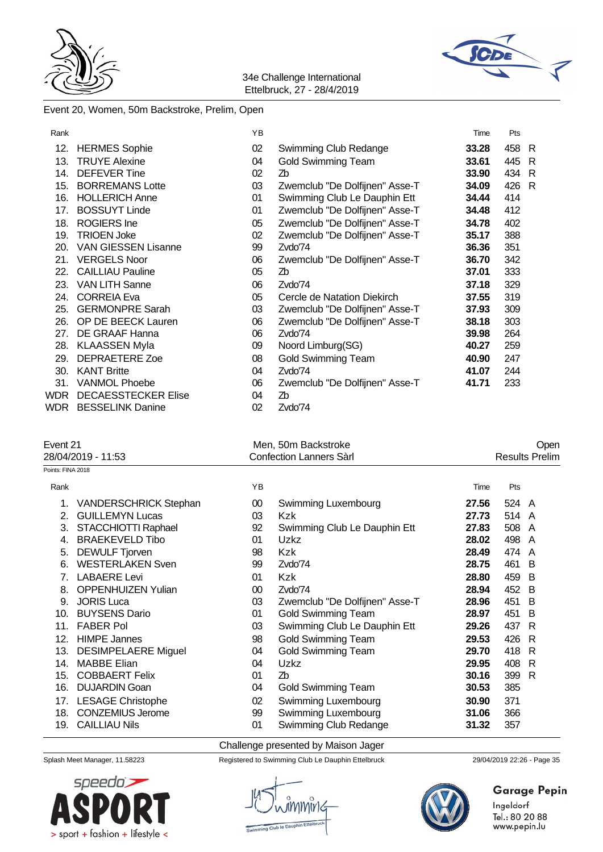



## Event 20, Women, 50m Backstroke, Prelim, Open

| Rank |                            | ΥB |                                | Time  | Pts |   |
|------|----------------------------|----|--------------------------------|-------|-----|---|
| 12.  | <b>HERMES Sophie</b>       | 02 | Swimming Club Redange          | 33.28 | 458 | R |
| 13.  | <b>TRUYE Alexine</b>       | 04 | <b>Gold Swimming Team</b>      | 33.61 | 445 | R |
| 14.  | <b>DEFEVER Tine</b>        | 02 | Zb                             | 33.90 | 434 | R |
| 15.  | <b>BORREMANS Lotte</b>     | 03 | Zwemclub "De Dolfijnen" Asse-T | 34.09 | 426 | R |
| 16.  | <b>HOLLERICH Anne</b>      | 01 | Swimming Club Le Dauphin Ett   | 34.44 | 414 |   |
| 17.  | <b>BOSSUYT Linde</b>       | 01 | Zwemclub "De Dolfijnen" Asse-T | 34.48 | 412 |   |
| 18.  | <b>ROGIERS</b> Ine         | 05 | Zwemclub "De Dolfijnen" Asse-T | 34.78 | 402 |   |
| 19.  | <b>TRIOEN Joke</b>         | 02 | Zwemclub "De Dolfijnen" Asse-T | 35.17 | 388 |   |
| 20.  | <b>VAN GIESSEN Lisanne</b> | 99 | Zvdo'74                        | 36.36 | 351 |   |
| 21.  | <b>VERGELS Noor</b>        | 06 | Zwemclub "De Dolfijnen" Asse-T | 36.70 | 342 |   |
| 22.  | <b>CAILLIAU Pauline</b>    | 05 | Zb                             | 37.01 | 333 |   |
| 23.  | <b>VAN LITH Sanne</b>      | 06 | Zvdo'74                        | 37.18 | 329 |   |
| 24.  | <b>CORREIA Eva</b>         | 05 | Cercle de Natation Diekirch    | 37.55 | 319 |   |
| 25.  | <b>GERMONPRE Sarah</b>     | 03 | Zwemclub "De Dolfijnen" Asse-T | 37.93 | 309 |   |
| 26.  | OP DE BEECK Lauren         | 06 | Zwemclub "De Dolfijnen" Asse-T | 38.18 | 303 |   |
| 27.  | DE GRAAF Hanna             | 06 | Zvdo'74                        | 39.98 | 264 |   |
| 28.  | <b>KLAASSEN Myla</b>       | 09 | Noord Limburg(SG)              | 40.27 | 259 |   |
| 29.  | <b>DEPRAETERE Zoe</b>      | 08 | <b>Gold Swimming Team</b>      | 40.90 | 247 |   |
| 30.  | <b>KANT Britte</b>         | 04 | Zvdo'74                        | 41.07 | 244 |   |
| 31.  | <b>VANMOL Phoebe</b>       | 06 | Zwemclub "De Dolfijnen" Asse-T | 41.71 | 233 |   |
| WDR  | <b>DECAESSTECKER Elise</b> | 04 | Zb                             |       |     |   |
| WDR  | <b>BESSELINK Danine</b>    | 02 | Zvdo'74                        |       |     |   |
|      |                            |    |                                |       |     |   |

|                   | Event 21                     |    | Men, 50m Backstroke            |       |       |   |  |
|-------------------|------------------------------|----|--------------------------------|-------|-------|---|--|
|                   | 28/04/2019 - 11:53           |    | Confection Lanners Sàrl        |       |       |   |  |
| Points: FINA 2018 |                              |    |                                |       |       |   |  |
| Rank              |                              | ΥB |                                | Time  | Pts   |   |  |
|                   | <b>VANDERSCHRICK Stephan</b> | 00 | Swimming Luxembourg            | 27.56 | 524 A |   |  |
| $2_{-}$           | <b>GUILLEMYN Lucas</b>       | 03 | <b>Kzk</b>                     | 27.73 | 514 A |   |  |
| 3.                | STACCHIOTTI Raphael          | 92 | Swimming Club Le Dauphin Ett   | 27.83 | 508 A |   |  |
| 4.                | <b>BRAEKEVELD Tibo</b>       | 01 | Uzkz                           | 28.02 | 498 A |   |  |
| 5.                | <b>DEWULF Tjorven</b>        | 98 | <b>Kzk</b>                     | 28.49 | 474 A |   |  |
| 6.                | <b>WESTERLAKEN Sven</b>      | 99 | Zvdo'74                        | 28.75 | 461 B |   |  |
|                   | <b>LABAERE</b> Levi          | 01 | <b>Kzk</b>                     | 28.80 | 459 B |   |  |
| 8.                | <b>OPPENHUIZEN Yulian</b>    | 00 | Zvdo'74                        | 28.94 | 452 B |   |  |
| 9.                | <b>JORIS Luca</b>            | 03 | Zwemclub "De Dolfijnen" Asse-T | 28.96 | 451 B |   |  |
| 10.               | <b>BUYSENS Dario</b>         | 01 | <b>Gold Swimming Team</b>      | 28.97 | 451 B |   |  |
| 11.               | <b>FABER Pol</b>             | 03 | Swimming Club Le Dauphin Ett   | 29.26 | 437 R |   |  |
| ィウ                | <b>HIMDE</b> Jonnee          | ΩΩ | Cold Swimming Toam             | つの につ | 10G   | Þ |  |

| 12. HIMPE Jannes        | 98 | <b>Gold Swimming Team</b>  | 29.53 | 426 R |  |
|-------------------------|----|----------------------------|-------|-------|--|
| 13. DESIMPELAERE Miguel | 04 | <b>Gold Swimming Team</b>  | 29.70 | 418 R |  |
| 14. MABBE Elian         | 04 | Uzkz                       | 29.95 | 408 R |  |
| 15. COBBAERT Felix      | 01 | Zh                         | 30.16 | 399 R |  |
| 16. DUJARDIN Goan       | 04 | <b>Gold Swimming Team</b>  | 30.53 | 385   |  |
| 17. LESAGE Christophe   | 02 | <b>Swimming Luxembourg</b> | 30.90 | 371   |  |
| 18. CONZEMIUS Jerome    | 99 | Swimming Luxembourg        | 31.06 | 366   |  |
| 19. CAILLIAU Nils       | 01 | Swimming Club Redange      | 31.32 | 357   |  |
|                         |    |                            |       |       |  |

Challenge presented by Maison Jager

Splash Meet Manager, 11.58223 Registered to Swimming Club Le Dauphin Ettelbruck 29/04/2019 22:26 - Page 35





# **Garage Pepin**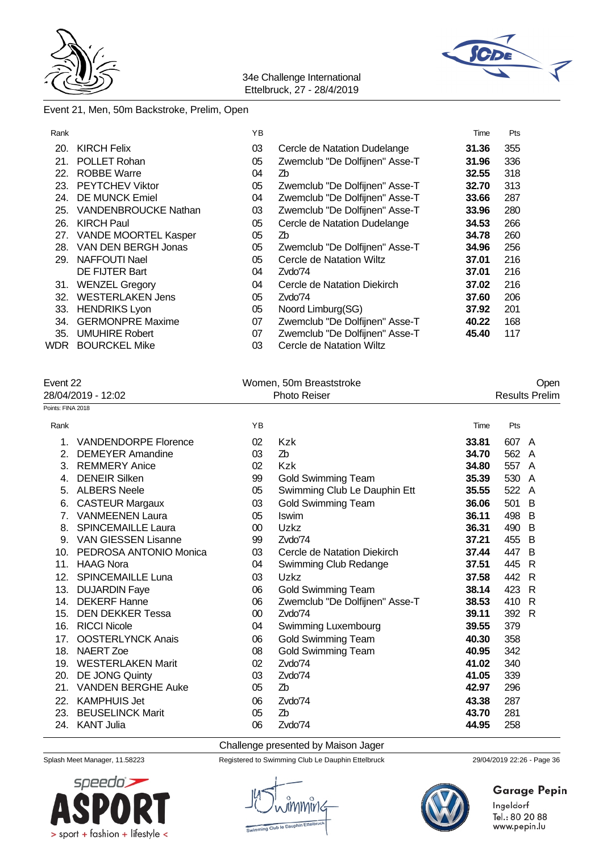



### Event 21, Men, 50m Backstroke, Prelim, Open

| Rank |                             | YB |                                | Time  | Pts |
|------|-----------------------------|----|--------------------------------|-------|-----|
| 20.  | <b>KIRCH Felix</b>          | 03 | Cercle de Natation Dudelange   | 31.36 | 355 |
| 21.  | POLLET Rohan                | 05 | Zwemclub "De Dolfijnen" Asse-T | 31.96 | 336 |
| 22.  | <b>ROBBE Warre</b>          | 04 | Zb                             | 32.55 | 318 |
| 23.  | <b>PEYTCHEV Viktor</b>      | 05 | Zwemclub "De Dolfijnen" Asse-T | 32.70 | 313 |
| 24.  | DE MUNCK Emiel              | 04 | Zwemclub "De Dolfijnen" Asse-T | 33.66 | 287 |
| 25.  | <b>VANDENBROUCKE Nathan</b> | 03 | Zwemclub "De Dolfijnen" Asse-T | 33.96 | 280 |
| 26.  | <b>KIRCH Paul</b>           | 05 | Cercle de Natation Dudelange   | 34.53 | 266 |
| 27.  | <b>VANDE MOORTEL Kasper</b> | 05 | Zb                             | 34.78 | 260 |
| 28.  | VAN DEN BERGH Jonas         | 05 | Zwemclub "De Dolfijnen" Asse-T | 34.96 | 256 |
| 29.  | NAFFOUTI Nael               | 05 | Cercle de Natation Wiltz       | 37.01 | 216 |
|      | DE FIJTER Bart              | 04 | Zvdo'74                        | 37.01 | 216 |
| 31.  | <b>WENZEL Gregory</b>       | 04 | Cercle de Natation Diekirch    | 37.02 | 216 |
| 32.  | <b>WESTERLAKEN Jens</b>     | 05 | Zvdo'74                        | 37.60 | 206 |
| 33.  | <b>HENDRIKS Lyon</b>        | 05 | Noord Limburg(SG)              | 37.92 | 201 |
| 34.  | <b>GERMONPRE Maxime</b>     | 07 | Zwemclub "De Dolfijnen" Asse-T | 40.22 | 168 |
| 35.  | <b>UMUHIRE Robert</b>       | 07 | Zwemclub "De Dolfijnen" Asse-T | 45.40 | 117 |
| WDR  | <b>BOURCKEL Mike</b>        | 03 | Cercle de Natation Wiltz       |       |     |

|                   | Event 22                    |    | Women, 50m Breaststroke        |       |       | Open                  |  |  |  |
|-------------------|-----------------------------|----|--------------------------------|-------|-------|-----------------------|--|--|--|
|                   | 28/04/2019 - 12:02          |    | <b>Photo Reiser</b>            |       |       | <b>Results Prelim</b> |  |  |  |
| Points: FINA 2018 |                             |    |                                |       |       |                       |  |  |  |
| Rank              |                             | YB |                                | Time  | Pts   |                       |  |  |  |
|                   | <b>VANDENDORPE Florence</b> | 02 | <b>Kzk</b>                     | 33.81 | 607 A |                       |  |  |  |
| 2.                | <b>DEMEYER Amandine</b>     | 03 | Zb                             | 34.70 | 562 A |                       |  |  |  |
| 3.                | <b>REMMERY Anice</b>        | 02 | <b>Kzk</b>                     | 34.80 | 557 A |                       |  |  |  |
| 4.                | <b>DENEIR Silken</b>        | 99 | <b>Gold Swimming Team</b>      | 35.39 | 530 A |                       |  |  |  |
| 5.                | <b>ALBERS Neele</b>         | 05 | Swimming Club Le Dauphin Ett   | 35.55 | 522 A |                       |  |  |  |
| 6.                | <b>CASTEUR Margaux</b>      | 03 | <b>Gold Swimming Team</b>      | 36.06 | 501 B |                       |  |  |  |
| 7.                | <b>VANMEENEN Laura</b>      | 05 | <b>Iswim</b>                   | 36.11 | 498 B |                       |  |  |  |
| 8.                | SPINCEMAILLE Laura          | 00 | Uzkz                           | 36.31 | 490 B |                       |  |  |  |
|                   | 9. VAN GIESSEN Lisanne      | 99 | Zvdo'74                        | 37.21 | 455 B |                       |  |  |  |
|                   | 10. PEDROSA ANTONIO Monica  | 03 | Cercle de Natation Diekirch    | 37.44 | 447 B |                       |  |  |  |
| 11.               | <b>HAAG Nora</b>            | 04 | Swimming Club Redange          | 37.51 | 445 R |                       |  |  |  |
| 12.               | <b>SPINCEMAILLE Luna</b>    | 03 | Uzkz                           | 37.58 | 442 R |                       |  |  |  |
| 13.               | <b>DUJARDIN Faye</b>        | 06 | <b>Gold Swimming Team</b>      | 38.14 | 423 R |                       |  |  |  |
| 14.               | <b>DEKERF Hanne</b>         | 06 | Zwemclub "De Dolfijnen" Asse-T | 38.53 | 410 R |                       |  |  |  |
| 15.               | <b>DEN DEKKER Tessa</b>     | 00 | Zvdo'74                        | 39.11 | 392 R |                       |  |  |  |
| 16.               | <b>RICCI Nicole</b>         | 04 | Swimming Luxembourg            | 39.55 | 379   |                       |  |  |  |
| 17.               | <b>OOSTERLYNCK Anais</b>    | 06 | <b>Gold Swimming Team</b>      | 40.30 | 358   |                       |  |  |  |
| 18.               | NAERT Zoe                   | 08 | Gold Swimming Team             | 40.95 | 342   |                       |  |  |  |
|                   | 19. WESTERLAKEN Marit       | 02 | Zvdo'74                        | 41.02 | 340   |                       |  |  |  |
| 20.               | DE JONG Quinty              | 03 | Zvdo'74                        | 41.05 | 339   |                       |  |  |  |
|                   | 21. VANDEN BERGHE Auke      | 05 | Zb                             | 42.97 | 296   |                       |  |  |  |

Challenge presented by Maison Jager

22. KAMPHUIS Jet 06 Zvdo'74 **43.38** 287 23. BEUSELINCK Marit 05 Zb **43.70** 281

24. KANT Julia



Splash Meet Manager, 11.58223 Registered to Swimming Club Le Dauphin Ettelbruck 29/04/2019 22:26 - Page 36



# **Garage Pepin**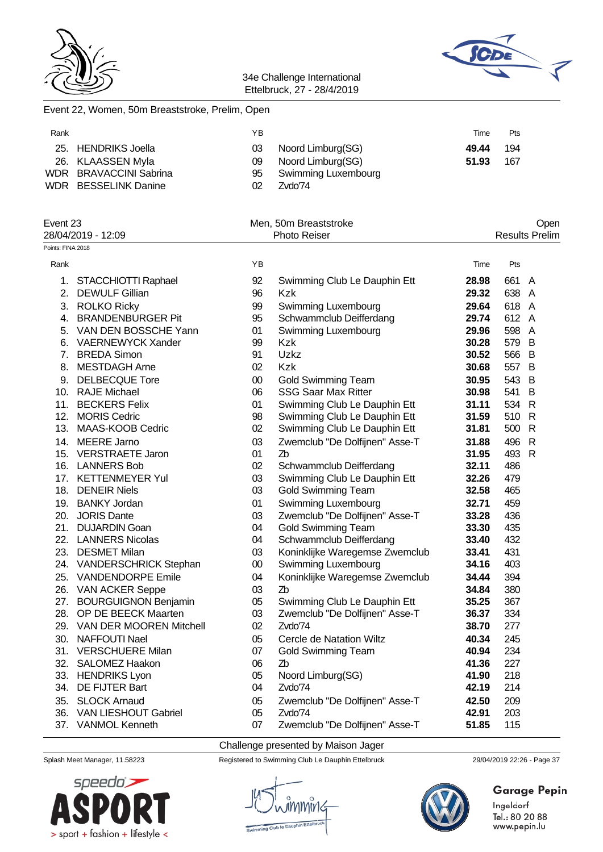



### Event 22, Women, 50m Breaststroke, Prelim, Open

| Rank |                             | ΥB |                        | Time  | Pts |
|------|-----------------------------|----|------------------------|-------|-----|
|      | 25. HENDRIKS Joella         | 03 | Noord Limburg(SG)      | 49.44 | 194 |
|      | 26. KLAASSEN Myla           | 09 | Noord Limburg(SG)      | 51.93 | 167 |
|      | WDR BRAVACCINI Sabrina      |    | 95 Swimming Luxembourg |       |     |
|      | <b>WDR</b> BESSELINK Danine | በ2 | Zvdo'74                |       |     |

| Event 23          |                             |        | Men, 50m Breaststroke          |       |                       |                |  |
|-------------------|-----------------------------|--------|--------------------------------|-------|-----------------------|----------------|--|
|                   | 28/04/2019 - 12:09          |        | <b>Photo Reiser</b>            |       | <b>Results Prelim</b> |                |  |
| Points: FINA 2018 |                             |        |                                |       |                       |                |  |
| Rank              |                             | YB     |                                | Time  | Pts                   |                |  |
| 1.                | STACCHIOTTI Raphael         | 92     | Swimming Club Le Dauphin Ett   | 28.98 | 661                   | $\overline{A}$ |  |
|                   | 2. DEWULF Gillian           | 96     | Kzk                            | 29.32 | 638 A                 |                |  |
| 3.                | <b>ROLKO Ricky</b>          | 99     | Swimming Luxembourg            | 29.64 | 618 A                 |                |  |
| 4.                | <b>BRANDENBURGER Pit</b>    | 95     | Schwammclub Deifferdang        | 29.74 | 612 A                 |                |  |
|                   | 5. VAN DEN BOSSCHE Yann     | 01     | Swimming Luxembourg            | 29.96 | 598                   | A              |  |
|                   | 6. VAERNEWYCK Xander        | 99     | <b>Kzk</b>                     | 30.28 | 579                   | B              |  |
|                   | 7. BREDA Simon              | 91     | Uzkz                           | 30.52 | 566                   | B              |  |
| 8.                | <b>MESTDAGH Arne</b>        | 02     | <b>Kzk</b>                     | 30.68 | 557                   | - B            |  |
| 9.                | <b>DELBECQUE Tore</b>       | 00     | <b>Gold Swimming Team</b>      | 30.95 | 543                   | B              |  |
|                   | 10. RAJE Michael            | 06     | <b>SSG Saar Max Ritter</b>     | 30.98 | 541                   | B              |  |
|                   | 11. BECKERS Felix           | 01     | Swimming Club Le Dauphin Ett   | 31.11 | 534                   | $\mathsf{R}$   |  |
|                   | 12. MORIS Cedric            | 98     | Swimming Club Le Dauphin Ett   | 31.59 | 510                   | $\mathsf{R}$   |  |
|                   | 13. MAAS-KOOB Cedric        | 02     | Swimming Club Le Dauphin Ett   | 31.81 | 500                   | $\mathsf{R}$   |  |
|                   | 14. MEERE Jarno             | 03     | Zwemclub "De Dolfijnen" Asse-T | 31.88 | 496                   | $\mathsf{R}$   |  |
|                   | 15. VERSTRAETE Jaron        | 01     | Zb                             | 31.95 | 493                   | $\mathsf{R}$   |  |
|                   | 16. LANNERS Bob             | 02     | Schwammclub Deifferdang        | 32.11 | 486                   |                |  |
|                   | 17. KETTENMEYER Yul         | 03     | Swimming Club Le Dauphin Ett   | 32.26 | 479                   |                |  |
|                   | 18. DENEIR Niels            | 03     | Gold Swimming Team             | 32.58 | 465                   |                |  |
|                   | 19. BANKY Jordan            | 01     | Swimming Luxembourg            | 32.71 | 459                   |                |  |
|                   | 20. JORIS Dante             | 03     | Zwemclub "De Dolfijnen" Asse-T | 33.28 | 436                   |                |  |
|                   | 21. DUJARDIN Goan           | 04     | <b>Gold Swimming Team</b>      | 33.30 | 435                   |                |  |
|                   | 22. LANNERS Nicolas         | 04     | Schwammclub Deifferdang        | 33.40 | 432                   |                |  |
|                   | 23. DESMET Milan            | 03     | Koninklijke Waregemse Zwemclub | 33.41 | 431                   |                |  |
|                   | 24. VANDERSCHRICK Stephan   | $00\,$ | Swimming Luxembourg            | 34.16 | 403                   |                |  |
|                   | 25. VANDENDORPE Emile       | 04     | Koninklijke Waregemse Zwemclub | 34.44 | 394                   |                |  |
|                   | 26. VAN ACKER Seppe         | 03     | Zb                             | 34.84 | 380                   |                |  |
|                   | 27. BOURGUIGNON Benjamin    | 05     | Swimming Club Le Dauphin Ett   | 35.25 | 367                   |                |  |
|                   | 28. OP DE BEECK Maarten     | 03     | Zwemclub "De Dolfijnen" Asse-T | 36.37 | 334                   |                |  |
|                   | 29. VAN DER MOOREN Mitchell | 02     | Zvdo'74                        | 38.70 | 277                   |                |  |
|                   | 30. NAFFOUTI Nael           | 05     | Cercle de Natation Wiltz       | 40.34 | 245                   |                |  |
|                   | 31. VERSCHUERE Milan        | 07     | <b>Gold Swimming Team</b>      | 40.94 | 234                   |                |  |
|                   | 32. SALOMEZ Haakon          | 06     | Z <sub>b</sub>                 | 41.36 | 227                   |                |  |
|                   | 33. HENDRIKS Lyon           | 05     | Noord Limburg(SG)              | 41.90 | 218                   |                |  |
|                   | 34. DE FIJTER Bart          | 04     | Zvdo'74                        | 42.19 | 214                   |                |  |
|                   | 35. SLOCK Arnaud            | 05     | Zwemclub "De Dolfijnen" Asse-T | 42.50 | 209                   |                |  |
|                   | 36. VAN LIESHOUT Gabriel    | 05     | Zvdo'74                        | 42.91 | 203                   |                |  |
|                   | 37. VANMOL Kenneth          | 07     | Zwemclub "De Dolfijnen" Asse-T | 51.85 | 115                   |                |  |

#### Challenge presented by Maison Jager



Splash Meet Manager, 11.58223 Registered to Swimming Club Le Dauphin Ettelbruck 29/04/2019 22:26 - Page 37





# **Garage Pepin**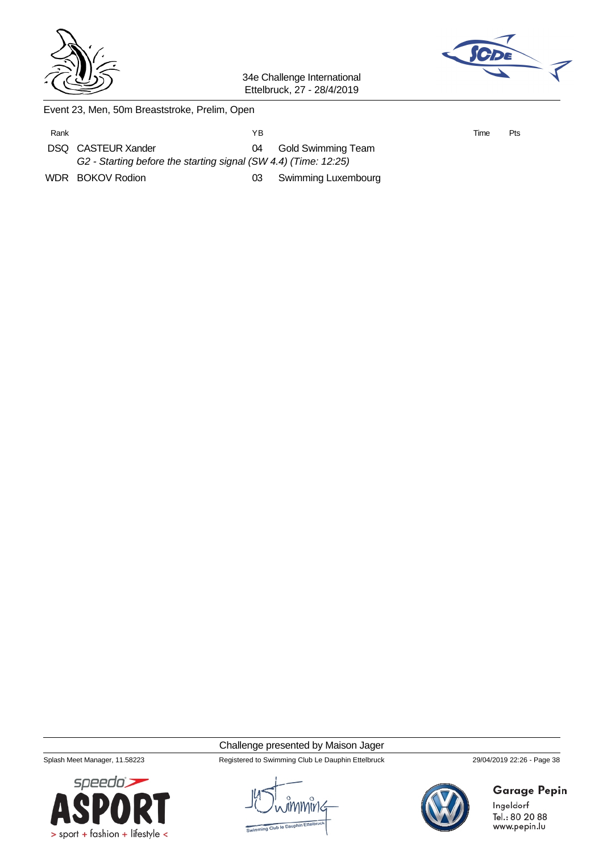



Event 23, Men, 50m Breaststroke, Prelim, Open

| Rank |                                                                 | ΥB |                     | Time | Pts |  |  |
|------|-----------------------------------------------------------------|----|---------------------|------|-----|--|--|
|      | <b>DSQ</b> CASTEUR Xander                                       | 04 | Gold Swimming Team  |      |     |  |  |
|      | G2 - Starting before the starting signal (SW 4.4) (Time: 12:25) |    |                     |      |     |  |  |
|      | WDR BOKOV Rodion                                                | 03 | Swimming Luxembourg |      |     |  |  |

Challenge presented by Maison Jager



Splash Meet Manager, 11.58223 Registered to Swimming Club Le Dauphin Ettelbruck 29/04/2019 22:26 - Page 38



# **Garage Pepin**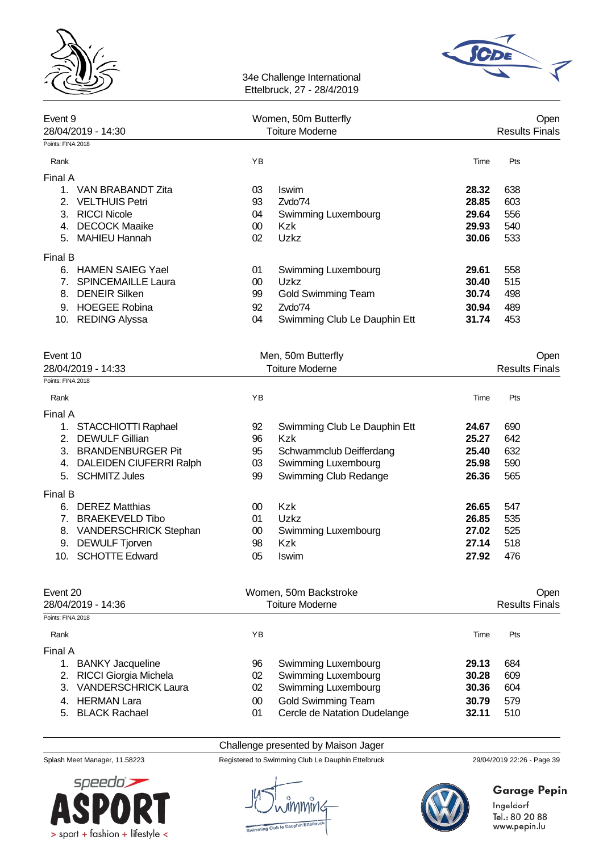



| Event 9            | 28/04/2019 - 14:30           |        | Women, 50m Butterfly<br><b>Toiture Moderne</b> |       | <b>Results Finals</b> | Open                  |
|--------------------|------------------------------|--------|------------------------------------------------|-------|-----------------------|-----------------------|
| Points: FINA 2018  |                              |        |                                                |       |                       |                       |
| Rank               |                              | ΥB     |                                                | Time  | Pts                   |                       |
| Final A            |                              |        |                                                |       |                       |                       |
| 1.                 | VAN BRABANDT Zita            | 03     | Iswim                                          | 28.32 | 638                   |                       |
| 2.                 | <b>VELTHUIS Petri</b>        | 93     | Zvdo'74                                        | 28.85 | 603                   |                       |
|                    | 3. RICCI Nicole              | 04     | Swimming Luxembourg                            | 29.64 | 556                   |                       |
|                    | 4. DECOCK Maaike             | $00\,$ | <b>Kzk</b>                                     | 29.93 | 540                   |                       |
|                    | 5. MAHIEU Hannah             | 02     | Uzkz                                           | 30.06 | 533                   |                       |
| Final B            |                              |        |                                                |       |                       |                       |
|                    | 6. HAMEN SAIEG Yael          | 01     | Swimming Luxembourg                            | 29.61 | 558                   |                       |
| 7.                 | <b>SPINCEMAILLE Laura</b>    | 00     | Uzkz                                           | 30.40 | 515                   |                       |
|                    | 8. DENEIR Silken             | 99     | <b>Gold Swimming Team</b>                      | 30.74 | 498                   |                       |
|                    | 9. HOEGEE Robina             | 92     | Zvdo'74                                        | 30.94 | 489                   |                       |
|                    | 10. REDING Alyssa            | 04     | Swimming Club Le Dauphin Ett                   | 31.74 | 453                   |                       |
| Event 10           |                              |        | Men, 50m Butterfly                             |       |                       | Open                  |
| 28/04/2019 - 14:33 |                              |        | <b>Toiture Moderne</b>                         |       |                       | <b>Results Finals</b> |
| Points: FINA 2018  |                              |        |                                                |       |                       |                       |
| Rank               |                              | YB     |                                                | Time  | Pts                   |                       |
| Final A            |                              |        |                                                |       |                       |                       |
|                    | 1. STACCHIOTTI Raphael       | 92     | Swimming Club Le Dauphin Ett                   | 24.67 | 690                   |                       |
|                    | 2. DEWULF Gillian            | 96     | <b>Kzk</b>                                     | 25.27 | 642                   |                       |
|                    | 3. BRANDENBURGER Pit         | 95     | Schwammclub Deifferdang                        | 25.40 | 632                   |                       |
|                    | 4. DALEIDEN CIUFERRI Ralph   | 03     | Swimming Luxembourg                            | 25.98 | 590                   |                       |
|                    | 5. SCHMITZ Jules             | 99     | Swimming Club Redange                          | 26.36 | 565                   |                       |
| Final B            |                              |        |                                                |       |                       |                       |
|                    | 6. DEREZ Matthias            | $00\,$ | <b>Kzk</b>                                     | 26.65 | 547                   |                       |
|                    | 7. BRAEKEVELD Tibo           | 01     | Uzkz                                           | 26.85 | 535                   |                       |
|                    | 8. VANDERSCHRICK Stephan     | $00\,$ | Swimming Luxembourg                            | 27.02 | 525                   |                       |
|                    | 9. DEWULF Tjorven            | 98     | Kzk                                            | 27.14 | 518                   |                       |
|                    | 10. SCHOTTE Edward           | 05     | <b>Iswim</b>                                   | 27.92 | 476                   |                       |
| Event 20           |                              |        | Women, 50m Backstroke                          |       |                       | Open                  |
|                    | 28/04/2019 - 14:36           |        | <b>Toiture Moderne</b>                         |       | <b>Results Finals</b> |                       |
| Points: FINA 2018  |                              |        |                                                |       |                       |                       |
| Rank               |                              | YB     |                                                | Time  | Pts                   |                       |
| Final A            |                              |        |                                                |       |                       |                       |
|                    | 1. BANKY Jacqueline          | 96     | Swimming Luxembourg                            | 29.13 | 684                   |                       |
| 2.                 | <b>RICCI Giorgia Michela</b> | 02     | Swimming Luxembourg                            | 30.28 | 609                   |                       |
| 3.                 | <b>VANDERSCHRICK Laura</b>   | 02     | Swimming Luxembourg                            | 30.36 | 604                   |                       |
| 4.                 | <b>HERMAN Lara</b>           | 00     | <b>Gold Swimming Team</b>                      | 30.79 | 579                   |                       |
| 5.                 | <b>BLACK Rachael</b>         | 01     | Cercle de Natation Dudelange                   | 32.11 | 510                   |                       |

Challenge presented by Maison Jager

Splash Meet Manager, 11.58223 Registered to Swimming Club Le Dauphin Ettelbruck 29/04/2019 22:26 - Page 39

speedo'**>** > sport + fashion + lifestyle <



# Garage Pepin

Ingeldorf<br>Tel.: 80 20 88<br>www.pepin.lu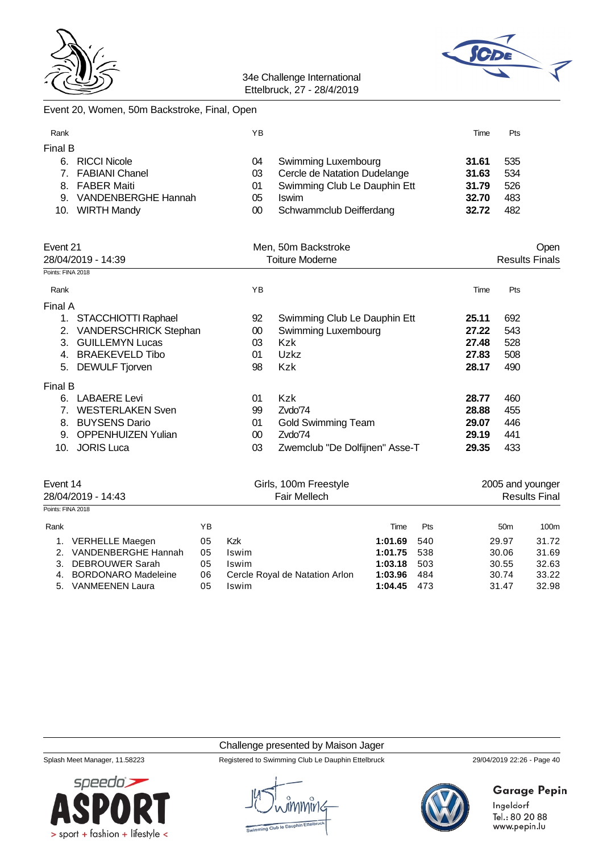



|                   | Event 20, Women, 50m Backstroke, Final, Open |    |            |        |                                |       |                  |                       |
|-------------------|----------------------------------------------|----|------------|--------|--------------------------------|-------|------------------|-----------------------|
| Rank              |                                              |    |            | YB     |                                | Time  | Pts              |                       |
| <b>Final B</b>    |                                              |    |            |        |                                |       |                  |                       |
|                   | 6. RICCI Nicole                              |    |            | 04     | Swimming Luxembourg            | 31.61 | 535              |                       |
| 7.                | <b>FABIANI Chanel</b>                        |    |            | 03     | Cercle de Natation Dudelange   | 31.63 | 534              |                       |
| 8.                | <b>FABER Maiti</b>                           |    |            | 01     | Swimming Club Le Dauphin Ett   | 31.79 | 526              |                       |
|                   | 9. VANDENBERGHE Hannah                       |    |            | 05     | Iswim                          | 32.70 | 483              |                       |
|                   | 10. WIRTH Mandy                              |    |            | $00\,$ | Schwammclub Deifferdang        | 32.72 | 482              |                       |
| Event 21          |                                              |    |            |        | Men, 50m Backstroke            |       |                  | Open                  |
|                   | 28/04/2019 - 14:39                           |    |            |        | <b>Toiture Moderne</b>         |       |                  | <b>Results Finals</b> |
| Points: FINA 2018 |                                              |    |            |        |                                |       |                  |                       |
| Rank              |                                              |    |            | YB     |                                | Time  | Pts              |                       |
| Final A           |                                              |    |            |        |                                |       |                  |                       |
|                   | 1. STACCHIOTTI Raphael                       |    |            | 92     | Swimming Club Le Dauphin Ett   | 25.11 | 692              |                       |
|                   | 2. VANDERSCHRICK Stephan                     |    |            | $00\,$ | Swimming Luxembourg            | 27.22 | 543              |                       |
|                   | 3. GUILLEMYN Lucas                           |    |            | 03     | Kzk                            | 27.48 | 528              |                       |
|                   | 4. BRAEKEVELD Tibo                           |    |            | 01     | Uzkz                           | 27.83 | 508              |                       |
|                   | 5. DEWULF Tjorven                            |    |            | 98     | Kzk                            | 28.17 | 490              |                       |
| Final B           |                                              |    |            |        |                                |       |                  |                       |
|                   | 6. LABAERE Levi                              |    |            | 01     | <b>Kzk</b>                     | 28.77 | 460              |                       |
|                   | 7. WESTERLAKEN Sven                          |    |            | 99     | Zvdo'74                        | 28.88 | 455              |                       |
|                   | 8. BUYSENS Dario                             |    |            | 01     | <b>Gold Swimming Team</b>      | 29.07 | 446              |                       |
| 9.                | <b>OPPENHUIZEN Yulian</b>                    |    |            | $00\,$ | Zvdo'74                        | 29.19 | 441              |                       |
|                   | 10. JORIS Luca                               |    |            | 03     | Zwemclub "De Dolfijnen" Asse-T | 29.35 | 433              |                       |
| Event 14          |                                              |    |            |        | Girls, 100m Freestyle          |       | 2005 and younger |                       |
|                   | 28/04/2019 - 14:43                           |    |            |        | <b>Fair Mellech</b>            |       |                  | <b>Results Final</b>  |
| Points: FINA 2018 |                                              |    |            |        |                                |       |                  |                       |
| Rank              |                                              | YB |            |        | Time<br>Pts                    |       | 50 <sub>m</sub>  | 100m                  |
|                   | 1. VERHELLE Maegen                           | 05 | <b>Kzk</b> |        | 1:01.69<br>540                 |       | 29.97            | 31.72                 |

| 1. VERHELLE Maegen<br>2. VANDENBERGHE Hannah<br>3. DEBROUWER Sarah<br>4. BORDONARO Madeleine | 05<br>05<br>05.<br>06 - | Kzk<br>Iswim<br><b>Iswim</b><br>Cercle Royal de Natation Arlon | $1:01.69$ 540<br>1:01.75 538<br>$1:03.18$ 503<br>1:03.96 484 | 29.97<br>30.06<br>30.55<br>30.74 | 31.72<br>31.69<br>32.63<br>33.22 |
|----------------------------------------------------------------------------------------------|-------------------------|----------------------------------------------------------------|--------------------------------------------------------------|----------------------------------|----------------------------------|
| 5. VANMEENEN Laura                                                                           | 05                      | Iswim                                                          | $1:04.45$ 473                                                | 31.47                            | 32.98                            |
|                                                                                              |                         |                                                                |                                                              |                                  |                                  |

Challenge presented by Maison Jager



Splash Meet Manager, 11.58223 Registered to Swimming Club Le Dauphin Ettelbruck 29/04/2019 22:26 - Page 40

MV IC ng Club le



# **Garage Pepin**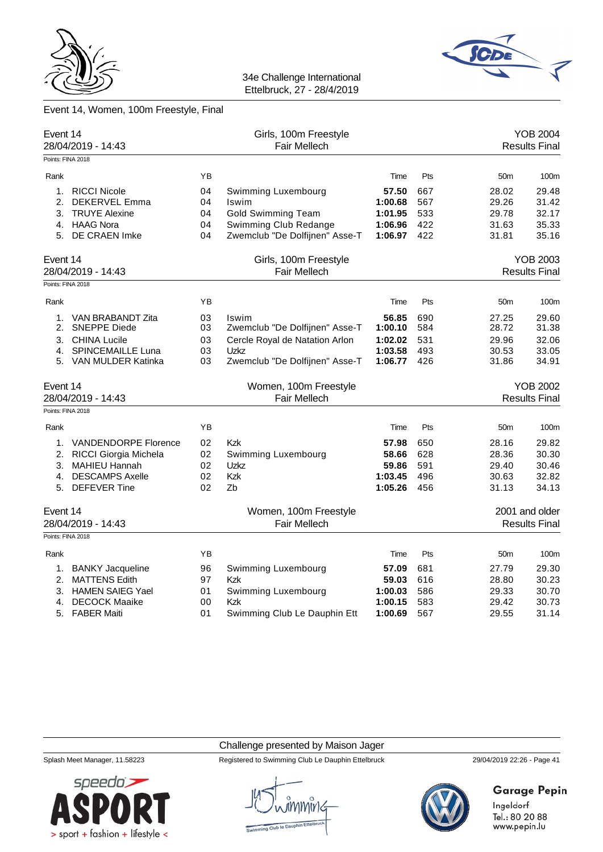

# Event 14, Women, 100m Freestyle, Final

| Event 14<br>28/04/2019 - 14:43 |                             |    | Girls, 100m Freestyle<br>Fair Mellech |         |     |                 | YOB 2004<br><b>Results Final</b> |
|--------------------------------|-----------------------------|----|---------------------------------------|---------|-----|-----------------|----------------------------------|
|                                | Points: FINA 2018           |    |                                       |         |     |                 |                                  |
| Rank                           |                             | YB |                                       | Time    | Pts | 50 <sub>m</sub> | 100m                             |
| 1.                             | <b>RICCI Nicole</b>         | 04 | Swimming Luxembourg                   | 57.50   | 667 | 28.02           | 29.48                            |
| 2.                             | <b>DEKERVEL Emma</b>        | 04 | Iswim                                 | 1:00.68 | 567 | 29.26           | 31.42                            |
| 3.                             | <b>TRUYE Alexine</b>        | 04 | <b>Gold Swimming Team</b>             | 1:01.95 | 533 | 29.78           | 32.17                            |
|                                | 4. HAAG Nora                | 04 | Swimming Club Redange                 | 1:06.96 | 422 | 31.63           | 35.33                            |
| 5.                             | DE CRAEN Imke               | 04 | Zwemclub "De Dolfijnen" Asse-T        | 1:06.97 | 422 | 31.81           | 35.16                            |
| Event 14                       |                             |    | Girls, 100m Freestyle                 |         |     |                 | <b>YOB 2003</b>                  |
|                                | 28/04/2019 - 14:43          |    | <b>Fair Mellech</b>                   |         |     |                 | <b>Results Final</b>             |
|                                | Points: FINA 2018           |    |                                       |         |     |                 |                                  |
| Rank                           |                             | YB |                                       | Time    | Pts | 50 <sub>m</sub> | 100m                             |
| 1.                             | VAN BRABANDT Zita           | 03 | Iswim                                 | 56.85   | 690 | 27.25           | 29.60                            |
| 2.                             | <b>SNEPPE Diede</b>         | 03 | Zwemclub "De Dolfijnen" Asse-T        | 1:00.10 | 584 | 28.72           | 31.38                            |
|                                | 3. CHINA Lucile             | 03 | Cercle Royal de Natation Arlon        | 1:02.02 | 531 | 29.96           | 32.06                            |
| 4.                             | <b>SPINCEMAILLE Luna</b>    | 03 | Uzkz                                  | 1:03.58 | 493 | 30.53           | 33.05                            |
| 5.                             | VAN MULDER Katinka          | 03 | Zwemclub "De Dolfijnen" Asse-T        | 1:06.77 | 426 | 31.86           | 34.91                            |
| Event 14                       |                             |    | Women, 100m Freestyle                 |         |     |                 | <b>YOB 2002</b>                  |
|                                | 28/04/2019 - 14:43          |    | <b>Fair Mellech</b>                   |         |     |                 | <b>Results Final</b>             |
|                                | Points: FINA 2018           |    |                                       |         |     |                 |                                  |
| Rank                           |                             | YB |                                       | Time    | Pts | 50 <sub>m</sub> | 100m                             |
| 1.                             | <b>VANDENDORPE Florence</b> | 02 | <b>Kzk</b>                            | 57.98   | 650 | 28.16           | 29.82                            |
| 2.                             | RICCI Giorgia Michela       | 02 | Swimming Luxembourg                   | 58.66   | 628 | 28.36           | 30.30                            |
| 3.                             | <b>MAHIEU Hannah</b>        | 02 | Uzkz                                  | 59.86   | 591 | 29.40           | 30.46                            |
|                                | 4. DESCAMPS Axelle          | 02 | Kzk                                   | 1:03.45 | 496 | 30.63           | 32.82                            |
| 5.                             | <b>DEFEVER Tine</b>         | 02 | Zb                                    | 1:05.26 | 456 | 31.13           | 34.13                            |
| Event 14                       |                             |    | Women, 100m Freestyle                 |         |     |                 | 2001 and older                   |
|                                | 28/04/2019 - 14:43          |    | <b>Fair Mellech</b>                   |         |     |                 | <b>Results Final</b>             |
|                                | Points: FINA 2018           |    |                                       |         |     |                 |                                  |
| Rank                           |                             | YB |                                       | Time    | Pts | 50 <sub>m</sub> | 100m                             |
| 1.                             | <b>BANKY Jacqueline</b>     | 96 | Swimming Luxembourg                   | 57.09   | 681 | 27.79           | 29.30                            |
| 2.                             | <b>MATTENS Edith</b>        | 97 | Kzk                                   | 59.03   | 616 | 28.80           | 30.23                            |
| 3.                             | <b>HAMEN SAIEG Yael</b>     | 01 | Swimming Luxembourg                   | 1:00.03 | 586 | 29.33           | 30.70                            |
| 4.                             | <b>DECOCK Maaike</b>        | 00 | <b>Kzk</b>                            | 1:00.15 | 583 | 29.42           | 30.73                            |
|                                | 5. FABER Maiti              | 01 | Swimming Club Le Dauphin Ett          | 1:00.69 | 567 | 29.55           | 31.14                            |

#### Challenge presented by Maison Jager

Splash Meet Manager, 11.58223 Registered to Swimming Club Le Dauphin Ettelbruck 29/04/2019 22:26 - Page 41





# **Garage Pepin**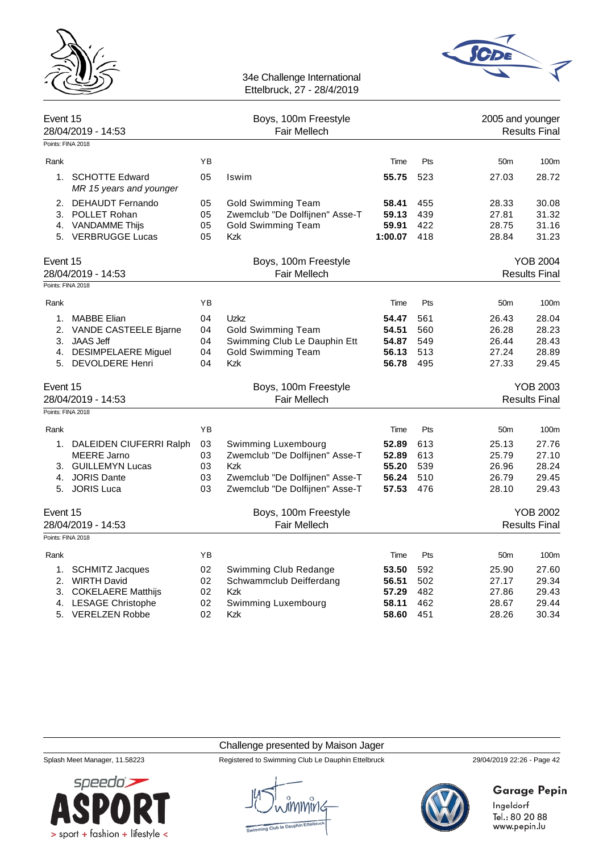



| Event 15 | 28/04/2019 - 14:53                           |    | Boys, 100m Freestyle<br>Fair Mellech |         |     | 2005 and younger | <b>Results Final</b> |
|----------|----------------------------------------------|----|--------------------------------------|---------|-----|------------------|----------------------|
|          | Points: FINA 2018                            |    |                                      |         |     |                  |                      |
| Rank     |                                              | YB |                                      | Time    | Pts | 50 <sub>m</sub>  | 100m                 |
|          | 1. SCHOTTE Edward<br>MR 15 years and younger | 05 | Iswim                                | 55.75   | 523 | 27.03            | 28.72                |
| 2.       | <b>DEHAUDT Fernando</b>                      | 05 | Gold Swimming Team                   | 58.41   | 455 | 28.33            | 30.08                |
|          | 3. POLLET Rohan                              | 05 | Zwemclub "De Dolfijnen" Asse-T       | 59.13   | 439 | 27.81            | 31.32                |
|          | 4. VANDAMME Thijs                            | 05 | <b>Gold Swimming Team</b>            | 59.91   | 422 | 28.75            | 31.16                |
|          | 5. VERBRUGGE Lucas                           | 05 | <b>Kzk</b>                           | 1:00.07 | 418 | 28.84            | 31.23                |
| Event 15 |                                              |    | Boys, 100m Freestyle                 |         |     |                  | <b>YOB 2004</b>      |
|          | 28/04/2019 - 14:53                           |    | <b>Fair Mellech</b>                  |         |     |                  | <b>Results Final</b> |
|          | Points: FINA 2018                            |    |                                      |         |     |                  |                      |
| Rank     |                                              | YB |                                      | Time    | Pts | 50 <sub>m</sub>  | 100m                 |
| 1.       | <b>MABBE Elian</b>                           | 04 | Uzkz                                 | 54.47   | 561 | 26.43            | 28.04                |
|          | 2. VANDE CASTEELE Bjarne                     | 04 | <b>Gold Swimming Team</b>            | 54.51   | 560 | 26.28            | 28.23                |
|          | 3. JAAS Jeff                                 | 04 | Swimming Club Le Dauphin Ett         | 54.87   | 549 | 26.44            | 28.43                |
|          | 4. DESIMPELAERE Miguel                       | 04 | <b>Gold Swimming Team</b>            | 56.13   | 513 | 27.24            | 28.89                |
| 5.       | <b>DEVOLDERE Henri</b>                       | 04 | <b>Kzk</b>                           | 56.78   | 495 | 27.33            | 29.45                |
| Event 15 |                                              |    | Boys, 100m Freestyle                 |         |     |                  | YOB 2003             |
|          | 28/04/2019 - 14:53                           |    | <b>Fair Mellech</b>                  |         |     |                  | <b>Results Final</b> |
|          | Points: FINA 2018                            |    |                                      |         |     |                  |                      |
| Rank     |                                              | ΥB |                                      | Time    | Pts | 50 <sub>m</sub>  | 100m                 |
|          | 1. DALEIDEN CIUFERRI Ralph                   | 03 | Swimming Luxembourg                  | 52.89   | 613 | 25.13            | 27.76                |
|          | <b>MEERE Jarno</b>                           | 03 | Zwemclub "De Dolfijnen" Asse-T       | 52.89   | 613 | 25.79            | 27.10                |
|          | 3. GUILLEMYN Lucas                           | 03 | <b>Kzk</b>                           | 55.20   | 539 | 26.96            | 28.24                |
|          | 4. JORIS Dante                               | 03 | Zwemclub "De Dolfijnen" Asse-T       | 56.24   | 510 | 26.79            | 29.45                |
|          | 5. JORIS Luca                                | 03 | Zwemclub "De Dolfijnen" Asse-T       | 57.53   | 476 | 28.10            | 29.43                |
| Event 15 |                                              |    | Boys, 100m Freestyle                 |         |     |                  | YOB 2002             |
|          | 28/04/2019 - 14:53                           |    | Fair Mellech                         |         |     |                  | <b>Results Final</b> |
|          | Points: FINA 2018                            |    |                                      |         |     |                  |                      |
| Rank     |                                              | YB |                                      | Time    | Pts | 50m              | 100m                 |
| 1.       | <b>SCHMITZ Jacques</b>                       | 02 | Swimming Club Redange                | 53.50   | 592 | 25.90            | 27.60                |
|          | 2. WIRTH David                               | 02 | Schwammclub Deifferdang              | 56.51   | 502 | 27.17            | 29.34                |
|          |                                              |    |                                      |         |     |                  |                      |
|          | 3. COKELAERE Matthijs                        | 02 | <b>Kzk</b>                           | 57.29   | 482 | 27.86            | 29.43                |
|          | 4. LESAGE Christophe                         | 02 | Swimming Luxembourg                  | 58.11   | 462 | 28.67            | 29.44                |

## Challenge presented by Maison Jager

Splash Meet Manager, 11.58223 Registered to Swimming Club Le Dauphin Ettelbruck 29/04/2019 22:26 - Page 42

Garage Pepin

Ingeldorf<br>Tel.: 80 20 88<br>www.pepin.lu

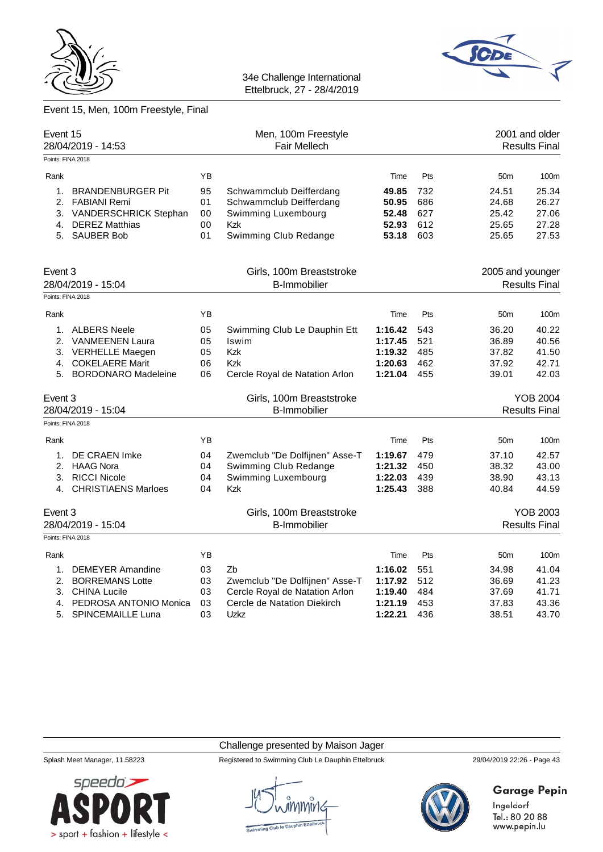

Event 15, Men, 100m Freestyle, Final

34e Challenge International



Ettelbruck, 27 - 28/4/2019

| Event 15           | 28/04/2019 - 14:53        |    | Men, 100m Freestyle<br><b>Fair Mellech</b> |         |     |                  | 2001 and older<br><b>Results Final</b> |
|--------------------|---------------------------|----|--------------------------------------------|---------|-----|------------------|----------------------------------------|
|                    | Points: FINA 2018         |    |                                            |         |     |                  |                                        |
| Rank               |                           | YB |                                            | Time    | Pts | 50 <sub>m</sub>  | 100m                                   |
| 1.                 | <b>BRANDENBURGER Pit</b>  | 95 | Schwammclub Deifferdang                    | 49.85   | 732 | 24.51            | 25.34                                  |
|                    | 2. FABIANI Remi           | 01 | Schwammclub Deifferdang                    | 50.95   | 686 | 24.68            | 26.27                                  |
|                    | 3. VANDERSCHRICK Stephan  | 00 | Swimming Luxembourg                        | 52.48   | 627 | 25.42            | 27.06                                  |
| 4.                 | <b>DEREZ Matthias</b>     | 00 | <b>Kzk</b>                                 | 52.93   | 612 | 25.65            | 27.28                                  |
|                    | 5. SAUBER Bob             | 01 | Swimming Club Redange                      | 53.18   | 603 | 25.65            | 27.53                                  |
| Event 3            |                           |    | Girls, 100m Breaststroke                   |         |     | 2005 and younger |                                        |
| 28/04/2019 - 15:04 |                           |    | <b>B-Immobilier</b>                        |         |     |                  | <b>Results Final</b>                   |
|                    | Points: FINA 2018         |    |                                            |         |     |                  |                                        |
| Rank               |                           | YB |                                            | Time    | Pts | 50 <sub>m</sub>  | 100m                                   |
| 1 <sub>1</sub>     | <b>ALBERS Neele</b>       | 05 | Swimming Club Le Dauphin Ett               | 1:16.42 | 543 | 36.20            | 40.22                                  |
|                    | 2. VANMEENEN Laura        | 05 | Iswim                                      | 1:17.45 | 521 | 36.89            | 40.56                                  |
|                    | 3. VERHELLE Maegen        | 05 | <b>Kzk</b>                                 | 1:19.32 | 485 | 37.82            | 41.50                                  |
|                    | 4. COKELAERE Marit        | 06 | <b>Kzk</b>                                 | 1:20.63 | 462 | 37.92            | 42.71                                  |
|                    | 5. BORDONARO Madeleine    | 06 | Cercle Royal de Natation Arlon             | 1:21.04 | 455 | 39.01            | 42.03                                  |
| Event 3            |                           |    | Girls, 100m Breaststroke                   |         |     |                  | <b>YOB 2004</b>                        |
|                    | 28/04/2019 - 15:04        |    | <b>B-Immobilier</b>                        |         |     |                  | <b>Results Final</b>                   |
|                    | Points: FINA 2018         |    |                                            |         |     |                  |                                        |
| Rank               |                           | YB |                                            | Time    | Pts | 50 <sub>m</sub>  | 100m                                   |
| 1.                 | DE CRAEN Imke             | 04 | Zwemclub "De Dolfijnen" Asse-T             | 1:19.67 | 479 | 37.10            | 42.57                                  |
| 2.                 | HAAG Nora                 | 04 | Swimming Club Redange                      | 1:21.32 | 450 | 38.32            | 43.00                                  |
|                    | 3. RICCI Nicole           | 04 | Swimming Luxembourg                        | 1:22.03 | 439 | 38.90            | 43.13                                  |
|                    | 4. CHRISTIAENS Marloes    | 04 | <b>Kzk</b>                                 | 1:25.43 | 388 | 40.84            | 44.59                                  |
| Event 3            |                           |    | Girls, 100m Breaststroke                   |         |     |                  | <b>YOB 2003</b>                        |
|                    | 28/04/2019 - 15:04        |    | <b>B-Immobilier</b>                        |         |     |                  | <b>Results Final</b>                   |
|                    | Points: FINA 2018         |    |                                            |         |     |                  |                                        |
| Rank               |                           | YB |                                            | Time    | Pts | 50 <sub>m</sub>  | 100m                                   |
| 1.                 | <b>DEMEYER Amandine</b>   | 03 | Zb                                         | 1:16.02 | 551 | 34.98            | 41.04                                  |
| 2.                 | <b>BORREMANS Lotte</b>    | 03 | Zwemclub "De Dolfijnen" Asse-T             | 1:17.92 | 512 | 36.69            | 41.23                                  |
| 3.                 | <b>CHINA Lucile</b>       | 03 | Cercle Royal de Natation Arlon             | 1:19.40 | 484 | 37.69            | 41.71                                  |
|                    | 4. PEDROSA ANTONIO Monica | 03 | Cercle de Natation Diekirch                | 1:21.19 | 453 | 37.83            | 43.36                                  |
|                    | 5. SPINCEMAILLE Luna      | 03 | Uzkz                                       | 1:22.21 | 436 | 38.51            | 43.70                                  |

Challenge presented by Maison Jager



Splash Meet Manager, 11.58223 Registered to Swimming Club Le Dauphin Ettelbruck 29/04/2019 22:26 - Page 43



# **Garage Pepin**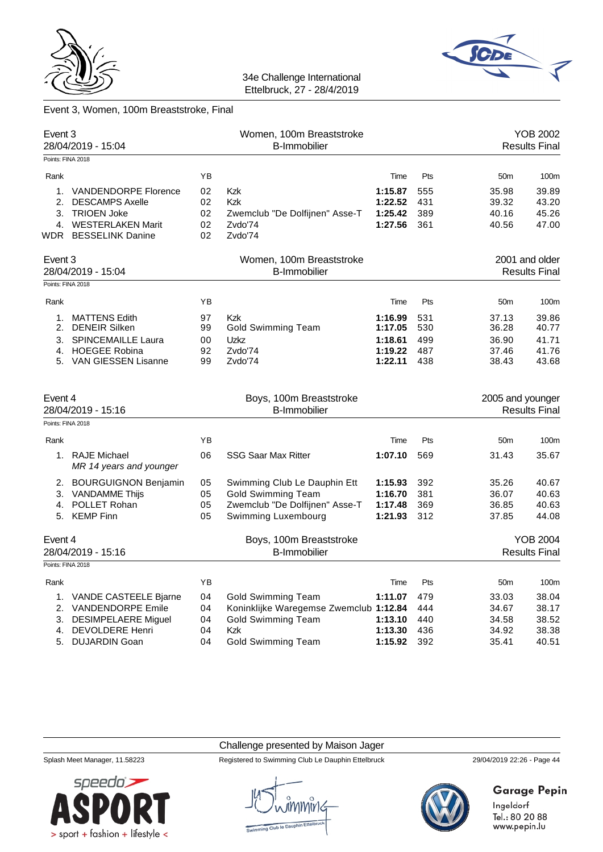



### Event 3, Women, 100m Breaststroke, Final

| Event 3            | 28/04/2019 - 15:04                         |    | Women, 100m Breaststroke<br><b>B-Immobilier</b> |         |     |                  | <b>YOB 2002</b><br><b>Results Final</b> |
|--------------------|--------------------------------------------|----|-------------------------------------------------|---------|-----|------------------|-----------------------------------------|
| Points: FINA 2018  |                                            |    |                                                 |         |     |                  |                                         |
| Rank               |                                            | ΥB |                                                 | Time    | Pts | 50 <sub>m</sub>  | 100m                                    |
| 1.                 | <b>VANDENDORPE Florence</b>                | 02 | <b>Kzk</b>                                      | 1:15.87 | 555 | 35.98            | 39.89                                   |
| 2.                 | <b>DESCAMPS Axelle</b>                     | 02 | Kzk                                             | 1:22.52 | 431 | 39.32            | 43.20                                   |
| 3.                 | <b>TRIOEN Joke</b>                         | 02 | Zwemclub "De Dolfijnen" Asse-T                  | 1:25.42 | 389 | 40.16            | 45.26                                   |
|                    | 4. WESTERLAKEN Marit                       | 02 | Zvdo'74                                         | 1:27.56 | 361 | 40.56            | 47.00                                   |
|                    | WDR BESSELINK Danine                       | 02 | Zvdo'74                                         |         |     |                  |                                         |
| Event 3            |                                            |    | Women, 100m Breaststroke                        |         |     |                  | 2001 and older                          |
| 28/04/2019 - 15:04 |                                            |    | <b>B-Immobilier</b>                             |         |     |                  | <b>Results Final</b>                    |
| Points: FINA 2018  |                                            |    |                                                 |         |     |                  |                                         |
| Rank               |                                            | YB |                                                 | Time    | Pts | 50 <sub>m</sub>  | 100m                                    |
| 1.                 | <b>MATTENS Edith</b>                       | 97 | <b>Kzk</b>                                      | 1:16.99 | 531 | 37.13            | 39.86                                   |
| 2.                 | <b>DENEIR Silken</b>                       | 99 | <b>Gold Swimming Team</b>                       | 1:17.05 | 530 | 36.28            | 40.77                                   |
| 3.                 | SPINCEMAILLE Laura                         | 00 | Uzkz                                            | 1:18.61 | 499 | 36.90            | 41.71                                   |
|                    | 4. HOEGEE Robina                           | 92 | Zvdo'74                                         | 1:19.22 | 487 | 37.46            | 41.76                                   |
|                    | 5. VAN GIESSEN Lisanne                     | 99 | Zvdo'74                                         | 1:22.11 | 438 | 38.43            | 43.68                                   |
| Event 4            | 28/04/2019 - 15:16                         |    | Boys, 100m Breaststroke<br><b>B-Immobilier</b>  |         |     | 2005 and younger | <b>Results Final</b>                    |
| Points: FINA 2018  |                                            |    |                                                 |         |     |                  |                                         |
| Rank               |                                            | YB |                                                 | Time    | Pts | 50 <sub>m</sub>  | 100m                                    |
|                    | 1. RAJE Michael<br>MR 14 years and younger | 06 | <b>SSG Saar Max Ritter</b>                      | 1:07.10 | 569 | 31.43            | 35.67                                   |
| 2.                 | <b>BOURGUIGNON Benjamin</b>                | 05 | Swimming Club Le Dauphin Ett                    | 1:15.93 | 392 | 35.26            | 40.67                                   |
| 3.                 | <b>VANDAMME Thijs</b>                      | 05 | <b>Gold Swimming Team</b>                       | 1:16.70 | 381 | 36.07            | 40.63                                   |
| 4.                 | POLLET Rohan                               | 05 | Zwemclub "De Dolfijnen" Asse-T                  | 1:17.48 | 369 | 36.85            | 40.63                                   |
|                    | 5. KEMP Finn                               | 05 | Swimming Luxembourg                             | 1:21.93 | 312 | 37.85            | 44.08                                   |
| Event 4            | 28/04/2019 - 15:16                         |    | Boys, 100m Breaststroke<br><b>B-Immobilier</b>  |         |     |                  | <b>YOB 2004</b><br><b>Results Final</b> |
| Points: FINA 2018  |                                            |    |                                                 |         |     |                  |                                         |
| Rank               |                                            | YB |                                                 | Time    | Pts | 50m              | 100m                                    |
| 1.                 | VANDE CASTEELE Bjarne                      | 04 | <b>Gold Swimming Team</b>                       | 1:11.07 | 479 | 33.03            | 38.04                                   |
| 2.                 | <b>VANDENDORPE Emile</b>                   | 04 | Koninklijke Waregemse Zwemclub 1:12.84          |         | 444 | 34.67            | 38.17                                   |
| 3.                 | <b>DESIMPELAERE Miguel</b>                 | 04 | <b>Gold Swimming Team</b>                       | 1:13.10 | 440 | 34.58            | 38.52                                   |
|                    |                                            |    |                                                 |         |     |                  |                                         |
| 4.                 | DEVOLDERE Henri                            | 04 | Kzk                                             | 1:13.30 | 436 | 34.92            | 38.38                                   |
| 5.                 | <b>DUJARDIN Goan</b>                       | 04 | <b>Gold Swimming Team</b>                       | 1:15.92 | 392 | 35.41            | 40.51                                   |

Challenge presented by Maison Jager

Splash Meet Manager, 11.58223 Registered to Swimming Club Le Dauphin Ettelbruck 29/04/2019 22:26 - Page 44





# **Garage Pepin**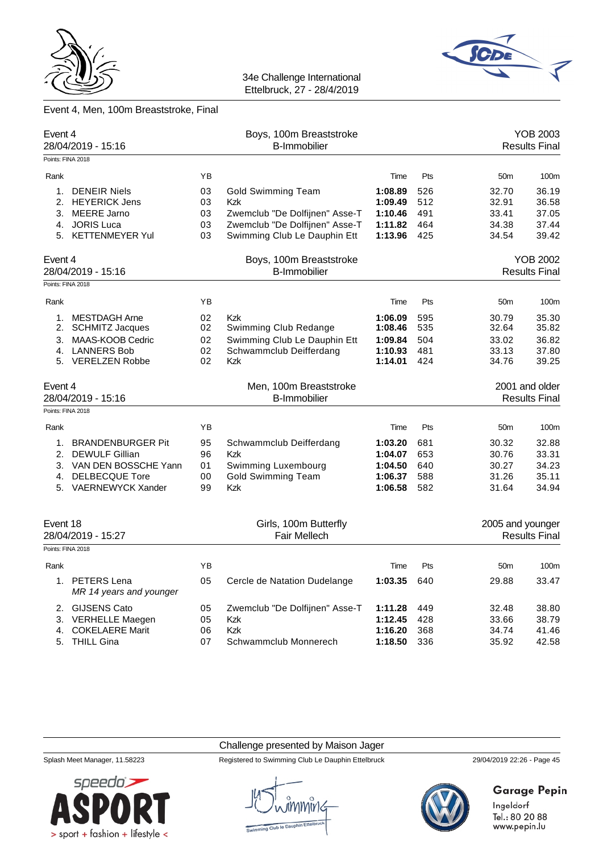

# Event 4, Men, 100m Breaststroke, Final

| Event 4            | 28/04/2019 - 15:16                        |    | Boys, 100m Breaststroke<br><b>B-Immobilier</b> |         |     |                  | <b>YOB 2003</b><br><b>Results Final</b> |
|--------------------|-------------------------------------------|----|------------------------------------------------|---------|-----|------------------|-----------------------------------------|
|                    | Points: FINA 2018                         |    |                                                |         |     |                  |                                         |
| Rank               |                                           | YB |                                                | Time    | Pts | 50 <sub>m</sub>  | 100m                                    |
|                    | 1. DENEIR Niels                           | 03 | <b>Gold Swimming Team</b>                      | 1:08.89 | 526 | 32.70            | 36.19                                   |
|                    | 2. HEYERICK Jens                          | 03 | <b>Kzk</b>                                     | 1:09.49 | 512 | 32.91            | 36.58                                   |
|                    | 3. MEERE Jarno                            | 03 | Zwemclub "De Dolfijnen" Asse-T                 | 1:10.46 | 491 | 33.41            | 37.05                                   |
|                    | 4. JORIS Luca                             | 03 | Zwemclub "De Dolfijnen" Asse-T                 | 1:11.82 | 464 | 34.38            | 37.44                                   |
|                    | 5. KETTENMEYER Yul                        | 03 | Swimming Club Le Dauphin Ett                   | 1:13.96 | 425 | 34.54            | 39.42                                   |
| Event 4            |                                           |    | Boys, 100m Breaststroke                        |         |     |                  | <b>YOB 2002</b>                         |
| 28/04/2019 - 15:16 |                                           |    | <b>B-Immobilier</b>                            |         |     |                  | <b>Results Final</b>                    |
|                    | Points: FINA 2018                         |    |                                                |         |     |                  |                                         |
| Rank               |                                           | YB |                                                | Time    | Pts | 50 <sub>m</sub>  | 100m                                    |
|                    | 1. MESTDAGH Arne                          | 02 | <b>Kzk</b>                                     | 1:06.09 | 595 | 30.79            | 35.30                                   |
| 2.                 | <b>SCHMITZ Jacques</b>                    | 02 | Swimming Club Redange                          | 1:08.46 | 535 | 32.64            | 35.82                                   |
| 3.                 | MAAS-KOOB Cedric                          | 02 | Swimming Club Le Dauphin Ett                   | 1:09.84 | 504 | 33.02            | 36.82                                   |
|                    | 4. LANNERS Bob                            | 02 | Schwammclub Deifferdang                        | 1:10.93 | 481 | 33.13            | 37.80                                   |
|                    | 5. VERELZEN Robbe                         | 02 | <b>Kzk</b>                                     | 1:14.01 | 424 | 34.76            | 39.25                                   |
| Event 4            |                                           |    | Men, 100m Breaststroke                         |         |     |                  | 2001 and older                          |
|                    | 28/04/2019 - 15:16                        |    | <b>B-Immobilier</b>                            |         |     |                  | <b>Results Final</b>                    |
|                    | Points: FINA 2018                         |    |                                                |         |     |                  |                                         |
| Rank               |                                           | YB |                                                | Time    | Pts | 50 <sub>m</sub>  | 100m                                    |
| $1_{\cdot}$        | <b>BRANDENBURGER Pit</b>                  | 95 | Schwammclub Deifferdang                        | 1:03.20 | 681 | 30.32            | 32.88                                   |
|                    | 2. DEWULF Gillian                         | 96 | <b>Kzk</b>                                     | 1:04.07 | 653 | 30.76            | 33.31                                   |
|                    | 3. VAN DEN BOSSCHE Yann                   | 01 | Swimming Luxembourg                            | 1:04.50 | 640 | 30.27            | 34.23                                   |
|                    | 4. DELBECQUE Tore                         | 00 | <b>Gold Swimming Team</b>                      | 1:06.37 | 588 | 31.26            | 35.11                                   |
|                    | 5. VAERNEWYCK Xander                      | 99 | Kzk                                            | 1:06.58 | 582 | 31.64            | 34.94                                   |
| Event 18           | 28/04/2019 - 15:27                        |    | Girls, 100m Butterfly<br><b>Fair Mellech</b>   |         |     | 2005 and younger | <b>Results Final</b>                    |
|                    | Points: FINA 2018                         |    |                                                |         |     |                  |                                         |
| Rank               |                                           | YB |                                                | Time    | Pts | 50m              | 100m                                    |
|                    | 1. PETERS Lena<br>MR 14 years and younger | 05 | Cercle de Natation Dudelange                   | 1:03.35 | 640 | 29.88            | 33.47                                   |
|                    | 2. GIJSENS Cato                           | 05 | Zwemclub "De Dolfijnen" Asse-T                 | 1:11.28 | 449 | 32.48            | 38.80                                   |
| 3.                 | <b>VERHELLE Maegen</b>                    | 05 | <b>Kzk</b>                                     | 1:12.45 | 428 | 33.66            | 38.79                                   |
|                    | 4. COKELAERE Marit                        | 06 | <b>Kzk</b>                                     | 1:16.20 | 368 | 34.74            | 41.46                                   |
|                    | 5. THILL Gina                             | 07 | Schwammclub Monnerech                          | 1:18.50 | 336 | 35.92            | 42.58                                   |

Challenge presented by Maison Jager



Splash Meet Manager, 11.58223 Registered to Swimming Club Le Dauphin Ettelbruck 29/04/2019 22:26 - Page 45



# **Garage Pepin**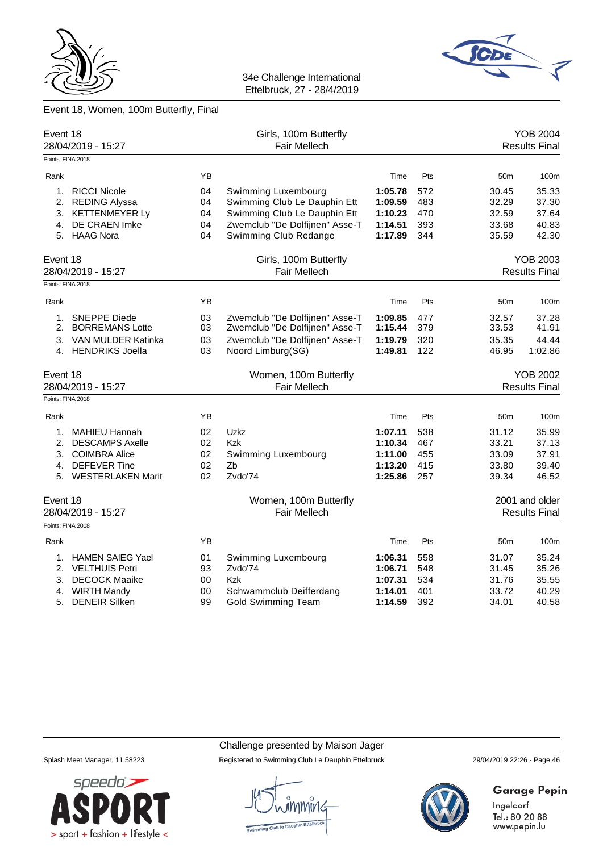

# Event 18, Women, 100m Butterfly, Final

| Event 18<br>28/04/2019 - 15:27 |                         |    | Girls, 100m Butterfly<br><b>Fair Mellech</b> |         |     |                 | <b>YOB 2004</b><br><b>Results Final</b> |
|--------------------------------|-------------------------|----|----------------------------------------------|---------|-----|-----------------|-----------------------------------------|
|                                | Points: FINA 2018       |    |                                              |         |     |                 |                                         |
| Rank                           |                         | YB |                                              | Time    | Pts | 50 <sub>m</sub> | 100m                                    |
|                                | 1. RICCI Nicole         | 04 | Swimming Luxembourg                          | 1:05.78 | 572 | 30.45           | 35.33                                   |
| 2.                             | <b>REDING Alyssa</b>    | 04 | Swimming Club Le Dauphin Ett                 | 1:09.59 | 483 | 32.29           | 37.30                                   |
| 3.                             | <b>KETTENMEYER Ly</b>   | 04 | Swimming Club Le Dauphin Ett                 | 1:10.23 | 470 | 32.59           | 37.64                                   |
|                                | 4. DE CRAEN Imke        | 04 | Zwemclub "De Dolfijnen" Asse-T               | 1:14.51 | 393 | 33.68           | 40.83                                   |
|                                | 5. HAAG Nora            | 04 | Swimming Club Redange                        | 1:17.89 | 344 | 35.59           | 42.30                                   |
| Event 18                       |                         |    | Girls, 100m Butterfly                        |         |     |                 | <b>YOB 2003</b>                         |
| 28/04/2019 - 15:27             |                         |    | <b>Fair Mellech</b>                          |         |     |                 | <b>Results Final</b>                    |
| Points: FINA 2018              |                         |    |                                              |         |     |                 |                                         |
| Rank                           |                         | YB |                                              | Time    | Pts | 50 <sub>m</sub> | 100m                                    |
| 1.                             | <b>SNEPPE Diede</b>     | 03 | Zwemclub "De Dolfijnen" Asse-T               | 1:09.85 | 477 | 32.57           | 37.28                                   |
| 2.                             | <b>BORREMANS Lotte</b>  | 03 | Zwemclub "De Dolfijnen" Asse-T               | 1:15.44 | 379 | 33.53           | 41.91                                   |
|                                | 3. VAN MULDER Katinka   | 03 | Zwemclub "De Dolfijnen" Asse-T               | 1:19.79 | 320 | 35.35           | 44.44                                   |
|                                | 4. HENDRIKS Joella      | 03 | Noord Limburg(SG)                            | 1:49.81 | 122 | 46.95           | 1:02.86                                 |
| Event 18                       |                         |    | Women, 100m Butterfly                        |         |     |                 | <b>YOB 2002</b>                         |
|                                | 28/04/2019 - 15:27      |    | Fair Mellech                                 |         |     |                 | <b>Results Final</b>                    |
| Points: FINA 2018              |                         |    |                                              |         |     |                 |                                         |
| Rank                           |                         | YB |                                              | Time    | Pts | 50 <sub>m</sub> | 100m                                    |
| 1.                             | <b>MAHIEU Hannah</b>    | 02 | Uzkz                                         | 1:07.11 | 538 | 31.12           | 35.99                                   |
| 2.                             | <b>DESCAMPS Axelle</b>  | 02 | Kzk                                          | 1:10.34 | 467 | 33.21           | 37.13                                   |
|                                | 3. COIMBRA Alice        | 02 | Swimming Luxembourg                          | 1:11.00 | 455 | 33.09           | 37.91                                   |
| 4.                             | <b>DEFEVER Tine</b>     | 02 | Zb                                           | 1:13.20 | 415 | 33.80           | 39.40                                   |
|                                | 5. WESTERLAKEN Marit    | 02 | Zvdo'74                                      | 1:25.86 | 257 | 39.34           | 46.52                                   |
| Event 18                       |                         |    | Women, 100m Butterfly                        |         |     |                 | 2001 and older                          |
|                                | 28/04/2019 - 15:27      |    | <b>Fair Mellech</b>                          |         |     |                 | <b>Results Final</b>                    |
| Points: FINA 2018              |                         |    |                                              |         |     |                 |                                         |
| Rank                           |                         | YB |                                              | Time    | Pts | 50 <sub>m</sub> | 100m                                    |
| 1.                             | <b>HAMEN SAIEG Yael</b> | 01 | Swimming Luxembourg                          | 1:06.31 | 558 | 31.07           | 35.24                                   |
| 2.                             | <b>VELTHUIS Petri</b>   | 93 | Zvdo'74                                      | 1:06.71 | 548 | 31.45           | 35.26                                   |
| 3.                             | <b>DECOCK Maaike</b>    | 00 | <b>Kzk</b>                                   | 1:07.31 | 534 | 31.76           | 35.55                                   |
| 4.                             | <b>WIRTH Mandy</b>      | 00 | Schwammclub Deifferdang                      | 1:14.01 | 401 | 33.72           | 40.29                                   |
| 5.                             | <b>DENEIR Silken</b>    | 99 | <b>Gold Swimming Team</b>                    | 1:14.59 | 392 | 34.01           | 40.58                                   |

#### Challenge presented by Maison Jager

Splash Meet Manager, 11.58223 Registered to Swimming Club Le Dauphin Ettelbruck 29/04/2019 22:26 - Page 46

# **Garage Pepin**

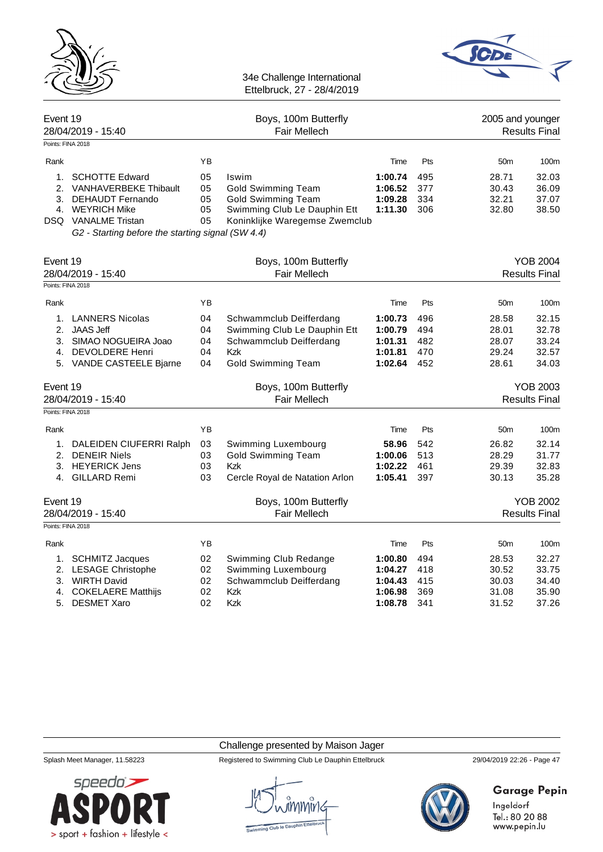



| Event 19                       | 28/04/2019 - 15:40                                                                                                                                                      |                                  | Boys, 100m Butterfly<br><b>Fair Mellech</b>                                                                                              |                                                             |                                        | 2005 and younger                                             | <b>Results Final</b>                              |
|--------------------------------|-------------------------------------------------------------------------------------------------------------------------------------------------------------------------|----------------------------------|------------------------------------------------------------------------------------------------------------------------------------------|-------------------------------------------------------------|----------------------------------------|--------------------------------------------------------------|---------------------------------------------------|
| Points: FINA 2018              |                                                                                                                                                                         |                                  |                                                                                                                                          |                                                             |                                        |                                                              |                                                   |
| Rank                           |                                                                                                                                                                         | ΥB                               |                                                                                                                                          | Time                                                        | Pts                                    | 50 <sub>m</sub>                                              | 100m                                              |
| 1.                             | <b>SCHOTTE Edward</b><br>2. VANHAVERBEKE Thibault<br>3. DEHAUDT Fernando<br>4. WEYRICH Mike<br>DSQ VANALME Tristan<br>G2 - Starting before the starting signal (SW 4.4) | 05<br>05<br>05<br>05<br>05       | <b>Iswim</b><br><b>Gold Swimming Team</b><br><b>Gold Swimming Team</b><br>Swimming Club Le Dauphin Ett<br>Koninklijke Waregemse Zwemclub | 1:00.74<br>1:06.52<br>1:09.28<br>1:11.30                    | 495<br>377<br>334<br>306               | 28.71<br>30.43<br>32.21<br>32.80                             | 32.03<br>36.09<br>37.07<br>38.50                  |
| Event 19                       | 28/04/2019 - 15:40                                                                                                                                                      |                                  | Boys, 100m Butterfly<br><b>Fair Mellech</b>                                                                                              |                                                             |                                        |                                                              | <b>YOB 2004</b><br><b>Results Final</b>           |
| Points: FINA 2018              |                                                                                                                                                                         |                                  |                                                                                                                                          |                                                             |                                        |                                                              |                                                   |
| Rank                           |                                                                                                                                                                         | YB                               |                                                                                                                                          | Time                                                        | Pts                                    | 50 <sub>m</sub>                                              | 100m                                              |
| 2.<br>3.                       | 1. LANNERS Nicolas<br><b>JAAS Jeff</b><br>SIMAO NOGUEIRA Joao<br>4. DEVOLDERE Henri<br>5. VANDE CASTEELE Bjarne                                                         | 04<br>04<br>04<br>04<br>04       | Schwammclub Deifferdang<br>Swimming Club Le Dauphin Ett<br>Schwammclub Deifferdang<br>Kzk<br><b>Gold Swimming Team</b>                   | 1:00.73<br>1:00.79<br>1:01.31<br>1:01.81<br>1:02.64         | 496<br>494<br>482<br>470<br>452        | 28.58<br>28.01<br>28.07<br>29.24<br>28.61                    | 32.15<br>32.78<br>33.24<br>32.57<br>34.03         |
| Event 19<br>28/04/2019 - 15:40 |                                                                                                                                                                         |                                  | Boys, 100m Butterfly<br><b>Fair Mellech</b>                                                                                              |                                                             |                                        |                                                              | <b>YOB 2003</b><br><b>Results Final</b>           |
| Points: FINA 2018              |                                                                                                                                                                         |                                  |                                                                                                                                          |                                                             |                                        |                                                              |                                                   |
| Rank                           | 1. DALEIDEN CIUFERRI Ralph<br>2. DENEIR Niels<br>3. HEYERICK Jens<br>4. GILLARD Remi                                                                                    | YB<br>03<br>03<br>03<br>03       | Swimming Luxembourg<br><b>Gold Swimming Team</b><br><b>Kzk</b><br>Cercle Royal de Natation Arlon                                         | Time<br>58.96<br>1:00.06<br>1:02.22<br>1:05.41              | Pts<br>542<br>513<br>461<br>397        | 50 <sub>m</sub><br>26.82<br>28.29<br>29.39<br>30.13          | 100m<br>32.14<br>31.77<br>32.83<br>35.28          |
| Event 19                       | 28/04/2019 - 15:40                                                                                                                                                      |                                  | Boys, 100m Butterfly<br><b>Fair Mellech</b>                                                                                              |                                                             |                                        |                                                              | <b>YOB 2002</b><br><b>Results Final</b>           |
| Points: FINA 2018              |                                                                                                                                                                         |                                  |                                                                                                                                          |                                                             |                                        |                                                              |                                                   |
| Rank<br>1.                     | <b>SCHMITZ Jacques</b><br>2. LESAGE Christophe<br>3. WIRTH David<br>4. COKELAERE Matthijs<br>5. DESMET Xaro                                                             | ΥB<br>02<br>02<br>02<br>02<br>02 | Swimming Club Redange<br>Swimming Luxembourg<br>Schwammclub Deifferdang<br><b>Kzk</b><br><b>Kzk</b>                                      | Time<br>1:00.80<br>1:04.27<br>1:04.43<br>1:06.98<br>1:08.78 | Pts<br>494<br>418<br>415<br>369<br>341 | 50 <sub>m</sub><br>28.53<br>30.52<br>30.03<br>31.08<br>31.52 | 100m<br>32.27<br>33.75<br>34.40<br>35.90<br>37.26 |

Challenge presented by Maison Jager



Splash Meet Manager, 11.58223 Registered to Swimming Club Le Dauphin Ettelbruck 29/04/2019 22:26 - Page 47



# **Garage Pepin**

Ingeldorf<br>Tel.: 80 20 88<br>www.pepin.lu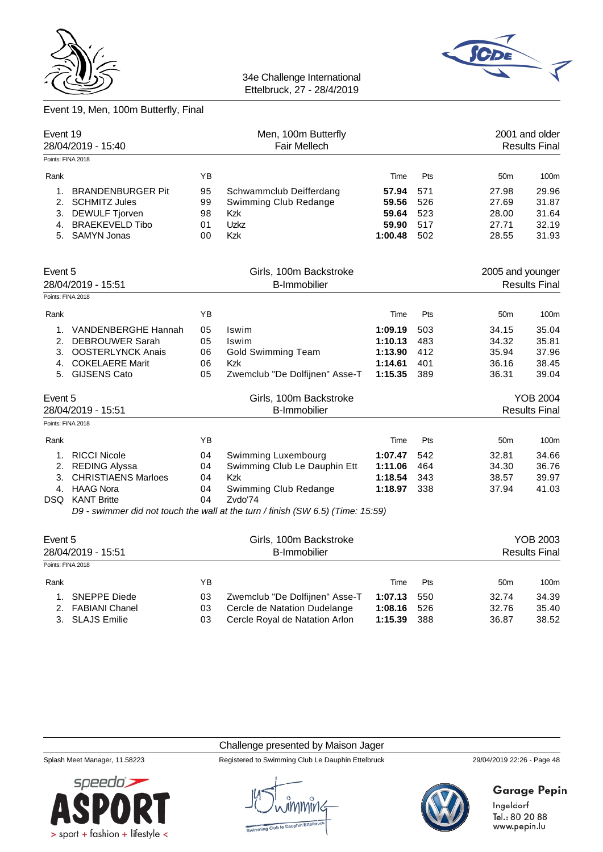

Event 19, Men, 100m Butterfly, Final

34e Challenge International Ettelbruck, 27 - 28/4/2019

| Event 19       | 28/04/2019 - 15:40<br>Points: FINA 2018 |    | Men, 100m Butterfly<br><b>Fair Mellech</b>                                      |         |     |                  | 2001 and older<br><b>Results Final</b> |
|----------------|-----------------------------------------|----|---------------------------------------------------------------------------------|---------|-----|------------------|----------------------------------------|
|                |                                         |    |                                                                                 |         |     |                  |                                        |
| Rank           |                                         | YB |                                                                                 | Time    | Pts | 50 <sub>m</sub>  | 100m                                   |
| 1.             | <b>BRANDENBURGER Pit</b>                | 95 | Schwammclub Deifferdang                                                         | 57.94   | 571 | 27.98            | 29.96                                  |
| 2.             | <b>SCHMITZ Jules</b>                    | 99 | Swimming Club Redange                                                           | 59.56   | 526 | 27.69            | 31.87                                  |
| 3.             | <b>DEWULF Tjorven</b>                   | 98 | <b>Kzk</b>                                                                      | 59.64   | 523 | 28.00            | 31.64                                  |
| 4.             | <b>BRAEKEVELD Tibo</b>                  | 01 | Uzkz                                                                            | 59.90   | 517 | 27.71            | 32.19                                  |
| 5 <sub>1</sub> | <b>SAMYN Jonas</b>                      | 00 | <b>Kzk</b>                                                                      | 1:00.48 | 502 | 28.55            | 31.93                                  |
| Event 5        |                                         |    | Girls, 100m Backstroke                                                          |         |     | 2005 and younger |                                        |
|                | 28/04/2019 - 15:51                      |    | <b>B-Immobilier</b>                                                             |         |     |                  | <b>Results Final</b>                   |
|                | Points: FINA 2018                       |    |                                                                                 |         |     |                  |                                        |
| Rank           |                                         | YB |                                                                                 | Time    | Pts | 50 <sub>m</sub>  | 100m                                   |
| 1.             | VANDENBERGHE Hannah                     | 05 | Iswim                                                                           | 1:09.19 | 503 | 34.15            | 35.04                                  |
| 2.             | <b>DEBROUWER Sarah</b>                  | 05 | Iswim                                                                           | 1:10.13 | 483 | 34.32            | 35.81                                  |
| 3.             | <b>OOSTERLYNCK Anais</b>                | 06 | <b>Gold Swimming Team</b>                                                       | 1:13.90 | 412 | 35.94            | 37.96                                  |
| 4.             | <b>COKELAERE Marit</b>                  | 06 | <b>Kzk</b>                                                                      | 1:14.61 | 401 | 36.16            | 38.45                                  |
| 5.             | <b>GIJSENS Cato</b>                     | 05 | Zwemclub "De Dolfijnen" Asse-T                                                  | 1:15.35 | 389 | 36.31            | 39.04                                  |
| Event 5        |                                         |    | Girls, 100m Backstroke                                                          |         |     |                  | <b>YOB 2004</b>                        |
|                | 28/04/2019 - 15:51                      |    | <b>B-Immobilier</b>                                                             |         |     |                  | <b>Results Final</b>                   |
|                | Points: FINA 2018                       |    |                                                                                 |         |     |                  |                                        |
| Rank           |                                         | YB |                                                                                 | Time    | Pts | 50 <sub>m</sub>  | 100m                                   |
| 1.             | <b>RICCI Nicole</b>                     | 04 | Swimming Luxembourg                                                             | 1:07.47 | 542 | 32.81            | 34.66                                  |
| 2.             | <b>REDING Alyssa</b>                    | 04 | Swimming Club Le Dauphin Ett                                                    | 1:11.06 | 464 | 34.30            | 36.76                                  |
| 3.             | <b>CHRISTIAENS Marloes</b>              | 04 | Kzk                                                                             | 1:18.54 | 343 | 38.57            | 39.97                                  |
|                | 4. HAAG Nora                            | 04 | Swimming Club Redange                                                           | 1:18.97 | 338 | 37.94            | 41.03                                  |
|                | <b>DSQ</b> KANT Britte                  | 04 | Zvdo'74                                                                         |         |     |                  |                                        |
|                |                                         |    | D9 - swimmer did not touch the wall at the turn / finish (SW 6.5) (Time: 15:59) |         |     |                  |                                        |
| Event 5        |                                         |    |                                                                                 |         |     |                  | <b>YOB 2003</b>                        |
|                |                                         |    | Girls, 100m Backstroke                                                          |         |     |                  |                                        |

| Event 5<br>28/04/2019 - 15:51 |                   |     | Girls, 100m Backstroke<br><b>B-Immobilier</b> |         |      | YOB 2003<br><b>Results Final</b> |       |  |
|-------------------------------|-------------------|-----|-----------------------------------------------|---------|------|----------------------------------|-------|--|
|                               | Points: FINA 2018 |     |                                               |         |      |                                  |       |  |
| Rank                          |                   | YB. |                                               | Time    | Pts  | 50 <sub>m</sub>                  | 100m  |  |
|                               | SNEPPE Diede      | 03  | Zwemclub "De Dolfijnen" Asse-T                | 1:07.13 | 550  | 32.74                            | 34.39 |  |
|                               | 2. FABIANI Chanel | 03  | Cercle de Natation Dudelange                  | 1:08.16 | 526  | 32.76                            | 35.40 |  |
|                               | 3. SLAJS Emilie   | 03  | Cercle Royal de Natation Arlon                | 1:15.39 | -388 | 36.87                            | 38.52 |  |
|                               |                   |     |                                               |         |      |                                  |       |  |

Challenge presented by Maison Jager

Splash Meet Manager, 11.58223 Registered to Swimming Club Le Dauphin Ettelbruck 29/04/2019 22:26 - Page 48



**Garage Pepin** 

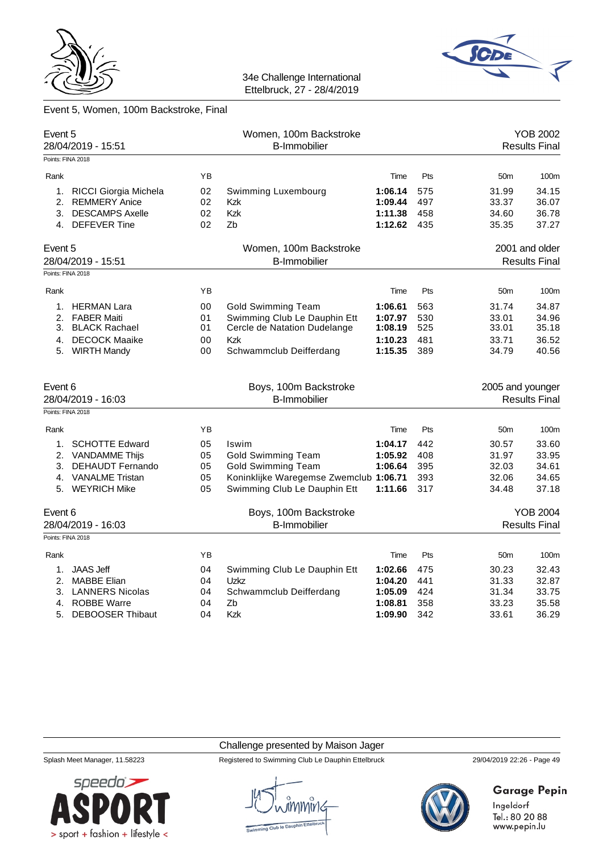



## Event 5, Women, 100m Backstroke, Final

| Event 5<br>28/04/2019 - 15:51 |                         |    | Women, 100m Backstroke<br><b>B-Immobilier</b> |         |     |                  | <b>YOB 2002</b><br><b>Results Final</b> |
|-------------------------------|-------------------------|----|-----------------------------------------------|---------|-----|------------------|-----------------------------------------|
| Points: FINA 2018             |                         |    |                                               |         |     |                  |                                         |
| Rank                          |                         | YB |                                               | Time    | Pts | 50 <sub>m</sub>  | 100m                                    |
| 1.                            | RICCI Giorgia Michela   | 02 | Swimming Luxembourg                           | 1:06.14 | 575 | 31.99            | 34.15                                   |
| 2.                            | <b>REMMERY Anice</b>    | 02 | <b>Kzk</b>                                    | 1:09.44 | 497 | 33.37            | 36.07                                   |
|                               | 3. DESCAMPS Axelle      | 02 | Kzk                                           | 1:11.38 | 458 | 34.60            | 36.78                                   |
|                               | 4. DEFEVER Tine         | 02 | Zb                                            | 1:12.62 | 435 | 35.35            | 37.27                                   |
| Event 5                       |                         |    | Women, 100m Backstroke                        |         |     |                  | 2001 and older                          |
|                               | 28/04/2019 - 15:51      |    | <b>B-Immobilier</b>                           |         |     |                  | <b>Results Final</b>                    |
| Points: FINA 2018             |                         |    |                                               |         |     |                  |                                         |
| Rank                          |                         | YB |                                               | Time    | Pts | 50 <sub>m</sub>  | 100m                                    |
| 1.                            | <b>HERMAN Lara</b>      | 00 | <b>Gold Swimming Team</b>                     | 1:06.61 | 563 | 31.74            | 34.87                                   |
| 2.                            | <b>FABER Maiti</b>      | 01 | Swimming Club Le Dauphin Ett                  | 1:07.97 | 530 | 33.01            | 34.96                                   |
| 3.                            | <b>BLACK Rachael</b>    | 01 | Cercle de Natation Dudelange                  | 1:08.19 | 525 | 33.01            | 35.18                                   |
| 4.                            | <b>DECOCK Maaike</b>    | 00 | Kzk                                           | 1:10.23 | 481 | 33.71            | 36.52                                   |
|                               | 5. WIRTH Mandy          | 00 | Schwammclub Deifferdang                       | 1:15.35 | 389 | 34.79            | 40.56                                   |
| Event 6                       | 28/04/2019 - 16:03      |    | Boys, 100m Backstroke<br><b>B-Immobilier</b>  |         |     | 2005 and younger | <b>Results Final</b>                    |
| Points: FINA 2018             |                         |    |                                               |         |     |                  |                                         |
| Rank                          |                         | YB |                                               | Time    | Pts | 50 <sub>m</sub>  | 100m                                    |
| 1.                            | <b>SCHOTTE Edward</b>   | 05 | Iswim                                         | 1:04.17 | 442 | 30.57            | 33.60                                   |
| 2.                            | VANDAMME Thijs          | 05 | <b>Gold Swimming Team</b>                     | 1:05.92 | 408 | 31.97            | 33.95                                   |
| 3.                            | <b>DEHAUDT Fernando</b> | 05 | <b>Gold Swimming Team</b>                     | 1:06.64 | 395 | 32.03            | 34.61                                   |
|                               | 4. VANALME Tristan      | 05 | Koninklijke Waregemse Zwemclub 1:06.71        |         | 393 | 32.06            | 34.65                                   |
|                               | 5. WEYRICH Mike         | 05 | Swimming Club Le Dauphin Ett                  | 1:11.66 | 317 | 34.48            | 37.18                                   |
| Event 6                       |                         |    | Boys, 100m Backstroke                         |         |     |                  | <b>YOB 2004</b>                         |
|                               | 28/04/2019 - 16:03      |    | <b>B-Immobilier</b>                           |         |     |                  | <b>Results Final</b>                    |
| Points: FINA 2018             |                         |    |                                               |         |     |                  |                                         |
| Rank                          |                         | ΥB |                                               | Time    | Pts | 50 <sub>m</sub>  | 100m                                    |
| 1.                            | <b>JAAS Jeff</b>        | 04 | Swimming Club Le Dauphin Ett                  | 1:02.66 | 475 | 30.23            | 32.43                                   |
| 2.                            | <b>MABBE Elian</b>      | 04 | Uzkz                                          | 1:04.20 | 441 | 31.33            | 32.87                                   |
| 3.                            | <b>LANNERS Nicolas</b>  | 04 | Schwammclub Deifferdang                       | 1:05.09 | 424 | 31.34            | 33.75                                   |
| 4.                            | <b>ROBBE Warre</b>      | 04 | Zb                                            | 1:08.81 | 358 | 33.23            | 35.58                                   |
|                               | 5. DEBOOSER Thibaut     | 04 | Kzk                                           | 1:09.90 | 342 | 33.61            | 36.29                                   |

Challenge presented by Maison Jager



Splash Meet Manager, 11.58223 Registered to Swimming Club Le Dauphin Ettelbruck 29/04/2019 22:26 - Page 49



**Garage Pepin**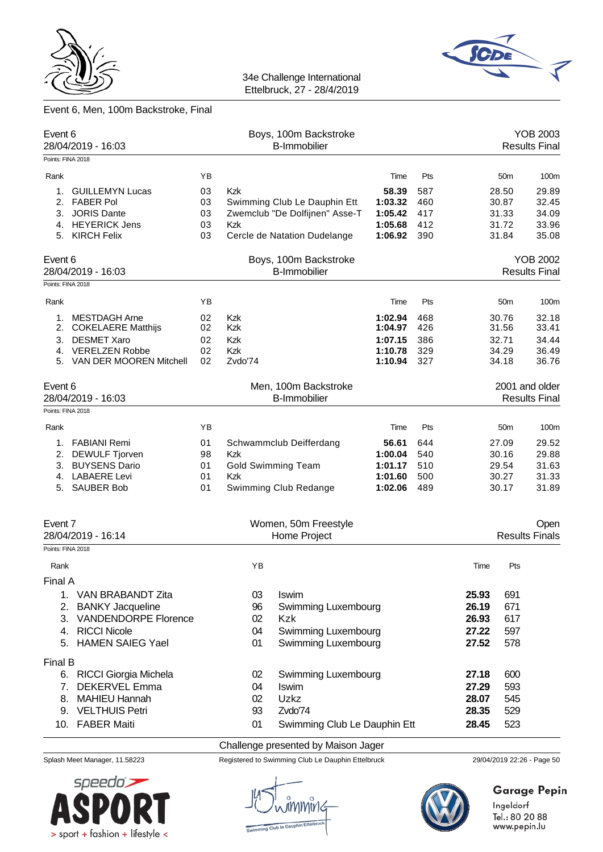



## Event 6, Men, 100m Backstroke, Final

| YB<br>Time<br>Pts<br>50 <sub>m</sub><br>100m<br>Kzk<br>58.39<br>29.89<br><b>GUILLEMYN Lucas</b><br>03<br>587<br>28.50<br>1.<br><b>FABER Pol</b><br>03<br>2.<br>Swimming Club Le Dauphin Ett<br>1:03.32<br>460<br>30.87<br>32.45<br><b>JORIS Dante</b><br>Zwemclub "De Dolfijnen" Asse-T<br>1:05.42<br>34.09<br>3.<br>03<br>417<br>31.33<br><b>HEYERICK Jens</b><br>03<br>Kzk<br>1:05.68<br>412<br>31.72<br>33.96<br>4.<br><b>KIRCH Felix</b><br>03<br>390<br>31.84<br>35.08<br>5.<br>Cercle de Natation Dudelange<br>1:06.92<br><b>YOB 2002</b><br>Boys, 100m Backstroke<br>28/04/2019 - 16:03<br><b>B-Immobilier</b><br><b>Results Final</b><br>Points: FINA 2018<br>ΥB<br>Pts<br>Time<br>50 <sub>m</sub><br>100m<br>1.<br><b>MESTDAGH Arne</b><br>02<br>Kzk<br>1:02.94<br>468<br>30.76<br>32.18<br>Kzk<br>2.<br><b>COKELAERE Matthijs</b><br>02<br>1:04.97<br>426<br>31.56<br>33.41<br><b>DESMET Xaro</b><br>02<br>Kzk<br>1:07.15<br>386<br>32.71<br>34.44<br>3.<br><b>VERELZEN Robbe</b><br>02<br>Kzk<br>1:10.78<br>329<br>34.29<br>36.49<br>4.<br>02<br>Zvdo'74<br>VAN DER MOOREN Mitchell<br>1:10.94<br>327<br>34.18<br>36.76<br>5.<br>2001 and older<br>Men, 100m Backstroke<br><b>B-Immobilier</b><br><b>Results Final</b><br>ΥB<br>Time<br>Pts<br>50 <sub>m</sub><br>100m<br><b>FABIANI Remi</b><br>01<br>Schwammclub Deifferdang<br>56.61<br>644<br>27.09<br>29.52<br>1.<br>98<br>Kzk<br>30.16<br>29.88<br>2.<br><b>DEWULF Tjorven</b><br>1:00.04<br>540<br><b>BUYSENS Dario</b><br><b>Gold Swimming Team</b><br>510<br>29.54<br>31.63<br>3.<br>01<br>1:01.17<br><b>LABAERE Levi</b><br>01<br>Kzk<br>500<br>30.27<br>31.33<br>1:01.60<br>4.<br>01<br>Swimming Club Redange<br><b>SAUBER Bob</b><br>1:02.06<br>489<br>30.17<br>31.89<br>5.<br>Women, 50m Freestyle<br>Open<br>Home Project<br><b>Results Finals</b><br>ΥB<br>Pts<br>Rank<br>Time<br>Iswim<br>25.93<br>691<br>1.<br>VAN BRABANDT Zita<br>03<br>26.19<br>671<br>2.<br><b>BANKY Jacqueline</b><br>96<br>Swimming Luxembourg<br><b>VANDENDORPE Florence</b><br>617<br>Kzk<br>26.93<br>3.<br>02<br>4. RICCI Nicole<br>27.22<br>597<br>04<br>Swimming Luxembourg<br><b>HAMEN SAIEG Yael</b><br>5.<br>01<br>Swimming Luxembourg<br>27.52<br>578<br>Final B<br>6. RICCI Giorgia Michela<br>Swimming Luxembourg<br>600<br>02<br>27.18<br><b>DEKERVEL Emma</b><br>593<br>04<br>27.29<br>7.<br>Iswim<br><b>MAHIEU Hannah</b><br>Uzkz<br>8.<br>02<br>28.07<br>545<br>9. VELTHUIS Petri<br>93<br>Zvdo'74<br>529<br>28.35<br><b>FABER Maiti</b><br>01<br>Swimming Club Le Dauphin Ett<br>28.45<br>523<br>10. | Event 6<br>28/04/2019 - 16:03 |  | Boys, 100m Backstroke<br><b>B-Immobilier</b> |  |  |  | <b>YOB 2003</b><br><b>Results Final</b> |
|------------------------------------------------------------------------------------------------------------------------------------------------------------------------------------------------------------------------------------------------------------------------------------------------------------------------------------------------------------------------------------------------------------------------------------------------------------------------------------------------------------------------------------------------------------------------------------------------------------------------------------------------------------------------------------------------------------------------------------------------------------------------------------------------------------------------------------------------------------------------------------------------------------------------------------------------------------------------------------------------------------------------------------------------------------------------------------------------------------------------------------------------------------------------------------------------------------------------------------------------------------------------------------------------------------------------------------------------------------------------------------------------------------------------------------------------------------------------------------------------------------------------------------------------------------------------------------------------------------------------------------------------------------------------------------------------------------------------------------------------------------------------------------------------------------------------------------------------------------------------------------------------------------------------------------------------------------------------------------------------------------------------------------------------------------------------------------------------------------------------------------------------------------------------------------------------------------------------------------------------------------------------------------------------------------------------------------------------------------------------------------------------------------------------------------------------------------------------------------------------------------------------------------------------------------------------|-------------------------------|--|----------------------------------------------|--|--|--|-----------------------------------------|
|                                                                                                                                                                                                                                                                                                                                                                                                                                                                                                                                                                                                                                                                                                                                                                                                                                                                                                                                                                                                                                                                                                                                                                                                                                                                                                                                                                                                                                                                                                                                                                                                                                                                                                                                                                                                                                                                                                                                                                                                                                                                                                                                                                                                                                                                                                                                                                                                                                                                                                                                                                        | Points: FINA 2018             |  |                                              |  |  |  |                                         |
|                                                                                                                                                                                                                                                                                                                                                                                                                                                                                                                                                                                                                                                                                                                                                                                                                                                                                                                                                                                                                                                                                                                                                                                                                                                                                                                                                                                                                                                                                                                                                                                                                                                                                                                                                                                                                                                                                                                                                                                                                                                                                                                                                                                                                                                                                                                                                                                                                                                                                                                                                                        | Rank                          |  |                                              |  |  |  |                                         |
|                                                                                                                                                                                                                                                                                                                                                                                                                                                                                                                                                                                                                                                                                                                                                                                                                                                                                                                                                                                                                                                                                                                                                                                                                                                                                                                                                                                                                                                                                                                                                                                                                                                                                                                                                                                                                                                                                                                                                                                                                                                                                                                                                                                                                                                                                                                                                                                                                                                                                                                                                                        |                               |  |                                              |  |  |  |                                         |
|                                                                                                                                                                                                                                                                                                                                                                                                                                                                                                                                                                                                                                                                                                                                                                                                                                                                                                                                                                                                                                                                                                                                                                                                                                                                                                                                                                                                                                                                                                                                                                                                                                                                                                                                                                                                                                                                                                                                                                                                                                                                                                                                                                                                                                                                                                                                                                                                                                                                                                                                                                        |                               |  |                                              |  |  |  |                                         |
|                                                                                                                                                                                                                                                                                                                                                                                                                                                                                                                                                                                                                                                                                                                                                                                                                                                                                                                                                                                                                                                                                                                                                                                                                                                                                                                                                                                                                                                                                                                                                                                                                                                                                                                                                                                                                                                                                                                                                                                                                                                                                                                                                                                                                                                                                                                                                                                                                                                                                                                                                                        |                               |  |                                              |  |  |  |                                         |
|                                                                                                                                                                                                                                                                                                                                                                                                                                                                                                                                                                                                                                                                                                                                                                                                                                                                                                                                                                                                                                                                                                                                                                                                                                                                                                                                                                                                                                                                                                                                                                                                                                                                                                                                                                                                                                                                                                                                                                                                                                                                                                                                                                                                                                                                                                                                                                                                                                                                                                                                                                        |                               |  |                                              |  |  |  |                                         |
|                                                                                                                                                                                                                                                                                                                                                                                                                                                                                                                                                                                                                                                                                                                                                                                                                                                                                                                                                                                                                                                                                                                                                                                                                                                                                                                                                                                                                                                                                                                                                                                                                                                                                                                                                                                                                                                                                                                                                                                                                                                                                                                                                                                                                                                                                                                                                                                                                                                                                                                                                                        |                               |  |                                              |  |  |  |                                         |
|                                                                                                                                                                                                                                                                                                                                                                                                                                                                                                                                                                                                                                                                                                                                                                                                                                                                                                                                                                                                                                                                                                                                                                                                                                                                                                                                                                                                                                                                                                                                                                                                                                                                                                                                                                                                                                                                                                                                                                                                                                                                                                                                                                                                                                                                                                                                                                                                                                                                                                                                                                        | Event 6                       |  |                                              |  |  |  |                                         |
|                                                                                                                                                                                                                                                                                                                                                                                                                                                                                                                                                                                                                                                                                                                                                                                                                                                                                                                                                                                                                                                                                                                                                                                                                                                                                                                                                                                                                                                                                                                                                                                                                                                                                                                                                                                                                                                                                                                                                                                                                                                                                                                                                                                                                                                                                                                                                                                                                                                                                                                                                                        |                               |  |                                              |  |  |  |                                         |
|                                                                                                                                                                                                                                                                                                                                                                                                                                                                                                                                                                                                                                                                                                                                                                                                                                                                                                                                                                                                                                                                                                                                                                                                                                                                                                                                                                                                                                                                                                                                                                                                                                                                                                                                                                                                                                                                                                                                                                                                                                                                                                                                                                                                                                                                                                                                                                                                                                                                                                                                                                        |                               |  |                                              |  |  |  |                                         |
|                                                                                                                                                                                                                                                                                                                                                                                                                                                                                                                                                                                                                                                                                                                                                                                                                                                                                                                                                                                                                                                                                                                                                                                                                                                                                                                                                                                                                                                                                                                                                                                                                                                                                                                                                                                                                                                                                                                                                                                                                                                                                                                                                                                                                                                                                                                                                                                                                                                                                                                                                                        | Rank                          |  |                                              |  |  |  |                                         |
|                                                                                                                                                                                                                                                                                                                                                                                                                                                                                                                                                                                                                                                                                                                                                                                                                                                                                                                                                                                                                                                                                                                                                                                                                                                                                                                                                                                                                                                                                                                                                                                                                                                                                                                                                                                                                                                                                                                                                                                                                                                                                                                                                                                                                                                                                                                                                                                                                                                                                                                                                                        |                               |  |                                              |  |  |  |                                         |
|                                                                                                                                                                                                                                                                                                                                                                                                                                                                                                                                                                                                                                                                                                                                                                                                                                                                                                                                                                                                                                                                                                                                                                                                                                                                                                                                                                                                                                                                                                                                                                                                                                                                                                                                                                                                                                                                                                                                                                                                                                                                                                                                                                                                                                                                                                                                                                                                                                                                                                                                                                        |                               |  |                                              |  |  |  |                                         |
|                                                                                                                                                                                                                                                                                                                                                                                                                                                                                                                                                                                                                                                                                                                                                                                                                                                                                                                                                                                                                                                                                                                                                                                                                                                                                                                                                                                                                                                                                                                                                                                                                                                                                                                                                                                                                                                                                                                                                                                                                                                                                                                                                                                                                                                                                                                                                                                                                                                                                                                                                                        |                               |  |                                              |  |  |  |                                         |
|                                                                                                                                                                                                                                                                                                                                                                                                                                                                                                                                                                                                                                                                                                                                                                                                                                                                                                                                                                                                                                                                                                                                                                                                                                                                                                                                                                                                                                                                                                                                                                                                                                                                                                                                                                                                                                                                                                                                                                                                                                                                                                                                                                                                                                                                                                                                                                                                                                                                                                                                                                        |                               |  |                                              |  |  |  |                                         |
|                                                                                                                                                                                                                                                                                                                                                                                                                                                                                                                                                                                                                                                                                                                                                                                                                                                                                                                                                                                                                                                                                                                                                                                                                                                                                                                                                                                                                                                                                                                                                                                                                                                                                                                                                                                                                                                                                                                                                                                                                                                                                                                                                                                                                                                                                                                                                                                                                                                                                                                                                                        |                               |  |                                              |  |  |  |                                         |
|                                                                                                                                                                                                                                                                                                                                                                                                                                                                                                                                                                                                                                                                                                                                                                                                                                                                                                                                                                                                                                                                                                                                                                                                                                                                                                                                                                                                                                                                                                                                                                                                                                                                                                                                                                                                                                                                                                                                                                                                                                                                                                                                                                                                                                                                                                                                                                                                                                                                                                                                                                        | Event 6                       |  |                                              |  |  |  |                                         |
|                                                                                                                                                                                                                                                                                                                                                                                                                                                                                                                                                                                                                                                                                                                                                                                                                                                                                                                                                                                                                                                                                                                                                                                                                                                                                                                                                                                                                                                                                                                                                                                                                                                                                                                                                                                                                                                                                                                                                                                                                                                                                                                                                                                                                                                                                                                                                                                                                                                                                                                                                                        | 28/04/2019 - 16:03            |  |                                              |  |  |  |                                         |
|                                                                                                                                                                                                                                                                                                                                                                                                                                                                                                                                                                                                                                                                                                                                                                                                                                                                                                                                                                                                                                                                                                                                                                                                                                                                                                                                                                                                                                                                                                                                                                                                                                                                                                                                                                                                                                                                                                                                                                                                                                                                                                                                                                                                                                                                                                                                                                                                                                                                                                                                                                        | Points: FINA 2018             |  |                                              |  |  |  |                                         |
|                                                                                                                                                                                                                                                                                                                                                                                                                                                                                                                                                                                                                                                                                                                                                                                                                                                                                                                                                                                                                                                                                                                                                                                                                                                                                                                                                                                                                                                                                                                                                                                                                                                                                                                                                                                                                                                                                                                                                                                                                                                                                                                                                                                                                                                                                                                                                                                                                                                                                                                                                                        | Rank                          |  |                                              |  |  |  |                                         |
|                                                                                                                                                                                                                                                                                                                                                                                                                                                                                                                                                                                                                                                                                                                                                                                                                                                                                                                                                                                                                                                                                                                                                                                                                                                                                                                                                                                                                                                                                                                                                                                                                                                                                                                                                                                                                                                                                                                                                                                                                                                                                                                                                                                                                                                                                                                                                                                                                                                                                                                                                                        |                               |  |                                              |  |  |  |                                         |
|                                                                                                                                                                                                                                                                                                                                                                                                                                                                                                                                                                                                                                                                                                                                                                                                                                                                                                                                                                                                                                                                                                                                                                                                                                                                                                                                                                                                                                                                                                                                                                                                                                                                                                                                                                                                                                                                                                                                                                                                                                                                                                                                                                                                                                                                                                                                                                                                                                                                                                                                                                        |                               |  |                                              |  |  |  |                                         |
|                                                                                                                                                                                                                                                                                                                                                                                                                                                                                                                                                                                                                                                                                                                                                                                                                                                                                                                                                                                                                                                                                                                                                                                                                                                                                                                                                                                                                                                                                                                                                                                                                                                                                                                                                                                                                                                                                                                                                                                                                                                                                                                                                                                                                                                                                                                                                                                                                                                                                                                                                                        |                               |  |                                              |  |  |  |                                         |
|                                                                                                                                                                                                                                                                                                                                                                                                                                                                                                                                                                                                                                                                                                                                                                                                                                                                                                                                                                                                                                                                                                                                                                                                                                                                                                                                                                                                                                                                                                                                                                                                                                                                                                                                                                                                                                                                                                                                                                                                                                                                                                                                                                                                                                                                                                                                                                                                                                                                                                                                                                        |                               |  |                                              |  |  |  |                                         |
|                                                                                                                                                                                                                                                                                                                                                                                                                                                                                                                                                                                                                                                                                                                                                                                                                                                                                                                                                                                                                                                                                                                                                                                                                                                                                                                                                                                                                                                                                                                                                                                                                                                                                                                                                                                                                                                                                                                                                                                                                                                                                                                                                                                                                                                                                                                                                                                                                                                                                                                                                                        |                               |  |                                              |  |  |  |                                         |
|                                                                                                                                                                                                                                                                                                                                                                                                                                                                                                                                                                                                                                                                                                                                                                                                                                                                                                                                                                                                                                                                                                                                                                                                                                                                                                                                                                                                                                                                                                                                                                                                                                                                                                                                                                                                                                                                                                                                                                                                                                                                                                                                                                                                                                                                                                                                                                                                                                                                                                                                                                        | Event 7                       |  |                                              |  |  |  |                                         |
|                                                                                                                                                                                                                                                                                                                                                                                                                                                                                                                                                                                                                                                                                                                                                                                                                                                                                                                                                                                                                                                                                                                                                                                                                                                                                                                                                                                                                                                                                                                                                                                                                                                                                                                                                                                                                                                                                                                                                                                                                                                                                                                                                                                                                                                                                                                                                                                                                                                                                                                                                                        | 28/04/2019 - 16:14            |  |                                              |  |  |  |                                         |
|                                                                                                                                                                                                                                                                                                                                                                                                                                                                                                                                                                                                                                                                                                                                                                                                                                                                                                                                                                                                                                                                                                                                                                                                                                                                                                                                                                                                                                                                                                                                                                                                                                                                                                                                                                                                                                                                                                                                                                                                                                                                                                                                                                                                                                                                                                                                                                                                                                                                                                                                                                        | Points: FINA 2018             |  |                                              |  |  |  |                                         |
|                                                                                                                                                                                                                                                                                                                                                                                                                                                                                                                                                                                                                                                                                                                                                                                                                                                                                                                                                                                                                                                                                                                                                                                                                                                                                                                                                                                                                                                                                                                                                                                                                                                                                                                                                                                                                                                                                                                                                                                                                                                                                                                                                                                                                                                                                                                                                                                                                                                                                                                                                                        |                               |  |                                              |  |  |  |                                         |
|                                                                                                                                                                                                                                                                                                                                                                                                                                                                                                                                                                                                                                                                                                                                                                                                                                                                                                                                                                                                                                                                                                                                                                                                                                                                                                                                                                                                                                                                                                                                                                                                                                                                                                                                                                                                                                                                                                                                                                                                                                                                                                                                                                                                                                                                                                                                                                                                                                                                                                                                                                        | Final A                       |  |                                              |  |  |  |                                         |
|                                                                                                                                                                                                                                                                                                                                                                                                                                                                                                                                                                                                                                                                                                                                                                                                                                                                                                                                                                                                                                                                                                                                                                                                                                                                                                                                                                                                                                                                                                                                                                                                                                                                                                                                                                                                                                                                                                                                                                                                                                                                                                                                                                                                                                                                                                                                                                                                                                                                                                                                                                        |                               |  |                                              |  |  |  |                                         |
|                                                                                                                                                                                                                                                                                                                                                                                                                                                                                                                                                                                                                                                                                                                                                                                                                                                                                                                                                                                                                                                                                                                                                                                                                                                                                                                                                                                                                                                                                                                                                                                                                                                                                                                                                                                                                                                                                                                                                                                                                                                                                                                                                                                                                                                                                                                                                                                                                                                                                                                                                                        |                               |  |                                              |  |  |  |                                         |
|                                                                                                                                                                                                                                                                                                                                                                                                                                                                                                                                                                                                                                                                                                                                                                                                                                                                                                                                                                                                                                                                                                                                                                                                                                                                                                                                                                                                                                                                                                                                                                                                                                                                                                                                                                                                                                                                                                                                                                                                                                                                                                                                                                                                                                                                                                                                                                                                                                                                                                                                                                        |                               |  |                                              |  |  |  |                                         |
|                                                                                                                                                                                                                                                                                                                                                                                                                                                                                                                                                                                                                                                                                                                                                                                                                                                                                                                                                                                                                                                                                                                                                                                                                                                                                                                                                                                                                                                                                                                                                                                                                                                                                                                                                                                                                                                                                                                                                                                                                                                                                                                                                                                                                                                                                                                                                                                                                                                                                                                                                                        |                               |  |                                              |  |  |  |                                         |
|                                                                                                                                                                                                                                                                                                                                                                                                                                                                                                                                                                                                                                                                                                                                                                                                                                                                                                                                                                                                                                                                                                                                                                                                                                                                                                                                                                                                                                                                                                                                                                                                                                                                                                                                                                                                                                                                                                                                                                                                                                                                                                                                                                                                                                                                                                                                                                                                                                                                                                                                                                        |                               |  |                                              |  |  |  |                                         |
|                                                                                                                                                                                                                                                                                                                                                                                                                                                                                                                                                                                                                                                                                                                                                                                                                                                                                                                                                                                                                                                                                                                                                                                                                                                                                                                                                                                                                                                                                                                                                                                                                                                                                                                                                                                                                                                                                                                                                                                                                                                                                                                                                                                                                                                                                                                                                                                                                                                                                                                                                                        |                               |  |                                              |  |  |  |                                         |
|                                                                                                                                                                                                                                                                                                                                                                                                                                                                                                                                                                                                                                                                                                                                                                                                                                                                                                                                                                                                                                                                                                                                                                                                                                                                                                                                                                                                                                                                                                                                                                                                                                                                                                                                                                                                                                                                                                                                                                                                                                                                                                                                                                                                                                                                                                                                                                                                                                                                                                                                                                        |                               |  |                                              |  |  |  |                                         |
|                                                                                                                                                                                                                                                                                                                                                                                                                                                                                                                                                                                                                                                                                                                                                                                                                                                                                                                                                                                                                                                                                                                                                                                                                                                                                                                                                                                                                                                                                                                                                                                                                                                                                                                                                                                                                                                                                                                                                                                                                                                                                                                                                                                                                                                                                                                                                                                                                                                                                                                                                                        |                               |  |                                              |  |  |  |                                         |
|                                                                                                                                                                                                                                                                                                                                                                                                                                                                                                                                                                                                                                                                                                                                                                                                                                                                                                                                                                                                                                                                                                                                                                                                                                                                                                                                                                                                                                                                                                                                                                                                                                                                                                                                                                                                                                                                                                                                                                                                                                                                                                                                                                                                                                                                                                                                                                                                                                                                                                                                                                        |                               |  |                                              |  |  |  |                                         |
|                                                                                                                                                                                                                                                                                                                                                                                                                                                                                                                                                                                                                                                                                                                                                                                                                                                                                                                                                                                                                                                                                                                                                                                                                                                                                                                                                                                                                                                                                                                                                                                                                                                                                                                                                                                                                                                                                                                                                                                                                                                                                                                                                                                                                                                                                                                                                                                                                                                                                                                                                                        |                               |  |                                              |  |  |  |                                         |
|                                                                                                                                                                                                                                                                                                                                                                                                                                                                                                                                                                                                                                                                                                                                                                                                                                                                                                                                                                                                                                                                                                                                                                                                                                                                                                                                                                                                                                                                                                                                                                                                                                                                                                                                                                                                                                                                                                                                                                                                                                                                                                                                                                                                                                                                                                                                                                                                                                                                                                                                                                        |                               |  |                                              |  |  |  |                                         |
|                                                                                                                                                                                                                                                                                                                                                                                                                                                                                                                                                                                                                                                                                                                                                                                                                                                                                                                                                                                                                                                                                                                                                                                                                                                                                                                                                                                                                                                                                                                                                                                                                                                                                                                                                                                                                                                                                                                                                                                                                                                                                                                                                                                                                                                                                                                                                                                                                                                                                                                                                                        |                               |  |                                              |  |  |  |                                         |

Challenge presented by Maison Jager

Splash Meet Manager, 11.58223 Registered to Swimming Club Le Dauphin Ettelbruck 29/04/2019 22:26 - Page 50





# **Garage Pepin**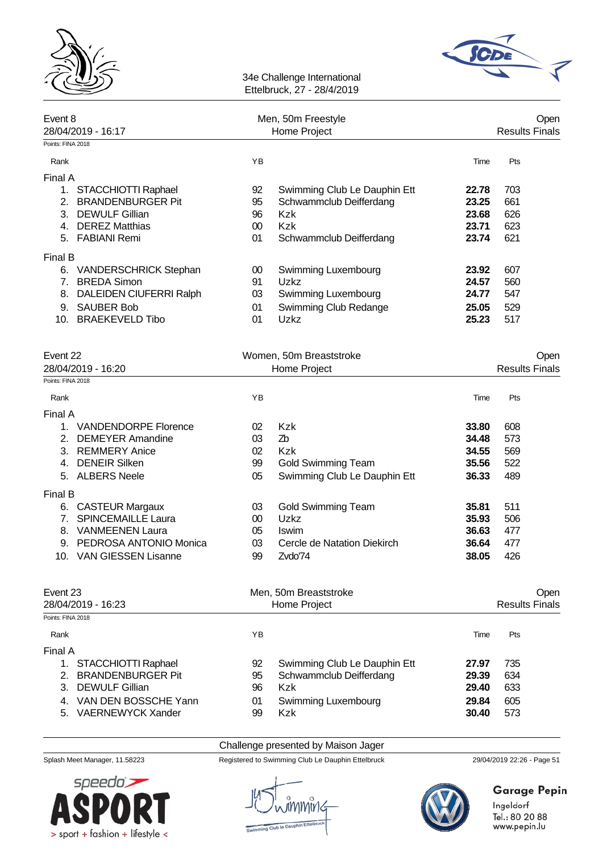



| Event 8<br>28/04/2019 - 16:17               |        | Men, 50m Freestyle<br>Home Project | Open<br><b>Results Finals</b> |                       |      |
|---------------------------------------------|--------|------------------------------------|-------------------------------|-----------------------|------|
| Points: FINA 2018                           |        |                                    |                               |                       |      |
| Rank                                        | YB     |                                    | Time                          | Pts                   |      |
| Final A                                     |        |                                    |                               |                       |      |
| 1. STACCHIOTTI Raphael                      | 92     | Swimming Club Le Dauphin Ett       | 22.78                         | 703                   |      |
| 2.<br><b>BRANDENBURGER Pit</b>              | 95     | Schwammclub Deifferdang            | 23.25                         | 661                   |      |
| 3.<br><b>DEWULF Gillian</b>                 | 96     | <b>Kzk</b>                         | 23.68                         | 626                   |      |
| 4. DEREZ Matthias                           | $00\,$ | Kzk                                | 23.71                         | 623                   |      |
| 5. FABIANI Remi                             | 01     | Schwammclub Deifferdang            | 23.74                         | 621                   |      |
| Final B                                     |        |                                    |                               |                       |      |
| 6. VANDERSCHRICK Stephan                    | $00\,$ | Swimming Luxembourg                | 23.92                         | 607                   |      |
| 7. BREDA Simon                              | 91     | Uzkz                               | 24.57                         | 560                   |      |
| 8. DALEIDEN CIUFERRI Ralph                  | 03     | Swimming Luxembourg                | 24.77                         | 547                   |      |
| 9. SAUBER Bob                               | 01     | Swimming Club Redange              | 25.05                         | 529                   |      |
| 10. BRAEKEVELD Tibo                         | 01     | Uzkz                               | 25.23                         | 517                   |      |
| Event 22                                    |        | Women, 50m Breaststroke            |                               |                       | Open |
| 28/04/2019 - 16:20                          |        | Home Project                       |                               | <b>Results Finals</b> |      |
| Points: FINA 2018                           |        |                                    |                               |                       |      |
| Rank                                        | YB     |                                    | Time                          | Pts                   |      |
| Final A                                     |        |                                    |                               |                       |      |
| 1. VANDENDORPE Florence                     | 02     | Kzk                                | 33.80                         | 608                   |      |
| 2. DEMEYER Amandine                         | 03     | Zb                                 | 34.48                         | 573                   |      |
| 3. REMMERY Anice                            | 02     | <b>Kzk</b>                         | 34.55                         | 569                   |      |
| 4. DENEIR Silken                            | 99     | <b>Gold Swimming Team</b>          | 35.56                         | 522                   |      |
| 5. ALBERS Neele                             | 05     | Swimming Club Le Dauphin Ett       | 36.33                         | 489                   |      |
| Final B                                     |        |                                    |                               |                       |      |
| 6. CASTEUR Margaux                          | 03     | <b>Gold Swimming Team</b>          | 35.81                         | 511                   |      |
| <b>SPINCEMAILLE Laura</b><br>7 <sub>1</sub> | $00\,$ | Uzkz                               | 35.93                         | 506                   |      |
| 8. VANMEENEN Laura                          | 05     | Iswim                              | 36.63                         | 477                   |      |
| 9. PEDROSA ANTONIO Monica                   | 03     | Cercle de Natation Diekirch        | 36.64                         | 477                   |      |
| <b>VAN GIESSEN Lisanne</b><br>10.           | 99     | Zvdo'74                            | 38.05                         | 426                   |      |
| Event 23                                    |        | Men, 50m Breaststroke              |                               |                       | Open |
| 28/04/2019 - 16:23                          |        | Home Project                       |                               | <b>Results Finals</b> |      |
| Points: FINA 2018                           |        |                                    |                               |                       |      |
| Rank                                        | YB     |                                    | Time                          | Pts                   |      |
| Final A                                     |        |                                    |                               |                       |      |
| STACCHIOTTI Raphael<br>1.                   | 92     | Swimming Club Le Dauphin Ett       | 27.97                         | 735                   |      |
| <b>BRANDENBURGER Pit</b><br>2.              | 95     | Schwammclub Deifferdang            | 29.39                         | 634                   |      |
| 3. DEWULF Gillian                           | 96     | Kzk                                | 29.40                         | 633                   |      |
| 4. VAN DEN BOSSCHE Yann                     | 01     | Swimming Luxembourg                | 29.84                         | 605                   |      |
| 5. VAERNEWYCK Xander                        | 99     | Kzk                                | 30.40                         | 573                   |      |

Challenge presented by Maison Jager



Splash Meet Manager, 11.58223 Registered to Swimming Club Le Dauphin Ettelbruck 29/04/2019 22:26 - Page 51



# **Garage Pepin**

Ingeldorf<br>Tel.: 80 20 88<br>www.pepin.lu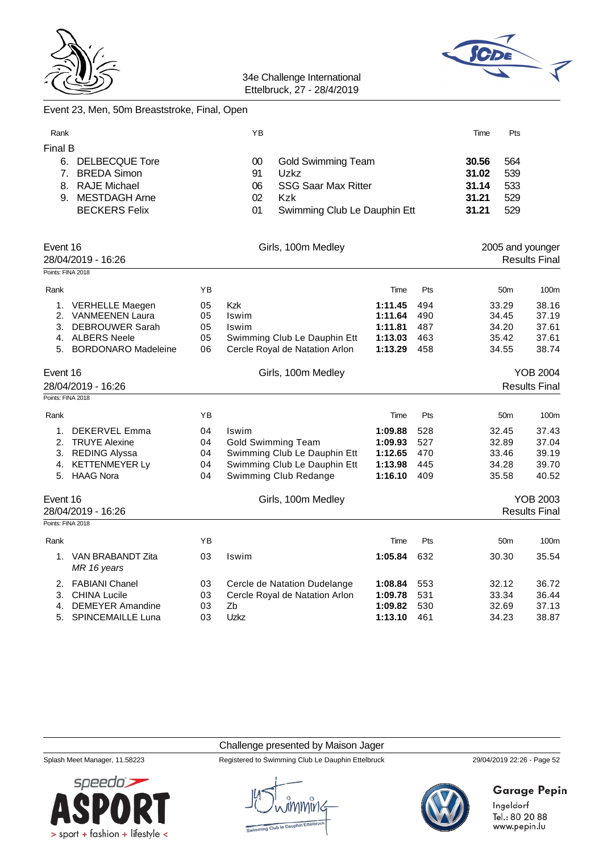



|                   | Event 23, Men, 50m Breaststroke, Final, Open |    |                                    |         |     |       |                 |                      |
|-------------------|----------------------------------------------|----|------------------------------------|---------|-----|-------|-----------------|----------------------|
| Rank              |                                              |    | ΥB                                 |         |     | Time  | Pts             |                      |
| Final B           |                                              |    |                                    |         |     |       |                 |                      |
|                   | 6. DELBECQUE Tore                            |    | 00<br><b>Gold Swimming Team</b>    |         |     | 30.56 | 564             |                      |
| 7.                | <b>BREDA Simon</b>                           |    | 91<br>Uzkz                         |         |     | 31.02 | 539             |                      |
|                   | 8. RAJE Michael                              |    | <b>SSG Saar Max Ritter</b><br>06   |         |     | 31.14 | 533             |                      |
|                   | 9. MESTDAGH Arne                             |    | 02<br><b>Kzk</b>                   |         |     | 31.21 | 529             |                      |
|                   | <b>BECKERS Felix</b>                         |    | 01<br>Swimming Club Le Dauphin Ett |         |     | 31.21 | 529             |                      |
|                   |                                              |    |                                    |         |     |       |                 |                      |
| Event 16          |                                              |    | Girls, 100m Medley                 |         |     |       |                 | 2005 and younger     |
|                   | 28/04/2019 - 16:26                           |    |                                    |         |     |       |                 | <b>Results Final</b> |
|                   | Points: FINA 2018                            |    |                                    |         |     |       |                 |                      |
| Rank              |                                              | YB |                                    | Time    | Pts |       | 50 <sub>m</sub> | 100m                 |
|                   | 1. VERHELLE Maegen                           | 05 | Kzk                                | 1:11.45 | 494 |       | 33.29           | 38.16                |
| 2.                | <b>VANMEENEN Laura</b>                       | 05 | Iswim                              | 1:11.64 | 490 |       | 34.45           | 37.19                |
|                   | 3. DEBROUWER Sarah                           | 05 | Iswim                              | 1:11.81 | 487 |       | 34.20           | 37.61                |
|                   | 4. ALBERS Neele                              | 05 | Swimming Club Le Dauphin Ett       | 1:13.03 | 463 |       | 35.42           | 37.61                |
|                   | 5. BORDONARO Madeleine                       | 06 | Cercle Royal de Natation Arlon     | 1:13.29 | 458 |       | 34.55           | 38.74                |
| Event 16          |                                              |    | Girls, 100m Medley                 |         |     |       |                 | <b>YOB 2004</b>      |
|                   | 28/04/2019 - 16:26                           |    |                                    |         |     |       |                 | <b>Results Final</b> |
| Points: FINA 2018 |                                              |    |                                    |         |     |       |                 |                      |
| Rank              |                                              | YB |                                    | Time    | Pts |       | 50 <sub>m</sub> | 100m                 |
| 1.                | DEKERVEL Emma                                | 04 | Iswim                              | 1:09.88 | 528 |       | 32.45           | 37.43                |
| 2.                | <b>TRUYE Alexine</b>                         | 04 | Gold Swimming Team                 | 1:09.93 | 527 |       | 32.89           | 37.04                |
|                   | 3. REDING Alyssa                             | 04 | Swimming Club Le Dauphin Ett       | 1:12.65 | 470 |       | 33.46           | 39.19                |
|                   | 4. KETTENMEYER Ly                            | 04 | Swimming Club Le Dauphin Ett       | 1:13.98 | 445 |       | 34.28           | 39.70                |
|                   | 5. HAAG Nora                                 | 04 | Swimming Club Redange              | 1:16.10 | 409 |       | 35.58           | 40.52                |
| Event 16          |                                              |    | Girls, 100m Medley                 |         |     |       |                 | <b>YOB 2003</b>      |
|                   | 28/04/2019 - 16:26                           |    |                                    |         |     |       |                 | <b>Results Final</b> |
|                   | Points: FINA 2018                            |    |                                    |         |     |       |                 |                      |
| Rank              |                                              | YB |                                    | Time    | Pts |       | 50 <sub>m</sub> | 100m                 |
|                   | 1. VAN BRABANDT Zita<br>MR 16 years          | 03 | Iswim                              | 1:05.84 | 632 |       | 30.30           | 35.54                |
|                   | 2. FABIANI Chanel                            | 03 | Cercle de Natation Dudelange       | 1:08.84 | 553 |       | 32.12           | 36.72                |
| 3.                | <b>CHINA Lucile</b>                          | 03 | Cercle Royal de Natation Arlon     | 1:09.78 | 531 |       | 33.34           | 36.44                |
| 4.                | <b>DEMEYER Amandine</b>                      | 03 | Zb                                 | 1:09.82 | 530 |       | 32.69           | 37.13                |
| 5.                | <b>SPINCEMAILLE Luna</b>                     | 03 | Uzkz                               | 1:13.10 | 461 |       | 34.23           | 38.87                |

Challenge presented by Maison Jager

Splash Meet Manager, 11.58223 Registered to Swimming Club Le Dauphin Ettelbruck 29/04/2019 22:26 - Page 52





# **Garage Pepin**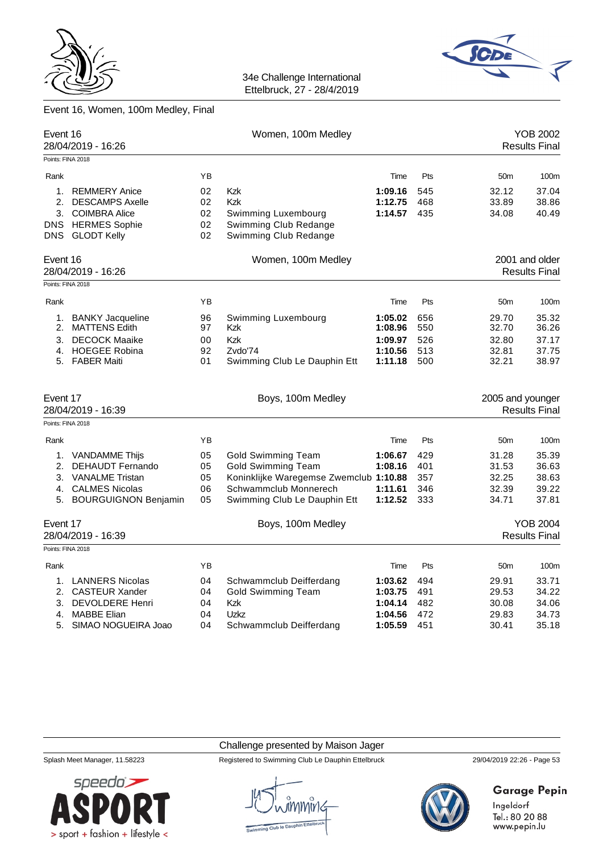



### Event 16, Women, 100m Medley, Final

| Event 16<br>Points: FINA 2018      | 28/04/2019 - 16:26                                                                                                     |                                  | Women, 100m Medley                                                                                                                                        |                                                             |                                        |                                                              | <b>YOB 2002</b><br><b>Results Final</b>           |
|------------------------------------|------------------------------------------------------------------------------------------------------------------------|----------------------------------|-----------------------------------------------------------------------------------------------------------------------------------------------------------|-------------------------------------------------------------|----------------------------------------|--------------------------------------------------------------|---------------------------------------------------|
| Rank                               |                                                                                                                        | YB                               |                                                                                                                                                           | Time                                                        | Pts                                    | 50 <sub>m</sub>                                              | 100m                                              |
| 1.<br>2.                           | <b>REMMERY Anice</b><br><b>DESCAMPS Axelle</b><br>3. COIMBRA Alice<br>DNS HERMES Sophie<br>DNS GLODT Kelly             | 02<br>02<br>02<br>02<br>02       | Kzk<br><b>Kzk</b><br>Swimming Luxembourg<br>Swimming Club Redange<br>Swimming Club Redange                                                                | 1:09.16<br>1:12.75<br>1:14.57                               | 545<br>468<br>435                      | 32.12<br>33.89<br>34.08                                      | 37.04<br>38.86<br>40.49                           |
| Event 16                           | 28/04/2019 - 16:26                                                                                                     |                                  | Women, 100m Medley                                                                                                                                        |                                                             |                                        |                                                              | 2001 and older<br><b>Results Final</b>            |
| Points: FINA 2018                  |                                                                                                                        |                                  |                                                                                                                                                           |                                                             |                                        |                                                              |                                                   |
| Rank<br>1.                         | <b>BANKY Jacqueline</b><br>2. MATTENS Edith<br>3. DECOCK Maaike<br>4. HOEGEE Robina<br>5. FABER Maiti                  | YB<br>96<br>97<br>00<br>92<br>01 | Swimming Luxembourg<br>Kzk<br><b>Kzk</b><br>Zvdo'74<br>Swimming Club Le Dauphin Ett                                                                       | Time<br>1:05.02<br>1:08.96<br>1:09.97<br>1:10.56<br>1:11.18 | Pts<br>656<br>550<br>526<br>513<br>500 | 50 <sub>m</sub><br>29.70<br>32.70<br>32.80<br>32.81<br>32.21 | 100m<br>35.32<br>36.26<br>37.17<br>37.75<br>38.97 |
| Event 17<br>Points: FINA 2018      | 28/04/2019 - 16:39                                                                                                     |                                  | Boys, 100m Medley                                                                                                                                         |                                                             |                                        | 2005 and younger                                             | <b>Results Final</b>                              |
|                                    |                                                                                                                        | ΥB                               |                                                                                                                                                           | Time                                                        | Pts                                    | 50 <sub>m</sub>                                              | 100m                                              |
| Rank<br>1.<br>2.                   | <b>VANDAMME Thijs</b><br>DEHAUDT Fernando<br>3. VANALME Tristan<br>4. CALMES Nicolas<br>5. BOURGUIGNON Benjamin        | 05<br>05<br>05<br>06<br>05       | <b>Gold Swimming Team</b><br><b>Gold Swimming Team</b><br>Koninklijke Waregemse Zwemclub 1:10.88<br>Schwammclub Monnerech<br>Swimming Club Le Dauphin Ett | 1:06.67<br>1:08.16<br>1:11.61<br>1:12.52                    | 429<br>401<br>357<br>346<br>333        | 31.28<br>31.53<br>32.25<br>32.39<br>34.71                    | 35.39<br>36.63<br>38.63<br>39.22<br>37.81         |
| Event 17                           | 28/04/2019 - 16:39                                                                                                     |                                  | Boys, 100m Medley                                                                                                                                         |                                                             |                                        |                                                              | YOB 2004<br><b>Results Final</b>                  |
| Points: FINA 2018                  |                                                                                                                        |                                  |                                                                                                                                                           |                                                             |                                        |                                                              |                                                   |
| Rank<br>1.<br>2.<br>3.<br>4.<br>5. | <b>LANNERS Nicolas</b><br><b>CASTEUR Xander</b><br><b>DEVOLDERE Henri</b><br><b>MABBE Elian</b><br>SIMAO NOGUEIRA Joao | YB<br>04<br>04<br>04<br>04<br>04 | Schwammclub Deifferdang<br><b>Gold Swimming Team</b><br>Kzk<br>Uzkz<br>Schwammclub Deifferdang                                                            | Time<br>1:03.62<br>1:03.75<br>1:04.14<br>1:04.56<br>1:05.59 | Pts<br>494<br>491<br>482<br>472<br>451 | 50 <sub>m</sub><br>29.91<br>29.53<br>30.08<br>29.83<br>30.41 | 100m<br>33.71<br>34.22<br>34.06<br>34.73<br>35.18 |

#### Challenge presented by Maison Jager

Splash Meet Manager, 11.58223 Registered to Swimming Club Le Dauphin Ettelbruck 29/04/2019 22:26 - Page 53





# **Garage Pepin**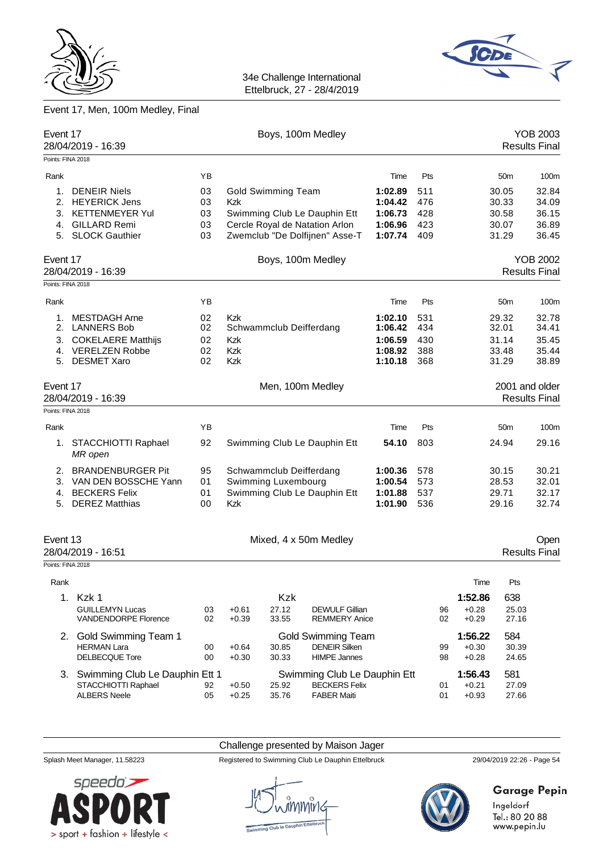



# Event 17, Men, 100m Medley, Final

| Event 17          | 28/04/2019 - 16:39                            |    |         | Boys, 100m Medley         |                                                   |         |     |    |                    | <b>Results Final</b>                   | YOB 2003         |
|-------------------|-----------------------------------------------|----|---------|---------------------------|---------------------------------------------------|---------|-----|----|--------------------|----------------------------------------|------------------|
| Points: FINA 2018 |                                               |    |         |                           |                                                   |         |     |    |                    |                                        |                  |
| Rank              |                                               | YB |         |                           |                                                   | Time    | Pts |    |                    | 50 <sub>m</sub>                        | 100m             |
| 1.                | <b>DENEIR Niels</b>                           | 03 |         | <b>Gold Swimming Team</b> |                                                   | 1:02.89 | 511 |    |                    | 30.05                                  | 32.84            |
|                   | 2. HEYERICK Jens                              | 03 | Kzk     |                           |                                                   | 1:04.42 | 476 |    |                    | 30.33                                  | 34.09            |
|                   | 3. KETTENMEYER Yul                            | 03 |         |                           | Swimming Club Le Dauphin Ett                      | 1:06.73 | 428 |    |                    | 30.58                                  | 36.15            |
| 4.                | <b>GILLARD Remi</b>                           | 03 |         |                           | Cercle Royal de Natation Arlon                    | 1:06.96 | 423 |    |                    | 30.07                                  | 36.89            |
|                   | 5. SLOCK Gauthier                             | 03 |         |                           | Zwemclub "De Dolfijnen" Asse-T                    | 1:07.74 | 409 |    |                    | 31.29                                  | 36.45            |
| Event 17          |                                               |    |         | Boys, 100m Medley         |                                                   |         |     |    |                    |                                        | <b>YOB 2002</b>  |
|                   | 28/04/2019 - 16:39                            |    |         |                           |                                                   |         |     |    |                    | <b>Results Final</b>                   |                  |
| Points: FINA 2018 |                                               |    |         |                           |                                                   |         |     |    |                    |                                        |                  |
| Rank              |                                               | ΥB |         |                           |                                                   | Time    | Pts |    |                    | 50 <sub>m</sub>                        | 100m             |
| 1.                | <b>MESTDAGH Arne</b>                          | 02 | Kzk     |                           |                                                   | 1:02.10 | 531 |    |                    | 29.32                                  | 32.78            |
| 2.                | <b>LANNERS Bob</b>                            | 02 |         | Schwammclub Deifferdang   |                                                   | 1:06.42 | 434 |    |                    | 32.01                                  | 34.41            |
| 3.                | <b>COKELAERE Matthijs</b>                     | 02 | Kzk     |                           |                                                   | 1:06.59 | 430 |    |                    | 31.14                                  | 35.45            |
| 4.                | <b>VERELZEN Robbe</b>                         | 02 | Kzk     |                           |                                                   | 1:08.92 | 388 |    |                    | 33.48                                  | 35.44            |
| 5.                | <b>DESMET Xaro</b>                            | 02 | Kzk     |                           |                                                   | 1:10.18 | 368 |    |                    | 31.29                                  | 38.89            |
| Event 17          | 28/04/2019 - 16:39                            |    |         | Men, 100m Medley          |                                                   |         |     |    |                    | 2001 and older<br><b>Results Final</b> |                  |
| Points: FINA 2018 |                                               |    |         |                           |                                                   |         |     |    |                    |                                        |                  |
| Rank              |                                               | YB |         |                           |                                                   | Time    | Pts |    |                    | 50 <sub>m</sub>                        | 100 <sub>m</sub> |
|                   | 1. STACCHIOTTI Raphael<br>MR open             | 92 |         |                           | Swimming Club Le Dauphin Ett                      | 54.10   | 803 |    |                    | 24.94                                  | 29.16            |
| 2.                | <b>BRANDENBURGER Pit</b>                      | 95 |         | Schwammclub Deifferdang   |                                                   | 1:00.36 | 578 |    |                    | 30.15                                  | 30.21            |
|                   | 3. VAN DEN BOSSCHE Yann                       | 01 |         | Swimming Luxembourg       |                                                   | 1:00.54 | 573 |    |                    | 28.53                                  | 32.01            |
| 4.                | <b>BECKERS Felix</b>                          | 01 |         |                           | Swimming Club Le Dauphin Ett                      | 1:01.88 | 537 |    |                    | 29.71                                  | 32.17            |
| 5.                | <b>DEREZ Matthias</b>                         | 00 | Kzk     |                           |                                                   | 1:01.90 | 536 |    |                    | 29.16                                  | 32.74            |
| Event 13          | 28/04/2019 - 16:51                            |    |         |                           | Mixed, 4 x 50m Medley                             |         |     |    |                    | <b>Results Final</b>                   | Open             |
| Points: FINA 2018 |                                               |    |         |                           |                                                   |         |     |    |                    |                                        |                  |
| Rank              |                                               |    |         |                           |                                                   |         |     |    | Time               | Pts                                    |                  |
|                   | 1. Kzk 1                                      |    |         | Kzk                       |                                                   |         |     |    | 1:52.86            | 638                                    |                  |
|                   | <b>GUILLEMYN Lucas</b>                        | 03 | $+0.61$ | 27.12                     | <b>DEWULF Gillian</b>                             |         |     | 96 | $+0.28$            | 25.03                                  |                  |
|                   | VANDENDORPE Florence                          | 02 | $+0.39$ | 33.55                     | <b>REMMERY Anice</b>                              |         |     | 02 | $+0.29$            | 27.16                                  |                  |
|                   | 2. Gold Swimming Team 1<br><b>HERMAN Lara</b> | 00 | $+0.64$ | 30.85                     | <b>Gold Swimming Team</b><br><b>DENEIR Silken</b> |         |     | 99 | 1:56.22<br>$+0.30$ | 584<br>30.39                           |                  |

| DELBECQUE Tore                    | 00 | $+0.30$ | 30.33                        | <b>HIMPE Jannes</b>  | 98 | $+0.28$ | 24.65 |
|-----------------------------------|----|---------|------------------------------|----------------------|----|---------|-------|
| 3. Swimming Club Le Dauphin Ett 1 |    |         | Swimming Club Le Dauphin Ett |                      |    | 1:56.43 | 581   |
| STACCHIOTTI Raphael               | 92 | $+0.50$ | 25.92                        | <b>BECKERS Felix</b> | 01 | $+0.21$ | 27.09 |
| ALBERS Neele                      | 05 | $+0.25$ | 35.76                        | <b>FABER Maiti</b>   | 01 | $+0.93$ | 27.66 |
|                                   |    |         |                              |                      |    |         |       |



# Challenge presented by Maison Jager

Splash Meet Manager, 11.58223 Registered to Swimming Club Le Dauphin Ettelbruck 29/04/2019 22:26 - Page 54



# **Garage Pepin**